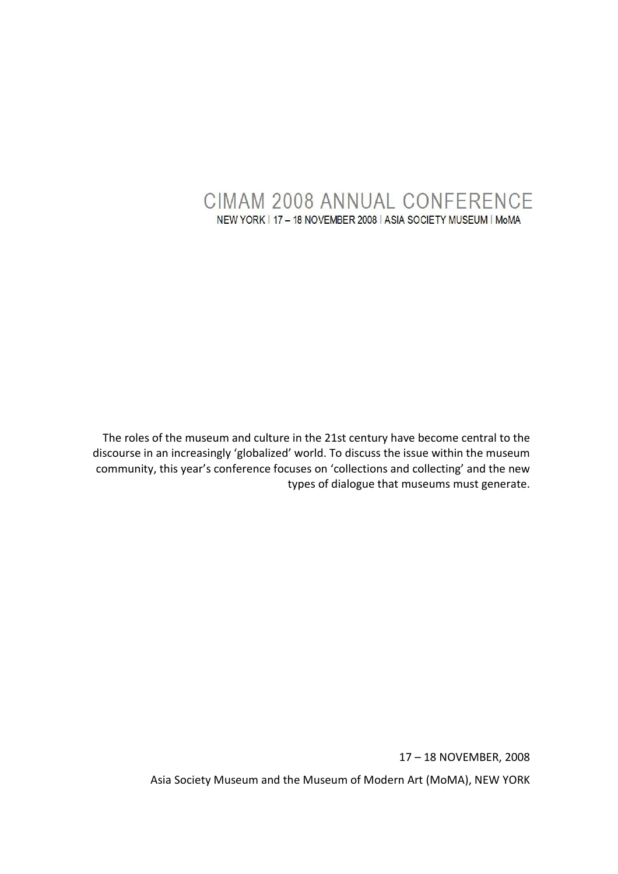# **CIMAM 2008 ANNUAL CONFERENCE** NEW YORK | 17 - 18 NOVEMBER 2008 | ASIA SOCIETY MUSEUM | MoMA

The roles of the museum and culture in the 21st century have become central to the discourse in an increasingly 'globalized' world. To discuss the issue within the museum community, this year's conference focuses on 'collections and collecting' and the new types of dialogue that museums must generate.

17 – 18 NOVEMBER, 2008

Asia Society Museum and the Museum of Modern Art (MoMA), NEW YORK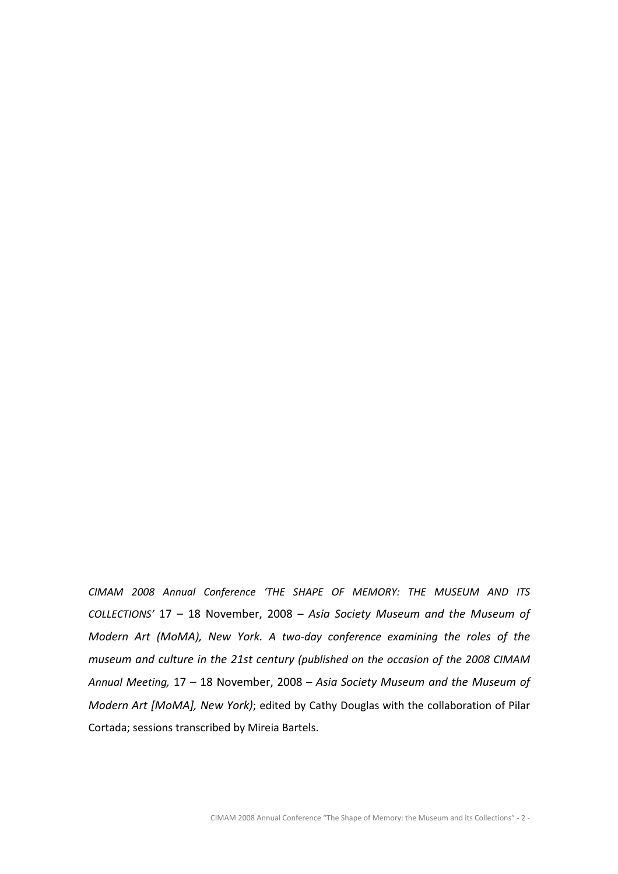CIMAM 2008 Annual Conference 'THE SHAPE OF MEMORY: THE MUSEUM AND ITS COLLECTIONS' 17 – 18 November, 2008 – Asia Society Museum and the Museum of Modern Art (MoMA), New York. A two-day conference examining the roles of the museum and culture in the 21st century (published on the occasion of the 2008 CIMAM Annual Meeting, 17 – 18 November, 2008 – Asia Society Museum and the Museum of Modern Art [MoMA], New York); edited by Cathy Douglas with the collaboration of Pilar Cortada; sessions transcribed by Mireia Bartels.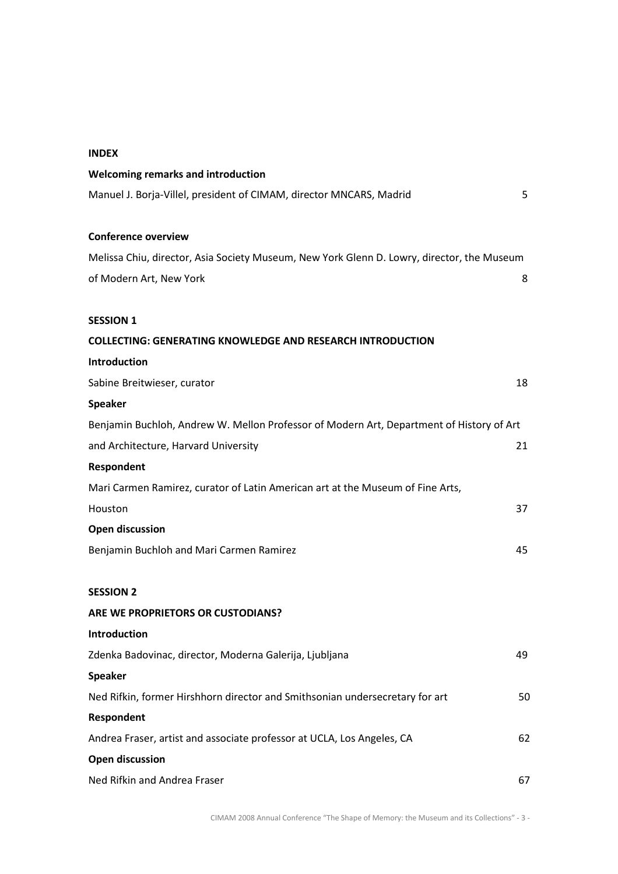| I |
|---|
|---|

| <b>Welcoming remarks and introduction</b>                                                  |    |
|--------------------------------------------------------------------------------------------|----|
| Manuel J. Borja-Villel, president of CIMAM, director MNCARS, Madrid                        | 5  |
|                                                                                            |    |
| <b>Conference overview</b>                                                                 |    |
| Melissa Chiu, director, Asia Society Museum, New York Glenn D. Lowry, director, the Museum |    |
| of Modern Art, New York                                                                    | 8  |
| <b>SESSION 1</b>                                                                           |    |
| <b>COLLECTING: GENERATING KNOWLEDGE AND RESEARCH INTRODUCTION</b>                          |    |
| Introduction                                                                               |    |
| Sabine Breitwieser, curator                                                                | 18 |
| <b>Speaker</b>                                                                             |    |
| Benjamin Buchloh, Andrew W. Mellon Professor of Modern Art, Department of History of Art   |    |
| and Architecture, Harvard University                                                       | 21 |
| Respondent                                                                                 |    |
| Mari Carmen Ramirez, curator of Latin American art at the Museum of Fine Arts,             |    |
| Houston                                                                                    | 37 |
| <b>Open discussion</b>                                                                     |    |
| Benjamin Buchloh and Mari Carmen Ramirez                                                   | 45 |
|                                                                                            |    |
| <b>SESSION 2</b>                                                                           |    |
| ARE WE PROPRIETORS OR CUSTODIANS?                                                          |    |
| Introduction                                                                               |    |
| Zdenka Badovinac, director, Moderna Galerija, Ljubljana                                    | 49 |
| <b>Speaker</b>                                                                             |    |
| Ned Rifkin, former Hirshhorn director and Smithsonian undersecretary for art               | 50 |
| Respondent                                                                                 |    |
| Andrea Fraser, artist and associate professor at UCLA, Los Angeles, CA                     | 62 |
| <b>Open discussion</b>                                                                     |    |
| Ned Rifkin and Andrea Fraser                                                               | 67 |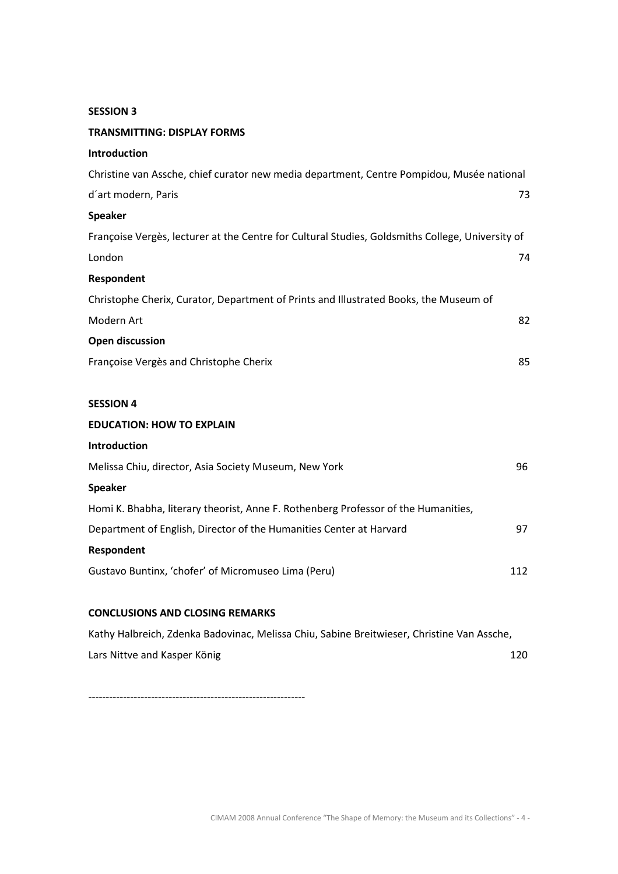# SESSION 3

| <b>TRANSMITTING: DISPLAY FORMS</b>                                                               |     |
|--------------------------------------------------------------------------------------------------|-----|
| Introduction                                                                                     |     |
| Christine van Assche, chief curator new media department, Centre Pompidou, Musée national        |     |
| d'art modern, Paris                                                                              | 73  |
| <b>Speaker</b>                                                                                   |     |
| Françoise Vergès, lecturer at the Centre for Cultural Studies, Goldsmiths College, University of |     |
| London                                                                                           | 74  |
| Respondent                                                                                       |     |
| Christophe Cherix, Curator, Department of Prints and Illustrated Books, the Museum of            |     |
| Modern Art                                                                                       | 82  |
| <b>Open discussion</b>                                                                           |     |
| Françoise Vergès and Christophe Cherix                                                           | 85  |
|                                                                                                  |     |
| <b>SESSION 4</b>                                                                                 |     |
| <b>EDUCATION: HOW TO EXPLAIN</b>                                                                 |     |
| Introduction                                                                                     |     |
| Melissa Chiu, director, Asia Society Museum, New York                                            | 96  |
| <b>Speaker</b>                                                                                   |     |
| Homi K. Bhabha, literary theorist, Anne F. Rothenberg Professor of the Humanities,               |     |
| Department of English, Director of the Humanities Center at Harvard                              | 97  |
| Respondent                                                                                       |     |
| Gustavo Buntinx, 'chofer' of Micromuseo Lima (Peru)                                              | 112 |
|                                                                                                  |     |
| <b>CONCLUSIONS AND CLOSING REMARKS</b>                                                           |     |
| Kathy Halbreich, Zdenka Badovinac, Melissa Chiu, Sabine Breitwieser, Christine Van Assche,       |     |

**Lars Nittve and Kasper König 120** and the United States of the United States 120

--------------------------------------------------------------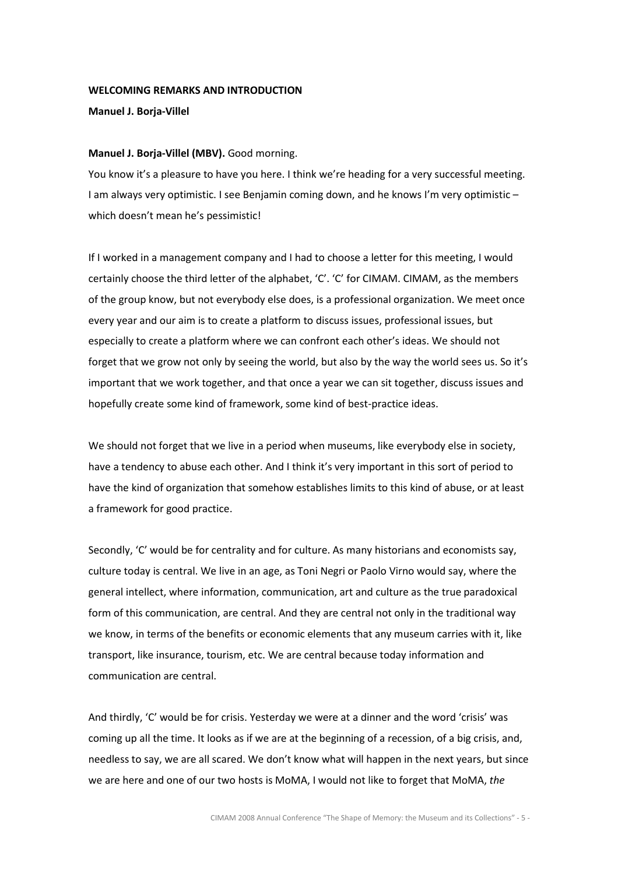### WELCOMING REMARKS AND INTRODUCTION

## Manuel J. Borja-Villel

# Manuel J. Borja-Villel (MBV). Good morning.

You know it's a pleasure to have you here. I think we're heading for a very successful meeting. I am always very optimistic. I see Benjamin coming down, and he knows I'm very optimistic – which doesn't mean he's pessimistic!

If I worked in a management company and I had to choose a letter for this meeting, I would certainly choose the third letter of the alphabet, 'C'. 'C' for CIMAM. CIMAM, as the members of the group know, but not everybody else does, is a professional organization. We meet once every year and our aim is to create a platform to discuss issues, professional issues, but especially to create a platform where we can confront each other's ideas. We should not forget that we grow not only by seeing the world, but also by the way the world sees us. So it's important that we work together, and that once a year we can sit together, discuss issues and hopefully create some kind of framework, some kind of best-practice ideas.

We should not forget that we live in a period when museums, like everybody else in society, have a tendency to abuse each other. And I think it's very important in this sort of period to have the kind of organization that somehow establishes limits to this kind of abuse, or at least a framework for good practice.

Secondly, 'C' would be for centrality and for culture. As many historians and economists say, culture today is central. We live in an age, as Toni Negri or Paolo Virno would say, where the general intellect, where information, communication, art and culture as the true paradoxical form of this communication, are central. And they are central not only in the traditional way we know, in terms of the benefits or economic elements that any museum carries with it, like transport, like insurance, tourism, etc. We are central because today information and communication are central.

And thirdly, 'C' would be for crisis. Yesterday we were at a dinner and the word 'crisis' was coming up all the time. It looks as if we are at the beginning of a recession, of a big crisis, and, needless to say, we are all scared. We don't know what will happen in the next years, but since we are here and one of our two hosts is MoMA. I would not like to forget that MoMA, the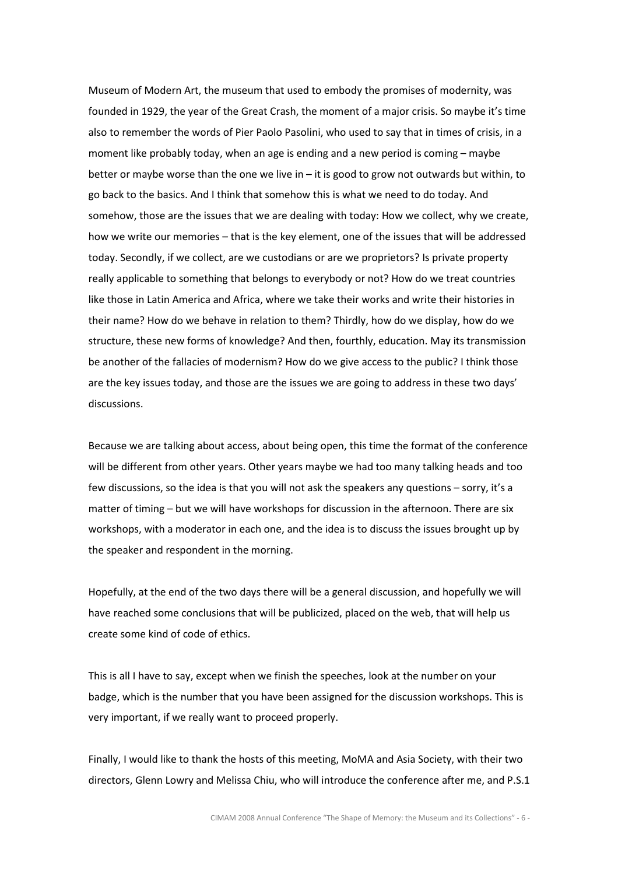Museum of Modern Art, the museum that used to embody the promises of modernity, was founded in 1929, the year of the Great Crash, the moment of a major crisis. So maybe it's time also to remember the words of Pier Paolo Pasolini, who used to say that in times of crisis, in a moment like probably today, when an age is ending and a new period is coming – maybe better or maybe worse than the one we live in  $-$  it is good to grow not outwards but within, to go back to the basics. And I think that somehow this is what we need to do today. And somehow, those are the issues that we are dealing with today: How we collect, why we create, how we write our memories – that is the key element, one of the issues that will be addressed today. Secondly, if we collect, are we custodians or are we proprietors? Is private property really applicable to something that belongs to everybody or not? How do we treat countries like those in Latin America and Africa, where we take their works and write their histories in their name? How do we behave in relation to them? Thirdly, how do we display, how do we structure, these new forms of knowledge? And then, fourthly, education. May its transmission be another of the fallacies of modernism? How do we give access to the public? I think those are the key issues today, and those are the issues we are going to address in these two days' discussions.

Because we are talking about access, about being open, this time the format of the conference will be different from other years. Other years maybe we had too many talking heads and too few discussions, so the idea is that you will not ask the speakers any questions – sorry, it's a matter of timing – but we will have workshops for discussion in the afternoon. There are six workshops, with a moderator in each one, and the idea is to discuss the issues brought up by the speaker and respondent in the morning.

Hopefully, at the end of the two days there will be a general discussion, and hopefully we will have reached some conclusions that will be publicized, placed on the web, that will help us create some kind of code of ethics.

This is all I have to say, except when we finish the speeches, look at the number on your badge, which is the number that you have been assigned for the discussion workshops. This is very important, if we really want to proceed properly.

Finally, I would like to thank the hosts of this meeting, MoMA and Asia Society, with their two directors, Glenn Lowry and Melissa Chiu, who will introduce the conference after me, and P.S.1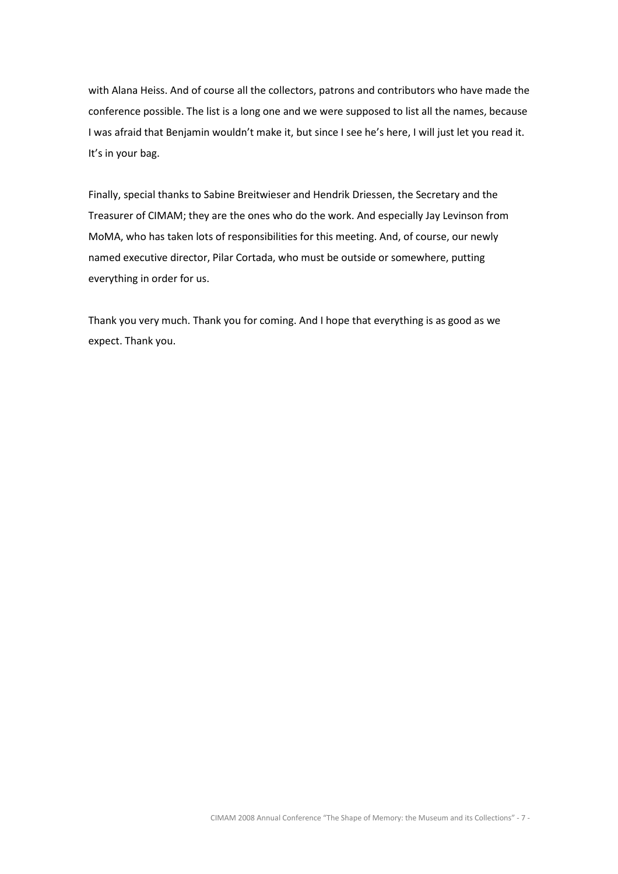with Alana Heiss. And of course all the collectors, patrons and contributors who have made the conference possible. The list is a long one and we were supposed to list all the names, because I was afraid that Benjamin wouldn't make it, but since I see he's here, I will just let you read it. It's in your bag.

Finally, special thanks to Sabine Breitwieser and Hendrik Driessen, the Secretary and the Treasurer of CIMAM; they are the ones who do the work. And especially Jay Levinson from MoMA, who has taken lots of responsibilities for this meeting. And, of course, our newly named executive director, Pilar Cortada, who must be outside or somewhere, putting everything in order for us.

Thank you very much. Thank you for coming. And I hope that everything is as good as we expect. Thank you.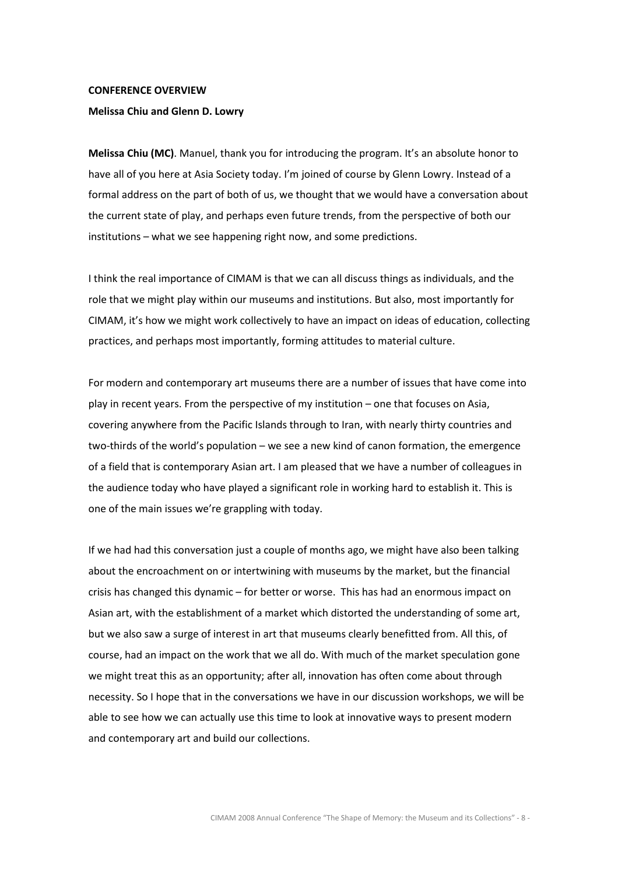#### CONFERENCE OVERVIEW

### Melissa Chiu and Glenn D. Lowry

Melissa Chiu (MC). Manuel, thank you for introducing the program. It's an absolute honor to have all of you here at Asia Society today. I'm joined of course by Glenn Lowry. Instead of a formal address on the part of both of us, we thought that we would have a conversation about the current state of play, and perhaps even future trends, from the perspective of both our institutions – what we see happening right now, and some predictions.

I think the real importance of CIMAM is that we can all discuss things as individuals, and the role that we might play within our museums and institutions. But also, most importantly for CIMAM, it's how we might work collectively to have an impact on ideas of education, collecting practices, and perhaps most importantly, forming attitudes to material culture.

For modern and contemporary art museums there are a number of issues that have come into play in recent years. From the perspective of my institution – one that focuses on Asia, covering anywhere from the Pacific Islands through to Iran, with nearly thirty countries and two-thirds of the world's population – we see a new kind of canon formation, the emergence of a field that is contemporary Asian art. I am pleased that we have a number of colleagues in the audience today who have played a significant role in working hard to establish it. This is one of the main issues we're grappling with today.

If we had had this conversation just a couple of months ago, we might have also been talking about the encroachment on or intertwining with museums by the market, but the financial crisis has changed this dynamic – for better or worse. This has had an enormous impact on Asian art, with the establishment of a market which distorted the understanding of some art, but we also saw a surge of interest in art that museums clearly benefitted from. All this, of course, had an impact on the work that we all do. With much of the market speculation gone we might treat this as an opportunity; after all, innovation has often come about through necessity. So I hope that in the conversations we have in our discussion workshops, we will be able to see how we can actually use this time to look at innovative ways to present modern and contemporary art and build our collections.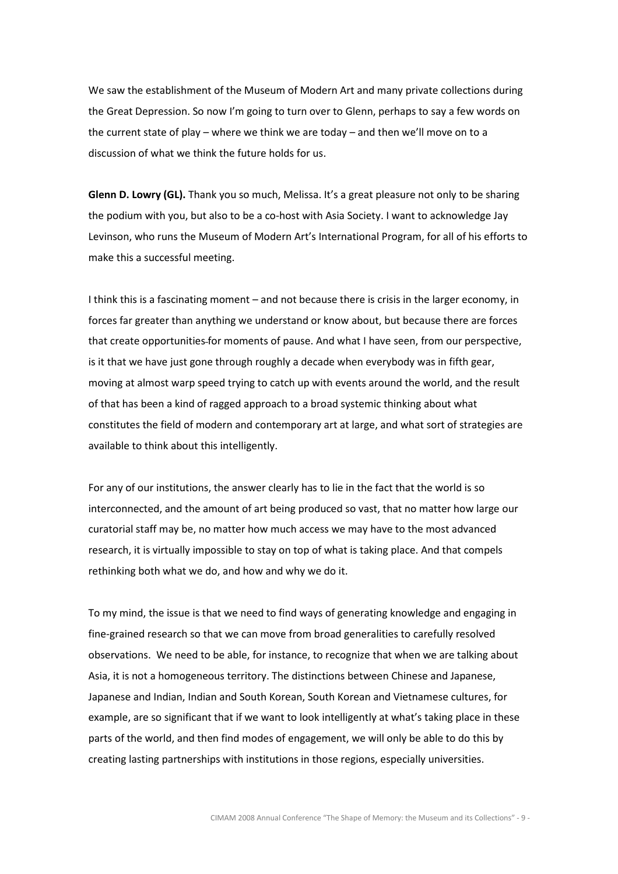We saw the establishment of the Museum of Modern Art and many private collections during the Great Depression. So now I'm going to turn over to Glenn, perhaps to say a few words on the current state of play – where we think we are today – and then we'll move on to a discussion of what we think the future holds for us.

Glenn D. Lowry (GL). Thank you so much, Melissa. It's a great pleasure not only to be sharing the podium with you, but also to be a co-host with Asia Society. I want to acknowledge Jay Levinson, who runs the Museum of Modern Art's International Program, for all of his efforts to make this a successful meeting.

I think this is a fascinating moment – and not because there is crisis in the larger economy, in forces far greater than anything we understand or know about, but because there are forces that create opportunities for moments of pause. And what I have seen, from our perspective, is it that we have just gone through roughly a decade when everybody was in fifth gear, moving at almost warp speed trying to catch up with events around the world, and the result of that has been a kind of ragged approach to a broad systemic thinking about what constitutes the field of modern and contemporary art at large, and what sort of strategies are available to think about this intelligently.

For any of our institutions, the answer clearly has to lie in the fact that the world is so interconnected, and the amount of art being produced so vast, that no matter how large our curatorial staff may be, no matter how much access we may have to the most advanced research, it is virtually impossible to stay on top of what is taking place. And that compels rethinking both what we do, and how and why we do it.

To my mind, the issue is that we need to find ways of generating knowledge and engaging in fine-grained research so that we can move from broad generalities to carefully resolved observations. We need to be able, for instance, to recognize that when we are talking about Asia, it is not a homogeneous territory. The distinctions between Chinese and Japanese, Japanese and Indian, Indian and South Korean, South Korean and Vietnamese cultures, for example, are so significant that if we want to look intelligently at what's taking place in these parts of the world, and then find modes of engagement, we will only be able to do this by creating lasting partnerships with institutions in those regions, especially universities.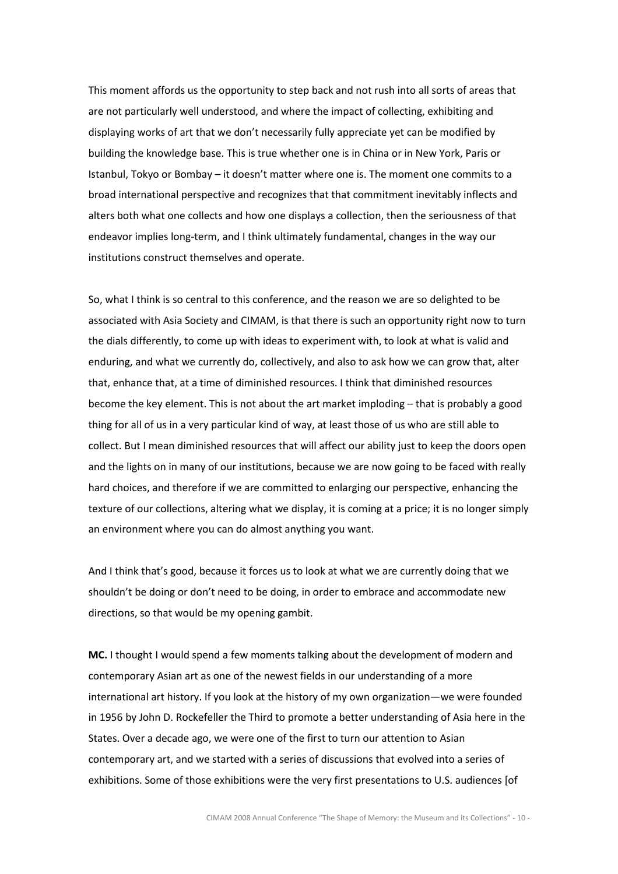This moment affords us the opportunity to step back and not rush into all sorts of areas that are not particularly well understood, and where the impact of collecting, exhibiting and displaying works of art that we don't necessarily fully appreciate yet can be modified by building the knowledge base. This is true whether one is in China or in New York, Paris or Istanbul, Tokyo or Bombay – it doesn't matter where one is. The moment one commits to a broad international perspective and recognizes that that commitment inevitably inflects and alters both what one collects and how one displays a collection, then the seriousness of that endeavor implies long-term, and I think ultimately fundamental, changes in the way our institutions construct themselves and operate.

So, what I think is so central to this conference, and the reason we are so delighted to be associated with Asia Society and CIMAM, is that there is such an opportunity right now to turn the dials differently, to come up with ideas to experiment with, to look at what is valid and enduring, and what we currently do, collectively, and also to ask how we can grow that, alter that, enhance that, at a time of diminished resources. I think that diminished resources become the key element. This is not about the art market imploding – that is probably a good thing for all of us in a very particular kind of way, at least those of us who are still able to collect. But I mean diminished resources that will affect our ability just to keep the doors open and the lights on in many of our institutions, because we are now going to be faced with really hard choices, and therefore if we are committed to enlarging our perspective, enhancing the texture of our collections, altering what we display, it is coming at a price; it is no longer simply an environment where you can do almost anything you want.

And I think that's good, because it forces us to look at what we are currently doing that we shouldn't be doing or don't need to be doing, in order to embrace and accommodate new directions, so that would be my opening gambit.

MC. I thought I would spend a few moments talking about the development of modern and contemporary Asian art as one of the newest fields in our understanding of a more international art history. If you look at the history of my own organization—we were founded in 1956 by John D. Rockefeller the Third to promote a better understanding of Asia here in the States. Over a decade ago, we were one of the first to turn our attention to Asian contemporary art, and we started with a series of discussions that evolved into a series of exhibitions. Some of those exhibitions were the very first presentations to U.S. audiences [of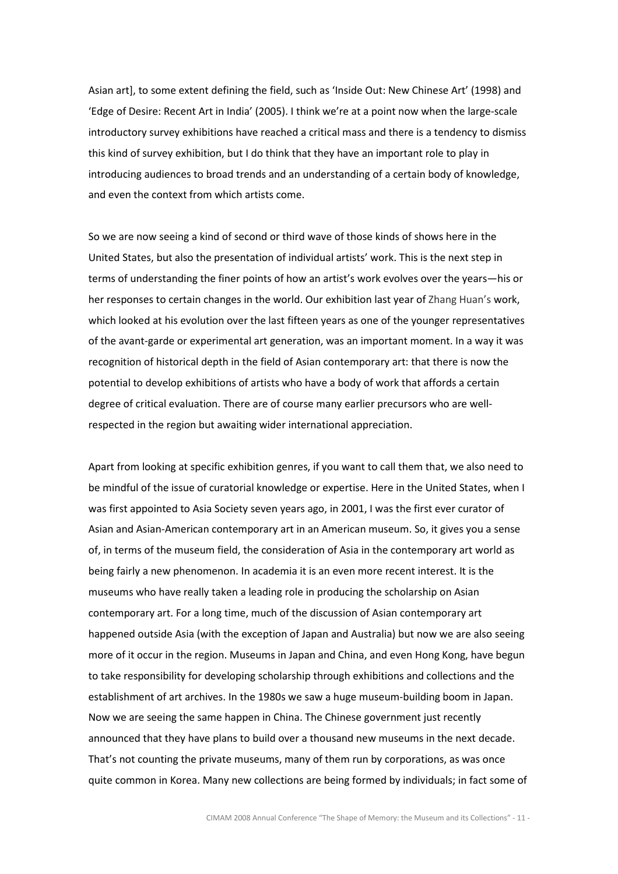Asian art], to some extent defining the field, such as 'Inside Out: New Chinese Art' (1998) and 'Edge of Desire: Recent Art in India' (2005). I think we're at a point now when the large-scale introductory survey exhibitions have reached a critical mass and there is a tendency to dismiss this kind of survey exhibition, but I do think that they have an important role to play in introducing audiences to broad trends and an understanding of a certain body of knowledge, and even the context from which artists come.

So we are now seeing a kind of second or third wave of those kinds of shows here in the United States, but also the presentation of individual artists' work. This is the next step in terms of understanding the finer points of how an artist's work evolves over the years—his or her responses to certain changes in the world. Our exhibition last year of Zhang Huan's work, which looked at his evolution over the last fifteen years as one of the younger representatives of the avant-garde or experimental art generation, was an important moment. In a way it was recognition of historical depth in the field of Asian contemporary art: that there is now the potential to develop exhibitions of artists who have a body of work that affords a certain degree of critical evaluation. There are of course many earlier precursors who are wellrespected in the region but awaiting wider international appreciation.

Apart from looking at specific exhibition genres, if you want to call them that, we also need to be mindful of the issue of curatorial knowledge or expertise. Here in the United States, when I was first appointed to Asia Society seven years ago, in 2001, I was the first ever curator of Asian and Asian-American contemporary art in an American museum. So, it gives you a sense of, in terms of the museum field, the consideration of Asia in the contemporary art world as being fairly a new phenomenon. In academia it is an even more recent interest. It is the museums who have really taken a leading role in producing the scholarship on Asian contemporary art. For a long time, much of the discussion of Asian contemporary art happened outside Asia (with the exception of Japan and Australia) but now we are also seeing more of it occur in the region. Museums in Japan and China, and even Hong Kong, have begun to take responsibility for developing scholarship through exhibitions and collections and the establishment of art archives. In the 1980s we saw a huge museum-building boom in Japan. Now we are seeing the same happen in China. The Chinese government just recently announced that they have plans to build over a thousand new museums in the next decade. That's not counting the private museums, many of them run by corporations, as was once quite common in Korea. Many new collections are being formed by individuals; in fact some of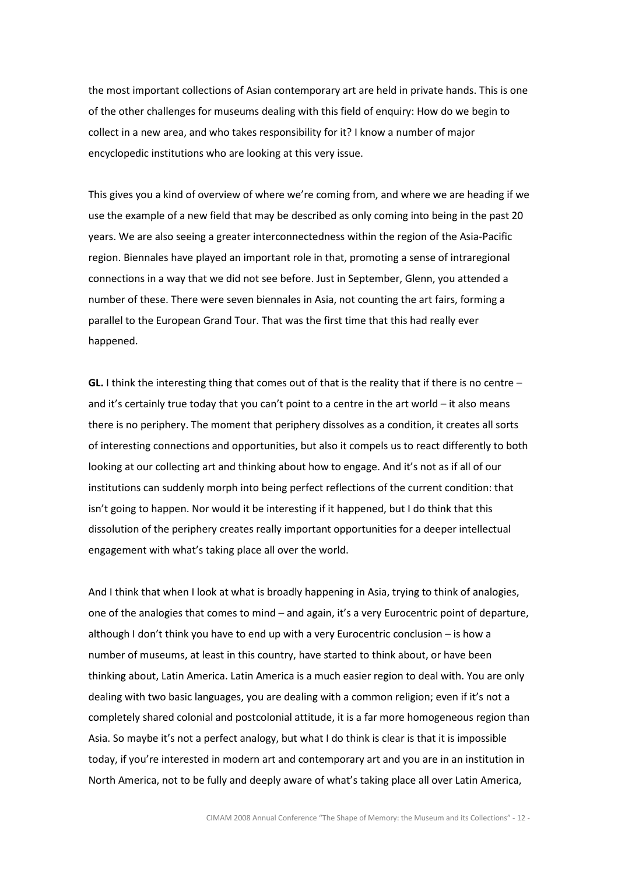the most important collections of Asian contemporary art are held in private hands. This is one of the other challenges for museums dealing with this field of enquiry: How do we begin to collect in a new area, and who takes responsibility for it? I know a number of major encyclopedic institutions who are looking at this very issue.

This gives you a kind of overview of where we're coming from, and where we are heading if we use the example of a new field that may be described as only coming into being in the past 20 years. We are also seeing a greater interconnectedness within the region of the Asia-Pacific region. Biennales have played an important role in that, promoting a sense of intraregional connections in a way that we did not see before. Just in September, Glenn, you attended a number of these. There were seven biennales in Asia, not counting the art fairs, forming a parallel to the European Grand Tour. That was the first time that this had really ever happened.

**GL.** I think the interesting thing that comes out of that is the reality that if there is no centre  $$ and it's certainly true today that you can't point to a centre in the art world – it also means there is no periphery. The moment that periphery dissolves as a condition, it creates all sorts of interesting connections and opportunities, but also it compels us to react differently to both looking at our collecting art and thinking about how to engage. And it's not as if all of our institutions can suddenly morph into being perfect reflections of the current condition: that isn't going to happen. Nor would it be interesting if it happened, but I do think that this dissolution of the periphery creates really important opportunities for a deeper intellectual engagement with what's taking place all over the world.

And I think that when I look at what is broadly happening in Asia, trying to think of analogies, one of the analogies that comes to mind – and again, it's a very Eurocentric point of departure, although I don't think you have to end up with a very Eurocentric conclusion – is how a number of museums, at least in this country, have started to think about, or have been thinking about, Latin America. Latin America is a much easier region to deal with. You are only dealing with two basic languages, you are dealing with a common religion; even if it's not a completely shared colonial and postcolonial attitude, it is a far more homogeneous region than Asia. So maybe it's not a perfect analogy, but what I do think is clear is that it is impossible today, if you're interested in modern art and contemporary art and you are in an institution in North America, not to be fully and deeply aware of what's taking place all over Latin America,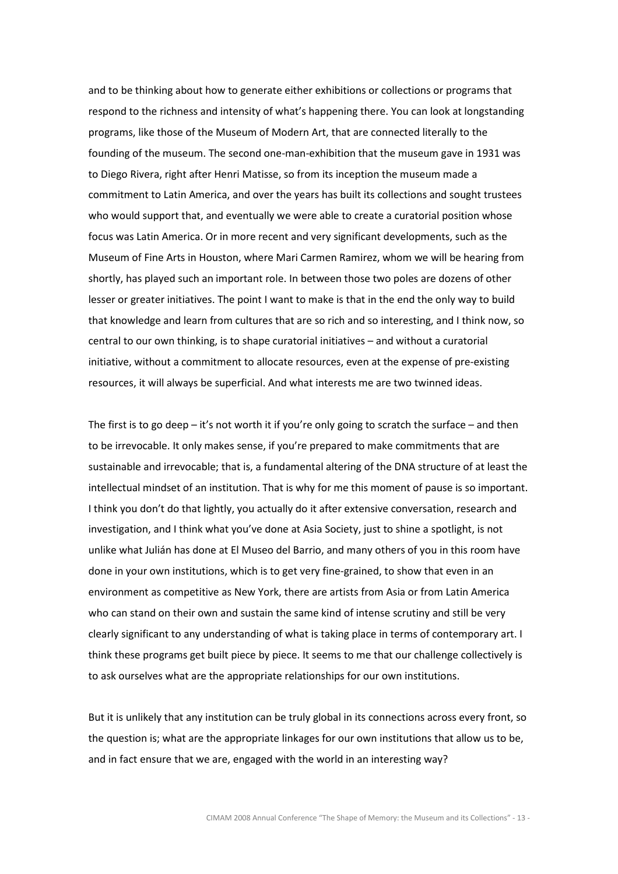and to be thinking about how to generate either exhibitions or collections or programs that respond to the richness and intensity of what's happening there. You can look at longstanding programs, like those of the Museum of Modern Art, that are connected literally to the founding of the museum. The second one-man-exhibition that the museum gave in 1931 was to Diego Rivera, right after Henri Matisse, so from its inception the museum made a commitment to Latin America, and over the years has built its collections and sought trustees who would support that, and eventually we were able to create a curatorial position whose focus was Latin America. Or in more recent and very significant developments, such as the Museum of Fine Arts in Houston, where Mari Carmen Ramirez, whom we will be hearing from shortly, has played such an important role. In between those two poles are dozens of other lesser or greater initiatives. The point I want to make is that in the end the only way to build that knowledge and learn from cultures that are so rich and so interesting, and I think now, so central to our own thinking, is to shape curatorial initiatives – and without a curatorial initiative, without a commitment to allocate resources, even at the expense of pre-existing resources, it will always be superficial. And what interests me are two twinned ideas.

The first is to go deep  $-$  it's not worth it if you're only going to scratch the surface  $-$  and then to be irrevocable. It only makes sense, if you're prepared to make commitments that are sustainable and irrevocable; that is, a fundamental altering of the DNA structure of at least the intellectual mindset of an institution. That is why for me this moment of pause is so important. I think you don't do that lightly, you actually do it after extensive conversation, research and investigation, and I think what you've done at Asia Society, just to shine a spotlight, is not unlike what Julián has done at El Museo del Barrio, and many others of you in this room have done in your own institutions, which is to get very fine-grained, to show that even in an environment as competitive as New York, there are artists from Asia or from Latin America who can stand on their own and sustain the same kind of intense scrutiny and still be very clearly significant to any understanding of what is taking place in terms of contemporary art. I think these programs get built piece by piece. It seems to me that our challenge collectively is to ask ourselves what are the appropriate relationships for our own institutions.

But it is unlikely that any institution can be truly global in its connections across every front, so the question is; what are the appropriate linkages for our own institutions that allow us to be, and in fact ensure that we are, engaged with the world in an interesting way?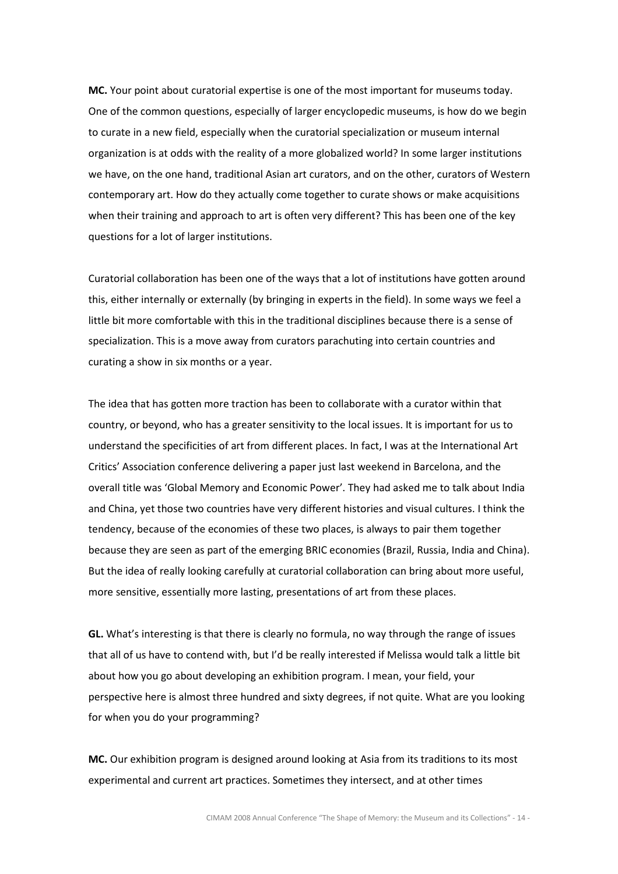MC. Your point about curatorial expertise is one of the most important for museums today. One of the common questions, especially of larger encyclopedic museums, is how do we begin to curate in a new field, especially when the curatorial specialization or museum internal organization is at odds with the reality of a more globalized world? In some larger institutions we have, on the one hand, traditional Asian art curators, and on the other, curators of Western contemporary art. How do they actually come together to curate shows or make acquisitions when their training and approach to art is often very different? This has been one of the key questions for a lot of larger institutions.

Curatorial collaboration has been one of the ways that a lot of institutions have gotten around this, either internally or externally (by bringing in experts in the field). In some ways we feel a little bit more comfortable with this in the traditional disciplines because there is a sense of specialization. This is a move away from curators parachuting into certain countries and curating a show in six months or a year.

The idea that has gotten more traction has been to collaborate with a curator within that country, or beyond, who has a greater sensitivity to the local issues. It is important for us to understand the specificities of art from different places. In fact, I was at the International Art Critics' Association conference delivering a paper just last weekend in Barcelona, and the overall title was 'Global Memory and Economic Power'. They had asked me to talk about India and China, yet those two countries have very different histories and visual cultures. I think the tendency, because of the economies of these two places, is always to pair them together because they are seen as part of the emerging BRIC economies (Brazil, Russia, India and China). But the idea of really looking carefully at curatorial collaboration can bring about more useful, more sensitive, essentially more lasting, presentations of art from these places.

GL. What's interesting is that there is clearly no formula, no way through the range of issues that all of us have to contend with, but I'd be really interested if Melissa would talk a little bit about how you go about developing an exhibition program. I mean, your field, your perspective here is almost three hundred and sixty degrees, if not quite. What are you looking for when you do your programming?

MC. Our exhibition program is designed around looking at Asia from its traditions to its most experimental and current art practices. Sometimes they intersect, and at other times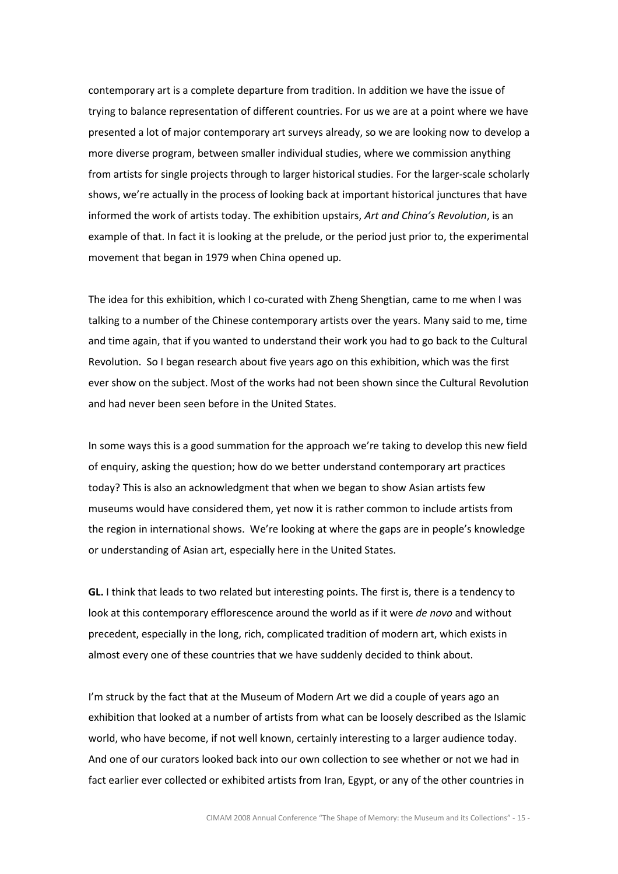contemporary art is a complete departure from tradition. In addition we have the issue of trying to balance representation of different countries. For us we are at a point where we have presented a lot of major contemporary art surveys already, so we are looking now to develop a more diverse program, between smaller individual studies, where we commission anything from artists for single projects through to larger historical studies. For the larger-scale scholarly shows, we're actually in the process of looking back at important historical junctures that have informed the work of artists today. The exhibition upstairs, Art and China's Revolution, is an example of that. In fact it is looking at the prelude, or the period just prior to, the experimental movement that began in 1979 when China opened up.

The idea for this exhibition, which I co-curated with Zheng Shengtian, came to me when I was talking to a number of the Chinese contemporary artists over the years. Many said to me, time and time again, that if you wanted to understand their work you had to go back to the Cultural Revolution. So I began research about five years ago on this exhibition, which was the first ever show on the subject. Most of the works had not been shown since the Cultural Revolution and had never been seen before in the United States.

In some ways this is a good summation for the approach we're taking to develop this new field of enquiry, asking the question; how do we better understand contemporary art practices today? This is also an acknowledgment that when we began to show Asian artists few museums would have considered them, yet now it is rather common to include artists from the region in international shows. We're looking at where the gaps are in people's knowledge or understanding of Asian art, especially here in the United States.

GL. I think that leads to two related but interesting points. The first is, there is a tendency to look at this contemporary efflorescence around the world as if it were de novo and without precedent, especially in the long, rich, complicated tradition of modern art, which exists in almost every one of these countries that we have suddenly decided to think about.

I'm struck by the fact that at the Museum of Modern Art we did a couple of years ago an exhibition that looked at a number of artists from what can be loosely described as the Islamic world, who have become, if not well known, certainly interesting to a larger audience today. And one of our curators looked back into our own collection to see whether or not we had in fact earlier ever collected or exhibited artists from Iran, Egypt, or any of the other countries in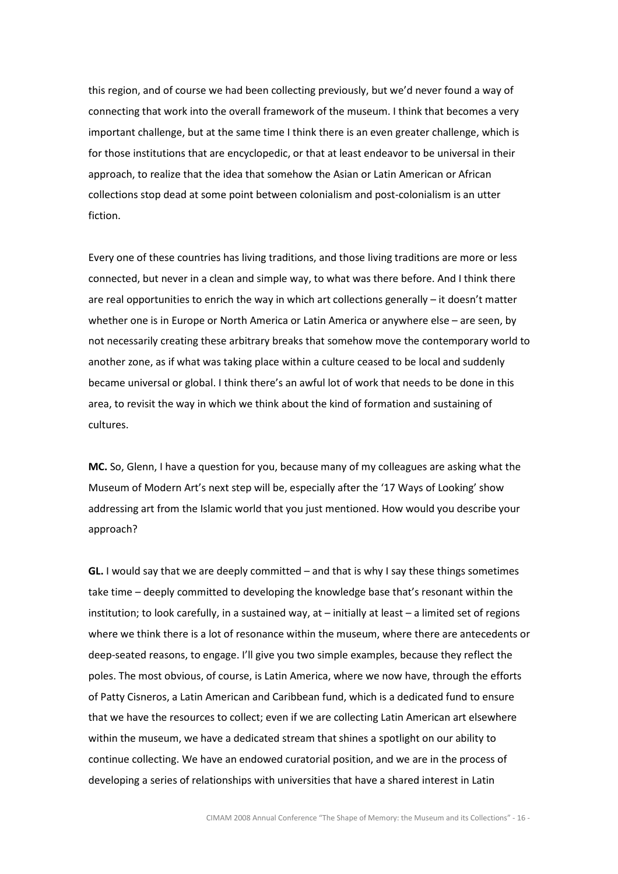this region, and of course we had been collecting previously, but we'd never found a way of connecting that work into the overall framework of the museum. I think that becomes a very important challenge, but at the same time I think there is an even greater challenge, which is for those institutions that are encyclopedic, or that at least endeavor to be universal in their approach, to realize that the idea that somehow the Asian or Latin American or African collections stop dead at some point between colonialism and post-colonialism is an utter fiction.

Every one of these countries has living traditions, and those living traditions are more or less connected, but never in a clean and simple way, to what was there before. And I think there are real opportunities to enrich the way in which art collections generally – it doesn't matter whether one is in Europe or North America or Latin America or anywhere else – are seen, by not necessarily creating these arbitrary breaks that somehow move the contemporary world to another zone, as if what was taking place within a culture ceased to be local and suddenly became universal or global. I think there's an awful lot of work that needs to be done in this area, to revisit the way in which we think about the kind of formation and sustaining of cultures.

MC. So, Glenn, I have a question for you, because many of my colleagues are asking what the Museum of Modern Art's next step will be, especially after the '17 Ways of Looking' show addressing art from the Islamic world that you just mentioned. How would you describe your approach?

GL. I would say that we are deeply committed  $-$  and that is why I say these things sometimes take time – deeply committed to developing the knowledge base that's resonant within the institution; to look carefully, in a sustained way, at – initially at least – a limited set of regions where we think there is a lot of resonance within the museum, where there are antecedents or deep-seated reasons, to engage. I'll give you two simple examples, because they reflect the poles. The most obvious, of course, is Latin America, where we now have, through the efforts of Patty Cisneros, a Latin American and Caribbean fund, which is a dedicated fund to ensure that we have the resources to collect; even if we are collecting Latin American art elsewhere within the museum, we have a dedicated stream that shines a spotlight on our ability to continue collecting. We have an endowed curatorial position, and we are in the process of developing a series of relationships with universities that have a shared interest in Latin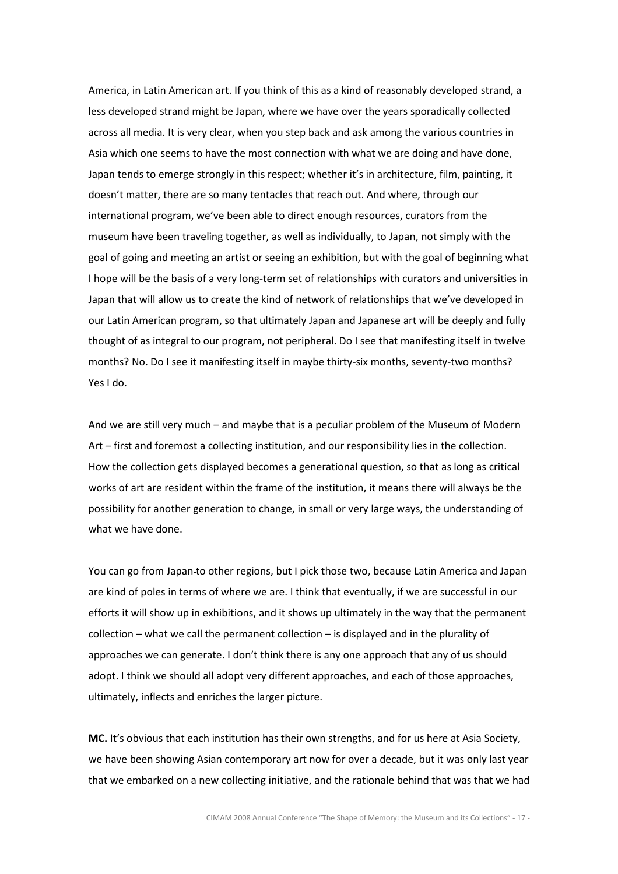America, in Latin American art. If you think of this as a kind of reasonably developed strand, a less developed strand might be Japan, where we have over the years sporadically collected across all media. It is very clear, when you step back and ask among the various countries in Asia which one seems to have the most connection with what we are doing and have done, Japan tends to emerge strongly in this respect; whether it's in architecture, film, painting, it doesn't matter, there are so many tentacles that reach out. And where, through our international program, we've been able to direct enough resources, curators from the museum have been traveling together, as well as individually, to Japan, not simply with the goal of going and meeting an artist or seeing an exhibition, but with the goal of beginning what I hope will be the basis of a very long-term set of relationships with curators and universities in Japan that will allow us to create the kind of network of relationships that we've developed in our Latin American program, so that ultimately Japan and Japanese art will be deeply and fully thought of as integral to our program, not peripheral. Do I see that manifesting itself in twelve months? No. Do I see it manifesting itself in maybe thirty-six months, seventy-two months? Yes I do.

And we are still very much – and maybe that is a peculiar problem of the Museum of Modern Art – first and foremost a collecting institution, and our responsibility lies in the collection. How the collection gets displayed becomes a generational question, so that as long as critical works of art are resident within the frame of the institution, it means there will always be the possibility for another generation to change, in small or very large ways, the understanding of what we have done.

You can go from Japan-to other regions, but I pick those two, because Latin America and Japan are kind of poles in terms of where we are. I think that eventually, if we are successful in our efforts it will show up in exhibitions, and it shows up ultimately in the way that the permanent collection – what we call the permanent collection – is displayed and in the plurality of approaches we can generate. I don't think there is any one approach that any of us should adopt. I think we should all adopt very different approaches, and each of those approaches, ultimately, inflects and enriches the larger picture.

MC. It's obvious that each institution has their own strengths, and for us here at Asia Society, we have been showing Asian contemporary art now for over a decade, but it was only last year that we embarked on a new collecting initiative, and the rationale behind that was that we had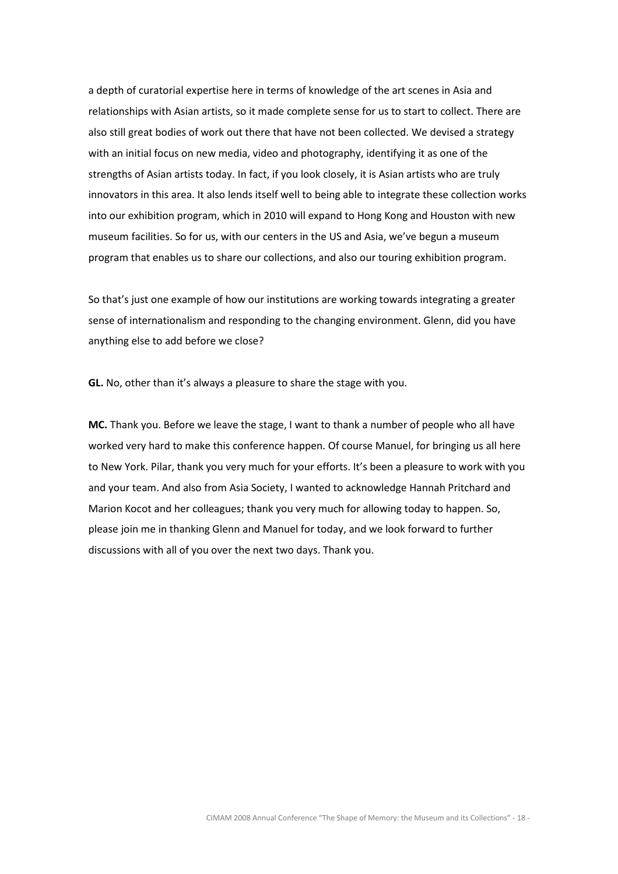a depth of curatorial expertise here in terms of knowledge of the art scenes in Asia and relationships with Asian artists, so it made complete sense for us to start to collect. There are also still great bodies of work out there that have not been collected. We devised a strategy with an initial focus on new media, video and photography, identifying it as one of the strengths of Asian artists today. In fact, if you look closely, it is Asian artists who are truly innovators in this area. It also lends itself well to being able to integrate these collection works into our exhibition program, which in 2010 will expand to Hong Kong and Houston with new museum facilities. So for us, with our centers in the US and Asia, we've begun a museum program that enables us to share our collections, and also our touring exhibition program.

So that's just one example of how our institutions are working towards integrating a greater sense of internationalism and responding to the changing environment. Glenn, did you have anything else to add before we close?

GL. No, other than it's always a pleasure to share the stage with you.

MC. Thank you. Before we leave the stage, I want to thank a number of people who all have worked very hard to make this conference happen. Of course Manuel, for bringing us all here to New York. Pilar, thank you very much for your efforts. It's been a pleasure to work with you and your team. And also from Asia Society, I wanted to acknowledge Hannah Pritchard and Marion Kocot and her colleagues; thank you very much for allowing today to happen. So, please join me in thanking Glenn and Manuel for today, and we look forward to further discussions with all of you over the next two days. Thank you.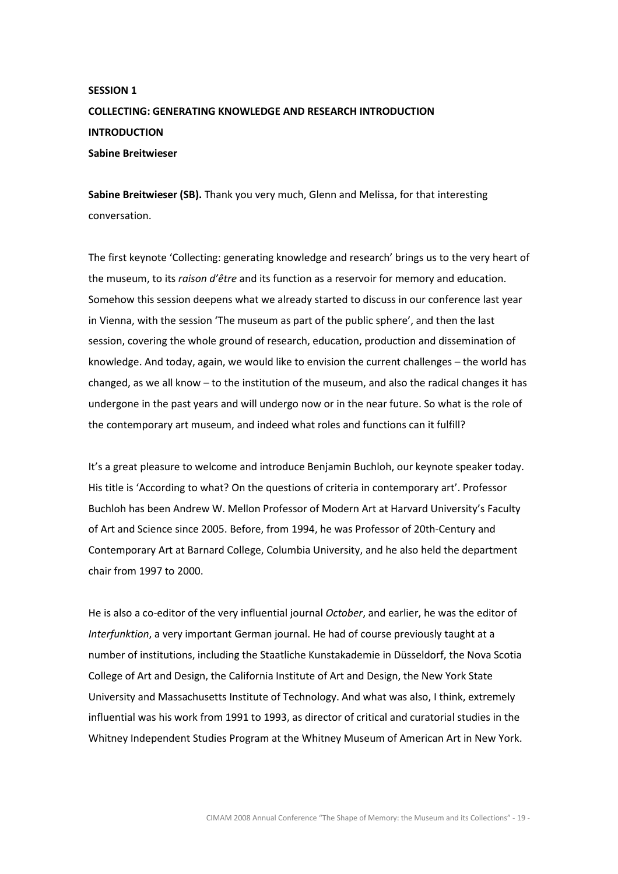# SESSION 1 COLLECTING: GENERATING KNOWLEDGE AND RESEARCH INTRODUCTION **INTRODUCTION** Sabine Breitwieser

Sabine Breitwieser (SB). Thank you very much, Glenn and Melissa, for that interesting conversation.

The first keynote 'Collecting: generating knowledge and research' brings us to the very heart of the museum, to its raison d'être and its function as a reservoir for memory and education. Somehow this session deepens what we already started to discuss in our conference last year in Vienna, with the session 'The museum as part of the public sphere', and then the last session, covering the whole ground of research, education, production and dissemination of knowledge. And today, again, we would like to envision the current challenges – the world has changed, as we all know – to the institution of the museum, and also the radical changes it has undergone in the past years and will undergo now or in the near future. So what is the role of the contemporary art museum, and indeed what roles and functions can it fulfill?

It's a great pleasure to welcome and introduce Benjamin Buchloh, our keynote speaker today. His title is 'According to what? On the questions of criteria in contemporary art'. Professor Buchloh has been Andrew W. Mellon Professor of Modern Art at Harvard University's Faculty of Art and Science since 2005. Before, from 1994, he was Professor of 20th-Century and Contemporary Art at Barnard College, Columbia University, and he also held the department chair from 1997 to 2000.

He is also a co-editor of the very influential journal October, and earlier, he was the editor of Interfunktion, a very important German journal. He had of course previously taught at a number of institutions, including the Staatliche Kunstakademie in Düsseldorf, the Nova Scotia College of Art and Design, the California Institute of Art and Design, the New York State University and Massachusetts Institute of Technology. And what was also, I think, extremely influential was his work from 1991 to 1993, as director of critical and curatorial studies in the Whitney Independent Studies Program at the Whitney Museum of American Art in New York.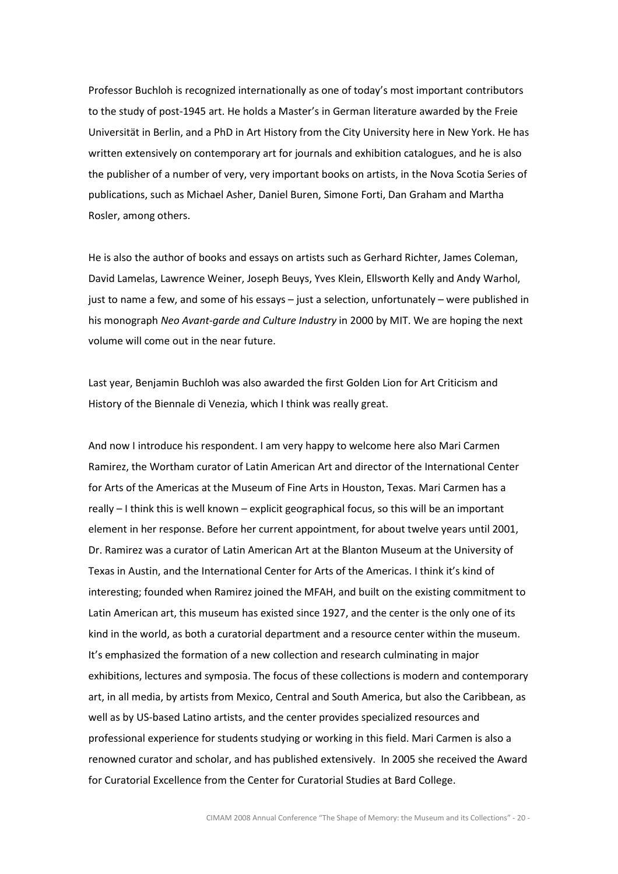Professor Buchloh is recognized internationally as one of today's most important contributors to the study of post-1945 art. He holds a Master's in German literature awarded by the Freie Universität in Berlin, and a PhD in Art History from the City University here in New York. He has written extensively on contemporary art for journals and exhibition catalogues, and he is also the publisher of a number of very, very important books on artists, in the Nova Scotia Series of publications, such as Michael Asher, Daniel Buren, Simone Forti, Dan Graham and Martha Rosler, among others.

He is also the author of books and essays on artists such as Gerhard Richter, James Coleman, David Lamelas, Lawrence Weiner, Joseph Beuys, Yves Klein, Ellsworth Kelly and Andy Warhol, just to name a few, and some of his essays – just a selection, unfortunately – were published in his monograph Neo Avant-garde and Culture Industry in 2000 by MIT. We are hoping the next volume will come out in the near future.

Last year, Benjamin Buchloh was also awarded the first Golden Lion for Art Criticism and History of the Biennale di Venezia, which I think was really great.

And now I introduce his respondent. I am very happy to welcome here also Mari Carmen Ramirez, the Wortham curator of Latin American Art and director of the International Center for Arts of the Americas at the Museum of Fine Arts in Houston, Texas. Mari Carmen has a really – I think this is well known – explicit geographical focus, so this will be an important element in her response. Before her current appointment, for about twelve years until 2001, Dr. Ramirez was a curator of Latin American Art at the Blanton Museum at the University of Texas in Austin, and the International Center for Arts of the Americas. I think it's kind of interesting; founded when Ramirez joined the MFAH, and built on the existing commitment to Latin American art, this museum has existed since 1927, and the center is the only one of its kind in the world, as both a curatorial department and a resource center within the museum. It's emphasized the formation of a new collection and research culminating in major exhibitions, lectures and symposia. The focus of these collections is modern and contemporary art, in all media, by artists from Mexico, Central and South America, but also the Caribbean, as well as by US-based Latino artists, and the center provides specialized resources and professional experience for students studying or working in this field. Mari Carmen is also a renowned curator and scholar, and has published extensively. In 2005 she received the Award for Curatorial Excellence from the Center for Curatorial Studies at Bard College.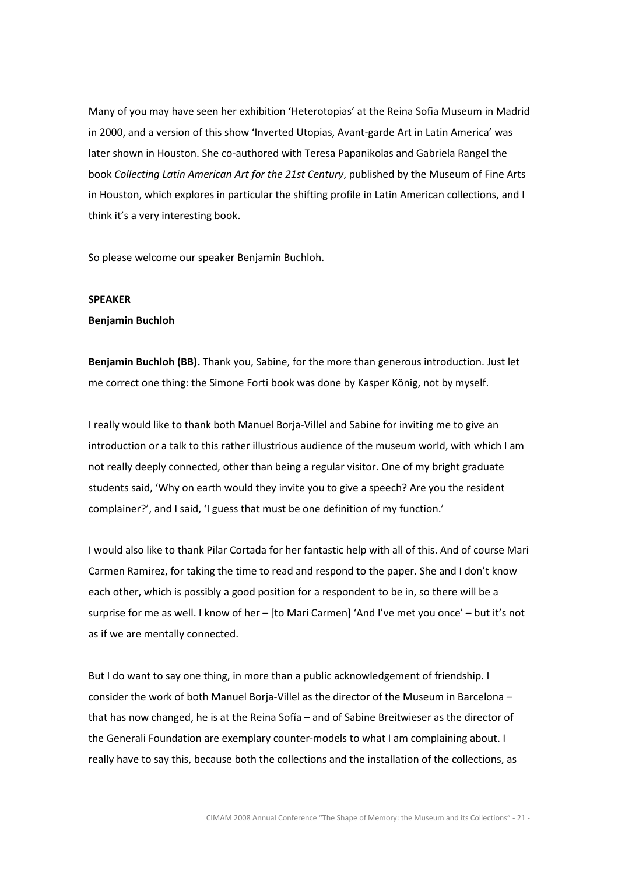Many of you may have seen her exhibition 'Heterotopias' at the Reina Sofia Museum in Madrid in 2000, and a version of this show 'Inverted Utopias, Avant-garde Art in Latin America' was later shown in Houston. She co-authored with Teresa Papanikolas and Gabriela Rangel the book Collecting Latin American Art for the 21st Century, published by the Museum of Fine Arts in Houston, which explores in particular the shifting profile in Latin American collections, and I think it's a very interesting book.

So please welcome our speaker Benjamin Buchloh.

## SPEAKER

#### Benjamin Buchloh

Benjamin Buchloh (BB). Thank you, Sabine, for the more than generous introduction. Just let me correct one thing: the Simone Forti book was done by Kasper König, not by myself.

I really would like to thank both Manuel Borja-Villel and Sabine for inviting me to give an introduction or a talk to this rather illustrious audience of the museum world, with which I am not really deeply connected, other than being a regular visitor. One of my bright graduate students said, 'Why on earth would they invite you to give a speech? Are you the resident complainer?', and I said, 'I guess that must be one definition of my function.'

I would also like to thank Pilar Cortada for her fantastic help with all of this. And of course Mari Carmen Ramirez, for taking the time to read and respond to the paper. She and I don't know each other, which is possibly a good position for a respondent to be in, so there will be a surprise for me as well. I know of her – [to Mari Carmen] 'And I've met you once' – but it's not as if we are mentally connected.

But I do want to say one thing, in more than a public acknowledgement of friendship. I consider the work of both Manuel Borja-Villel as the director of the Museum in Barcelona – that has now changed, he is at the Reina Sofía – and of Sabine Breitwieser as the director of the Generali Foundation are exemplary counter-models to what I am complaining about. I really have to say this, because both the collections and the installation of the collections, as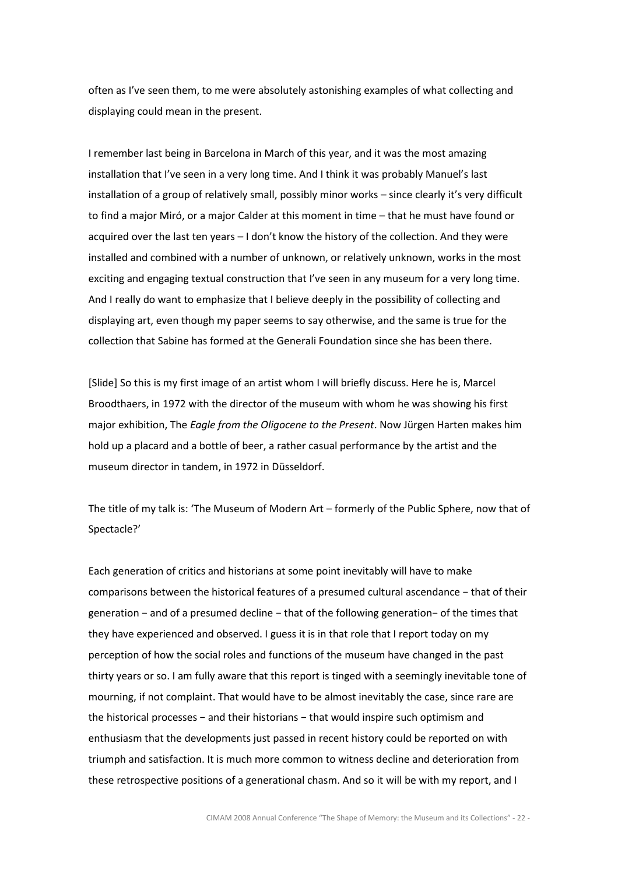often as I've seen them, to me were absolutely astonishing examples of what collecting and displaying could mean in the present.

I remember last being in Barcelona in March of this year, and it was the most amazing installation that I've seen in a very long time. And I think it was probably Manuel's last installation of a group of relatively small, possibly minor works – since clearly it's very difficult to find a major Miró, or a major Calder at this moment in time – that he must have found or acquired over the last ten years – I don't know the history of the collection. And they were installed and combined with a number of unknown, or relatively unknown, works in the most exciting and engaging textual construction that I've seen in any museum for a very long time. And I really do want to emphasize that I believe deeply in the possibility of collecting and displaying art, even though my paper seems to say otherwise, and the same is true for the collection that Sabine has formed at the Generali Foundation since she has been there.

[Slide] So this is my first image of an artist whom I will briefly discuss. Here he is, Marcel Broodthaers, in 1972 with the director of the museum with whom he was showing his first major exhibition, The Eagle from the Oligocene to the Present. Now Jürgen Harten makes him hold up a placard and a bottle of beer, a rather casual performance by the artist and the museum director in tandem, in 1972 in Düsseldorf.

The title of my talk is: 'The Museum of Modern Art – formerly of the Public Sphere, now that of Spectacle?'

Each generation of critics and historians at some point inevitably will have to make comparisons between the historical features of a presumed cultural ascendance − that of their generation − and of a presumed decline − that of the following generation− of the times that they have experienced and observed. I guess it is in that role that I report today on my perception of how the social roles and functions of the museum have changed in the past thirty years or so. I am fully aware that this report is tinged with a seemingly inevitable tone of mourning, if not complaint. That would have to be almost inevitably the case, since rare are the historical processes − and their historians − that would inspire such optimism and enthusiasm that the developments just passed in recent history could be reported on with triumph and satisfaction. It is much more common to witness decline and deterioration from these retrospective positions of a generational chasm. And so it will be with my report, and I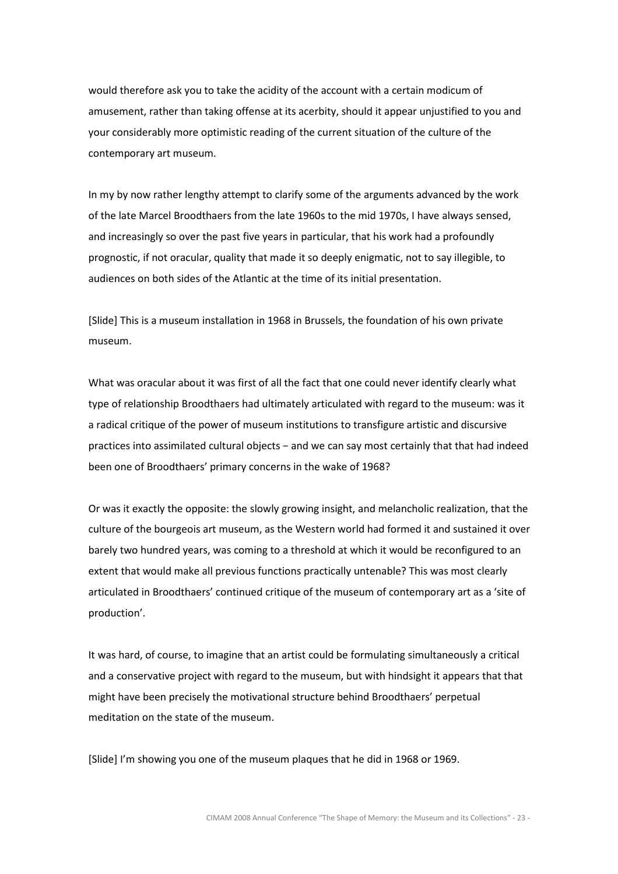would therefore ask you to take the acidity of the account with a certain modicum of amusement, rather than taking offense at its acerbity, should it appear unjustified to you and your considerably more optimistic reading of the current situation of the culture of the contemporary art museum.

In my by now rather lengthy attempt to clarify some of the arguments advanced by the work of the late Marcel Broodthaers from the late 1960s to the mid 1970s, I have always sensed, and increasingly so over the past five years in particular, that his work had a profoundly prognostic, if not oracular, quality that made it so deeply enigmatic, not to say illegible, to audiences on both sides of the Atlantic at the time of its initial presentation.

[Slide] This is a museum installation in 1968 in Brussels, the foundation of his own private museum.

What was oracular about it was first of all the fact that one could never identify clearly what type of relationship Broodthaers had ultimately articulated with regard to the museum: was it a radical critique of the power of museum institutions to transfigure artistic and discursive practices into assimilated cultural objects − and we can say most certainly that that had indeed been one of Broodthaers' primary concerns in the wake of 1968?

Or was it exactly the opposite: the slowly growing insight, and melancholic realization, that the culture of the bourgeois art museum, as the Western world had formed it and sustained it over barely two hundred years, was coming to a threshold at which it would be reconfigured to an extent that would make all previous functions practically untenable? This was most clearly articulated in Broodthaers' continued critique of the museum of contemporary art as a 'site of production'.

It was hard, of course, to imagine that an artist could be formulating simultaneously a critical and a conservative project with regard to the museum, but with hindsight it appears that that might have been precisely the motivational structure behind Broodthaers' perpetual meditation on the state of the museum.

[Slide] I'm showing you one of the museum plaques that he did in 1968 or 1969.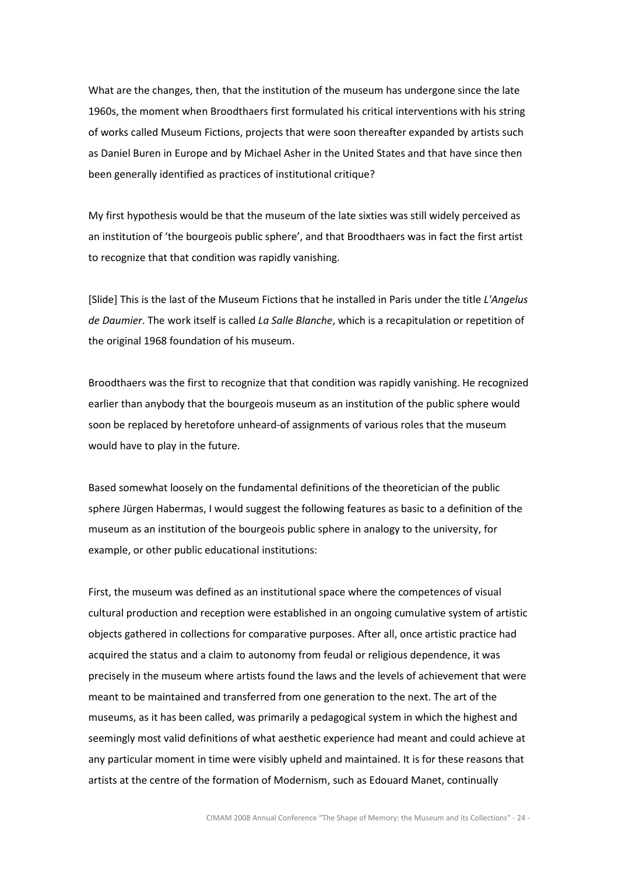What are the changes, then, that the institution of the museum has undergone since the late 1960s, the moment when Broodthaers first formulated his critical interventions with his string of works called Museum Fictions, projects that were soon thereafter expanded by artists such as Daniel Buren in Europe and by Michael Asher in the United States and that have since then been generally identified as practices of institutional critique?

My first hypothesis would be that the museum of the late sixties was still widely perceived as an institution of 'the bourgeois public sphere', and that Broodthaers was in fact the first artist to recognize that that condition was rapidly vanishing.

[Slide] This is the last of the Museum Fictions that he installed in Paris under the title L'Angelus de Daumier. The work itself is called La Salle Blanche, which is a recapitulation or repetition of the original 1968 foundation of his museum.

Broodthaers was the first to recognize that that condition was rapidly vanishing. He recognized earlier than anybody that the bourgeois museum as an institution of the public sphere would soon be replaced by heretofore unheard-of assignments of various roles that the museum would have to play in the future.

Based somewhat loosely on the fundamental definitions of the theoretician of the public sphere Jürgen Habermas, I would suggest the following features as basic to a definition of the museum as an institution of the bourgeois public sphere in analogy to the university, for example, or other public educational institutions:

First, the museum was defined as an institutional space where the competences of visual cultural production and reception were established in an ongoing cumulative system of artistic objects gathered in collections for comparative purposes. After all, once artistic practice had acquired the status and a claim to autonomy from feudal or religious dependence, it was precisely in the museum where artists found the laws and the levels of achievement that were meant to be maintained and transferred from one generation to the next. The art of the museums, as it has been called, was primarily a pedagogical system in which the highest and seemingly most valid definitions of what aesthetic experience had meant and could achieve at any particular moment in time were visibly upheld and maintained. It is for these reasons that artists at the centre of the formation of Modernism, such as Edouard Manet, continually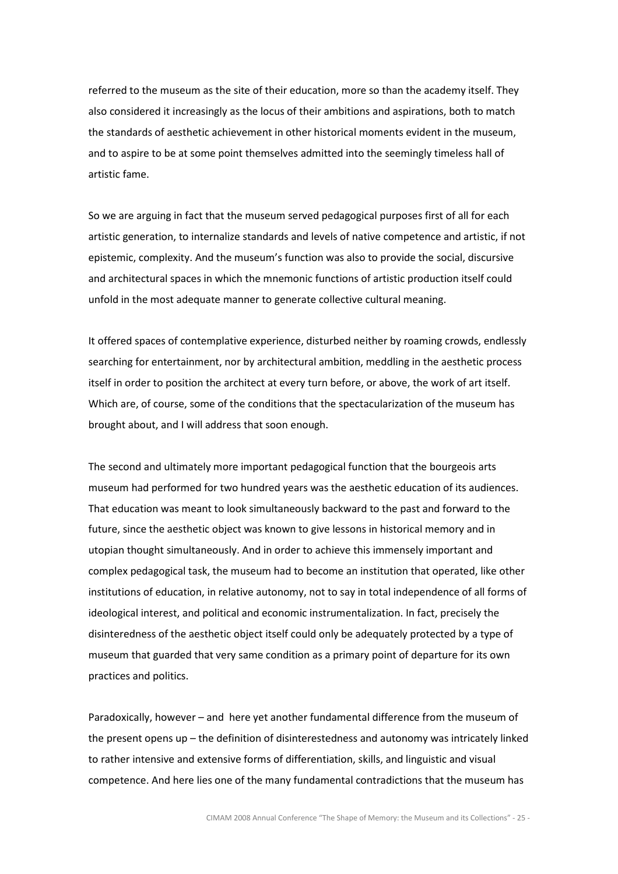referred to the museum as the site of their education, more so than the academy itself. They also considered it increasingly as the locus of their ambitions and aspirations, both to match the standards of aesthetic achievement in other historical moments evident in the museum, and to aspire to be at some point themselves admitted into the seemingly timeless hall of artistic fame.

So we are arguing in fact that the museum served pedagogical purposes first of all for each artistic generation, to internalize standards and levels of native competence and artistic, if not epistemic, complexity. And the museum's function was also to provide the social, discursive and architectural spaces in which the mnemonic functions of artistic production itself could unfold in the most adequate manner to generate collective cultural meaning.

It offered spaces of contemplative experience, disturbed neither by roaming crowds, endlessly searching for entertainment, nor by architectural ambition, meddling in the aesthetic process itself in order to position the architect at every turn before, or above, the work of art itself. Which are, of course, some of the conditions that the spectacularization of the museum has brought about, and I will address that soon enough.

The second and ultimately more important pedagogical function that the bourgeois arts museum had performed for two hundred years was the aesthetic education of its audiences. That education was meant to look simultaneously backward to the past and forward to the future, since the aesthetic object was known to give lessons in historical memory and in utopian thought simultaneously. And in order to achieve this immensely important and complex pedagogical task, the museum had to become an institution that operated, like other institutions of education, in relative autonomy, not to say in total independence of all forms of ideological interest, and political and economic instrumentalization. In fact, precisely the disinteredness of the aesthetic object itself could only be adequately protected by a type of museum that guarded that very same condition as a primary point of departure for its own practices and politics.

Paradoxically, however – and here yet another fundamental difference from the museum of the present opens up – the definition of disinterestedness and autonomy was intricately linked to rather intensive and extensive forms of differentiation, skills, and linguistic and visual competence. And here lies one of the many fundamental contradictions that the museum has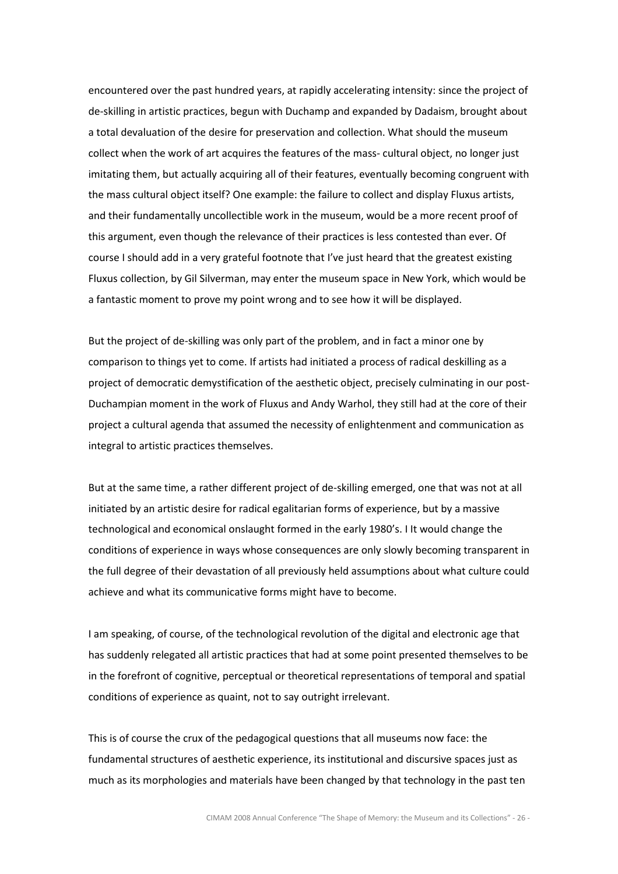encountered over the past hundred years, at rapidly accelerating intensity: since the project of de-skilling in artistic practices, begun with Duchamp and expanded by Dadaism, brought about a total devaluation of the desire for preservation and collection. What should the museum collect when the work of art acquires the features of the mass- cultural object, no longer just imitating them, but actually acquiring all of their features, eventually becoming congruent with the mass cultural object itself? One example: the failure to collect and display Fluxus artists, and their fundamentally uncollectible work in the museum, would be a more recent proof of this argument, even though the relevance of their practices is less contested than ever. Of course I should add in a very grateful footnote that I've just heard that the greatest existing Fluxus collection, by Gil Silverman, may enter the museum space in New York, which would be a fantastic moment to prove my point wrong and to see how it will be displayed.

But the project of de-skilling was only part of the problem, and in fact a minor one by comparison to things yet to come. If artists had initiated a process of radical deskilling as a project of democratic demystification of the aesthetic object, precisely culminating in our post-Duchampian moment in the work of Fluxus and Andy Warhol, they still had at the core of their project a cultural agenda that assumed the necessity of enlightenment and communication as integral to artistic practices themselves.

But at the same time, a rather different project of de-skilling emerged, one that was not at all initiated by an artistic desire for radical egalitarian forms of experience, but by a massive technological and economical onslaught formed in the early 1980's. I It would change the conditions of experience in ways whose consequences are only slowly becoming transparent in the full degree of their devastation of all previously held assumptions about what culture could achieve and what its communicative forms might have to become.

I am speaking, of course, of the technological revolution of the digital and electronic age that has suddenly relegated all artistic practices that had at some point presented themselves to be in the forefront of cognitive, perceptual or theoretical representations of temporal and spatial conditions of experience as quaint, not to say outright irrelevant.

This is of course the crux of the pedagogical questions that all museums now face: the fundamental structures of aesthetic experience, its institutional and discursive spaces just as much as its morphologies and materials have been changed by that technology in the past ten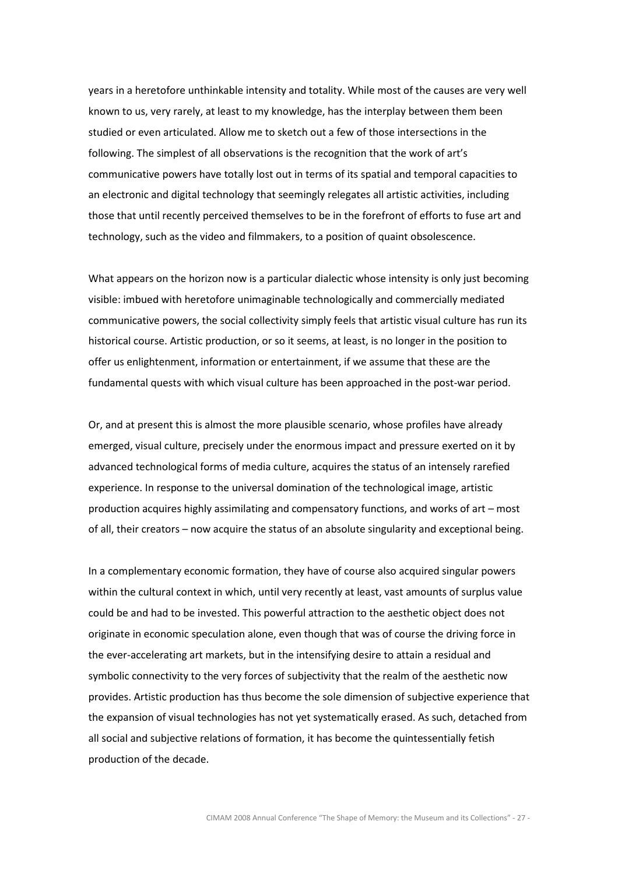years in a heretofore unthinkable intensity and totality. While most of the causes are very well known to us, very rarely, at least to my knowledge, has the interplay between them been studied or even articulated. Allow me to sketch out a few of those intersections in the following. The simplest of all observations is the recognition that the work of art's communicative powers have totally lost out in terms of its spatial and temporal capacities to an electronic and digital technology that seemingly relegates all artistic activities, including those that until recently perceived themselves to be in the forefront of efforts to fuse art and technology, such as the video and filmmakers, to a position of quaint obsolescence.

What appears on the horizon now is a particular dialectic whose intensity is only just becoming visible: imbued with heretofore unimaginable technologically and commercially mediated communicative powers, the social collectivity simply feels that artistic visual culture has run its historical course. Artistic production, or so it seems, at least, is no longer in the position to offer us enlightenment, information or entertainment, if we assume that these are the fundamental quests with which visual culture has been approached in the post-war period.

Or, and at present this is almost the more plausible scenario, whose profiles have already emerged, visual culture, precisely under the enormous impact and pressure exerted on it by advanced technological forms of media culture, acquires the status of an intensely rarefied experience. In response to the universal domination of the technological image, artistic production acquires highly assimilating and compensatory functions, and works of art – most of all, their creators – now acquire the status of an absolute singularity and exceptional being.

In a complementary economic formation, they have of course also acquired singular powers within the cultural context in which, until very recently at least, vast amounts of surplus value could be and had to be invested. This powerful attraction to the aesthetic object does not originate in economic speculation alone, even though that was of course the driving force in the ever-accelerating art markets, but in the intensifying desire to attain a residual and symbolic connectivity to the very forces of subjectivity that the realm of the aesthetic now provides. Artistic production has thus become the sole dimension of subjective experience that the expansion of visual technologies has not yet systematically erased. As such, detached from all social and subjective relations of formation, it has become the quintessentially fetish production of the decade.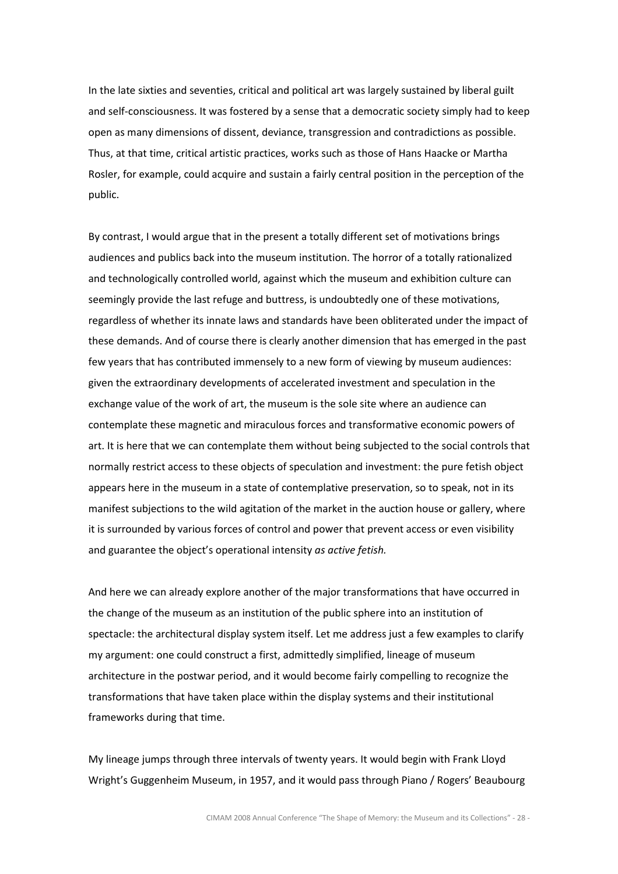In the late sixties and seventies, critical and political art was largely sustained by liberal guilt and self-consciousness. It was fostered by a sense that a democratic society simply had to keep open as many dimensions of dissent, deviance, transgression and contradictions as possible. Thus, at that time, critical artistic practices, works such as those of Hans Haacke or Martha Rosler, for example, could acquire and sustain a fairly central position in the perception of the public.

By contrast, I would argue that in the present a totally different set of motivations brings audiences and publics back into the museum institution. The horror of a totally rationalized and technologically controlled world, against which the museum and exhibition culture can seemingly provide the last refuge and buttress, is undoubtedly one of these motivations, regardless of whether its innate laws and standards have been obliterated under the impact of these demands. And of course there is clearly another dimension that has emerged in the past few years that has contributed immensely to a new form of viewing by museum audiences: given the extraordinary developments of accelerated investment and speculation in the exchange value of the work of art, the museum is the sole site where an audience can contemplate these magnetic and miraculous forces and transformative economic powers of art. It is here that we can contemplate them without being subjected to the social controls that normally restrict access to these objects of speculation and investment: the pure fetish object appears here in the museum in a state of contemplative preservation, so to speak, not in its manifest subjections to the wild agitation of the market in the auction house or gallery, where it is surrounded by various forces of control and power that prevent access or even visibility and guarantee the object's operational intensity as active fetish.

And here we can already explore another of the major transformations that have occurred in the change of the museum as an institution of the public sphere into an institution of spectacle: the architectural display system itself. Let me address just a few examples to clarify my argument: one could construct a first, admittedly simplified, lineage of museum architecture in the postwar period, and it would become fairly compelling to recognize the transformations that have taken place within the display systems and their institutional frameworks during that time.

My lineage jumps through three intervals of twenty years. It would begin with Frank Lloyd Wright's Guggenheim Museum, in 1957, and it would pass through Piano / Rogers' Beaubourg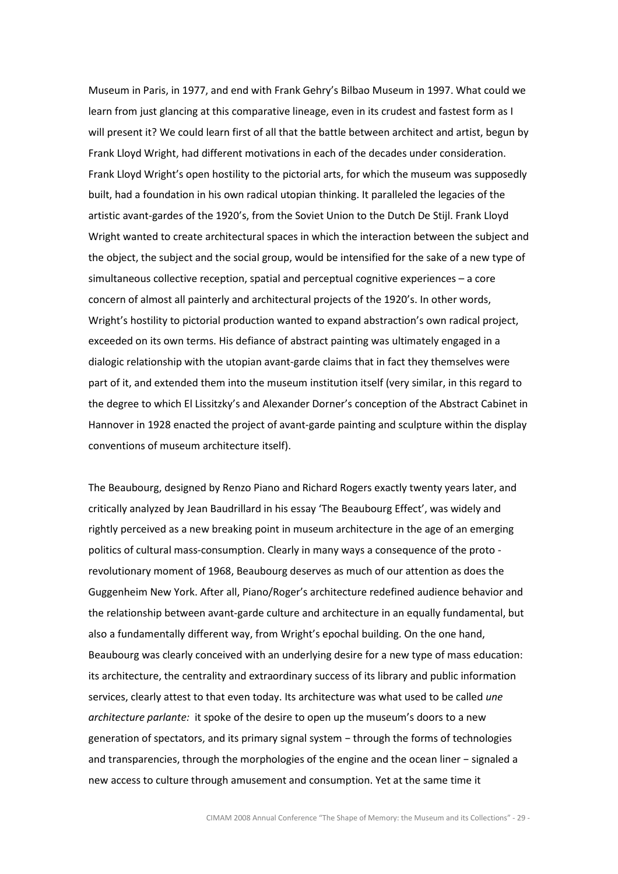Museum in Paris, in 1977, and end with Frank Gehry's Bilbao Museum in 1997. What could we learn from just glancing at this comparative lineage, even in its crudest and fastest form as I will present it? We could learn first of all that the battle between architect and artist, begun by Frank Lloyd Wright, had different motivations in each of the decades under consideration. Frank Lloyd Wright's open hostility to the pictorial arts, for which the museum was supposedly built, had a foundation in his own radical utopian thinking. It paralleled the legacies of the artistic avant-gardes of the 1920's, from the Soviet Union to the Dutch De Stijl. Frank Lloyd Wright wanted to create architectural spaces in which the interaction between the subject and the object, the subject and the social group, would be intensified for the sake of a new type of simultaneous collective reception, spatial and perceptual cognitive experiences – a core concern of almost all painterly and architectural projects of the 1920's. In other words, Wright's hostility to pictorial production wanted to expand abstraction's own radical project, exceeded on its own terms. His defiance of abstract painting was ultimately engaged in a dialogic relationship with the utopian avant-garde claims that in fact they themselves were part of it, and extended them into the museum institution itself (very similar, in this regard to the degree to which El Lissitzky's and Alexander Dorner's conception of the Abstract Cabinet in Hannover in 1928 enacted the project of avant-garde painting and sculpture within the display conventions of museum architecture itself).

The Beaubourg, designed by Renzo Piano and Richard Rogers exactly twenty years later, and critically analyzed by Jean Baudrillard in his essay 'The Beaubourg Effect', was widely and rightly perceived as a new breaking point in museum architecture in the age of an emerging politics of cultural mass-consumption. Clearly in many ways a consequence of the proto revolutionary moment of 1968, Beaubourg deserves as much of our attention as does the Guggenheim New York. After all, Piano/Roger's architecture redefined audience behavior and the relationship between avant-garde culture and architecture in an equally fundamental, but also a fundamentally different way, from Wright's epochal building. On the one hand, Beaubourg was clearly conceived with an underlying desire for a new type of mass education: its architecture, the centrality and extraordinary success of its library and public information services, clearly attest to that even today. Its architecture was what used to be called une architecture parlante: it spoke of the desire to open up the museum's doors to a new generation of spectators, and its primary signal system − through the forms of technologies and transparencies, through the morphologies of the engine and the ocean liner − signaled a new access to culture through amusement and consumption. Yet at the same time it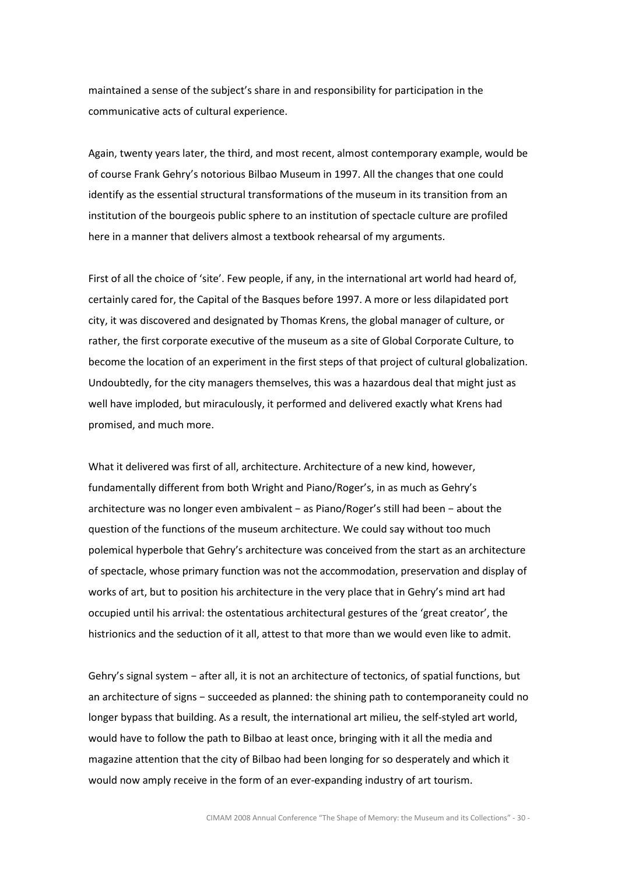maintained a sense of the subject's share in and responsibility for participation in the communicative acts of cultural experience.

Again, twenty years later, the third, and most recent, almost contemporary example, would be of course Frank Gehry's notorious Bilbao Museum in 1997. All the changes that one could identify as the essential structural transformations of the museum in its transition from an institution of the bourgeois public sphere to an institution of spectacle culture are profiled here in a manner that delivers almost a textbook rehearsal of my arguments.

First of all the choice of 'site'. Few people, if any, in the international art world had heard of, certainly cared for, the Capital of the Basques before 1997. A more or less dilapidated port city, it was discovered and designated by Thomas Krens, the global manager of culture, or rather, the first corporate executive of the museum as a site of Global Corporate Culture, to become the location of an experiment in the first steps of that project of cultural globalization. Undoubtedly, for the city managers themselves, this was a hazardous deal that might just as well have imploded, but miraculously, it performed and delivered exactly what Krens had promised, and much more.

What it delivered was first of all, architecture. Architecture of a new kind, however, fundamentally different from both Wright and Piano/Roger's, in as much as Gehry's architecture was no longer even ambivalent − as Piano/Roger's still had been − about the question of the functions of the museum architecture. We could say without too much polemical hyperbole that Gehry's architecture was conceived from the start as an architecture of spectacle, whose primary function was not the accommodation, preservation and display of works of art, but to position his architecture in the very place that in Gehry's mind art had occupied until his arrival: the ostentatious architectural gestures of the 'great creator', the histrionics and the seduction of it all, attest to that more than we would even like to admit.

Gehry's signal system − after all, it is not an architecture of tectonics, of spatial functions, but an architecture of signs – succeeded as planned: the shining path to contemporaneity could no longer bypass that building. As a result, the international art milieu, the self-styled art world, would have to follow the path to Bilbao at least once, bringing with it all the media and magazine attention that the city of Bilbao had been longing for so desperately and which it would now amply receive in the form of an ever-expanding industry of art tourism.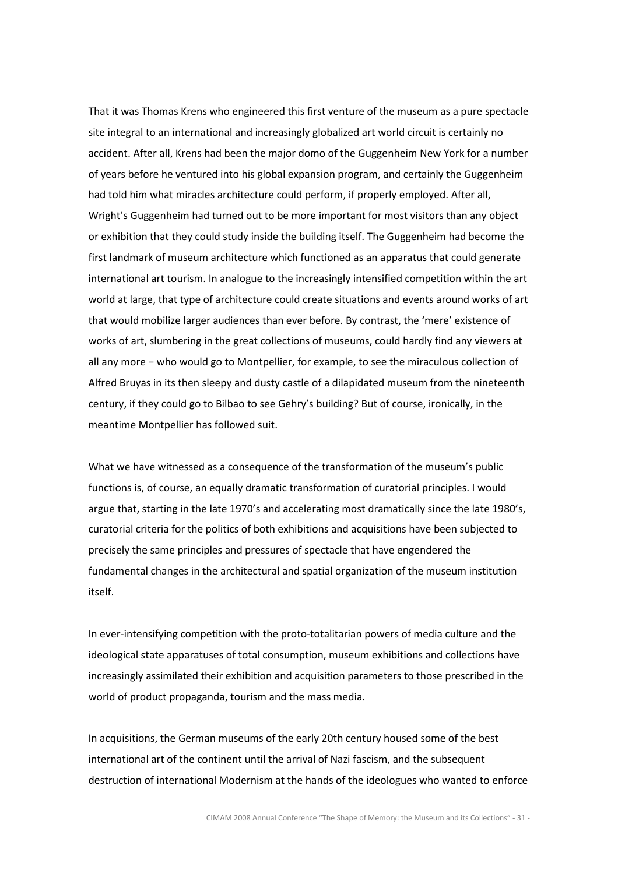That it was Thomas Krens who engineered this first venture of the museum as a pure spectacle site integral to an international and increasingly globalized art world circuit is certainly no accident. After all, Krens had been the major domo of the Guggenheim New York for a number of years before he ventured into his global expansion program, and certainly the Guggenheim had told him what miracles architecture could perform, if properly employed. After all, Wright's Guggenheim had turned out to be more important for most visitors than any object or exhibition that they could study inside the building itself. The Guggenheim had become the first landmark of museum architecture which functioned as an apparatus that could generate international art tourism. In analogue to the increasingly intensified competition within the art world at large, that type of architecture could create situations and events around works of art that would mobilize larger audiences than ever before. By contrast, the 'mere' existence of works of art, slumbering in the great collections of museums, could hardly find any viewers at all any more − who would go to Montpellier, for example, to see the miraculous collection of Alfred Bruyas in its then sleepy and dusty castle of a dilapidated museum from the nineteenth century, if they could go to Bilbao to see Gehry's building? But of course, ironically, in the meantime Montpellier has followed suit.

What we have witnessed as a consequence of the transformation of the museum's public functions is, of course, an equally dramatic transformation of curatorial principles. I would argue that, starting in the late 1970's and accelerating most dramatically since the late 1980's, curatorial criteria for the politics of both exhibitions and acquisitions have been subjected to precisely the same principles and pressures of spectacle that have engendered the fundamental changes in the architectural and spatial organization of the museum institution itself.

In ever-intensifying competition with the proto-totalitarian powers of media culture and the ideological state apparatuses of total consumption, museum exhibitions and collections have increasingly assimilated their exhibition and acquisition parameters to those prescribed in the world of product propaganda, tourism and the mass media.

In acquisitions, the German museums of the early 20th century housed some of the best international art of the continent until the arrival of Nazi fascism, and the subsequent destruction of international Modernism at the hands of the ideologues who wanted to enforce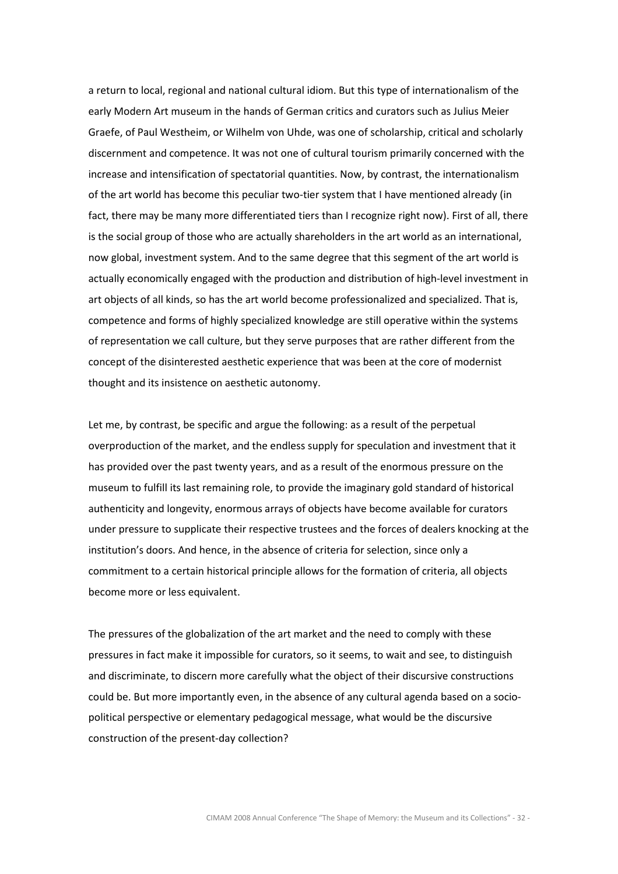a return to local, regional and national cultural idiom. But this type of internationalism of the early Modern Art museum in the hands of German critics and curators such as Julius Meier Graefe, of Paul Westheim, or Wilhelm von Uhde, was one of scholarship, critical and scholarly discernment and competence. It was not one of cultural tourism primarily concerned with the increase and intensification of spectatorial quantities. Now, by contrast, the internationalism of the art world has become this peculiar two-tier system that I have mentioned already (in fact, there may be many more differentiated tiers than I recognize right now). First of all, there is the social group of those who are actually shareholders in the art world as an international, now global, investment system. And to the same degree that this segment of the art world is actually economically engaged with the production and distribution of high-level investment in art objects of all kinds, so has the art world become professionalized and specialized. That is, competence and forms of highly specialized knowledge are still operative within the systems of representation we call culture, but they serve purposes that are rather different from the concept of the disinterested aesthetic experience that was been at the core of modernist thought and its insistence on aesthetic autonomy.

Let me, by contrast, be specific and argue the following: as a result of the perpetual overproduction of the market, and the endless supply for speculation and investment that it has provided over the past twenty years, and as a result of the enormous pressure on the museum to fulfill its last remaining role, to provide the imaginary gold standard of historical authenticity and longevity, enormous arrays of objects have become available for curators under pressure to supplicate their respective trustees and the forces of dealers knocking at the institution's doors. And hence, in the absence of criteria for selection, since only a commitment to a certain historical principle allows for the formation of criteria, all objects become more or less equivalent.

The pressures of the globalization of the art market and the need to comply with these pressures in fact make it impossible for curators, so it seems, to wait and see, to distinguish and discriminate, to discern more carefully what the object of their discursive constructions could be. But more importantly even, in the absence of any cultural agenda based on a sociopolitical perspective or elementary pedagogical message, what would be the discursive construction of the present-day collection?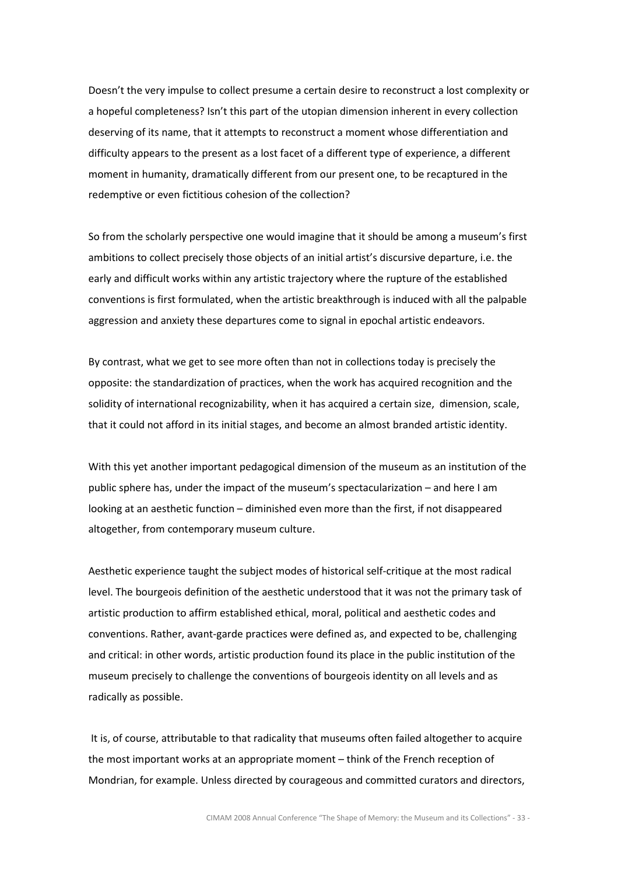Doesn't the very impulse to collect presume a certain desire to reconstruct a lost complexity or a hopeful completeness? Isn't this part of the utopian dimension inherent in every collection deserving of its name, that it attempts to reconstruct a moment whose differentiation and difficulty appears to the present as a lost facet of a different type of experience, a different moment in humanity, dramatically different from our present one, to be recaptured in the redemptive or even fictitious cohesion of the collection?

So from the scholarly perspective one would imagine that it should be among a museum's first ambitions to collect precisely those objects of an initial artist's discursive departure, i.e. the early and difficult works within any artistic trajectory where the rupture of the established conventions is first formulated, when the artistic breakthrough is induced with all the palpable aggression and anxiety these departures come to signal in epochal artistic endeavors.

By contrast, what we get to see more often than not in collections today is precisely the opposite: the standardization of practices, when the work has acquired recognition and the solidity of international recognizability, when it has acquired a certain size, dimension, scale, that it could not afford in its initial stages, and become an almost branded artistic identity.

With this yet another important pedagogical dimension of the museum as an institution of the public sphere has, under the impact of the museum's spectacularization – and here I am looking at an aesthetic function – diminished even more than the first, if not disappeared altogether, from contemporary museum culture.

Aesthetic experience taught the subject modes of historical self-critique at the most radical level. The bourgeois definition of the aesthetic understood that it was not the primary task of artistic production to affirm established ethical, moral, political and aesthetic codes and conventions. Rather, avant-garde practices were defined as, and expected to be, challenging and critical: in other words, artistic production found its place in the public institution of the museum precisely to challenge the conventions of bourgeois identity on all levels and as radically as possible.

 It is, of course, attributable to that radicality that museums often failed altogether to acquire the most important works at an appropriate moment – think of the French reception of Mondrian, for example. Unless directed by courageous and committed curators and directors,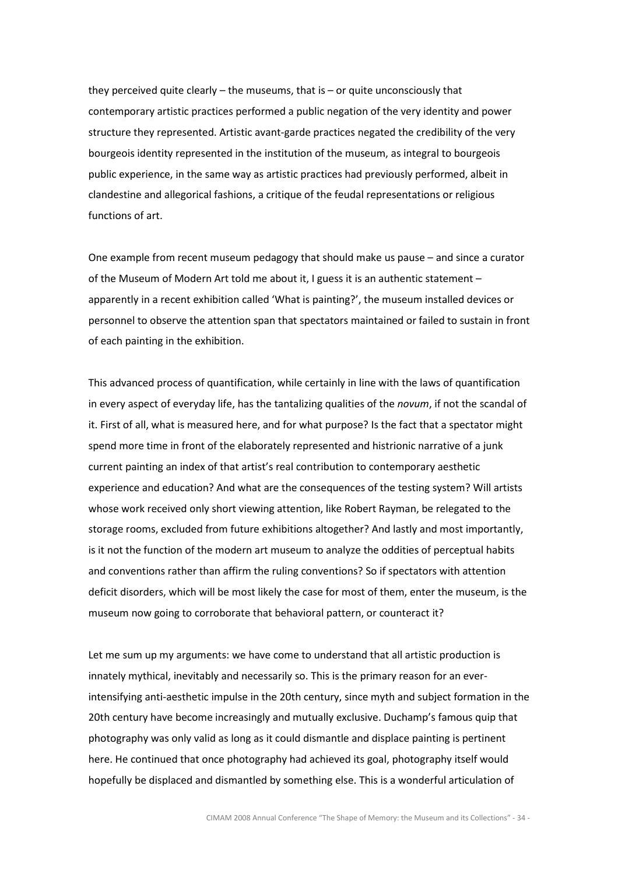they perceived quite clearly – the museums, that is – or quite unconsciously that contemporary artistic practices performed a public negation of the very identity and power structure they represented. Artistic avant-garde practices negated the credibility of the very bourgeois identity represented in the institution of the museum, as integral to bourgeois public experience, in the same way as artistic practices had previously performed, albeit in clandestine and allegorical fashions, a critique of the feudal representations or religious functions of art.

One example from recent museum pedagogy that should make us pause – and since a curator of the Museum of Modern Art told me about it, I guess it is an authentic statement – apparently in a recent exhibition called 'What is painting?', the museum installed devices or personnel to observe the attention span that spectators maintained or failed to sustain in front of each painting in the exhibition.

This advanced process of quantification, while certainly in line with the laws of quantification in every aspect of everyday life, has the tantalizing qualities of the *novum*, if not the scandal of it. First of all, what is measured here, and for what purpose? Is the fact that a spectator might spend more time in front of the elaborately represented and histrionic narrative of a junk current painting an index of that artist's real contribution to contemporary aesthetic experience and education? And what are the consequences of the testing system? Will artists whose work received only short viewing attention, like Robert Rayman, be relegated to the storage rooms, excluded from future exhibitions altogether? And lastly and most importantly, is it not the function of the modern art museum to analyze the oddities of perceptual habits and conventions rather than affirm the ruling conventions? So if spectators with attention deficit disorders, which will be most likely the case for most of them, enter the museum, is the museum now going to corroborate that behavioral pattern, or counteract it?

Let me sum up my arguments: we have come to understand that all artistic production is innately mythical, inevitably and necessarily so. This is the primary reason for an everintensifying anti-aesthetic impulse in the 20th century, since myth and subject formation in the 20th century have become increasingly and mutually exclusive. Duchamp's famous quip that photography was only valid as long as it could dismantle and displace painting is pertinent here. He continued that once photography had achieved its goal, photography itself would hopefully be displaced and dismantled by something else. This is a wonderful articulation of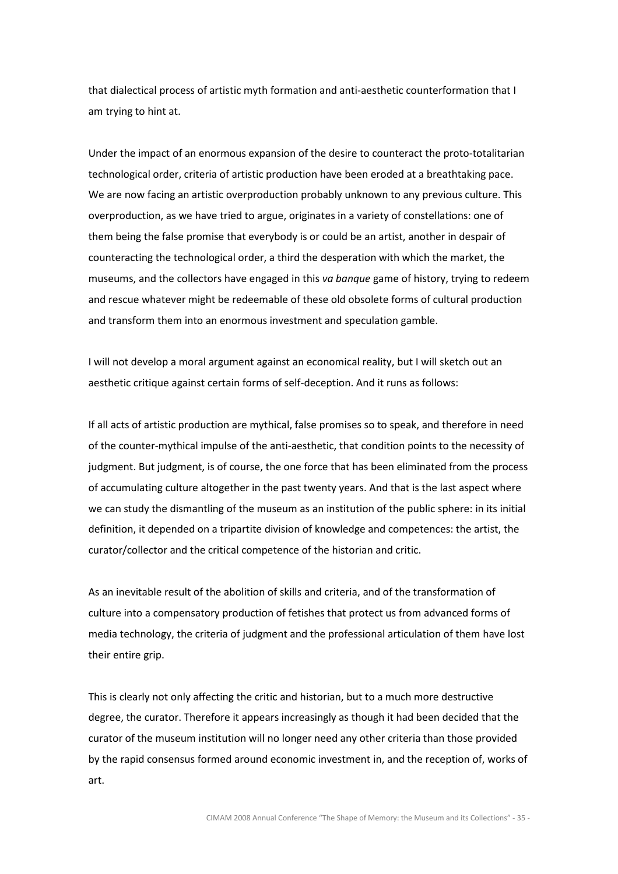that dialectical process of artistic myth formation and anti-aesthetic counterformation that I am trying to hint at.

Under the impact of an enormous expansion of the desire to counteract the proto-totalitarian technological order, criteria of artistic production have been eroded at a breathtaking pace. We are now facing an artistic overproduction probably unknown to any previous culture. This overproduction, as we have tried to argue, originates in a variety of constellations: one of them being the false promise that everybody is or could be an artist, another in despair of counteracting the technological order, a third the desperation with which the market, the museums, and the collectors have engaged in this va banque game of history, trying to redeem and rescue whatever might be redeemable of these old obsolete forms of cultural production and transform them into an enormous investment and speculation gamble.

I will not develop a moral argument against an economical reality, but I will sketch out an aesthetic critique against certain forms of self-deception. And it runs as follows:

If all acts of artistic production are mythical, false promises so to speak, and therefore in need of the counter-mythical impulse of the anti-aesthetic, that condition points to the necessity of judgment. But judgment, is of course, the one force that has been eliminated from the process of accumulating culture altogether in the past twenty years. And that is the last aspect where we can study the dismantling of the museum as an institution of the public sphere: in its initial definition, it depended on a tripartite division of knowledge and competences: the artist, the curator/collector and the critical competence of the historian and critic.

As an inevitable result of the abolition of skills and criteria, and of the transformation of culture into a compensatory production of fetishes that protect us from advanced forms of media technology, the criteria of judgment and the professional articulation of them have lost their entire grip.

This is clearly not only affecting the critic and historian, but to a much more destructive degree, the curator. Therefore it appears increasingly as though it had been decided that the curator of the museum institution will no longer need any other criteria than those provided by the rapid consensus formed around economic investment in, and the reception of, works of art.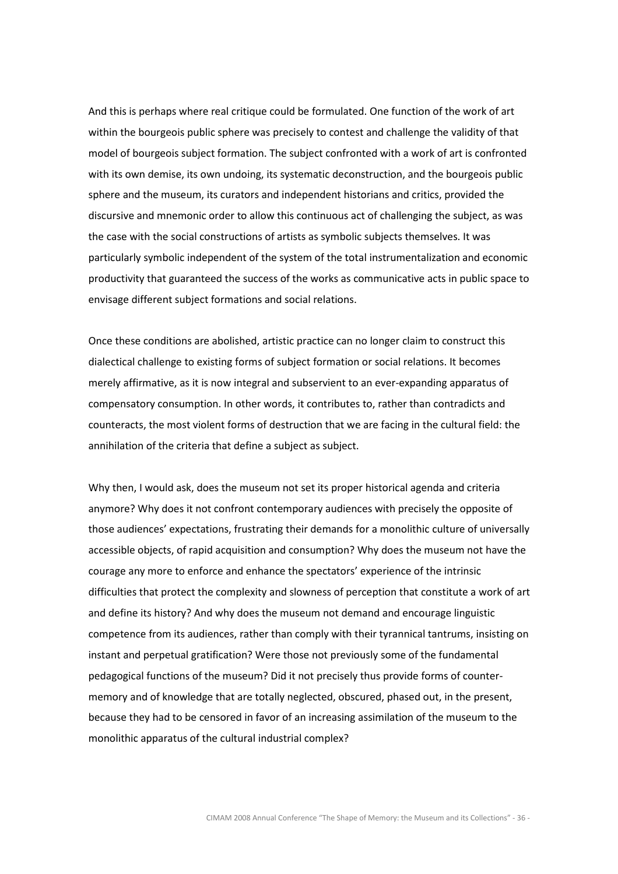And this is perhaps where real critique could be formulated. One function of the work of art within the bourgeois public sphere was precisely to contest and challenge the validity of that model of bourgeois subject formation. The subject confronted with a work of art is confronted with its own demise, its own undoing, its systematic deconstruction, and the bourgeois public sphere and the museum, its curators and independent historians and critics, provided the discursive and mnemonic order to allow this continuous act of challenging the subject, as was the case with the social constructions of artists as symbolic subjects themselves. It was particularly symbolic independent of the system of the total instrumentalization and economic productivity that guaranteed the success of the works as communicative acts in public space to envisage different subject formations and social relations.

Once these conditions are abolished, artistic practice can no longer claim to construct this dialectical challenge to existing forms of subject formation or social relations. It becomes merely affirmative, as it is now integral and subservient to an ever-expanding apparatus of compensatory consumption. In other words, it contributes to, rather than contradicts and counteracts, the most violent forms of destruction that we are facing in the cultural field: the annihilation of the criteria that define a subject as subject.

Why then, I would ask, does the museum not set its proper historical agenda and criteria anymore? Why does it not confront contemporary audiences with precisely the opposite of those audiences' expectations, frustrating their demands for a monolithic culture of universally accessible objects, of rapid acquisition and consumption? Why does the museum not have the courage any more to enforce and enhance the spectators' experience of the intrinsic difficulties that protect the complexity and slowness of perception that constitute a work of art and define its history? And why does the museum not demand and encourage linguistic competence from its audiences, rather than comply with their tyrannical tantrums, insisting on instant and perpetual gratification? Were those not previously some of the fundamental pedagogical functions of the museum? Did it not precisely thus provide forms of countermemory and of knowledge that are totally neglected, obscured, phased out, in the present, because they had to be censored in favor of an increasing assimilation of the museum to the monolithic apparatus of the cultural industrial complex?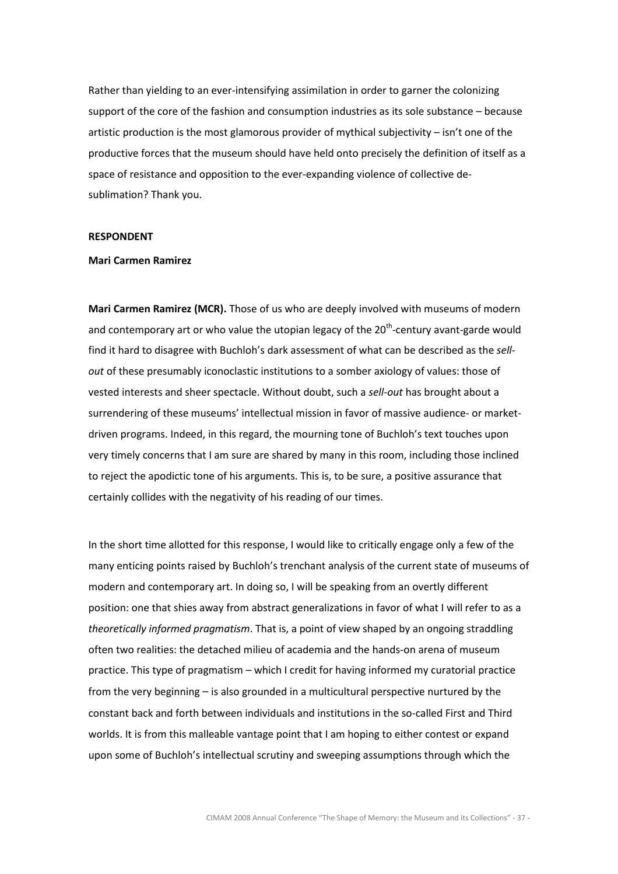Rather than yielding to an ever-intensifying assimilation in order to garner the colonizing support of the core of the fashion and consumption industries as its sole substance – because artistic production is the most glamorous provider of mythical subjectivity – isn't one of the productive forces that the museum should have held onto precisely the definition of itself as a space of resistance and opposition to the ever-expanding violence of collective desublimation? Thank you.

## RESPONDENT

#### Mari Carmen Ramirez

Mari Carmen Ramirez (MCR). Those of us who are deeply involved with museums of modern and contemporary art or who value the utopian legacy of the  $20<sup>th</sup>$ -century avant-garde would find it hard to disagree with Buchloh's dark assessment of what can be described as the sellout of these presumably iconoclastic institutions to a somber axiology of values: those of vested interests and sheer spectacle. Without doubt, such a sell-out has brought about a surrendering of these museums' intellectual mission in favor of massive audience- or marketdriven programs. Indeed, in this regard, the mourning tone of Buchloh's text touches upon very timely concerns that I am sure are shared by many in this room, including those inclined to reject the apodictic tone of his arguments. This is, to be sure, a positive assurance that certainly collides with the negativity of his reading of our times.

In the short time allotted for this response, I would like to critically engage only a few of the many enticing points raised by Buchloh's trenchant analysis of the current state of museums of modern and contemporary art. In doing so, I will be speaking from an overtly different position: one that shies away from abstract generalizations in favor of what I will refer to as a theoretically informed pragmatism. That is, a point of view shaped by an ongoing straddling often two realities: the detached milieu of academia and the hands-on arena of museum practice. This type of pragmatism – which I credit for having informed my curatorial practice from the very beginning – is also grounded in a multicultural perspective nurtured by the constant back and forth between individuals and institutions in the so-called First and Third worlds. It is from this malleable vantage point that I am hoping to either contest or expand upon some of Buchloh's intellectual scrutiny and sweeping assumptions through which the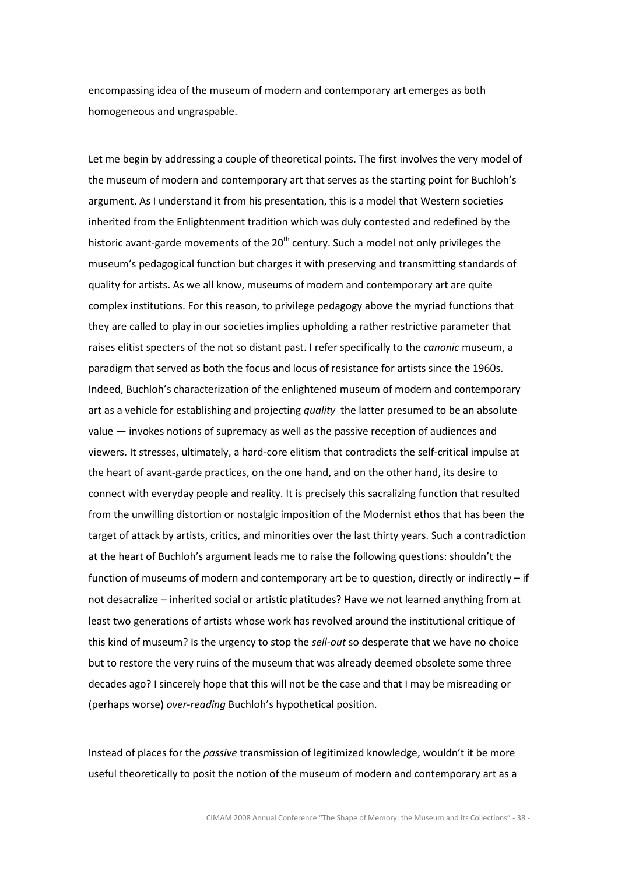encompassing idea of the museum of modern and contemporary art emerges as both homogeneous and ungraspable.

Let me begin by addressing a couple of theoretical points. The first involves the very model of the museum of modern and contemporary art that serves as the starting point for Buchloh's argument. As I understand it from his presentation, this is a model that Western societies inherited from the Enlightenment tradition which was duly contested and redefined by the historic avant-garde movements of the  $20<sup>th</sup>$  century. Such a model not only privileges the museum's pedagogical function but charges it with preserving and transmitting standards of quality for artists. As we all know, museums of modern and contemporary art are quite complex institutions. For this reason, to privilege pedagogy above the myriad functions that they are called to play in our societies implies upholding a rather restrictive parameter that raises elitist specters of the not so distant past. I refer specifically to the *canonic* museum, a paradigm that served as both the focus and locus of resistance for artists since the 1960s. Indeed, Buchloh's characterization of the enlightened museum of modern and contemporary art as a vehicle for establishing and projecting quality the latter presumed to be an absolute value — invokes notions of supremacy as well as the passive reception of audiences and viewers. It stresses, ultimately, a hard-core elitism that contradicts the self-critical impulse at the heart of avant-garde practices, on the one hand, and on the other hand, its desire to connect with everyday people and reality. It is precisely this sacralizing function that resulted from the unwilling distortion or nostalgic imposition of the Modernist ethos that has been the target of attack by artists, critics, and minorities over the last thirty years. Such a contradiction at the heart of Buchloh's argument leads me to raise the following questions: shouldn't the function of museums of modern and contemporary art be to question, directly or indirectly – if not desacralize – inherited social or artistic platitudes? Have we not learned anything from at least two generations of artists whose work has revolved around the institutional critique of this kind of museum? Is the urgency to stop the sell-out so desperate that we have no choice but to restore the very ruins of the museum that was already deemed obsolete some three decades ago? I sincerely hope that this will not be the case and that I may be misreading or (perhaps worse) over-reading Buchloh's hypothetical position.

Instead of places for the *passive* transmission of legitimized knowledge, wouldn't it be more useful theoretically to posit the notion of the museum of modern and contemporary art as a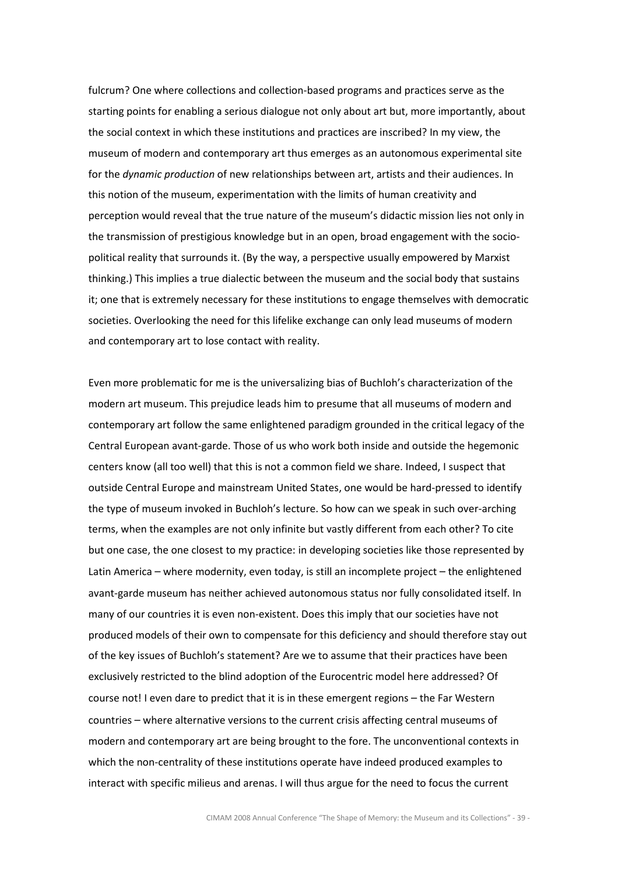fulcrum? One where collections and collection-based programs and practices serve as the starting points for enabling a serious dialogue not only about art but, more importantly, about the social context in which these institutions and practices are inscribed? In my view, the museum of modern and contemporary art thus emerges as an autonomous experimental site for the *dynamic production* of new relationships between art, artists and their audiences. In this notion of the museum, experimentation with the limits of human creativity and perception would reveal that the true nature of the museum's didactic mission lies not only in the transmission of prestigious knowledge but in an open, broad engagement with the sociopolitical reality that surrounds it. (By the way, a perspective usually empowered by Marxist thinking.) This implies a true dialectic between the museum and the social body that sustains it; one that is extremely necessary for these institutions to engage themselves with democratic societies. Overlooking the need for this lifelike exchange can only lead museums of modern and contemporary art to lose contact with reality.

Even more problematic for me is the universalizing bias of Buchloh's characterization of the modern art museum. This prejudice leads him to presume that all museums of modern and contemporary art follow the same enlightened paradigm grounded in the critical legacy of the Central European avant-garde. Those of us who work both inside and outside the hegemonic centers know (all too well) that this is not a common field we share. Indeed, I suspect that outside Central Europe and mainstream United States, one would be hard-pressed to identify the type of museum invoked in Buchloh's lecture. So how can we speak in such over-arching terms, when the examples are not only infinite but vastly different from each other? To cite but one case, the one closest to my practice: in developing societies like those represented by Latin America – where modernity, even today, is still an incomplete project – the enlightened avant-garde museum has neither achieved autonomous status nor fully consolidated itself. In many of our countries it is even non-existent. Does this imply that our societies have not produced models of their own to compensate for this deficiency and should therefore stay out of the key issues of Buchloh's statement? Are we to assume that their practices have been exclusively restricted to the blind adoption of the Eurocentric model here addressed? Of course not! I even dare to predict that it is in these emergent regions – the Far Western countries – where alternative versions to the current crisis affecting central museums of modern and contemporary art are being brought to the fore. The unconventional contexts in which the non-centrality of these institutions operate have indeed produced examples to interact with specific milieus and arenas. I will thus argue for the need to focus the current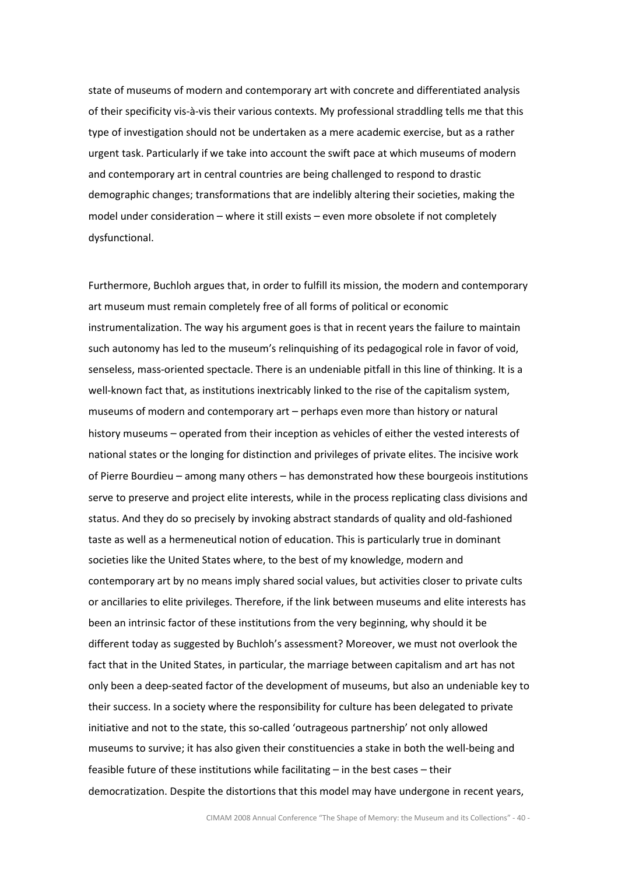state of museums of modern and contemporary art with concrete and differentiated analysis of their specificity vis-à-vis their various contexts. My professional straddling tells me that this type of investigation should not be undertaken as a mere academic exercise, but as a rather urgent task. Particularly if we take into account the swift pace at which museums of modern and contemporary art in central countries are being challenged to respond to drastic demographic changes; transformations that are indelibly altering their societies, making the model under consideration – where it still exists – even more obsolete if not completely dysfunctional.

Furthermore, Buchloh argues that, in order to fulfill its mission, the modern and contemporary art museum must remain completely free of all forms of political or economic instrumentalization. The way his argument goes is that in recent years the failure to maintain such autonomy has led to the museum's relinquishing of its pedagogical role in favor of void, senseless, mass-oriented spectacle. There is an undeniable pitfall in this line of thinking. It is a well-known fact that, as institutions inextricably linked to the rise of the capitalism system, museums of modern and contemporary art – perhaps even more than history or natural history museums – operated from their inception as vehicles of either the vested interests of national states or the longing for distinction and privileges of private elites. The incisive work of Pierre Bourdieu – among many others – has demonstrated how these bourgeois institutions serve to preserve and project elite interests, while in the process replicating class divisions and status. And they do so precisely by invoking abstract standards of quality and old-fashioned taste as well as a hermeneutical notion of education. This is particularly true in dominant societies like the United States where, to the best of my knowledge, modern and contemporary art by no means imply shared social values, but activities closer to private cults or ancillaries to elite privileges. Therefore, if the link between museums and elite interests has been an intrinsic factor of these institutions from the very beginning, why should it be different today as suggested by Buchloh's assessment? Moreover, we must not overlook the fact that in the United States, in particular, the marriage between capitalism and art has not only been a deep-seated factor of the development of museums, but also an undeniable key to their success. In a society where the responsibility for culture has been delegated to private initiative and not to the state, this so-called 'outrageous partnership' not only allowed museums to survive; it has also given their constituencies a stake in both the well-being and feasible future of these institutions while facilitating – in the best cases – their democratization. Despite the distortions that this model may have undergone in recent years,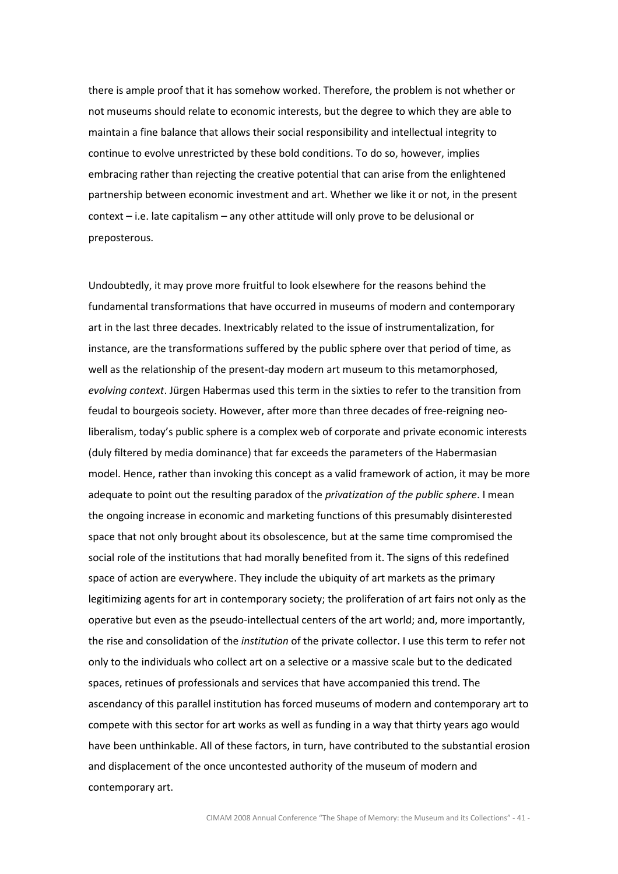there is ample proof that it has somehow worked. Therefore, the problem is not whether or not museums should relate to economic interests, but the degree to which they are able to maintain a fine balance that allows their social responsibility and intellectual integrity to continue to evolve unrestricted by these bold conditions. To do so, however, implies embracing rather than rejecting the creative potential that can arise from the enlightened partnership between economic investment and art. Whether we like it or not, in the present context – i.e. late capitalism – any other attitude will only prove to be delusional or preposterous.

Undoubtedly, it may prove more fruitful to look elsewhere for the reasons behind the fundamental transformations that have occurred in museums of modern and contemporary art in the last three decades. Inextricably related to the issue of instrumentalization, for instance, are the transformations suffered by the public sphere over that period of time, as well as the relationship of the present-day modern art museum to this metamorphosed, evolving context. Jürgen Habermas used this term in the sixties to refer to the transition from feudal to bourgeois society. However, after more than three decades of free-reigning neoliberalism, today's public sphere is a complex web of corporate and private economic interests (duly filtered by media dominance) that far exceeds the parameters of the Habermasian model. Hence, rather than invoking this concept as a valid framework of action, it may be more adequate to point out the resulting paradox of the *privatization of the public sphere*. I mean the ongoing increase in economic and marketing functions of this presumably disinterested space that not only brought about its obsolescence, but at the same time compromised the social role of the institutions that had morally benefited from it. The signs of this redefined space of action are everywhere. They include the ubiquity of art markets as the primary legitimizing agents for art in contemporary society; the proliferation of art fairs not only as the operative but even as the pseudo-intellectual centers of the art world; and, more importantly, the rise and consolidation of the *institution* of the private collector. I use this term to refer not only to the individuals who collect art on a selective or a massive scale but to the dedicated spaces, retinues of professionals and services that have accompanied this trend. The ascendancy of this parallel institution has forced museums of modern and contemporary art to compete with this sector for art works as well as funding in a way that thirty years ago would have been unthinkable. All of these factors, in turn, have contributed to the substantial erosion and displacement of the once uncontested authority of the museum of modern and contemporary art.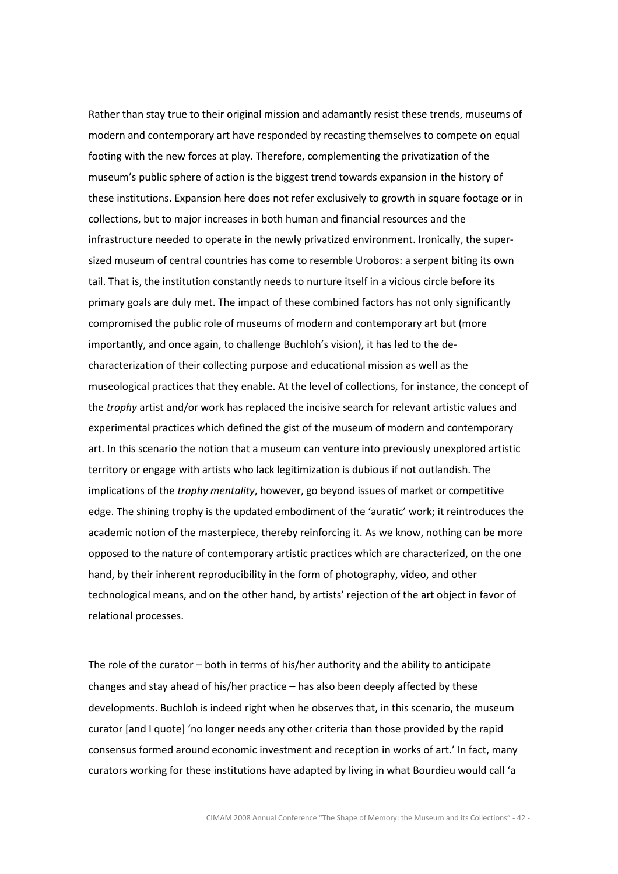Rather than stay true to their original mission and adamantly resist these trends, museums of modern and contemporary art have responded by recasting themselves to compete on equal footing with the new forces at play. Therefore, complementing the privatization of the museum's public sphere of action is the biggest trend towards expansion in the history of these institutions. Expansion here does not refer exclusively to growth in square footage or in collections, but to major increases in both human and financial resources and the infrastructure needed to operate in the newly privatized environment. Ironically, the supersized museum of central countries has come to resemble Uroboros: a serpent biting its own tail. That is, the institution constantly needs to nurture itself in a vicious circle before its primary goals are duly met. The impact of these combined factors has not only significantly compromised the public role of museums of modern and contemporary art but (more importantly, and once again, to challenge Buchloh's vision), it has led to the decharacterization of their collecting purpose and educational mission as well as the museological practices that they enable. At the level of collections, for instance, the concept of the *trophy* artist and/or work has replaced the incisive search for relevant artistic values and experimental practices which defined the gist of the museum of modern and contemporary art. In this scenario the notion that a museum can venture into previously unexplored artistic territory or engage with artists who lack legitimization is dubious if not outlandish. The implications of the trophy mentality, however, go beyond issues of market or competitive edge. The shining trophy is the updated embodiment of the 'auratic' work; it reintroduces the academic notion of the masterpiece, thereby reinforcing it. As we know, nothing can be more opposed to the nature of contemporary artistic practices which are characterized, on the one hand, by their inherent reproducibility in the form of photography, video, and other technological means, and on the other hand, by artists' rejection of the art object in favor of relational processes.

The role of the curator – both in terms of his/her authority and the ability to anticipate changes and stay ahead of his/her practice – has also been deeply affected by these developments. Buchloh is indeed right when he observes that, in this scenario, the museum curator [and I quote] 'no longer needs any other criteria than those provided by the rapid consensus formed around economic investment and reception in works of art.' In fact, many curators working for these institutions have adapted by living in what Bourdieu would call 'a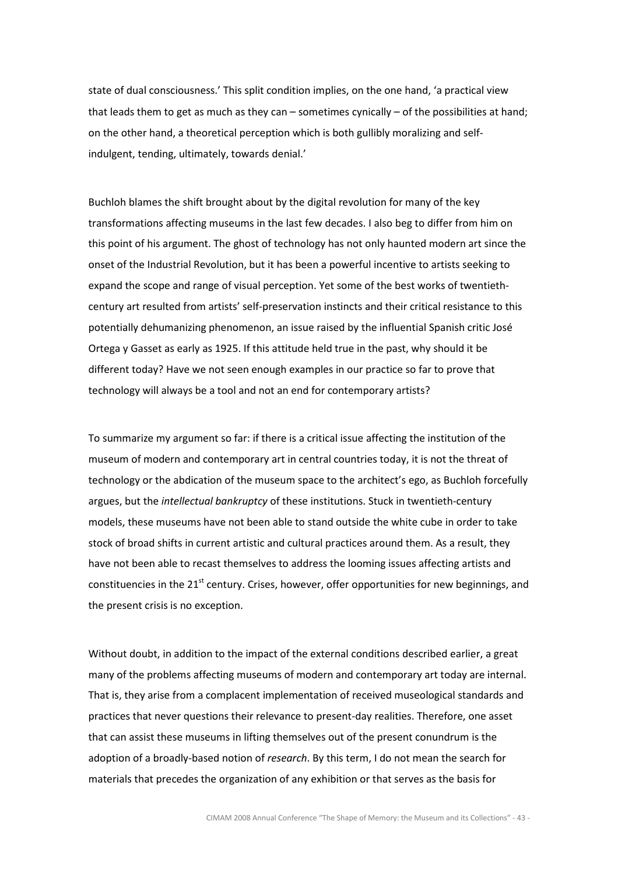state of dual consciousness.' This split condition implies, on the one hand, 'a practical view that leads them to get as much as they can – sometimes cynically – of the possibilities at hand; on the other hand, a theoretical perception which is both gullibly moralizing and selfindulgent, tending, ultimately, towards denial.'

Buchloh blames the shift brought about by the digital revolution for many of the key transformations affecting museums in the last few decades. I also beg to differ from him on this point of his argument. The ghost of technology has not only haunted modern art since the onset of the Industrial Revolution, but it has been a powerful incentive to artists seeking to expand the scope and range of visual perception. Yet some of the best works of twentiethcentury art resulted from artists' self-preservation instincts and their critical resistance to this potentially dehumanizing phenomenon, an issue raised by the influential Spanish critic José Ortega y Gasset as early as 1925. If this attitude held true in the past, why should it be different today? Have we not seen enough examples in our practice so far to prove that technology will always be a tool and not an end for contemporary artists?

To summarize my argument so far: if there is a critical issue affecting the institution of the museum of modern and contemporary art in central countries today, it is not the threat of technology or the abdication of the museum space to the architect's ego, as Buchloh forcefully argues, but the intellectual bankruptcy of these institutions. Stuck in twentieth-century models, these museums have not been able to stand outside the white cube in order to take stock of broad shifts in current artistic and cultural practices around them. As a result, they have not been able to recast themselves to address the looming issues affecting artists and constituencies in the 21<sup>st</sup> century. Crises, however, offer opportunities for new beginnings, and the present crisis is no exception.

Without doubt, in addition to the impact of the external conditions described earlier, a great many of the problems affecting museums of modern and contemporary art today are internal. That is, they arise from a complacent implementation of received museological standards and practices that never questions their relevance to present-day realities. Therefore, one asset that can assist these museums in lifting themselves out of the present conundrum is the adoption of a broadly-based notion of research. By this term, I do not mean the search for materials that precedes the organization of any exhibition or that serves as the basis for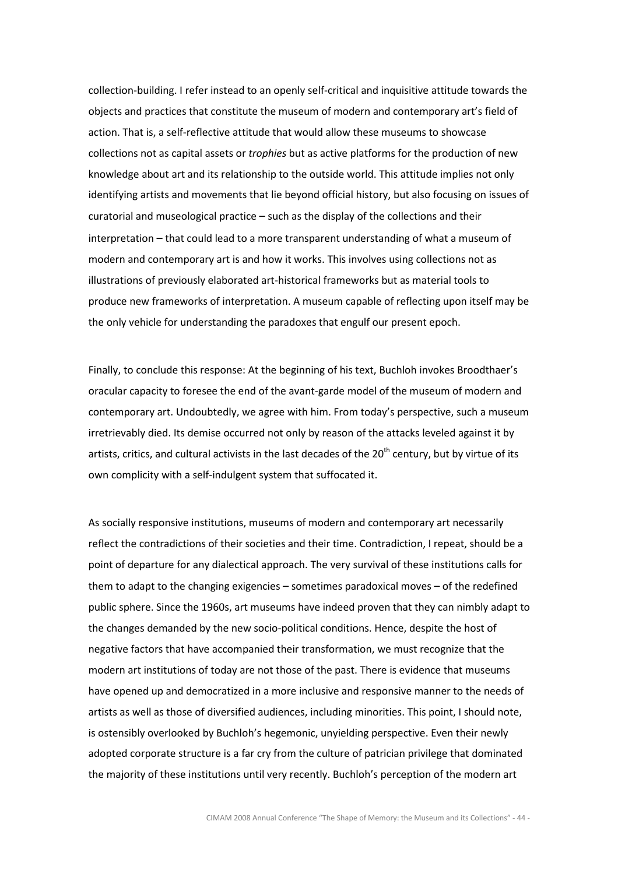collection-building. I refer instead to an openly self-critical and inquisitive attitude towards the objects and practices that constitute the museum of modern and contemporary art's field of action. That is, a self-reflective attitude that would allow these museums to showcase collections not as capital assets or trophies but as active platforms for the production of new knowledge about art and its relationship to the outside world. This attitude implies not only identifying artists and movements that lie beyond official history, but also focusing on issues of curatorial and museological practice – such as the display of the collections and their interpretation – that could lead to a more transparent understanding of what a museum of modern and contemporary art is and how it works. This involves using collections not as illustrations of previously elaborated art-historical frameworks but as material tools to produce new frameworks of interpretation. A museum capable of reflecting upon itself may be the only vehicle for understanding the paradoxes that engulf our present epoch.

Finally, to conclude this response: At the beginning of his text, Buchloh invokes Broodthaer's oracular capacity to foresee the end of the avant-garde model of the museum of modern and contemporary art. Undoubtedly, we agree with him. From today's perspective, such a museum irretrievably died. Its demise occurred not only by reason of the attacks leveled against it by artists, critics, and cultural activists in the last decades of the 20<sup>th</sup> century, but by virtue of its own complicity with a self-indulgent system that suffocated it.

As socially responsive institutions, museums of modern and contemporary art necessarily reflect the contradictions of their societies and their time. Contradiction, I repeat, should be a point of departure for any dialectical approach. The very survival of these institutions calls for them to adapt to the changing exigencies – sometimes paradoxical moves – of the redefined public sphere. Since the 1960s, art museums have indeed proven that they can nimbly adapt to the changes demanded by the new socio-political conditions. Hence, despite the host of negative factors that have accompanied their transformation, we must recognize that the modern art institutions of today are not those of the past. There is evidence that museums have opened up and democratized in a more inclusive and responsive manner to the needs of artists as well as those of diversified audiences, including minorities. This point, I should note, is ostensibly overlooked by Buchloh's hegemonic, unyielding perspective. Even their newly adopted corporate structure is a far cry from the culture of patrician privilege that dominated the majority of these institutions until very recently. Buchloh's perception of the modern art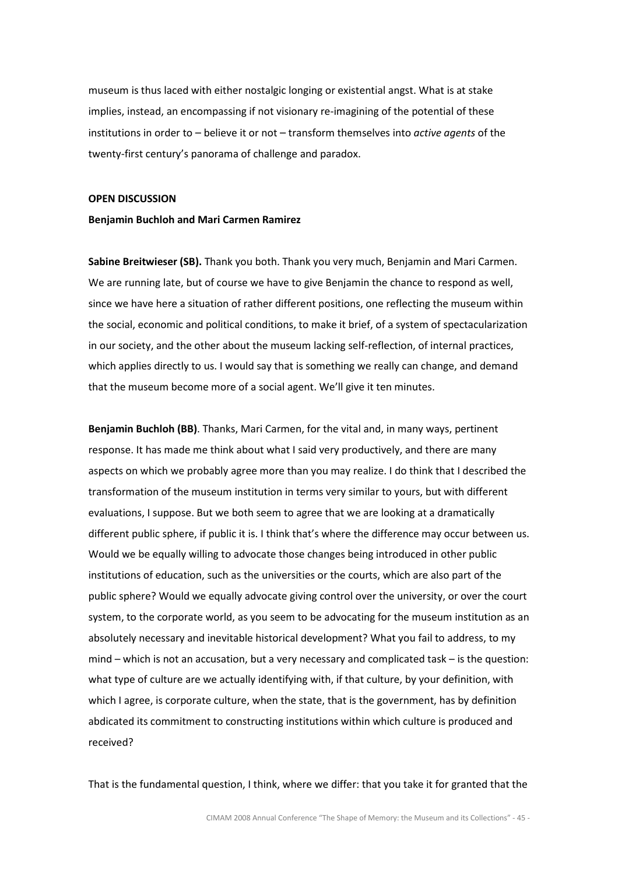museum is thus laced with either nostalgic longing or existential angst. What is at stake implies, instead, an encompassing if not visionary re-imagining of the potential of these institutions in order to  $-$  believe it or not  $-$  transform themselves into *active agents* of the twenty-first century's panorama of challenge and paradox.

## OPEN DISCUSSION

# Benjamin Buchloh and Mari Carmen Ramirez

Sabine Breitwieser (SB). Thank you both. Thank you very much, Benjamin and Mari Carmen. We are running late, but of course we have to give Benjamin the chance to respond as well, since we have here a situation of rather different positions, one reflecting the museum within the social, economic and political conditions, to make it brief, of a system of spectacularization in our society, and the other about the museum lacking self-reflection, of internal practices, which applies directly to us. I would say that is something we really can change, and demand that the museum become more of a social agent. We'll give it ten minutes.

Benjamin Buchloh (BB). Thanks, Mari Carmen, for the vital and, in many ways, pertinent response. It has made me think about what I said very productively, and there are many aspects on which we probably agree more than you may realize. I do think that I described the transformation of the museum institution in terms very similar to yours, but with different evaluations, I suppose. But we both seem to agree that we are looking at a dramatically different public sphere, if public it is. I think that's where the difference may occur between us. Would we be equally willing to advocate those changes being introduced in other public institutions of education, such as the universities or the courts, which are also part of the public sphere? Would we equally advocate giving control over the university, or over the court system, to the corporate world, as you seem to be advocating for the museum institution as an absolutely necessary and inevitable historical development? What you fail to address, to my mind – which is not an accusation, but a very necessary and complicated task – is the question: what type of culture are we actually identifying with, if that culture, by your definition, with which I agree, is corporate culture, when the state, that is the government, has by definition abdicated its commitment to constructing institutions within which culture is produced and received?

That is the fundamental question, I think, where we differ: that you take it for granted that the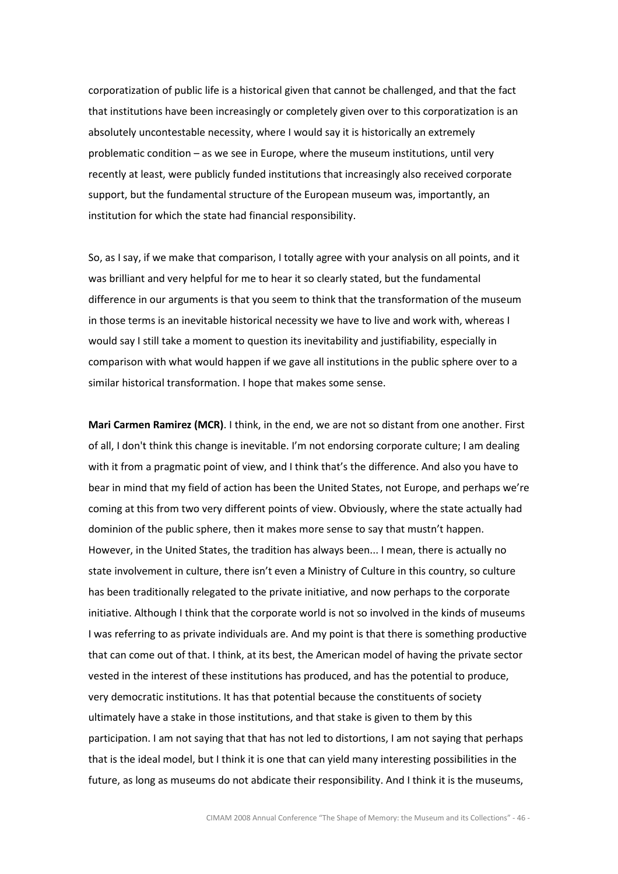corporatization of public life is a historical given that cannot be challenged, and that the fact that institutions have been increasingly or completely given over to this corporatization is an absolutely uncontestable necessity, where I would say it is historically an extremely problematic condition – as we see in Europe, where the museum institutions, until very recently at least, were publicly funded institutions that increasingly also received corporate support, but the fundamental structure of the European museum was, importantly, an institution for which the state had financial responsibility.

So, as I say, if we make that comparison, I totally agree with your analysis on all points, and it was brilliant and very helpful for me to hear it so clearly stated, but the fundamental difference in our arguments is that you seem to think that the transformation of the museum in those terms is an inevitable historical necessity we have to live and work with, whereas I would say I still take a moment to question its inevitability and justifiability, especially in comparison with what would happen if we gave all institutions in the public sphere over to a similar historical transformation. I hope that makes some sense.

Mari Carmen Ramirez (MCR). I think, in the end, we are not so distant from one another. First of all, I don't think this change is inevitable. I'm not endorsing corporate culture; I am dealing with it from a pragmatic point of view, and I think that's the difference. And also you have to bear in mind that my field of action has been the United States, not Europe, and perhaps we're coming at this from two very different points of view. Obviously, where the state actually had dominion of the public sphere, then it makes more sense to say that mustn't happen. However, in the United States, the tradition has always been... I mean, there is actually no state involvement in culture, there isn't even a Ministry of Culture in this country, so culture has been traditionally relegated to the private initiative, and now perhaps to the corporate initiative. Although I think that the corporate world is not so involved in the kinds of museums I was referring to as private individuals are. And my point is that there is something productive that can come out of that. I think, at its best, the American model of having the private sector vested in the interest of these institutions has produced, and has the potential to produce, very democratic institutions. It has that potential because the constituents of society ultimately have a stake in those institutions, and that stake is given to them by this participation. I am not saying that that has not led to distortions, I am not saying that perhaps that is the ideal model, but I think it is one that can yield many interesting possibilities in the future, as long as museums do not abdicate their responsibility. And I think it is the museums,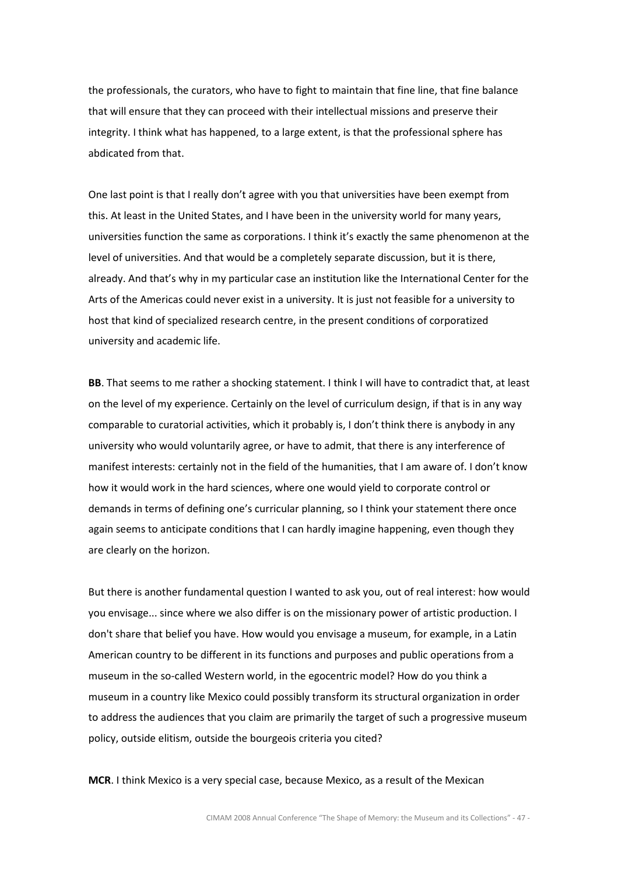the professionals, the curators, who have to fight to maintain that fine line, that fine balance that will ensure that they can proceed with their intellectual missions and preserve their integrity. I think what has happened, to a large extent, is that the professional sphere has abdicated from that.

One last point is that I really don't agree with you that universities have been exempt from this. At least in the United States, and I have been in the university world for many years, universities function the same as corporations. I think it's exactly the same phenomenon at the level of universities. And that would be a completely separate discussion, but it is there, already. And that's why in my particular case an institution like the International Center for the Arts of the Americas could never exist in a university. It is just not feasible for a university to host that kind of specialized research centre, in the present conditions of corporatized university and academic life.

BB. That seems to me rather a shocking statement. I think I will have to contradict that, at least on the level of my experience. Certainly on the level of curriculum design, if that is in any way comparable to curatorial activities, which it probably is, I don't think there is anybody in any university who would voluntarily agree, or have to admit, that there is any interference of manifest interests: certainly not in the field of the humanities, that I am aware of. I don't know how it would work in the hard sciences, where one would yield to corporate control or demands in terms of defining one's curricular planning, so I think your statement there once again seems to anticipate conditions that I can hardly imagine happening, even though they are clearly on the horizon.

But there is another fundamental question I wanted to ask you, out of real interest: how would you envisage... since where we also differ is on the missionary power of artistic production. I don't share that belief you have. How would you envisage a museum, for example, in a Latin American country to be different in its functions and purposes and public operations from a museum in the so-called Western world, in the egocentric model? How do you think a museum in a country like Mexico could possibly transform its structural organization in order to address the audiences that you claim are primarily the target of such a progressive museum policy, outside elitism, outside the bourgeois criteria you cited?

MCR. I think Mexico is a very special case, because Mexico, as a result of the Mexican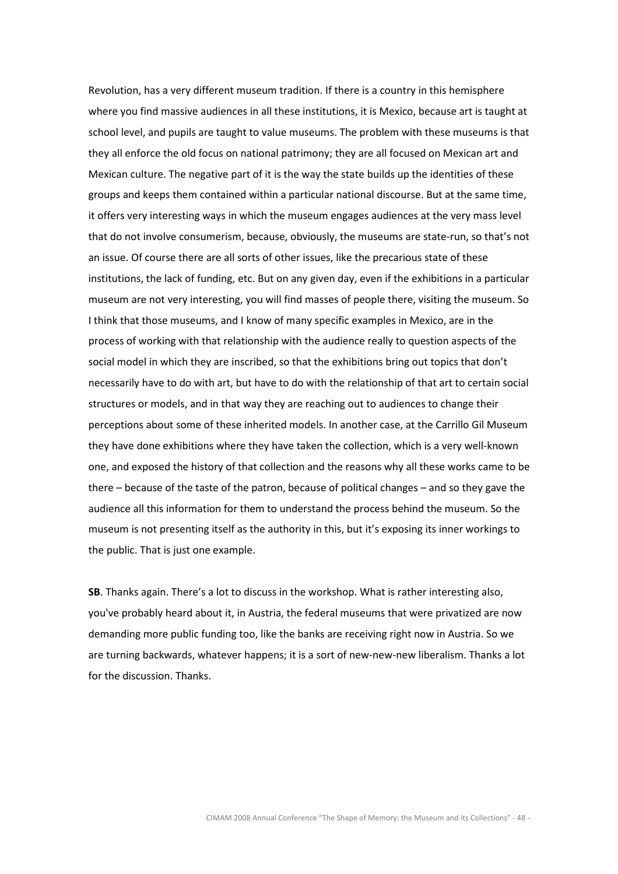Revolution, has a very different museum tradition. If there is a country in this hemisphere where you find massive audiences in all these institutions, it is Mexico, because art is taught at school level, and pupils are taught to value museums. The problem with these museums is that they all enforce the old focus on national patrimony; they are all focused on Mexican art and Mexican culture. The negative part of it is the way the state builds up the identities of these groups and keeps them contained within a particular national discourse. But at the same time, it offers very interesting ways in which the museum engages audiences at the very mass level that do not involve consumerism, because, obviously, the museums are state-run, so that's not an issue. Of course there are all sorts of other issues, like the precarious state of these institutions, the lack of funding, etc. But on any given day, even if the exhibitions in a particular museum are not very interesting, you will find masses of people there, visiting the museum. So I think that those museums, and I know of many specific examples in Mexico, are in the process of working with that relationship with the audience really to question aspects of the social model in which they are inscribed, so that the exhibitions bring out topics that don't necessarily have to do with art, but have to do with the relationship of that art to certain social structures or models, and in that way they are reaching out to audiences to change their perceptions about some of these inherited models. In another case, at the Carrillo Gil Museum they have done exhibitions where they have taken the collection, which is a very well-known one, and exposed the history of that collection and the reasons why all these works came to be there – because of the taste of the patron, because of political changes – and so they gave the audience all this information for them to understand the process behind the museum. So the museum is not presenting itself as the authority in this, but it's exposing its inner workings to the public. That is just one example.

SB. Thanks again. There's a lot to discuss in the workshop. What is rather interesting also, you've probably heard about it, in Austria, the federal museums that were privatized are now demanding more public funding too, like the banks are receiving right now in Austria. So we are turning backwards, whatever happens; it is a sort of new-new-new liberalism. Thanks a lot for the discussion. Thanks.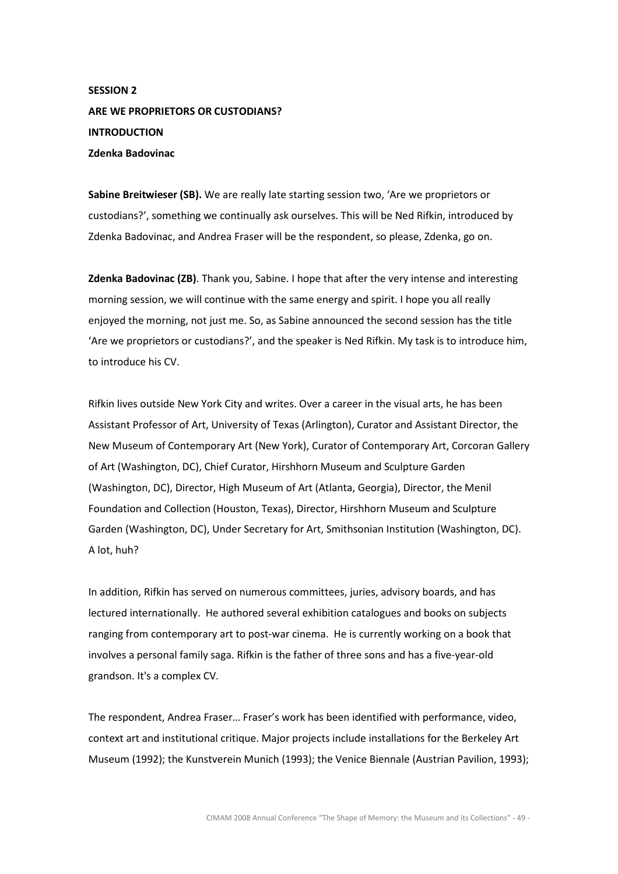# SESSION 2 ARE WE PROPRIETORS OR CUSTODIANS? INTRODUCTION Zdenka Badovinac

Sabine Breitwieser (SB). We are really late starting session two, 'Are we proprietors or custodians?', something we continually ask ourselves. This will be Ned Rifkin, introduced by Zdenka Badovinac, and Andrea Fraser will be the respondent, so please, Zdenka, go on.

**Zdenka Badovinac (ZB)**. Thank you, Sabine. I hope that after the very intense and interesting morning session, we will continue with the same energy and spirit. I hope you all really enjoyed the morning, not just me. So, as Sabine announced the second session has the title 'Are we proprietors or custodians?', and the speaker is Ned Rifkin. My task is to introduce him, to introduce his CV.

Rifkin lives outside New York City and writes. Over a career in the visual arts, he has been Assistant Professor of Art, University of Texas (Arlington), Curator and Assistant Director, the New Museum of Contemporary Art (New York), Curator of Contemporary Art, Corcoran Gallery of Art (Washington, DC), Chief Curator, Hirshhorn Museum and Sculpture Garden (Washington, DC), Director, High Museum of Art (Atlanta, Georgia), Director, the Menil Foundation and Collection (Houston, Texas), Director, Hirshhorn Museum and Sculpture Garden (Washington, DC), Under Secretary for Art, Smithsonian Institution (Washington, DC). A lot, huh?

In addition, Rifkin has served on numerous committees, juries, advisory boards, and has lectured internationally. He authored several exhibition catalogues and books on subjects ranging from contemporary art to post-war cinema. He is currently working on a book that involves a personal family saga. Rifkin is the father of three sons and has a five-year-old grandson. It's a complex CV.

The respondent, Andrea Fraser… Fraser's work has been identified with performance, video, context art and institutional critique. Major projects include installations for the Berkeley Art Museum (1992); the Kunstverein Munich (1993); the Venice Biennale (Austrian Pavilion, 1993);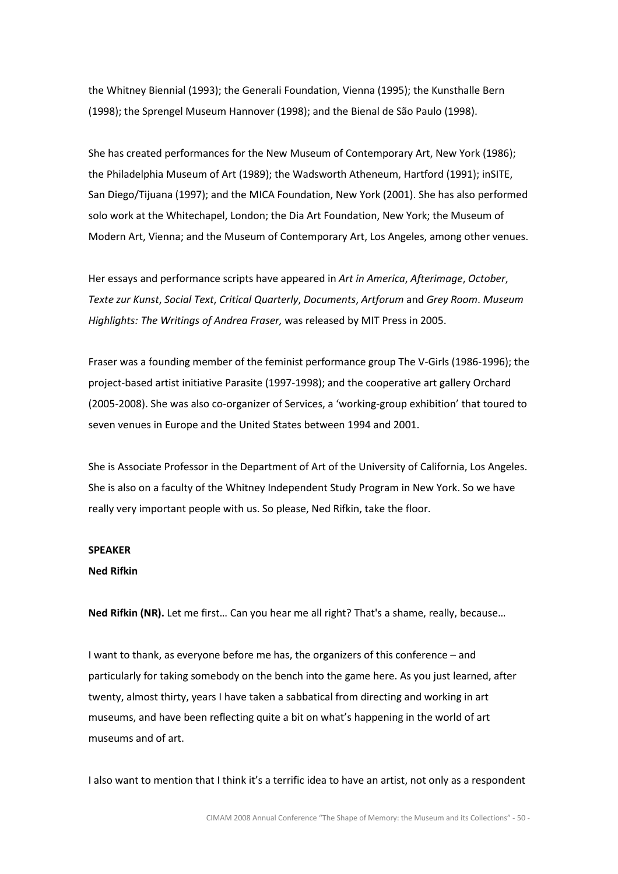the Whitney Biennial (1993); the Generali Foundation, Vienna (1995); the Kunsthalle Bern (1998); the Sprengel Museum Hannover (1998); and the Bienal de São Paulo (1998).

She has created performances for the New Museum of Contemporary Art, New York (1986); the Philadelphia Museum of Art (1989); the Wadsworth Atheneum, Hartford (1991); inSITE, San Diego/Tijuana (1997); and the MICA Foundation, New York (2001). She has also performed solo work at the Whitechapel, London; the Dia Art Foundation, New York; the Museum of Modern Art, Vienna; and the Museum of Contemporary Art, Los Angeles, among other venues.

Her essays and performance scripts have appeared in Art in America, Afterimage, October, Texte zur Kunst, Social Text, Critical Quarterly, Documents, Artforum and Grey Room. Museum Highlights: The Writings of Andrea Fraser, was released by MIT Press in 2005.

Fraser was a founding member of the feminist performance group The V-Girls (1986-1996); the project-based artist initiative Parasite (1997-1998); and the cooperative art gallery Orchard (2005-2008). She was also co-organizer of Services, a 'working-group exhibition' that toured to seven venues in Europe and the United States between 1994 and 2001.

She is Associate Professor in the Department of Art of the University of California, Los Angeles. She is also on a faculty of the Whitney Independent Study Program in New York. So we have really very important people with us. So please, Ned Rifkin, take the floor.

## SPEAKER

# Ned Rifkin

Ned Rifkin (NR). Let me first… Can you hear me all right? That's a shame, really, because…

I want to thank, as everyone before me has, the organizers of this conference – and particularly for taking somebody on the bench into the game here. As you just learned, after twenty, almost thirty, years I have taken a sabbatical from directing and working in art museums, and have been reflecting quite a bit on what's happening in the world of art museums and of art.

I also want to mention that I think it's a terrific idea to have an artist, not only as a respondent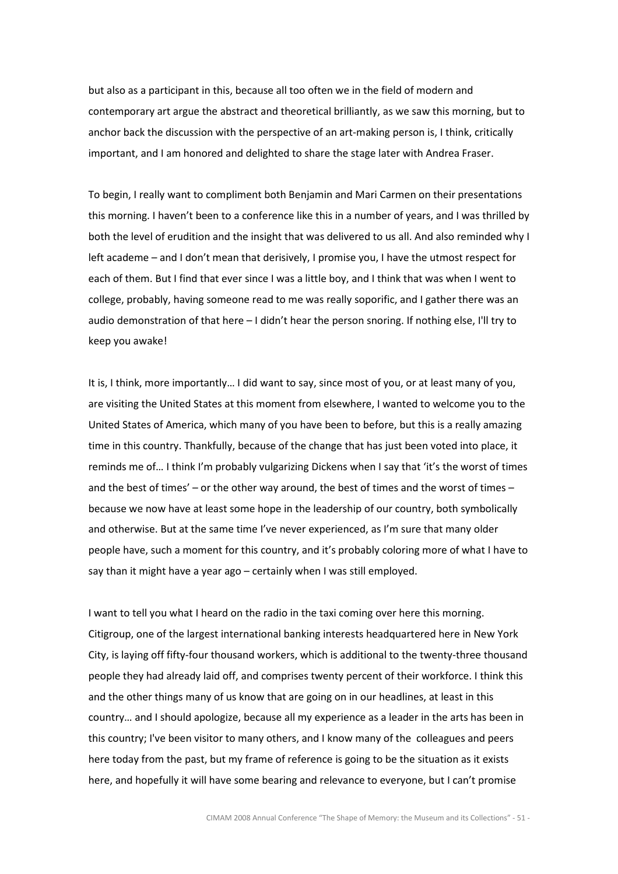but also as a participant in this, because all too often we in the field of modern and contemporary art argue the abstract and theoretical brilliantly, as we saw this morning, but to anchor back the discussion with the perspective of an art-making person is, I think, critically important, and I am honored and delighted to share the stage later with Andrea Fraser.

To begin, I really want to compliment both Benjamin and Mari Carmen on their presentations this morning. I haven't been to a conference like this in a number of years, and I was thrilled by both the level of erudition and the insight that was delivered to us all. And also reminded why I left academe – and I don't mean that derisively, I promise you, I have the utmost respect for each of them. But I find that ever since I was a little boy, and I think that was when I went to college, probably, having someone read to me was really soporific, and I gather there was an audio demonstration of that here – I didn't hear the person snoring. If nothing else, I'll try to keep you awake!

It is, I think, more importantly… I did want to say, since most of you, or at least many of you, are visiting the United States at this moment from elsewhere, I wanted to welcome you to the United States of America, which many of you have been to before, but this is a really amazing time in this country. Thankfully, because of the change that has just been voted into place, it reminds me of… I think I'm probably vulgarizing Dickens when I say that 'it's the worst of times and the best of times' – or the other way around, the best of times and the worst of times – because we now have at least some hope in the leadership of our country, both symbolically and otherwise. But at the same time I've never experienced, as I'm sure that many older people have, such a moment for this country, and it's probably coloring more of what I have to say than it might have a year ago – certainly when I was still employed.

I want to tell you what I heard on the radio in the taxi coming over here this morning. Citigroup, one of the largest international banking interests headquartered here in New York City, is laying off fifty-four thousand workers, which is additional to the twenty-three thousand people they had already laid off, and comprises twenty percent of their workforce. I think this and the other things many of us know that are going on in our headlines, at least in this country… and I should apologize, because all my experience as a leader in the arts has been in this country; I've been visitor to many others, and I know many of the colleagues and peers here today from the past, but my frame of reference is going to be the situation as it exists here, and hopefully it will have some bearing and relevance to everyone, but I can't promise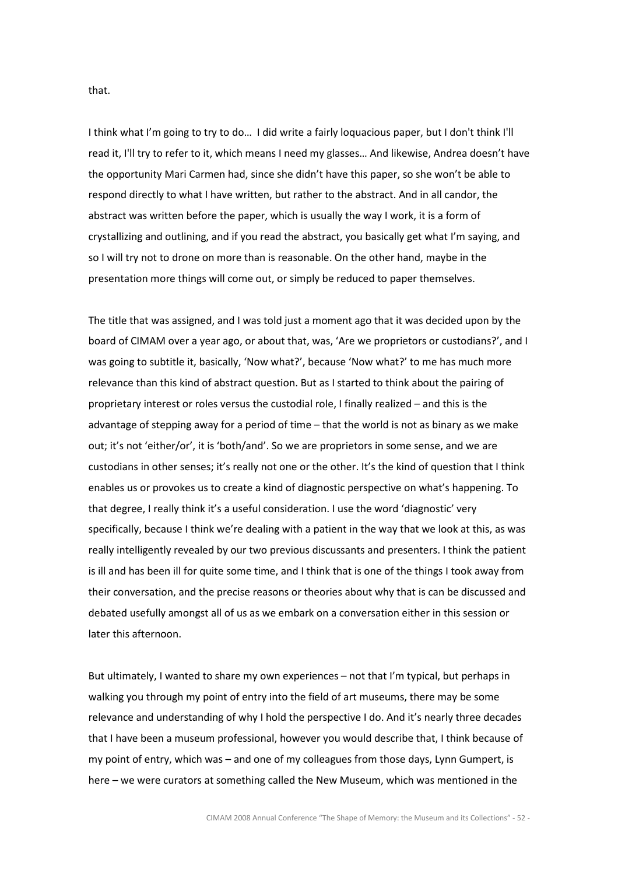that.

I think what I'm going to try to do… I did write a fairly loquacious paper, but I don't think I'll read it, I'll try to refer to it, which means I need my glasses… And likewise, Andrea doesn't have the opportunity Mari Carmen had, since she didn't have this paper, so she won't be able to respond directly to what I have written, but rather to the abstract. And in all candor, the abstract was written before the paper, which is usually the way I work, it is a form of crystallizing and outlining, and if you read the abstract, you basically get what I'm saying, and so I will try not to drone on more than is reasonable. On the other hand, maybe in the presentation more things will come out, or simply be reduced to paper themselves.

The title that was assigned, and I was told just a moment ago that it was decided upon by the board of CIMAM over a year ago, or about that, was, 'Are we proprietors or custodians?', and I was going to subtitle it, basically, 'Now what?', because 'Now what?' to me has much more relevance than this kind of abstract question. But as I started to think about the pairing of proprietary interest or roles versus the custodial role, I finally realized – and this is the advantage of stepping away for a period of time – that the world is not as binary as we make out; it's not 'either/or', it is 'both/and'. So we are proprietors in some sense, and we are custodians in other senses; it's really not one or the other. It's the kind of question that I think enables us or provokes us to create a kind of diagnostic perspective on what's happening. To that degree, I really think it's a useful consideration. I use the word 'diagnostic' very specifically, because I think we're dealing with a patient in the way that we look at this, as was really intelligently revealed by our two previous discussants and presenters. I think the patient is ill and has been ill for quite some time, and I think that is one of the things I took away from their conversation, and the precise reasons or theories about why that is can be discussed and debated usefully amongst all of us as we embark on a conversation either in this session or later this afternoon.

But ultimately, I wanted to share my own experiences – not that I'm typical, but perhaps in walking you through my point of entry into the field of art museums, there may be some relevance and understanding of why I hold the perspective I do. And it's nearly three decades that I have been a museum professional, however you would describe that, I think because of my point of entry, which was – and one of my colleagues from those days, Lynn Gumpert, is here – we were curators at something called the New Museum, which was mentioned in the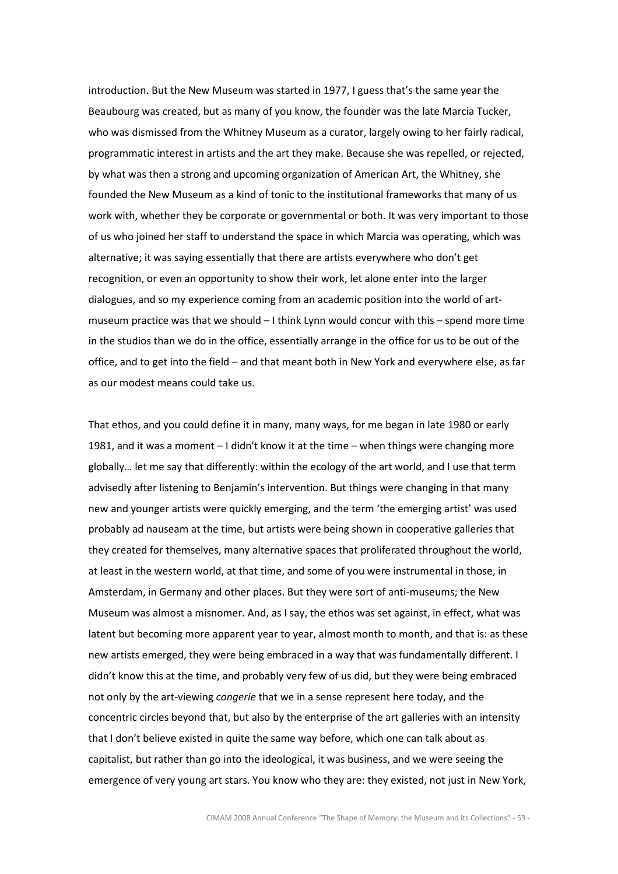introduction. But the New Museum was started in 1977, I guess that's the same year the Beaubourg was created, but as many of you know, the founder was the late Marcia Tucker, who was dismissed from the Whitney Museum as a curator, largely owing to her fairly radical, programmatic interest in artists and the art they make. Because she was repelled, or rejected, by what was then a strong and upcoming organization of American Art, the Whitney, she founded the New Museum as a kind of tonic to the institutional frameworks that many of us work with, whether they be corporate or governmental or both. It was very important to those of us who joined her staff to understand the space in which Marcia was operating, which was alternative; it was saying essentially that there are artists everywhere who don't get recognition, or even an opportunity to show their work, let alone enter into the larger dialogues, and so my experience coming from an academic position into the world of artmuseum practice was that we should – I think Lynn would concur with this – spend more time in the studios than we do in the office, essentially arrange in the office for us to be out of the office, and to get into the field – and that meant both in New York and everywhere else, as far as our modest means could take us.

That ethos, and you could define it in many, many ways, for me began in late 1980 or early 1981, and it was a moment – I didn't know it at the time – when things were changing more globally… let me say that differently: within the ecology of the art world, and I use that term advisedly after listening to Benjamin's intervention. But things were changing in that many new and younger artists were quickly emerging, and the term 'the emerging artist' was used probably ad nauseam at the time, but artists were being shown in cooperative galleries that they created for themselves, many alternative spaces that proliferated throughout the world, at least in the western world, at that time, and some of you were instrumental in those, in Amsterdam, in Germany and other places. But they were sort of anti-museums; the New Museum was almost a misnomer. And, as I say, the ethos was set against, in effect, what was latent but becoming more apparent year to year, almost month to month, and that is: as these new artists emerged, they were being embraced in a way that was fundamentally different. I didn't know this at the time, and probably very few of us did, but they were being embraced not only by the art-viewing *congerie* that we in a sense represent here today, and the concentric circles beyond that, but also by the enterprise of the art galleries with an intensity that I don't believe existed in quite the same way before, which one can talk about as capitalist, but rather than go into the ideological, it was business, and we were seeing the emergence of very young art stars. You know who they are: they existed, not just in New York,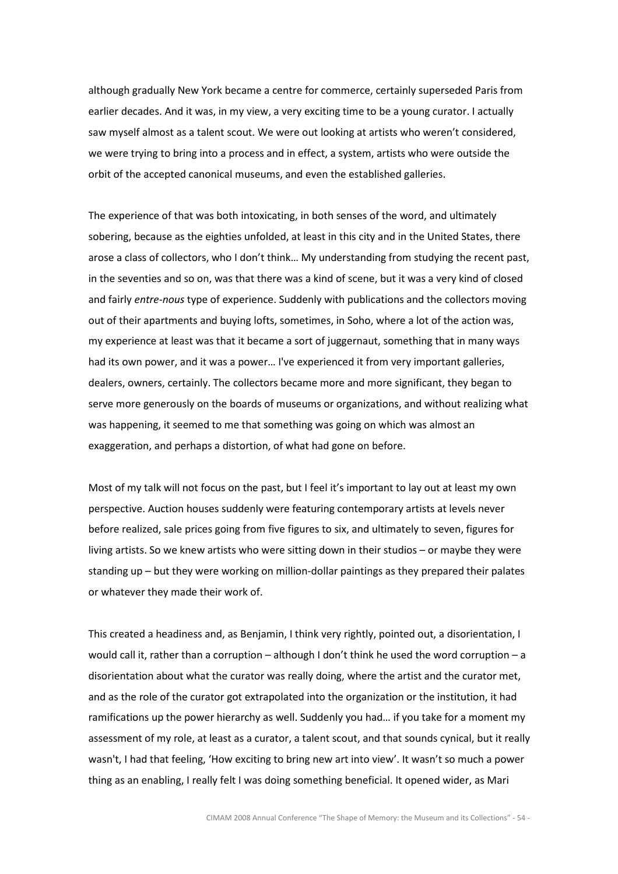although gradually New York became a centre for commerce, certainly superseded Paris from earlier decades. And it was, in my view, a very exciting time to be a young curator. I actually saw myself almost as a talent scout. We were out looking at artists who weren't considered, we were trying to bring into a process and in effect, a system, artists who were outside the orbit of the accepted canonical museums, and even the established galleries.

The experience of that was both intoxicating, in both senses of the word, and ultimately sobering, because as the eighties unfolded, at least in this city and in the United States, there arose a class of collectors, who I don't think… My understanding from studying the recent past, in the seventies and so on, was that there was a kind of scene, but it was a very kind of closed and fairly entre-nous type of experience. Suddenly with publications and the collectors moving out of their apartments and buying lofts, sometimes, in Soho, where a lot of the action was, my experience at least was that it became a sort of juggernaut, something that in many ways had its own power, and it was a power… I've experienced it from very important galleries, dealers, owners, certainly. The collectors became more and more significant, they began to serve more generously on the boards of museums or organizations, and without realizing what was happening, it seemed to me that something was going on which was almost an exaggeration, and perhaps a distortion, of what had gone on before.

Most of my talk will not focus on the past, but I feel it's important to lay out at least my own perspective. Auction houses suddenly were featuring contemporary artists at levels never before realized, sale prices going from five figures to six, and ultimately to seven, figures for living artists. So we knew artists who were sitting down in their studios – or maybe they were standing up – but they were working on million-dollar paintings as they prepared their palates or whatever they made their work of.

This created a headiness and, as Benjamin, I think very rightly, pointed out, a disorientation, I would call it, rather than a corruption – although I don't think he used the word corruption – a disorientation about what the curator was really doing, where the artist and the curator met, and as the role of the curator got extrapolated into the organization or the institution, it had ramifications up the power hierarchy as well. Suddenly you had… if you take for a moment my assessment of my role, at least as a curator, a talent scout, and that sounds cynical, but it really wasn't, I had that feeling, 'How exciting to bring new art into view'. It wasn't so much a power thing as an enabling, I really felt I was doing something beneficial. It opened wider, as Mari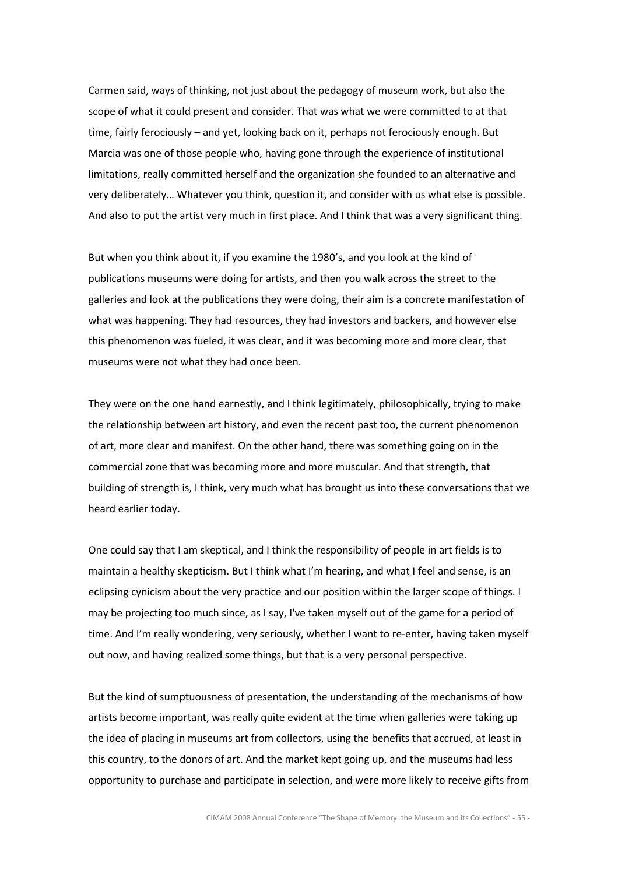Carmen said, ways of thinking, not just about the pedagogy of museum work, but also the scope of what it could present and consider. That was what we were committed to at that time, fairly ferociously – and yet, looking back on it, perhaps not ferociously enough. But Marcia was one of those people who, having gone through the experience of institutional limitations, really committed herself and the organization she founded to an alternative and very deliberately… Whatever you think, question it, and consider with us what else is possible. And also to put the artist very much in first place. And I think that was a very significant thing.

But when you think about it, if you examine the 1980's, and you look at the kind of publications museums were doing for artists, and then you walk across the street to the galleries and look at the publications they were doing, their aim is a concrete manifestation of what was happening. They had resources, they had investors and backers, and however else this phenomenon was fueled, it was clear, and it was becoming more and more clear, that museums were not what they had once been.

They were on the one hand earnestly, and I think legitimately, philosophically, trying to make the relationship between art history, and even the recent past too, the current phenomenon of art, more clear and manifest. On the other hand, there was something going on in the commercial zone that was becoming more and more muscular. And that strength, that building of strength is, I think, very much what has brought us into these conversations that we heard earlier today.

One could say that I am skeptical, and I think the responsibility of people in art fields is to maintain a healthy skepticism. But I think what I'm hearing, and what I feel and sense, is an eclipsing cynicism about the very practice and our position within the larger scope of things. I may be projecting too much since, as I say, I've taken myself out of the game for a period of time. And I'm really wondering, very seriously, whether I want to re-enter, having taken myself out now, and having realized some things, but that is a very personal perspective.

But the kind of sumptuousness of presentation, the understanding of the mechanisms of how artists become important, was really quite evident at the time when galleries were taking up the idea of placing in museums art from collectors, using the benefits that accrued, at least in this country, to the donors of art. And the market kept going up, and the museums had less opportunity to purchase and participate in selection, and were more likely to receive gifts from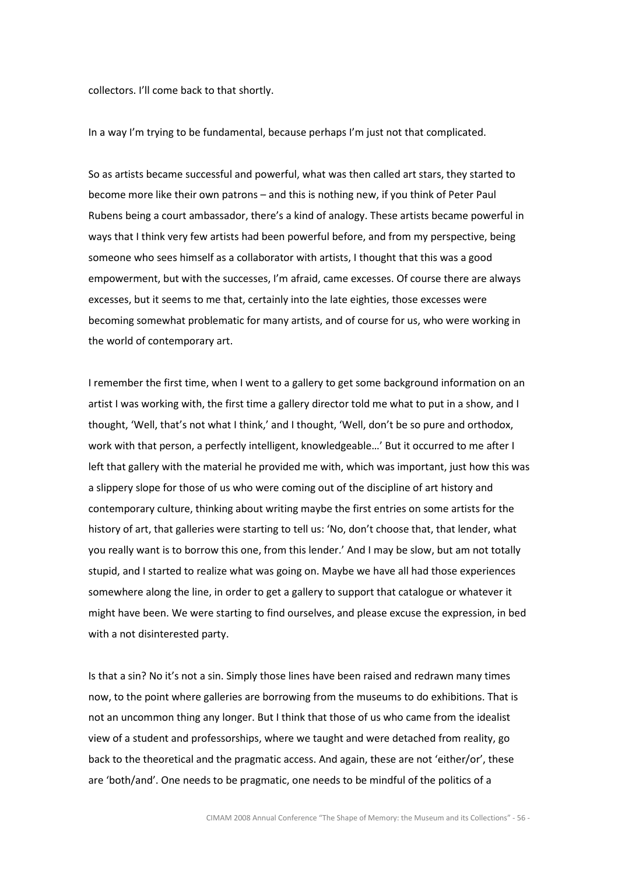collectors. I'll come back to that shortly.

In a way I'm trying to be fundamental, because perhaps I'm just not that complicated.

So as artists became successful and powerful, what was then called art stars, they started to become more like their own patrons – and this is nothing new, if you think of Peter Paul Rubens being a court ambassador, there's a kind of analogy. These artists became powerful in ways that I think very few artists had been powerful before, and from my perspective, being someone who sees himself as a collaborator with artists, I thought that this was a good empowerment, but with the successes, I'm afraid, came excesses. Of course there are always excesses, but it seems to me that, certainly into the late eighties, those excesses were becoming somewhat problematic for many artists, and of course for us, who were working in the world of contemporary art.

I remember the first time, when I went to a gallery to get some background information on an artist I was working with, the first time a gallery director told me what to put in a show, and I thought, 'Well, that's not what I think,' and I thought, 'Well, don't be so pure and orthodox, work with that person, a perfectly intelligent, knowledgeable…' But it occurred to me after I left that gallery with the material he provided me with, which was important, just how this was a slippery slope for those of us who were coming out of the discipline of art history and contemporary culture, thinking about writing maybe the first entries on some artists for the history of art, that galleries were starting to tell us: 'No, don't choose that, that lender, what you really want is to borrow this one, from this lender.' And I may be slow, but am not totally stupid, and I started to realize what was going on. Maybe we have all had those experiences somewhere along the line, in order to get a gallery to support that catalogue or whatever it might have been. We were starting to find ourselves, and please excuse the expression, in bed with a not disinterested party.

Is that a sin? No it's not a sin. Simply those lines have been raised and redrawn many times now, to the point where galleries are borrowing from the museums to do exhibitions. That is not an uncommon thing any longer. But I think that those of us who came from the idealist view of a student and professorships, where we taught and were detached from reality, go back to the theoretical and the pragmatic access. And again, these are not 'either/or', these are 'both/and'. One needs to be pragmatic, one needs to be mindful of the politics of a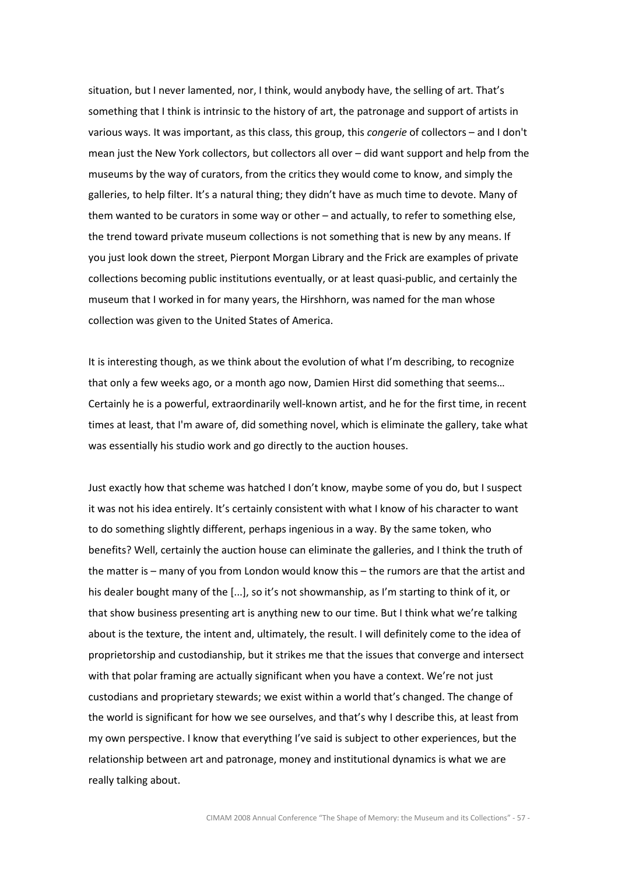situation, but I never lamented, nor, I think, would anybody have, the selling of art. That's something that I think is intrinsic to the history of art, the patronage and support of artists in various ways. It was important, as this class, this group, this *congerie* of collectors – and I don't mean just the New York collectors, but collectors all over – did want support and help from the museums by the way of curators, from the critics they would come to know, and simply the galleries, to help filter. It's a natural thing; they didn't have as much time to devote. Many of them wanted to be curators in some way or other – and actually, to refer to something else, the trend toward private museum collections is not something that is new by any means. If you just look down the street, Pierpont Morgan Library and the Frick are examples of private collections becoming public institutions eventually, or at least quasi-public, and certainly the museum that I worked in for many years, the Hirshhorn, was named for the man whose collection was given to the United States of America.

It is interesting though, as we think about the evolution of what I'm describing, to recognize that only a few weeks ago, or a month ago now, Damien Hirst did something that seems… Certainly he is a powerful, extraordinarily well-known artist, and he for the first time, in recent times at least, that I'm aware of, did something novel, which is eliminate the gallery, take what was essentially his studio work and go directly to the auction houses.

Just exactly how that scheme was hatched I don't know, maybe some of you do, but I suspect it was not his idea entirely. It's certainly consistent with what I know of his character to want to do something slightly different, perhaps ingenious in a way. By the same token, who benefits? Well, certainly the auction house can eliminate the galleries, and I think the truth of the matter is – many of you from London would know this – the rumors are that the artist and his dealer bought many of the [...], so it's not showmanship, as I'm starting to think of it, or that show business presenting art is anything new to our time. But I think what we're talking about is the texture, the intent and, ultimately, the result. I will definitely come to the idea of proprietorship and custodianship, but it strikes me that the issues that converge and intersect with that polar framing are actually significant when you have a context. We're not just custodians and proprietary stewards; we exist within a world that's changed. The change of the world is significant for how we see ourselves, and that's why I describe this, at least from my own perspective. I know that everything I've said is subject to other experiences, but the relationship between art and patronage, money and institutional dynamics is what we are really talking about.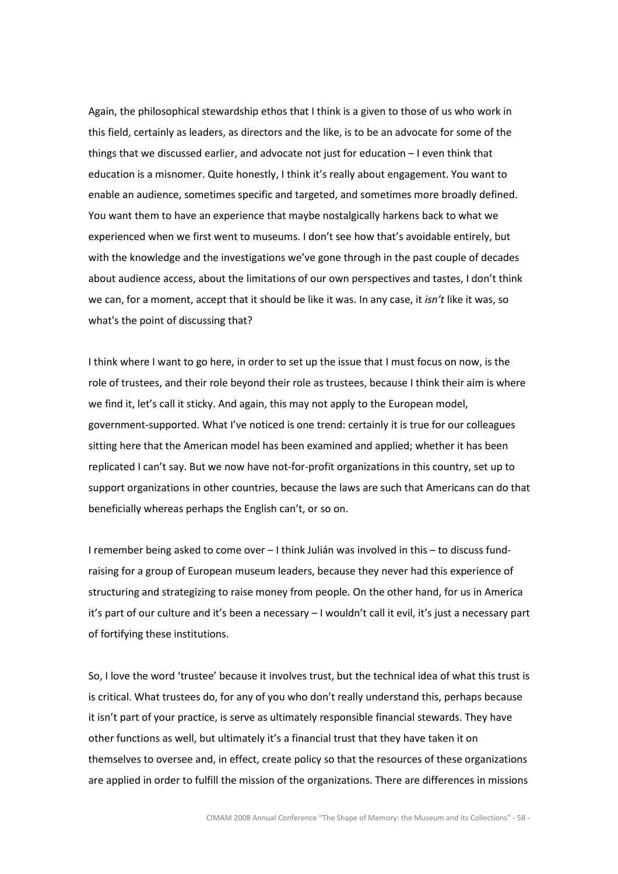Again, the philosophical stewardship ethos that I think is a given to those of us who work in this field, certainly as leaders, as directors and the like, is to be an advocate for some of the things that we discussed earlier, and advocate not just for education – I even think that education is a misnomer. Quite honestly, I think it's really about engagement. You want to enable an audience, sometimes specific and targeted, and sometimes more broadly defined. You want them to have an experience that maybe nostalgically harkens back to what we experienced when we first went to museums. I don't see how that's avoidable entirely, but with the knowledge and the investigations we've gone through in the past couple of decades about audience access, about the limitations of our own perspectives and tastes, I don't think we can, for a moment, accept that it should be like it was. In any case, it isn't like it was, so what's the point of discussing that?

I think where I want to go here, in order to set up the issue that I must focus on now, is the role of trustees, and their role beyond their role as trustees, because I think their aim is where we find it, let's call it sticky. And again, this may not apply to the European model, government-supported. What I've noticed is one trend: certainly it is true for our colleagues sitting here that the American model has been examined and applied; whether it has been replicated I can't say. But we now have not-for-profit organizations in this country, set up to support organizations in other countries, because the laws are such that Americans can do that beneficially whereas perhaps the English can't, or so on.

I remember being asked to come over – I think Julián was involved in this – to discuss fundraising for a group of European museum leaders, because they never had this experience of structuring and strategizing to raise money from people. On the other hand, for us in America it's part of our culture and it's been a necessary – I wouldn't call it evil, it's just a necessary part of fortifying these institutions.

So, I love the word 'trustee' because it involves trust, but the technical idea of what this trust is is critical. What trustees do, for any of you who don't really understand this, perhaps because it isn't part of your practice, is serve as ultimately responsible financial stewards. They have other functions as well, but ultimately it's a financial trust that they have taken it on themselves to oversee and, in effect, create policy so that the resources of these organizations are applied in order to fulfill the mission of the organizations. There are differences in missions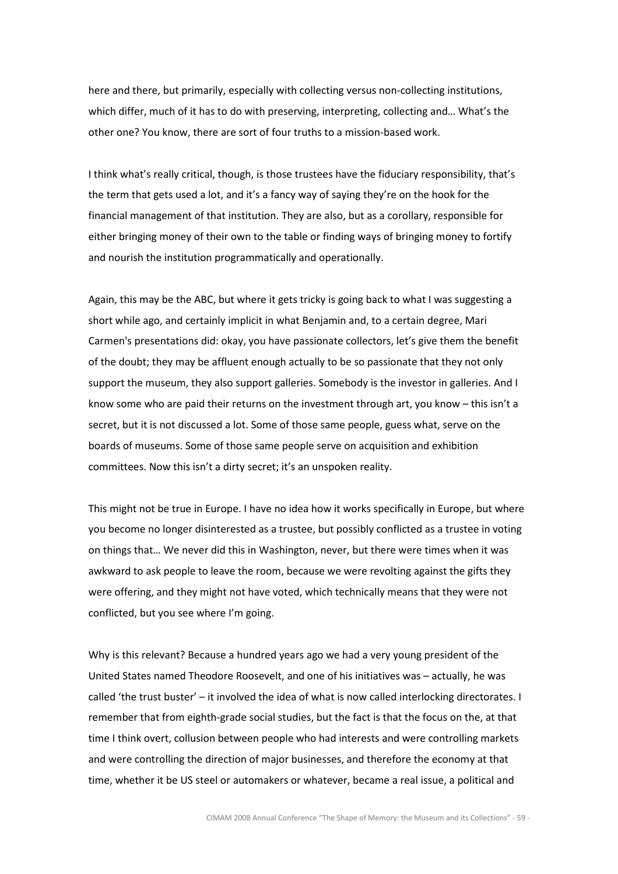here and there, but primarily, especially with collecting versus non-collecting institutions, which differ, much of it has to do with preserving, interpreting, collecting and… What's the other one? You know, there are sort of four truths to a mission-based work.

I think what's really critical, though, is those trustees have the fiduciary responsibility, that's the term that gets used a lot, and it's a fancy way of saying they're on the hook for the financial management of that institution. They are also, but as a corollary, responsible for either bringing money of their own to the table or finding ways of bringing money to fortify and nourish the institution programmatically and operationally.

Again, this may be the ABC, but where it gets tricky is going back to what I was suggesting a short while ago, and certainly implicit in what Benjamin and, to a certain degree, Mari Carmen's presentations did: okay, you have passionate collectors, let's give them the benefit of the doubt; they may be affluent enough actually to be so passionate that they not only support the museum, they also support galleries. Somebody is the investor in galleries. And I know some who are paid their returns on the investment through art, you know – this isn't a secret, but it is not discussed a lot. Some of those same people, guess what, serve on the boards of museums. Some of those same people serve on acquisition and exhibition committees. Now this isn't a dirty secret; it's an unspoken reality.

This might not be true in Europe. I have no idea how it works specifically in Europe, but where you become no longer disinterested as a trustee, but possibly conflicted as a trustee in voting on things that… We never did this in Washington, never, but there were times when it was awkward to ask people to leave the room, because we were revolting against the gifts they were offering, and they might not have voted, which technically means that they were not conflicted, but you see where I'm going.

Why is this relevant? Because a hundred years ago we had a very young president of the United States named Theodore Roosevelt, and one of his initiatives was – actually, he was called 'the trust buster' – it involved the idea of what is now called interlocking directorates. I remember that from eighth-grade social studies, but the fact is that the focus on the, at that time I think overt, collusion between people who had interests and were controlling markets and were controlling the direction of major businesses, and therefore the economy at that time, whether it be US steel or automakers or whatever, became a real issue, a political and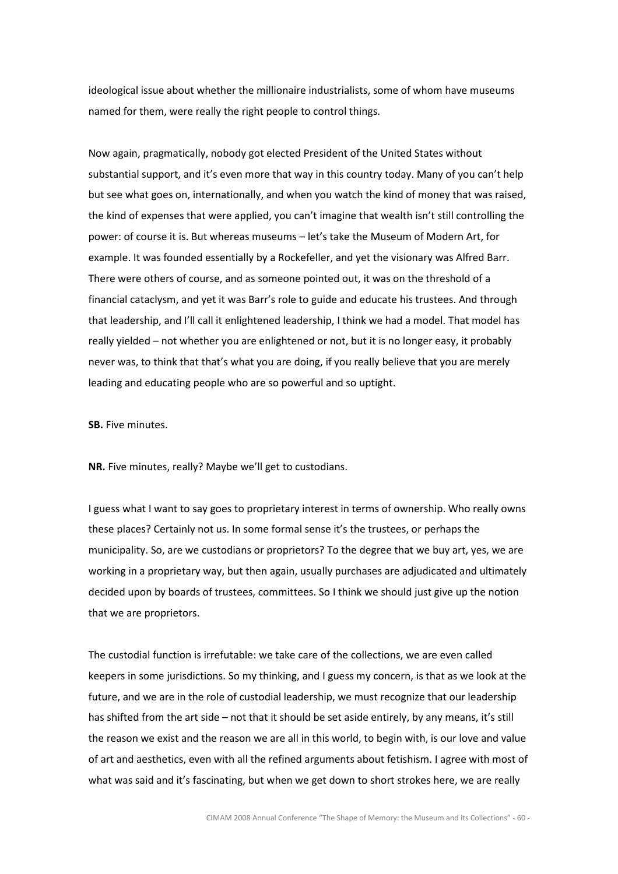ideological issue about whether the millionaire industrialists, some of whom have museums named for them, were really the right people to control things.

Now again, pragmatically, nobody got elected President of the United States without substantial support, and it's even more that way in this country today. Many of you can't help but see what goes on, internationally, and when you watch the kind of money that was raised, the kind of expenses that were applied, you can't imagine that wealth isn't still controlling the power: of course it is. But whereas museums – let's take the Museum of Modern Art, for example. It was founded essentially by a Rockefeller, and yet the visionary was Alfred Barr. There were others of course, and as someone pointed out, it was on the threshold of a financial cataclysm, and yet it was Barr's role to guide and educate his trustees. And through that leadership, and I'll call it enlightened leadership, I think we had a model. That model has really yielded – not whether you are enlightened or not, but it is no longer easy, it probably never was, to think that that's what you are doing, if you really believe that you are merely leading and educating people who are so powerful and so uptight.

SB. Five minutes.

NR. Five minutes, really? Maybe we'll get to custodians.

I guess what I want to say goes to proprietary interest in terms of ownership. Who really owns these places? Certainly not us. In some formal sense it's the trustees, or perhaps the municipality. So, are we custodians or proprietors? To the degree that we buy art, yes, we are working in a proprietary way, but then again, usually purchases are adjudicated and ultimately decided upon by boards of trustees, committees. So I think we should just give up the notion that we are proprietors.

The custodial function is irrefutable: we take care of the collections, we are even called keepers in some jurisdictions. So my thinking, and I guess my concern, is that as we look at the future, and we are in the role of custodial leadership, we must recognize that our leadership has shifted from the art side – not that it should be set aside entirely, by any means, it's still the reason we exist and the reason we are all in this world, to begin with, is our love and value of art and aesthetics, even with all the refined arguments about fetishism. I agree with most of what was said and it's fascinating, but when we get down to short strokes here, we are really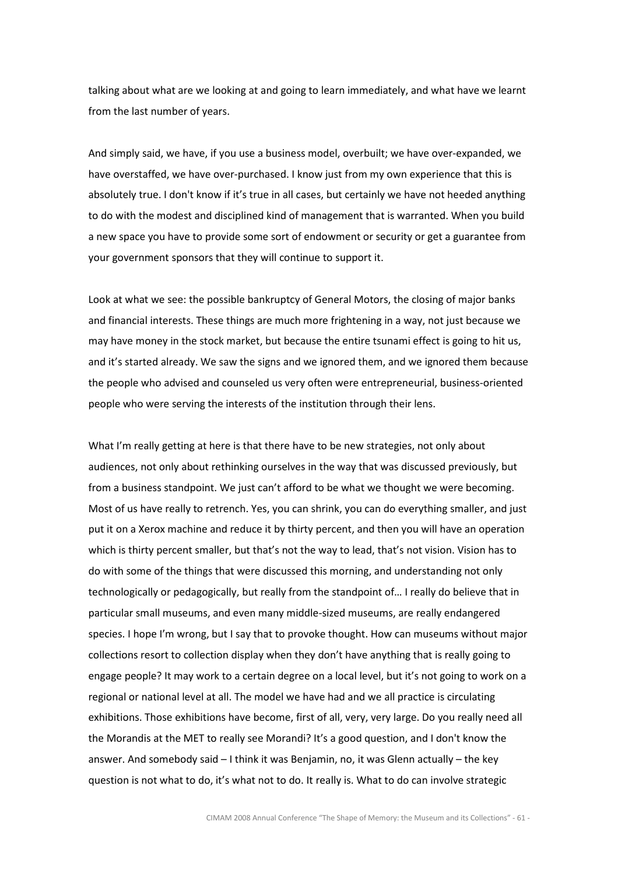talking about what are we looking at and going to learn immediately, and what have we learnt from the last number of years.

And simply said, we have, if you use a business model, overbuilt; we have over-expanded, we have overstaffed, we have over-purchased. I know just from my own experience that this is absolutely true. I don't know if it's true in all cases, but certainly we have not heeded anything to do with the modest and disciplined kind of management that is warranted. When you build a new space you have to provide some sort of endowment or security or get a guarantee from your government sponsors that they will continue to support it.

Look at what we see: the possible bankruptcy of General Motors, the closing of major banks and financial interests. These things are much more frightening in a way, not just because we may have money in the stock market, but because the entire tsunami effect is going to hit us, and it's started already. We saw the signs and we ignored them, and we ignored them because the people who advised and counseled us very often were entrepreneurial, business-oriented people who were serving the interests of the institution through their lens.

What I'm really getting at here is that there have to be new strategies, not only about audiences, not only about rethinking ourselves in the way that was discussed previously, but from a business standpoint. We just can't afford to be what we thought we were becoming. Most of us have really to retrench. Yes, you can shrink, you can do everything smaller, and just put it on a Xerox machine and reduce it by thirty percent, and then you will have an operation which is thirty percent smaller, but that's not the way to lead, that's not vision. Vision has to do with some of the things that were discussed this morning, and understanding not only technologically or pedagogically, but really from the standpoint of… I really do believe that in particular small museums, and even many middle-sized museums, are really endangered species. I hope I'm wrong, but I say that to provoke thought. How can museums without major collections resort to collection display when they don't have anything that is really going to engage people? It may work to a certain degree on a local level, but it's not going to work on a regional or national level at all. The model we have had and we all practice is circulating exhibitions. Those exhibitions have become, first of all, very, very large. Do you really need all the Morandis at the MET to really see Morandi? It's a good question, and I don't know the answer. And somebody said – I think it was Benjamin, no, it was Glenn actually – the key question is not what to do, it's what not to do. It really is. What to do can involve strategic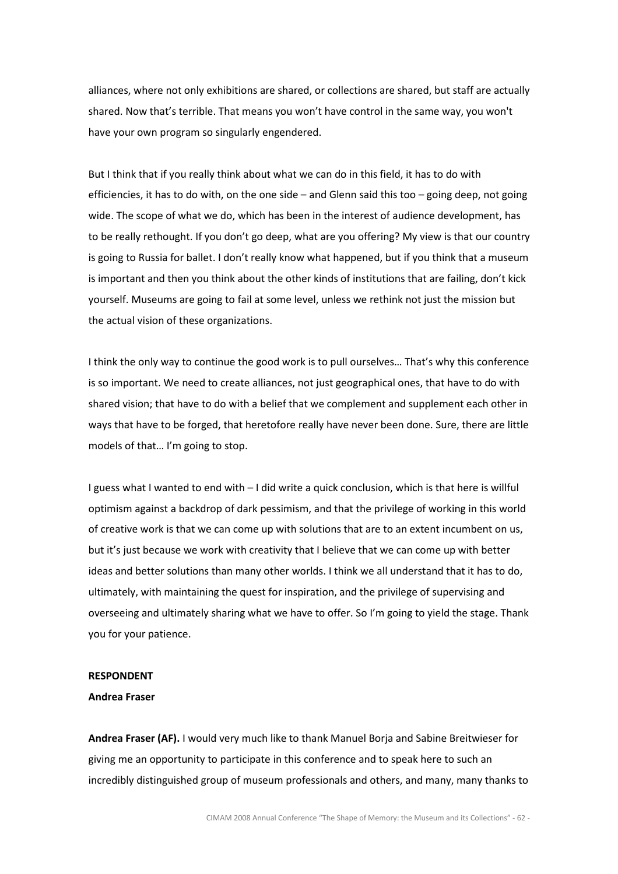alliances, where not only exhibitions are shared, or collections are shared, but staff are actually shared. Now that's terrible. That means you won't have control in the same way, you won't have your own program so singularly engendered.

But I think that if you really think about what we can do in this field, it has to do with efficiencies, it has to do with, on the one side – and Glenn said this too – going deep, not going wide. The scope of what we do, which has been in the interest of audience development, has to be really rethought. If you don't go deep, what are you offering? My view is that our country is going to Russia for ballet. I don't really know what happened, but if you think that a museum is important and then you think about the other kinds of institutions that are failing, don't kick yourself. Museums are going to fail at some level, unless we rethink not just the mission but the actual vision of these organizations.

I think the only way to continue the good work is to pull ourselves… That's why this conference is so important. We need to create alliances, not just geographical ones, that have to do with shared vision; that have to do with a belief that we complement and supplement each other in ways that have to be forged, that heretofore really have never been done. Sure, there are little models of that… I'm going to stop.

I guess what I wanted to end with – I did write a quick conclusion, which is that here is willful optimism against a backdrop of dark pessimism, and that the privilege of working in this world of creative work is that we can come up with solutions that are to an extent incumbent on us, but it's just because we work with creativity that I believe that we can come up with better ideas and better solutions than many other worlds. I think we all understand that it has to do, ultimately, with maintaining the quest for inspiration, and the privilege of supervising and overseeing and ultimately sharing what we have to offer. So I'm going to yield the stage. Thank you for your patience.

## **RESPONDENT**

## Andrea Fraser

Andrea Fraser (AF). I would very much like to thank Manuel Borja and Sabine Breitwieser for giving me an opportunity to participate in this conference and to speak here to such an incredibly distinguished group of museum professionals and others, and many, many thanks to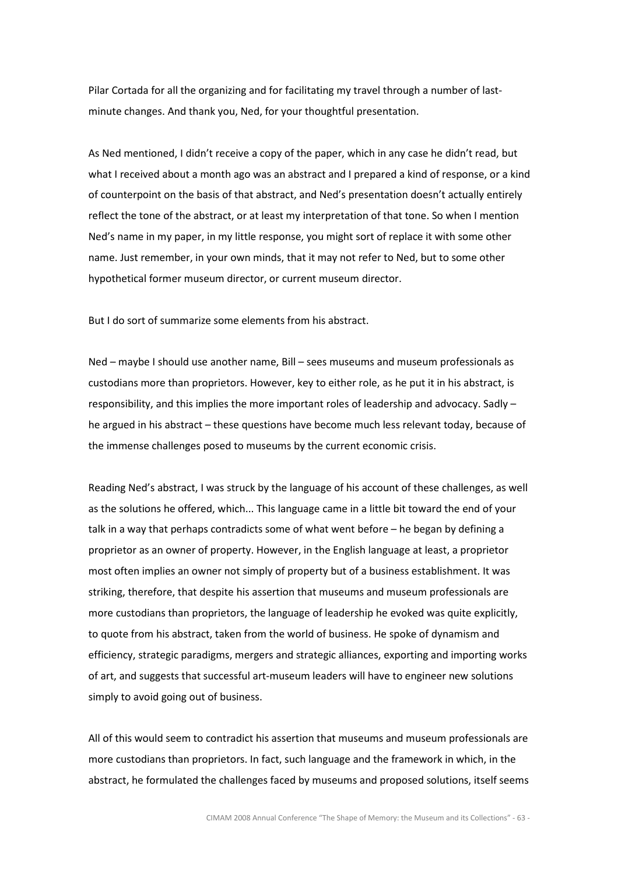Pilar Cortada for all the organizing and for facilitating my travel through a number of lastminute changes. And thank you, Ned, for your thoughtful presentation.

As Ned mentioned, I didn't receive a copy of the paper, which in any case he didn't read, but what I received about a month ago was an abstract and I prepared a kind of response, or a kind of counterpoint on the basis of that abstract, and Ned's presentation doesn't actually entirely reflect the tone of the abstract, or at least my interpretation of that tone. So when I mention Ned's name in my paper, in my little response, you might sort of replace it with some other name. Just remember, in your own minds, that it may not refer to Ned, but to some other hypothetical former museum director, or current museum director.

But I do sort of summarize some elements from his abstract.

Ned – maybe I should use another name, Bill – sees museums and museum professionals as custodians more than proprietors. However, key to either role, as he put it in his abstract, is responsibility, and this implies the more important roles of leadership and advocacy. Sadly – he argued in his abstract – these questions have become much less relevant today, because of the immense challenges posed to museums by the current economic crisis.

Reading Ned's abstract, I was struck by the language of his account of these challenges, as well as the solutions he offered, which... This language came in a little bit toward the end of your talk in a way that perhaps contradicts some of what went before – he began by defining a proprietor as an owner of property. However, in the English language at least, a proprietor most often implies an owner not simply of property but of a business establishment. It was striking, therefore, that despite his assertion that museums and museum professionals are more custodians than proprietors, the language of leadership he evoked was quite explicitly, to quote from his abstract, taken from the world of business. He spoke of dynamism and efficiency, strategic paradigms, mergers and strategic alliances, exporting and importing works of art, and suggests that successful art-museum leaders will have to engineer new solutions simply to avoid going out of business.

All of this would seem to contradict his assertion that museums and museum professionals are more custodians than proprietors. In fact, such language and the framework in which, in the abstract, he formulated the challenges faced by museums and proposed solutions, itself seems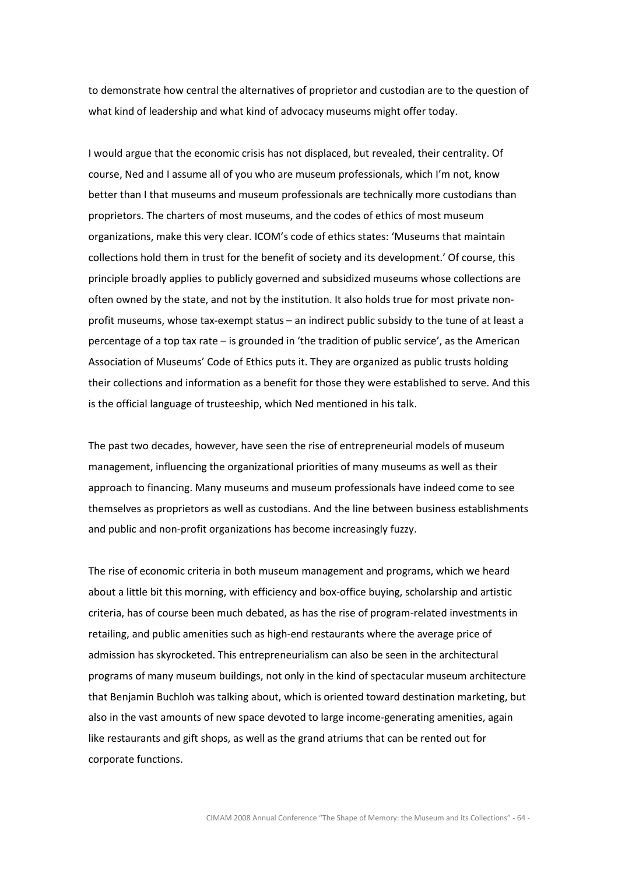to demonstrate how central the alternatives of proprietor and custodian are to the question of what kind of leadership and what kind of advocacy museums might offer today.

I would argue that the economic crisis has not displaced, but revealed, their centrality. Of course, Ned and I assume all of you who are museum professionals, which I'm not, know better than I that museums and museum professionals are technically more custodians than proprietors. The charters of most museums, and the codes of ethics of most museum organizations, make this very clear. ICOM's code of ethics states: 'Museums that maintain collections hold them in trust for the benefit of society and its development.' Of course, this principle broadly applies to publicly governed and subsidized museums whose collections are often owned by the state, and not by the institution. It also holds true for most private nonprofit museums, whose tax-exempt status – an indirect public subsidy to the tune of at least a percentage of a top tax rate – is grounded in 'the tradition of public service', as the American Association of Museums' Code of Ethics puts it. They are organized as public trusts holding their collections and information as a benefit for those they were established to serve. And this is the official language of trusteeship, which Ned mentioned in his talk.

The past two decades, however, have seen the rise of entrepreneurial models of museum management, influencing the organizational priorities of many museums as well as their approach to financing. Many museums and museum professionals have indeed come to see themselves as proprietors as well as custodians. And the line between business establishments and public and non-profit organizations has become increasingly fuzzy.

The rise of economic criteria in both museum management and programs, which we heard about a little bit this morning, with efficiency and box-office buying, scholarship and artistic criteria, has of course been much debated, as has the rise of program-related investments in retailing, and public amenities such as high-end restaurants where the average price of admission has skyrocketed. This entrepreneurialism can also be seen in the architectural programs of many museum buildings, not only in the kind of spectacular museum architecture that Benjamin Buchloh was talking about, which is oriented toward destination marketing, but also in the vast amounts of new space devoted to large income-generating amenities, again like restaurants and gift shops, as well as the grand atriums that can be rented out for corporate functions.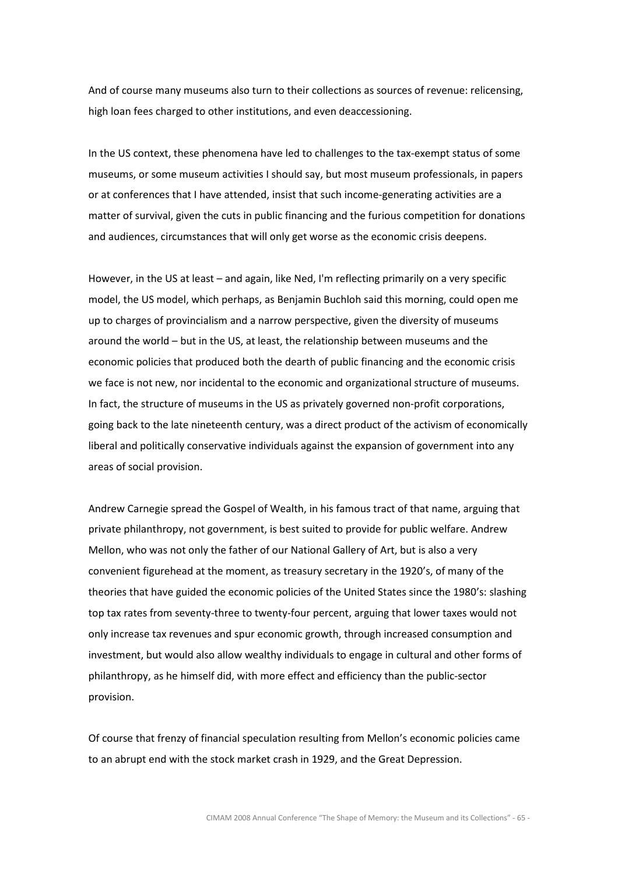And of course many museums also turn to their collections as sources of revenue: relicensing, high loan fees charged to other institutions, and even deaccessioning.

In the US context, these phenomena have led to challenges to the tax-exempt status of some museums, or some museum activities I should say, but most museum professionals, in papers or at conferences that I have attended, insist that such income-generating activities are a matter of survival, given the cuts in public financing and the furious competition for donations and audiences, circumstances that will only get worse as the economic crisis deepens.

However, in the US at least – and again, like Ned, I'm reflecting primarily on a very specific model, the US model, which perhaps, as Benjamin Buchloh said this morning, could open me up to charges of provincialism and a narrow perspective, given the diversity of museums around the world – but in the US, at least, the relationship between museums and the economic policies that produced both the dearth of public financing and the economic crisis we face is not new, nor incidental to the economic and organizational structure of museums. In fact, the structure of museums in the US as privately governed non-profit corporations, going back to the late nineteenth century, was a direct product of the activism of economically liberal and politically conservative individuals against the expansion of government into any areas of social provision.

Andrew Carnegie spread the Gospel of Wealth, in his famous tract of that name, arguing that private philanthropy, not government, is best suited to provide for public welfare. Andrew Mellon, who was not only the father of our National Gallery of Art, but is also a very convenient figurehead at the moment, as treasury secretary in the 1920's, of many of the theories that have guided the economic policies of the United States since the 1980's: slashing top tax rates from seventy-three to twenty-four percent, arguing that lower taxes would not only increase tax revenues and spur economic growth, through increased consumption and investment, but would also allow wealthy individuals to engage in cultural and other forms of philanthropy, as he himself did, with more effect and efficiency than the public-sector provision.

Of course that frenzy of financial speculation resulting from Mellon's economic policies came to an abrupt end with the stock market crash in 1929, and the Great Depression.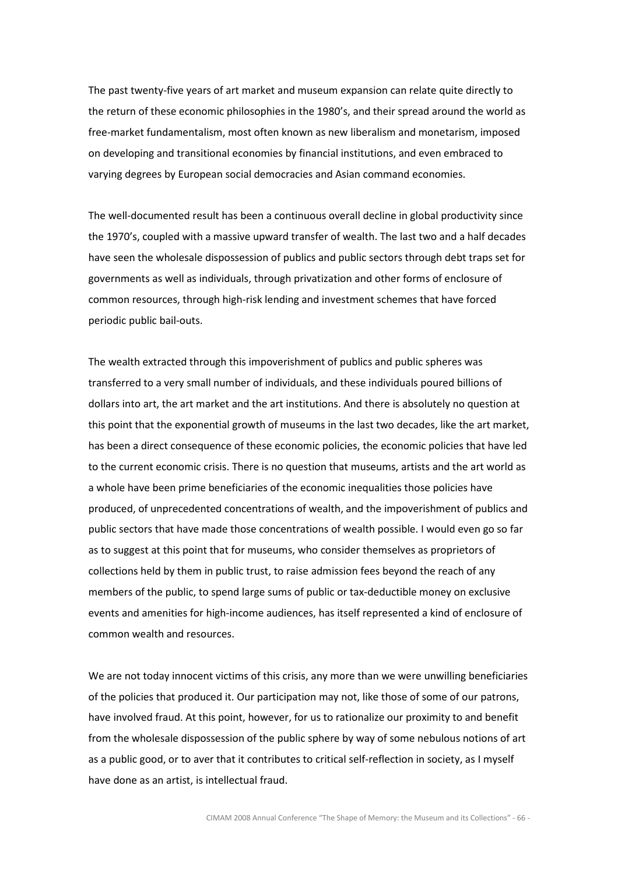The past twenty-five years of art market and museum expansion can relate quite directly to the return of these economic philosophies in the 1980's, and their spread around the world as free-market fundamentalism, most often known as new liberalism and monetarism, imposed on developing and transitional economies by financial institutions, and even embraced to varying degrees by European social democracies and Asian command economies.

The well-documented result has been a continuous overall decline in global productivity since the 1970's, coupled with a massive upward transfer of wealth. The last two and a half decades have seen the wholesale dispossession of publics and public sectors through debt traps set for governments as well as individuals, through privatization and other forms of enclosure of common resources, through high-risk lending and investment schemes that have forced periodic public bail-outs.

The wealth extracted through this impoverishment of publics and public spheres was transferred to a very small number of individuals, and these individuals poured billions of dollars into art, the art market and the art institutions. And there is absolutely no question at this point that the exponential growth of museums in the last two decades, like the art market, has been a direct consequence of these economic policies, the economic policies that have led to the current economic crisis. There is no question that museums, artists and the art world as a whole have been prime beneficiaries of the economic inequalities those policies have produced, of unprecedented concentrations of wealth, and the impoverishment of publics and public sectors that have made those concentrations of wealth possible. I would even go so far as to suggest at this point that for museums, who consider themselves as proprietors of collections held by them in public trust, to raise admission fees beyond the reach of any members of the public, to spend large sums of public or tax-deductible money on exclusive events and amenities for high-income audiences, has itself represented a kind of enclosure of common wealth and resources.

We are not today innocent victims of this crisis, any more than we were unwilling beneficiaries of the policies that produced it. Our participation may not, like those of some of our patrons, have involved fraud. At this point, however, for us to rationalize our proximity to and benefit from the wholesale dispossession of the public sphere by way of some nebulous notions of art as a public good, or to aver that it contributes to critical self-reflection in society, as I myself have done as an artist, is intellectual fraud.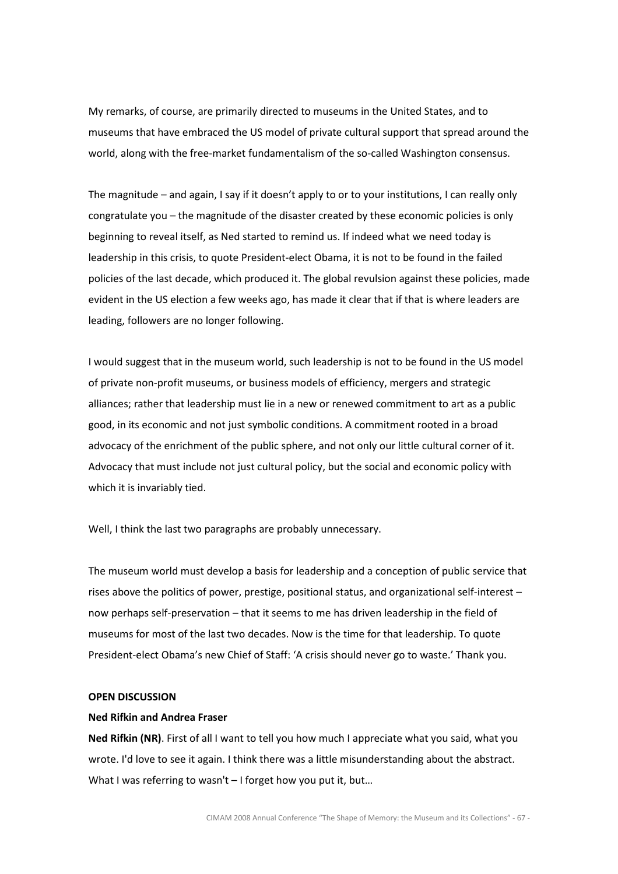My remarks, of course, are primarily directed to museums in the United States, and to museums that have embraced the US model of private cultural support that spread around the world, along with the free-market fundamentalism of the so-called Washington consensus.

The magnitude – and again, I say if it doesn't apply to or to your institutions, I can really only congratulate you – the magnitude of the disaster created by these economic policies is only beginning to reveal itself, as Ned started to remind us. If indeed what we need today is leadership in this crisis, to quote President-elect Obama, it is not to be found in the failed policies of the last decade, which produced it. The global revulsion against these policies, made evident in the US election a few weeks ago, has made it clear that if that is where leaders are leading, followers are no longer following.

I would suggest that in the museum world, such leadership is not to be found in the US model of private non-profit museums, or business models of efficiency, mergers and strategic alliances; rather that leadership must lie in a new or renewed commitment to art as a public good, in its economic and not just symbolic conditions. A commitment rooted in a broad advocacy of the enrichment of the public sphere, and not only our little cultural corner of it. Advocacy that must include not just cultural policy, but the social and economic policy with which it is invariably tied.

Well, I think the last two paragraphs are probably unnecessary.

The museum world must develop a basis for leadership and a conception of public service that rises above the politics of power, prestige, positional status, and organizational self-interest – now perhaps self-preservation – that it seems to me has driven leadership in the field of museums for most of the last two decades. Now is the time for that leadership. To quote President-elect Obama's new Chief of Staff: 'A crisis should never go to waste.' Thank you.

## OPEN DISCUSSION

## Ned Rifkin and Andrea Fraser

Ned Rifkin (NR). First of all I want to tell you how much I appreciate what you said, what you wrote. I'd love to see it again. I think there was a little misunderstanding about the abstract. What I was referring to wasn't - I forget how you put it, but...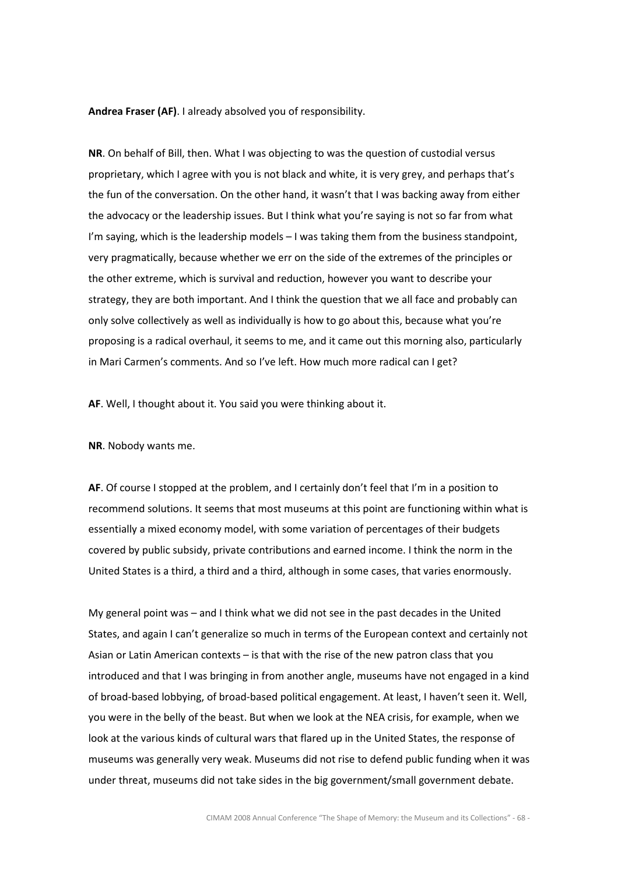Andrea Fraser (AF). I already absolved you of responsibility.

NR. On behalf of Bill, then. What I was objecting to was the question of custodial versus proprietary, which I agree with you is not black and white, it is very grey, and perhaps that's the fun of the conversation. On the other hand, it wasn't that I was backing away from either the advocacy or the leadership issues. But I think what you're saying is not so far from what I'm saying, which is the leadership models - I was taking them from the business standpoint, very pragmatically, because whether we err on the side of the extremes of the principles or the other extreme, which is survival and reduction, however you want to describe your strategy, they are both important. And I think the question that we all face and probably can only solve collectively as well as individually is how to go about this, because what you're proposing is a radical overhaul, it seems to me, and it came out this morning also, particularly in Mari Carmen's comments. And so I've left. How much more radical can I get?

AF. Well, I thought about it. You said you were thinking about it.

NR. Nobody wants me.

AF. Of course I stopped at the problem, and I certainly don't feel that I'm in a position to recommend solutions. It seems that most museums at this point are functioning within what is essentially a mixed economy model, with some variation of percentages of their budgets covered by public subsidy, private contributions and earned income. I think the norm in the United States is a third, a third and a third, although in some cases, that varies enormously.

My general point was – and I think what we did not see in the past decades in the United States, and again I can't generalize so much in terms of the European context and certainly not Asian or Latin American contexts – is that with the rise of the new patron class that you introduced and that I was bringing in from another angle, museums have not engaged in a kind of broad-based lobbying, of broad-based political engagement. At least, I haven't seen it. Well, you were in the belly of the beast. But when we look at the NEA crisis, for example, when we look at the various kinds of cultural wars that flared up in the United States, the response of museums was generally very weak. Museums did not rise to defend public funding when it was under threat, museums did not take sides in the big government/small government debate.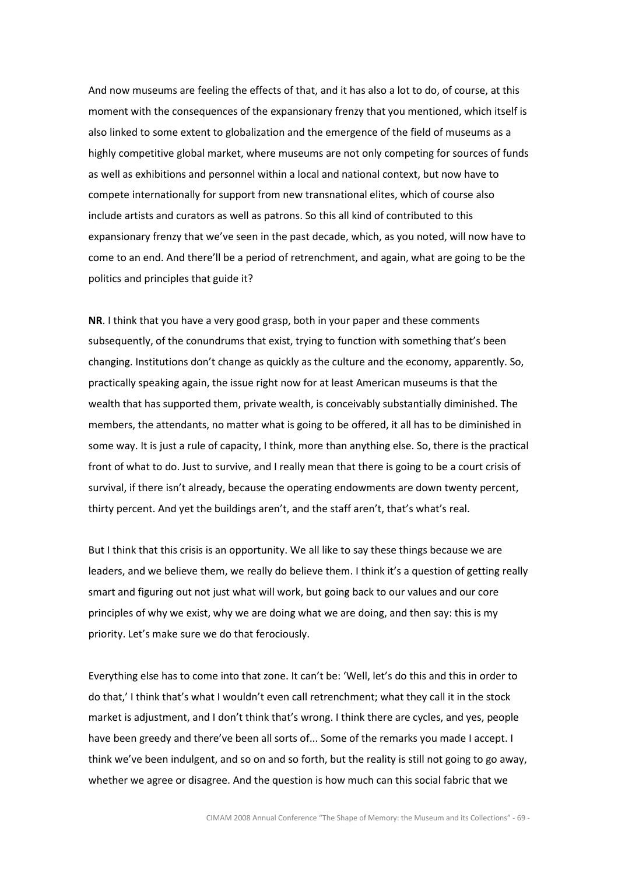And now museums are feeling the effects of that, and it has also a lot to do, of course, at this moment with the consequences of the expansionary frenzy that you mentioned, which itself is also linked to some extent to globalization and the emergence of the field of museums as a highly competitive global market, where museums are not only competing for sources of funds as well as exhibitions and personnel within a local and national context, but now have to compete internationally for support from new transnational elites, which of course also include artists and curators as well as patrons. So this all kind of contributed to this expansionary frenzy that we've seen in the past decade, which, as you noted, will now have to come to an end. And there'll be a period of retrenchment, and again, what are going to be the politics and principles that guide it?

NR. I think that you have a very good grasp, both in your paper and these comments subsequently, of the conundrums that exist, trying to function with something that's been changing. Institutions don't change as quickly as the culture and the economy, apparently. So, practically speaking again, the issue right now for at least American museums is that the wealth that has supported them, private wealth, is conceivably substantially diminished. The members, the attendants, no matter what is going to be offered, it all has to be diminished in some way. It is just a rule of capacity, I think, more than anything else. So, there is the practical front of what to do. Just to survive, and I really mean that there is going to be a court crisis of survival, if there isn't already, because the operating endowments are down twenty percent, thirty percent. And yet the buildings aren't, and the staff aren't, that's what's real.

But I think that this crisis is an opportunity. We all like to say these things because we are leaders, and we believe them, we really do believe them. I think it's a question of getting really smart and figuring out not just what will work, but going back to our values and our core principles of why we exist, why we are doing what we are doing, and then say: this is my priority. Let's make sure we do that ferociously.

Everything else has to come into that zone. It can't be: 'Well, let's do this and this in order to do that,' I think that's what I wouldn't even call retrenchment; what they call it in the stock market is adjustment, and I don't think that's wrong. I think there are cycles, and yes, people have been greedy and there've been all sorts of... Some of the remarks you made I accept. I think we've been indulgent, and so on and so forth, but the reality is still not going to go away, whether we agree or disagree. And the question is how much can this social fabric that we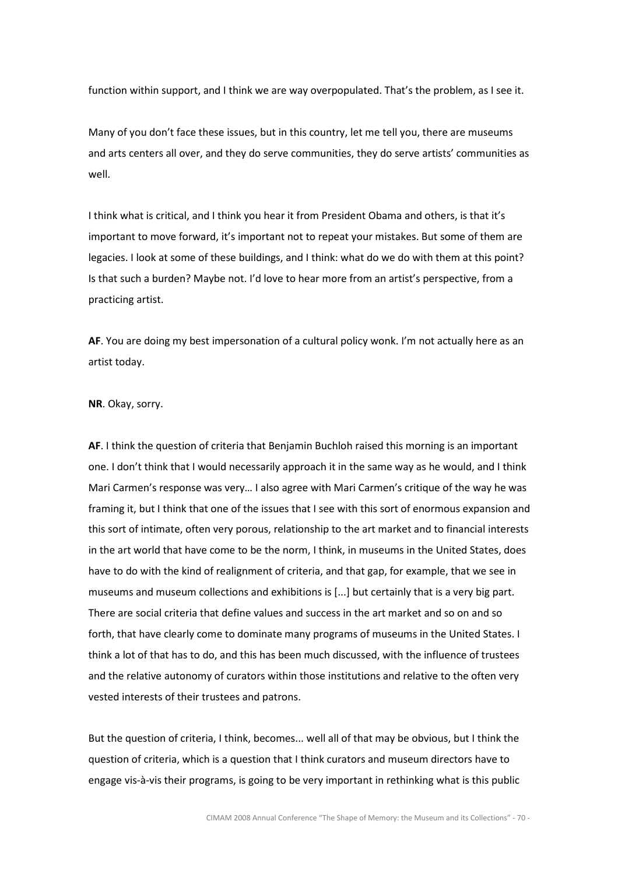function within support, and I think we are way overpopulated. That's the problem, as I see it.

Many of you don't face these issues, but in this country, let me tell you, there are museums and arts centers all over, and they do serve communities, they do serve artists' communities as well.

I think what is critical, and I think you hear it from President Obama and others, is that it's important to move forward, it's important not to repeat your mistakes. But some of them are legacies. I look at some of these buildings, and I think: what do we do with them at this point? Is that such a burden? Maybe not. I'd love to hear more from an artist's perspective, from a practicing artist.

AF. You are doing my best impersonation of a cultural policy wonk. I'm not actually here as an artist today.

#### NR. Okay, sorry.

AF. I think the question of criteria that Benjamin Buchloh raised this morning is an important one. I don't think that I would necessarily approach it in the same way as he would, and I think Mari Carmen's response was very… I also agree with Mari Carmen's critique of the way he was framing it, but I think that one of the issues that I see with this sort of enormous expansion and this sort of intimate, often very porous, relationship to the art market and to financial interests in the art world that have come to be the norm, I think, in museums in the United States, does have to do with the kind of realignment of criteria, and that gap, for example, that we see in museums and museum collections and exhibitions is [...] but certainly that is a very big part. There are social criteria that define values and success in the art market and so on and so forth, that have clearly come to dominate many programs of museums in the United States. I think a lot of that has to do, and this has been much discussed, with the influence of trustees and the relative autonomy of curators within those institutions and relative to the often very vested interests of their trustees and patrons.

But the question of criteria, I think, becomes... well all of that may be obvious, but I think the question of criteria, which is a question that I think curators and museum directors have to engage vis-à-vis their programs, is going to be very important in rethinking what is this public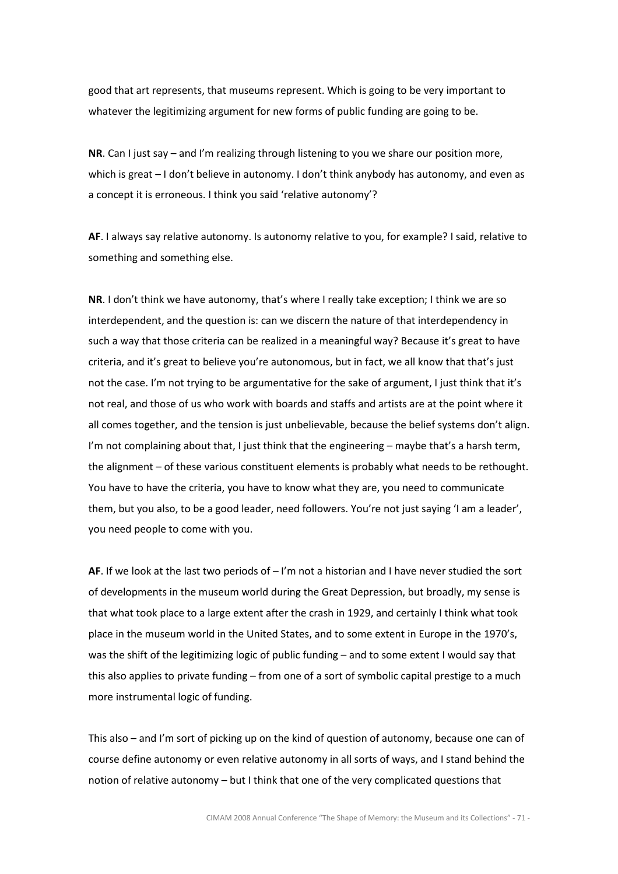good that art represents, that museums represent. Which is going to be very important to whatever the legitimizing argument for new forms of public funding are going to be.

NR. Can I just say – and I'm realizing through listening to you we share our position more, which is great – I don't believe in autonomy. I don't think anybody has autonomy, and even as a concept it is erroneous. I think you said 'relative autonomy'?

AF. I always say relative autonomy. Is autonomy relative to you, for example? I said, relative to something and something else.

NR. I don't think we have autonomy, that's where I really take exception; I think we are so interdependent, and the question is: can we discern the nature of that interdependency in such a way that those criteria can be realized in a meaningful way? Because it's great to have criteria, and it's great to believe you're autonomous, but in fact, we all know that that's just not the case. I'm not trying to be argumentative for the sake of argument, I just think that it's not real, and those of us who work with boards and staffs and artists are at the point where it all comes together, and the tension is just unbelievable, because the belief systems don't align. I'm not complaining about that, I just think that the engineering - maybe that's a harsh term, the alignment – of these various constituent elements is probably what needs to be rethought. You have to have the criteria, you have to know what they are, you need to communicate them, but you also, to be a good leader, need followers. You're not just saying 'I am a leader', you need people to come with you.

AF. If we look at the last two periods of  $-1$ 'm not a historian and I have never studied the sort of developments in the museum world during the Great Depression, but broadly, my sense is that what took place to a large extent after the crash in 1929, and certainly I think what took place in the museum world in the United States, and to some extent in Europe in the 1970's, was the shift of the legitimizing logic of public funding – and to some extent I would say that this also applies to private funding – from one of a sort of symbolic capital prestige to a much more instrumental logic of funding.

This also – and I'm sort of picking up on the kind of question of autonomy, because one can of course define autonomy or even relative autonomy in all sorts of ways, and I stand behind the notion of relative autonomy – but I think that one of the very complicated questions that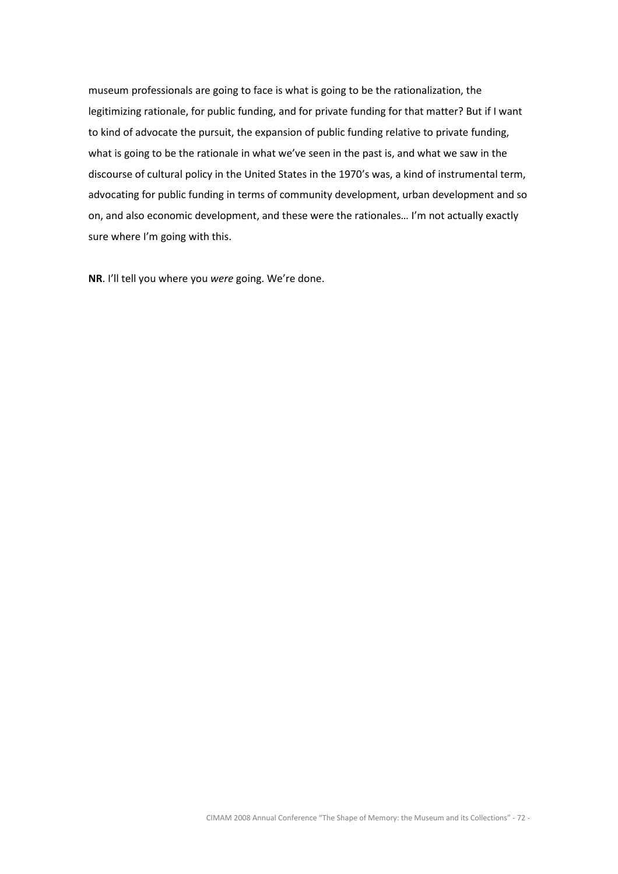museum professionals are going to face is what is going to be the rationalization, the legitimizing rationale, for public funding, and for private funding for that matter? But if I want to kind of advocate the pursuit, the expansion of public funding relative to private funding, what is going to be the rationale in what we've seen in the past is, and what we saw in the discourse of cultural policy in the United States in the 1970's was, a kind of instrumental term, advocating for public funding in terms of community development, urban development and so on, and also economic development, and these were the rationales… I'm not actually exactly sure where I'm going with this.

NR. I'll tell you where you were going. We're done.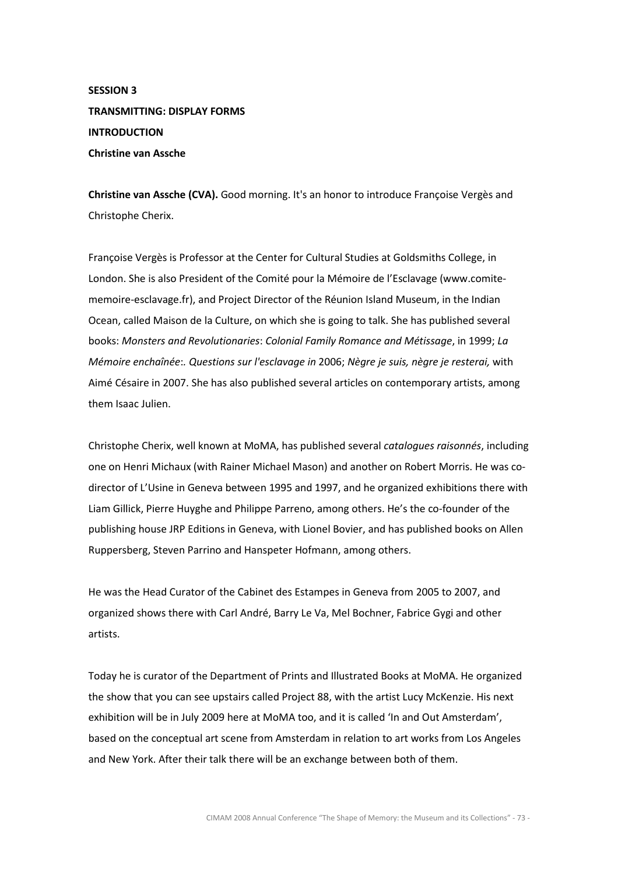# SESSION 3 TRANSMITTING: DISPLAY FORMS **INTRODUCTION** Christine van Assche

Christine van Assche (CVA). Good morning. It's an honor to introduce Françoise Vergès and Christophe Cherix.

Françoise Vergès is Professor at the Center for Cultural Studies at Goldsmiths College, in London. She is also President of the Comité pour la Mémoire de l'Esclavage (www.comitememoire-esclavage.fr), and Project Director of the Réunion Island Museum, in the Indian Ocean, called Maison de la Culture, on which she is going to talk. She has published several books: Monsters and Revolutionaries: Colonial Family Romance and Métissage, in 1999; La Mémoire enchaînée:. Questions sur l'esclavage in 2006; Nègre je suis, nègre je resterai, with Aimé Césaire in 2007. She has also published several articles on contemporary artists, among them Isaac Julien.

Christophe Cherix, well known at MoMA, has published several catalogues raisonnés, including one on Henri Michaux (with Rainer Michael Mason) and another on Robert Morris. He was codirector of L'Usine in Geneva between 1995 and 1997, and he organized exhibitions there with Liam Gillick, Pierre Huyghe and Philippe Parreno, among others. He's the co-founder of the publishing house JRP Editions in Geneva, with Lionel Bovier, and has published books on Allen Ruppersberg, Steven Parrino and Hanspeter Hofmann, among others.

He was the Head Curator of the Cabinet des Estampes in Geneva from 2005 to 2007, and organized shows there with Carl André, Barry Le Va, Mel Bochner, Fabrice Gygi and other artists.

Today he is curator of the Department of Prints and Illustrated Books at MoMA. He organized the show that you can see upstairs called Project 88, with the artist Lucy McKenzie. His next exhibition will be in July 2009 here at MoMA too, and it is called 'In and Out Amsterdam', based on the conceptual art scene from Amsterdam in relation to art works from Los Angeles and New York. After their talk there will be an exchange between both of them.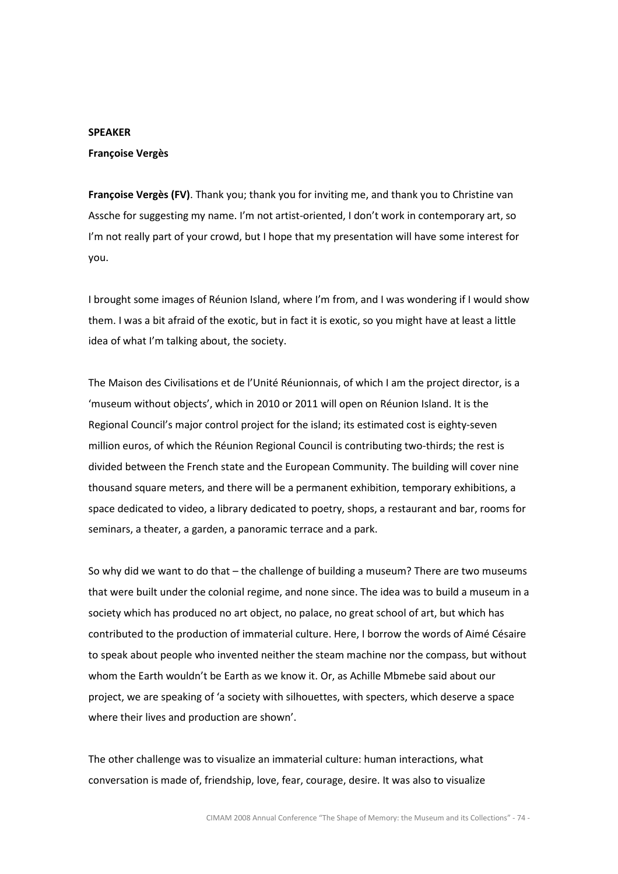# SPEAKER

## Françoise Vergès

Françoise Vergès (FV). Thank you; thank you for inviting me, and thank you to Christine van Assche for suggesting my name. I'm not artist-oriented, I don't work in contemporary art, so I'm not really part of your crowd, but I hope that my presentation will have some interest for you.

I brought some images of Réunion Island, where I'm from, and I was wondering if I would show them. I was a bit afraid of the exotic, but in fact it is exotic, so you might have at least a little idea of what I'm talking about, the society.

The Maison des Civilisations et de l'Unité Réunionnais, of which I am the project director, is a 'museum without objects', which in 2010 or 2011 will open on Réunion Island. It is the Regional Council's major control project for the island; its estimated cost is eighty-seven million euros, of which the Réunion Regional Council is contributing two-thirds; the rest is divided between the French state and the European Community. The building will cover nine thousand square meters, and there will be a permanent exhibition, temporary exhibitions, a space dedicated to video, a library dedicated to poetry, shops, a restaurant and bar, rooms for seminars, a theater, a garden, a panoramic terrace and a park.

So why did we want to do that – the challenge of building a museum? There are two museums that were built under the colonial regime, and none since. The idea was to build a museum in a society which has produced no art object, no palace, no great school of art, but which has contributed to the production of immaterial culture. Here, I borrow the words of Aimé Césaire to speak about people who invented neither the steam machine nor the compass, but without whom the Earth wouldn't be Earth as we know it. Or, as Achille Mbmebe said about our project, we are speaking of 'a society with silhouettes, with specters, which deserve a space where their lives and production are shown'.

The other challenge was to visualize an immaterial culture: human interactions, what conversation is made of, friendship, love, fear, courage, desire. It was also to visualize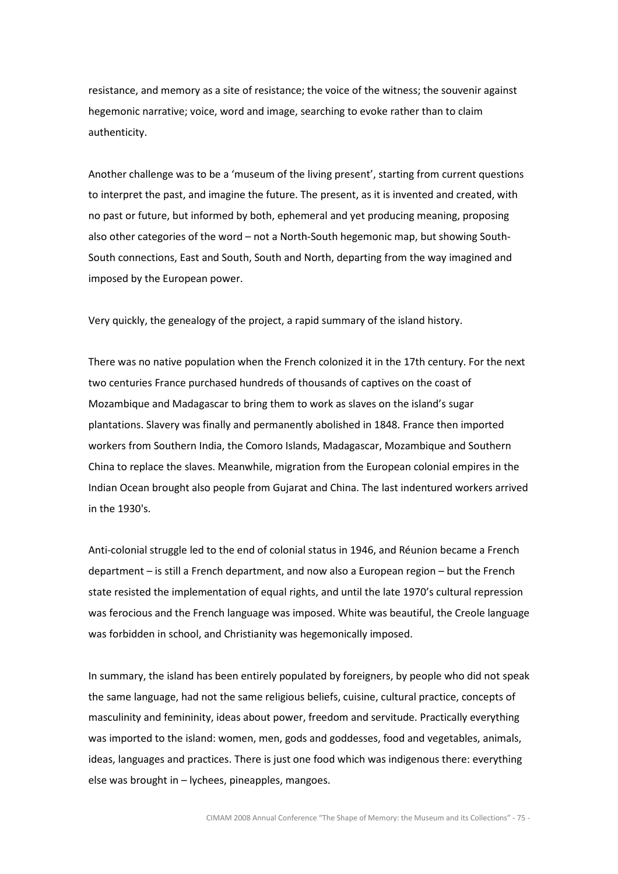resistance, and memory as a site of resistance; the voice of the witness; the souvenir against hegemonic narrative; voice, word and image, searching to evoke rather than to claim authenticity.

Another challenge was to be a 'museum of the living present', starting from current questions to interpret the past, and imagine the future. The present, as it is invented and created, with no past or future, but informed by both, ephemeral and yet producing meaning, proposing also other categories of the word – not a North-South hegemonic map, but showing South-South connections, East and South, South and North, departing from the way imagined and imposed by the European power.

Very quickly, the genealogy of the project, a rapid summary of the island history.

There was no native population when the French colonized it in the 17th century. For the next two centuries France purchased hundreds of thousands of captives on the coast of Mozambique and Madagascar to bring them to work as slaves on the island's sugar plantations. Slavery was finally and permanently abolished in 1848. France then imported workers from Southern India, the Comoro Islands, Madagascar, Mozambique and Southern China to replace the slaves. Meanwhile, migration from the European colonial empires in the Indian Ocean brought also people from Gujarat and China. The last indentured workers arrived in the 1930's.

Anti-colonial struggle led to the end of colonial status in 1946, and Réunion became a French department – is still a French department, and now also a European region – but the French state resisted the implementation of equal rights, and until the late 1970's cultural repression was ferocious and the French language was imposed. White was beautiful, the Creole language was forbidden in school, and Christianity was hegemonically imposed.

In summary, the island has been entirely populated by foreigners, by people who did not speak the same language, had not the same religious beliefs, cuisine, cultural practice, concepts of masculinity and femininity, ideas about power, freedom and servitude. Practically everything was imported to the island: women, men, gods and goddesses, food and vegetables, animals, ideas, languages and practices. There is just one food which was indigenous there: everything else was brought in – lychees, pineapples, mangoes.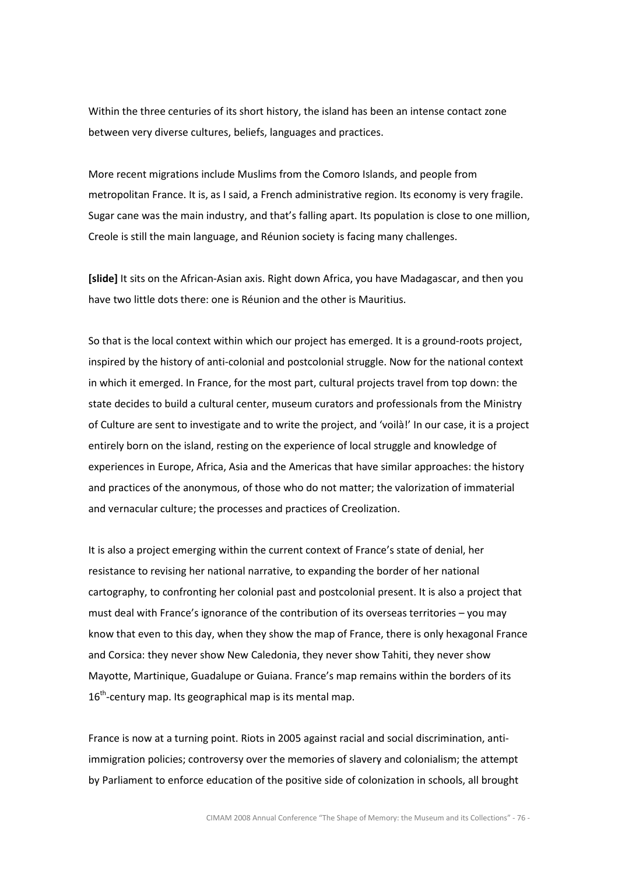Within the three centuries of its short history, the island has been an intense contact zone between very diverse cultures, beliefs, languages and practices.

More recent migrations include Muslims from the Comoro Islands, and people from metropolitan France. It is, as I said, a French administrative region. Its economy is very fragile. Sugar cane was the main industry, and that's falling apart. Its population is close to one million, Creole is still the main language, and Réunion society is facing many challenges.

[slide] It sits on the African-Asian axis. Right down Africa, you have Madagascar, and then you have two little dots there: one is Réunion and the other is Mauritius.

So that is the local context within which our project has emerged. It is a ground-roots project, inspired by the history of anti-colonial and postcolonial struggle. Now for the national context in which it emerged. In France, for the most part, cultural projects travel from top down: the state decides to build a cultural center, museum curators and professionals from the Ministry of Culture are sent to investigate and to write the project, and 'voilà!' In our case, it is a project entirely born on the island, resting on the experience of local struggle and knowledge of experiences in Europe, Africa, Asia and the Americas that have similar approaches: the history and practices of the anonymous, of those who do not matter; the valorization of immaterial and vernacular culture; the processes and practices of Creolization.

It is also a project emerging within the current context of France's state of denial, her resistance to revising her national narrative, to expanding the border of her national cartography, to confronting her colonial past and postcolonial present. It is also a project that must deal with France's ignorance of the contribution of its overseas territories – you may know that even to this day, when they show the map of France, there is only hexagonal France and Corsica: they never show New Caledonia, they never show Tahiti, they never show Mayotte, Martinique, Guadalupe or Guiana. France's map remains within the borders of its  $16<sup>th</sup>$ -century map. Its geographical map is its mental map.

France is now at a turning point. Riots in 2005 against racial and social discrimination, antiimmigration policies; controversy over the memories of slavery and colonialism; the attempt by Parliament to enforce education of the positive side of colonization in schools, all brought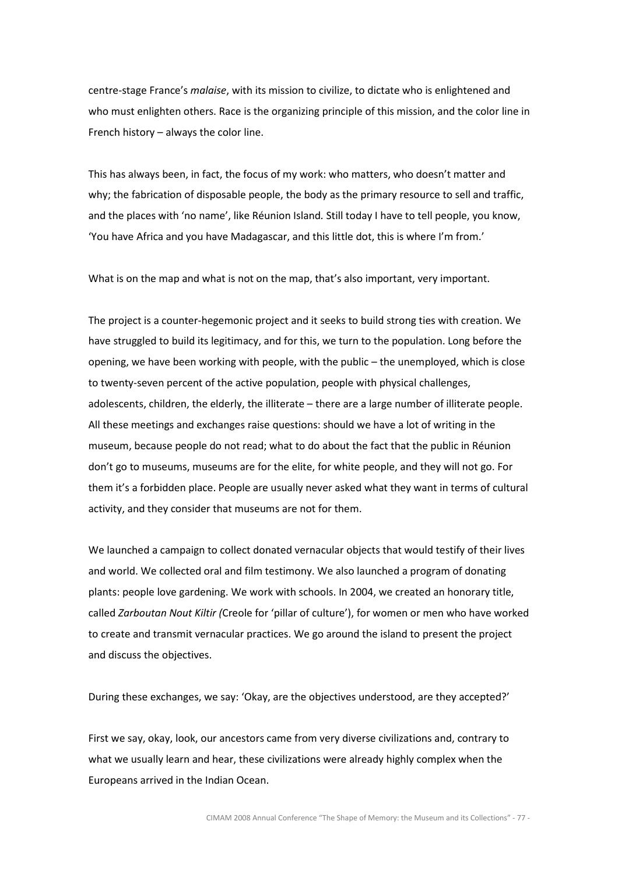centre-stage France's malaise, with its mission to civilize, to dictate who is enlightened and who must enlighten others. Race is the organizing principle of this mission, and the color line in French history – always the color line.

This has always been, in fact, the focus of my work: who matters, who doesn't matter and why; the fabrication of disposable people, the body as the primary resource to sell and traffic, and the places with 'no name', like Réunion Island. Still today I have to tell people, you know, 'You have Africa and you have Madagascar, and this little dot, this is where I'm from.'

What is on the map and what is not on the map, that's also important, very important.

The project is a counter-hegemonic project and it seeks to build strong ties with creation. We have struggled to build its legitimacy, and for this, we turn to the population. Long before the opening, we have been working with people, with the public – the unemployed, which is close to twenty-seven percent of the active population, people with physical challenges, adolescents, children, the elderly, the illiterate – there are a large number of illiterate people. All these meetings and exchanges raise questions: should we have a lot of writing in the museum, because people do not read; what to do about the fact that the public in Réunion don't go to museums, museums are for the elite, for white people, and they will not go. For them it's a forbidden place. People are usually never asked what they want in terms of cultural activity, and they consider that museums are not for them.

We launched a campaign to collect donated vernacular objects that would testify of their lives and world. We collected oral and film testimony. We also launched a program of donating plants: people love gardening. We work with schools. In 2004, we created an honorary title, called Zarboutan Nout Kiltir (Creole for 'pillar of culture'), for women or men who have worked to create and transmit vernacular practices. We go around the island to present the project and discuss the objectives.

During these exchanges, we say: 'Okay, are the objectives understood, are they accepted?'

First we say, okay, look, our ancestors came from very diverse civilizations and, contrary to what we usually learn and hear, these civilizations were already highly complex when the Europeans arrived in the Indian Ocean.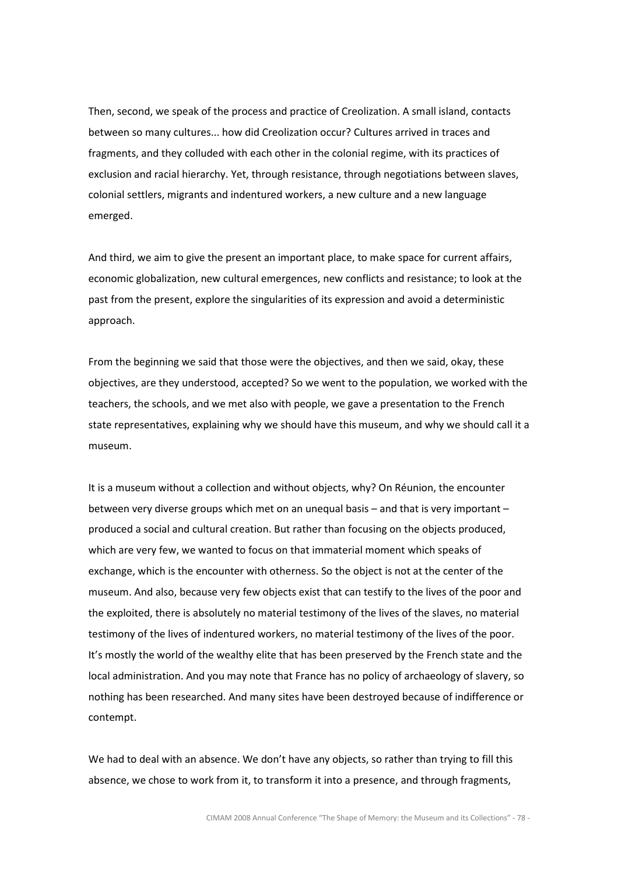Then, second, we speak of the process and practice of Creolization. A small island, contacts between so many cultures... how did Creolization occur? Cultures arrived in traces and fragments, and they colluded with each other in the colonial regime, with its practices of exclusion and racial hierarchy. Yet, through resistance, through negotiations between slaves, colonial settlers, migrants and indentured workers, a new culture and a new language emerged.

And third, we aim to give the present an important place, to make space for current affairs, economic globalization, new cultural emergences, new conflicts and resistance; to look at the past from the present, explore the singularities of its expression and avoid a deterministic approach.

From the beginning we said that those were the objectives, and then we said, okay, these objectives, are they understood, accepted? So we went to the population, we worked with the teachers, the schools, and we met also with people, we gave a presentation to the French state representatives, explaining why we should have this museum, and why we should call it a museum.

It is a museum without a collection and without objects, why? On Réunion, the encounter between very diverse groups which met on an unequal basis – and that is very important – produced a social and cultural creation. But rather than focusing on the objects produced, which are very few, we wanted to focus on that immaterial moment which speaks of exchange, which is the encounter with otherness. So the object is not at the center of the museum. And also, because very few objects exist that can testify to the lives of the poor and the exploited, there is absolutely no material testimony of the lives of the slaves, no material testimony of the lives of indentured workers, no material testimony of the lives of the poor. It's mostly the world of the wealthy elite that has been preserved by the French state and the local administration. And you may note that France has no policy of archaeology of slavery, so nothing has been researched. And many sites have been destroyed because of indifference or contempt.

We had to deal with an absence. We don't have any objects, so rather than trying to fill this absence, we chose to work from it, to transform it into a presence, and through fragments,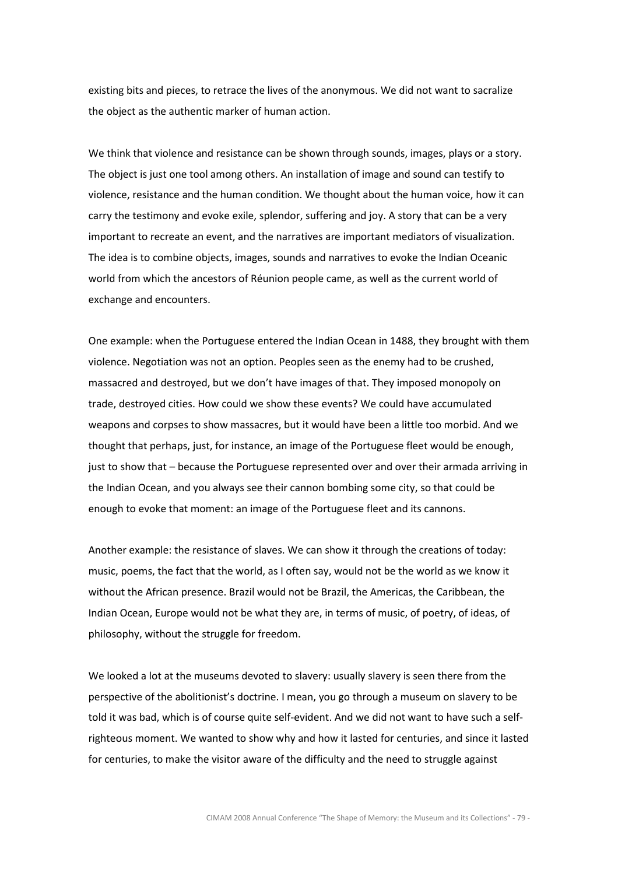existing bits and pieces, to retrace the lives of the anonymous. We did not want to sacralize the object as the authentic marker of human action.

We think that violence and resistance can be shown through sounds, images, plays or a story. The object is just one tool among others. An installation of image and sound can testify to violence, resistance and the human condition. We thought about the human voice, how it can carry the testimony and evoke exile, splendor, suffering and joy. A story that can be a very important to recreate an event, and the narratives are important mediators of visualization. The idea is to combine objects, images, sounds and narratives to evoke the Indian Oceanic world from which the ancestors of Réunion people came, as well as the current world of exchange and encounters.

One example: when the Portuguese entered the Indian Ocean in 1488, they brought with them violence. Negotiation was not an option. Peoples seen as the enemy had to be crushed, massacred and destroyed, but we don't have images of that. They imposed monopoly on trade, destroyed cities. How could we show these events? We could have accumulated weapons and corpses to show massacres, but it would have been a little too morbid. And we thought that perhaps, just, for instance, an image of the Portuguese fleet would be enough, just to show that – because the Portuguese represented over and over their armada arriving in the Indian Ocean, and you always see their cannon bombing some city, so that could be enough to evoke that moment: an image of the Portuguese fleet and its cannons.

Another example: the resistance of slaves. We can show it through the creations of today: music, poems, the fact that the world, as I often say, would not be the world as we know it without the African presence. Brazil would not be Brazil, the Americas, the Caribbean, the Indian Ocean, Europe would not be what they are, in terms of music, of poetry, of ideas, of philosophy, without the struggle for freedom.

We looked a lot at the museums devoted to slavery: usually slavery is seen there from the perspective of the abolitionist's doctrine. I mean, you go through a museum on slavery to be told it was bad, which is of course quite self-evident. And we did not want to have such a selfrighteous moment. We wanted to show why and how it lasted for centuries, and since it lasted for centuries, to make the visitor aware of the difficulty and the need to struggle against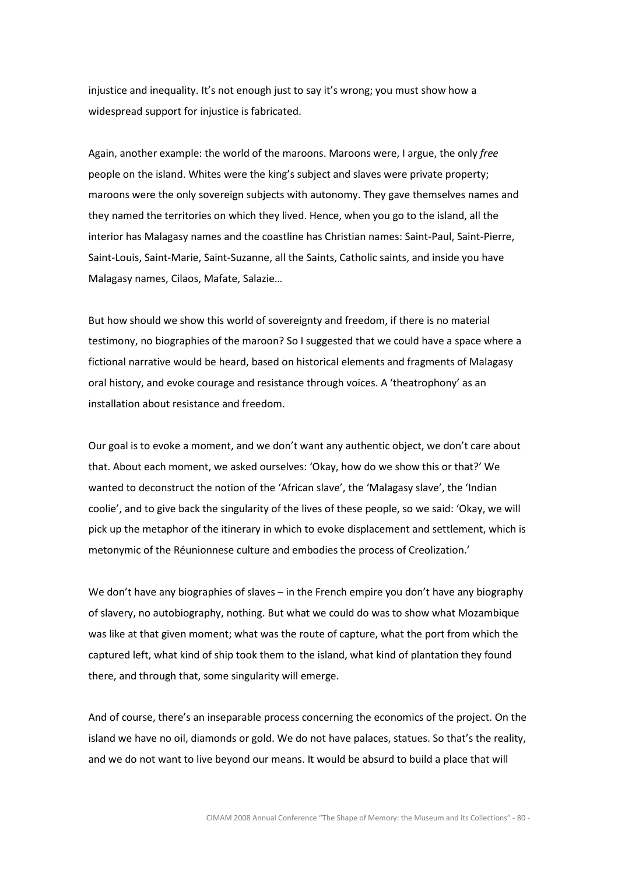injustice and inequality. It's not enough just to say it's wrong; you must show how a widespread support for injustice is fabricated.

Again, another example: the world of the maroons. Maroons were, I argue, the only free people on the island. Whites were the king's subject and slaves were private property; maroons were the only sovereign subjects with autonomy. They gave themselves names and they named the territories on which they lived. Hence, when you go to the island, all the interior has Malagasy names and the coastline has Christian names: Saint-Paul, Saint-Pierre, Saint-Louis, Saint-Marie, Saint-Suzanne, all the Saints, Catholic saints, and inside you have Malagasy names, Cilaos, Mafate, Salazie…

But how should we show this world of sovereignty and freedom, if there is no material testimony, no biographies of the maroon? So I suggested that we could have a space where a fictional narrative would be heard, based on historical elements and fragments of Malagasy oral history, and evoke courage and resistance through voices. A 'theatrophony' as an installation about resistance and freedom.

Our goal is to evoke a moment, and we don't want any authentic object, we don't care about that. About each moment, we asked ourselves: 'Okay, how do we show this or that?' We wanted to deconstruct the notion of the 'African slave', the 'Malagasy slave', the 'Indian coolie', and to give back the singularity of the lives of these people, so we said: 'Okay, we will pick up the metaphor of the itinerary in which to evoke displacement and settlement, which is metonymic of the Réunionnese culture and embodies the process of Creolization.'

We don't have any biographies of slaves – in the French empire you don't have any biography of slavery, no autobiography, nothing. But what we could do was to show what Mozambique was like at that given moment; what was the route of capture, what the port from which the captured left, what kind of ship took them to the island, what kind of plantation they found there, and through that, some singularity will emerge.

And of course, there's an inseparable process concerning the economics of the project. On the island we have no oil, diamonds or gold. We do not have palaces, statues. So that's the reality, and we do not want to live beyond our means. It would be absurd to build a place that will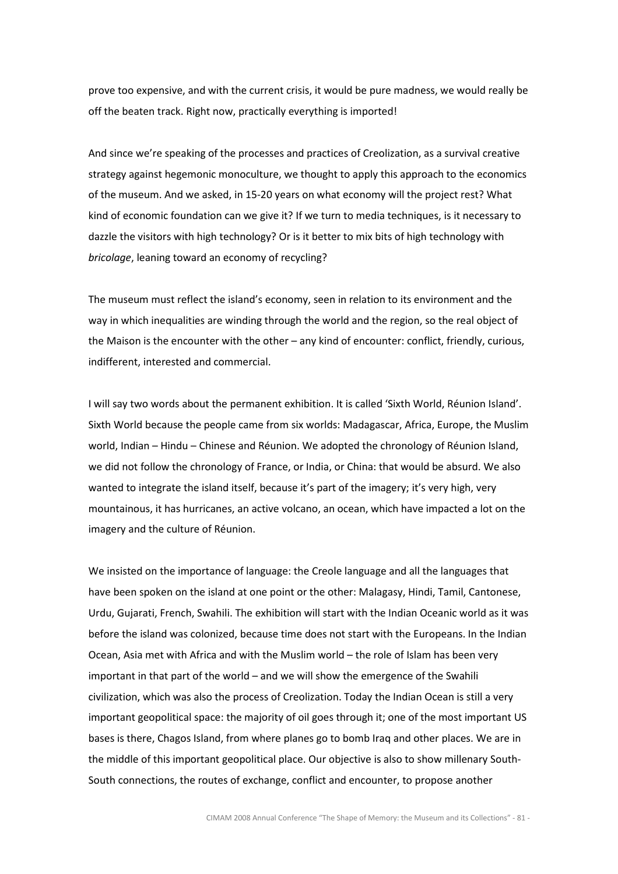prove too expensive, and with the current crisis, it would be pure madness, we would really be off the beaten track. Right now, practically everything is imported!

And since we're speaking of the processes and practices of Creolization, as a survival creative strategy against hegemonic monoculture, we thought to apply this approach to the economics of the museum. And we asked, in 15-20 years on what economy will the project rest? What kind of economic foundation can we give it? If we turn to media techniques, is it necessary to dazzle the visitors with high technology? Or is it better to mix bits of high technology with bricolage, leaning toward an economy of recycling?

The museum must reflect the island's economy, seen in relation to its environment and the way in which inequalities are winding through the world and the region, so the real object of the Maison is the encounter with the other – any kind of encounter: conflict, friendly, curious, indifferent, interested and commercial.

I will say two words about the permanent exhibition. It is called 'Sixth World, Réunion Island'. Sixth World because the people came from six worlds: Madagascar, Africa, Europe, the Muslim world, Indian – Hindu – Chinese and Réunion. We adopted the chronology of Réunion Island, we did not follow the chronology of France, or India, or China: that would be absurd. We also wanted to integrate the island itself, because it's part of the imagery; it's very high, very mountainous, it has hurricanes, an active volcano, an ocean, which have impacted a lot on the imagery and the culture of Réunion.

We insisted on the importance of language: the Creole language and all the languages that have been spoken on the island at one point or the other: Malagasy, Hindi, Tamil, Cantonese, Urdu, Gujarati, French, Swahili. The exhibition will start with the Indian Oceanic world as it was before the island was colonized, because time does not start with the Europeans. In the Indian Ocean, Asia met with Africa and with the Muslim world – the role of Islam has been very important in that part of the world – and we will show the emergence of the Swahili civilization, which was also the process of Creolization. Today the Indian Ocean is still a very important geopolitical space: the majority of oil goes through it; one of the most important US bases is there, Chagos Island, from where planes go to bomb Iraq and other places. We are in the middle of this important geopolitical place. Our objective is also to show millenary South-South connections, the routes of exchange, conflict and encounter, to propose another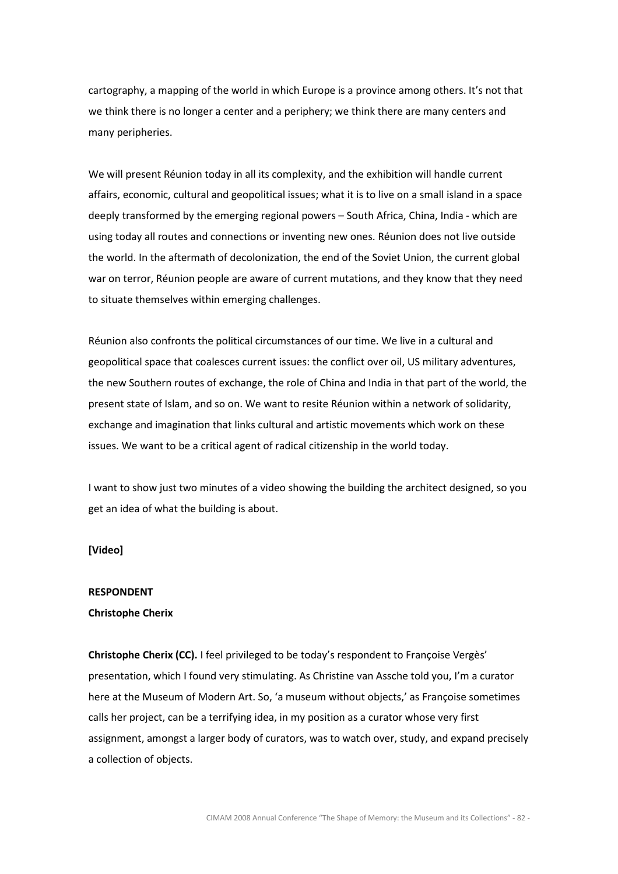cartography, a mapping of the world in which Europe is a province among others. It's not that we think there is no longer a center and a periphery; we think there are many centers and many peripheries.

We will present Réunion today in all its complexity, and the exhibition will handle current affairs, economic, cultural and geopolitical issues; what it is to live on a small island in a space deeply transformed by the emerging regional powers – South Africa, China, India - which are using today all routes and connections or inventing new ones. Réunion does not live outside the world. In the aftermath of decolonization, the end of the Soviet Union, the current global war on terror, Réunion people are aware of current mutations, and they know that they need to situate themselves within emerging challenges.

Réunion also confronts the political circumstances of our time. We live in a cultural and geopolitical space that coalesces current issues: the conflict over oil, US military adventures, the new Southern routes of exchange, the role of China and India in that part of the world, the present state of Islam, and so on. We want to resite Réunion within a network of solidarity, exchange and imagination that links cultural and artistic movements which work on these issues. We want to be a critical agent of radical citizenship in the world today.

I want to show just two minutes of a video showing the building the architect designed, so you get an idea of what the building is about.

# [Video]

## RESPONDENT

### Christophe Cherix

Christophe Cherix (CC). I feel privileged to be today's respondent to Françoise Vergès' presentation, which I found very stimulating. As Christine van Assche told you, I'm a curator here at the Museum of Modern Art. So, 'a museum without objects,' as Françoise sometimes calls her project, can be a terrifying idea, in my position as a curator whose very first assignment, amongst a larger body of curators, was to watch over, study, and expand precisely a collection of objects.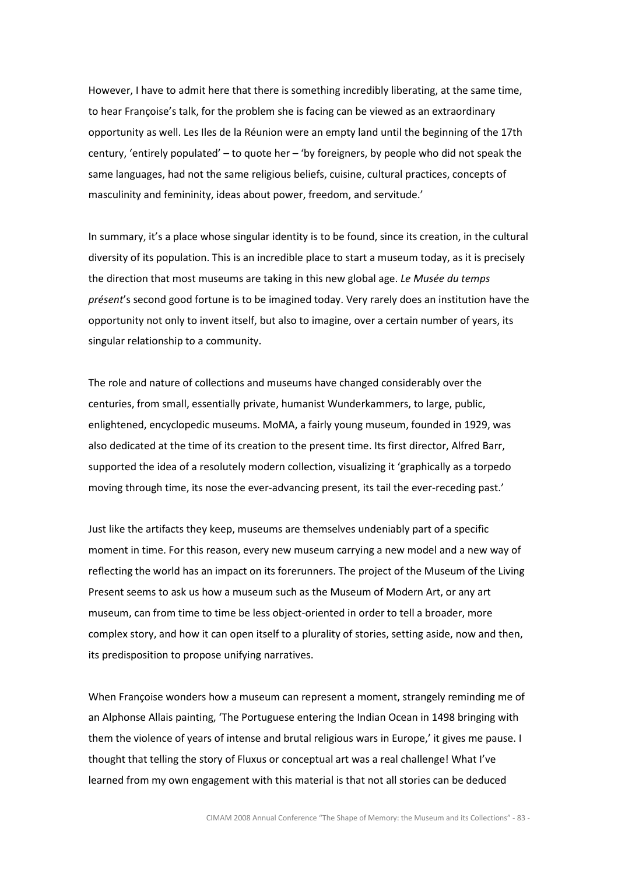However, I have to admit here that there is something incredibly liberating, at the same time, to hear Françoise's talk, for the problem she is facing can be viewed as an extraordinary opportunity as well. Les Iles de la Réunion were an empty land until the beginning of the 17th century, 'entirely populated' – to quote her – 'by foreigners, by people who did not speak the same languages, had not the same religious beliefs, cuisine, cultural practices, concepts of masculinity and femininity, ideas about power, freedom, and servitude.'

In summary, it's a place whose singular identity is to be found, since its creation, in the cultural diversity of its population. This is an incredible place to start a museum today, as it is precisely the direction that most museums are taking in this new global age. Le Musée du temps présent's second good fortune is to be imagined today. Very rarely does an institution have the opportunity not only to invent itself, but also to imagine, over a certain number of years, its singular relationship to a community.

The role and nature of collections and museums have changed considerably over the centuries, from small, essentially private, humanist Wunderkammers, to large, public, enlightened, encyclopedic museums. MoMA, a fairly young museum, founded in 1929, was also dedicated at the time of its creation to the present time. Its first director, Alfred Barr, supported the idea of a resolutely modern collection, visualizing it 'graphically as a torpedo moving through time, its nose the ever-advancing present, its tail the ever-receding past.'

Just like the artifacts they keep, museums are themselves undeniably part of a specific moment in time. For this reason, every new museum carrying a new model and a new way of reflecting the world has an impact on its forerunners. The project of the Museum of the Living Present seems to ask us how a museum such as the Museum of Modern Art, or any art museum, can from time to time be less object-oriented in order to tell a broader, more complex story, and how it can open itself to a plurality of stories, setting aside, now and then, its predisposition to propose unifying narratives.

When Françoise wonders how a museum can represent a moment, strangely reminding me of an Alphonse Allais painting, 'The Portuguese entering the Indian Ocean in 1498 bringing with them the violence of years of intense and brutal religious wars in Europe,' it gives me pause. I thought that telling the story of Fluxus or conceptual art was a real challenge! What I've learned from my own engagement with this material is that not all stories can be deduced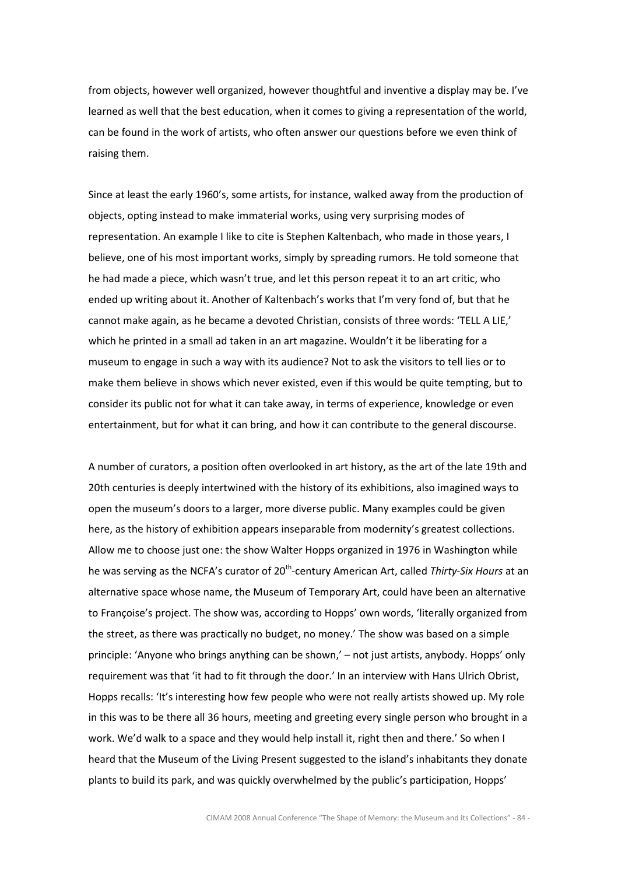from objects, however well organized, however thoughtful and inventive a display may be. I've learned as well that the best education, when it comes to giving a representation of the world, can be found in the work of artists, who often answer our questions before we even think of raising them.

Since at least the early 1960's, some artists, for instance, walked away from the production of objects, opting instead to make immaterial works, using very surprising modes of representation. An example I like to cite is Stephen Kaltenbach, who made in those years, I believe, one of his most important works, simply by spreading rumors. He told someone that he had made a piece, which wasn't true, and let this person repeat it to an art critic, who ended up writing about it. Another of Kaltenbach's works that I'm very fond of, but that he cannot make again, as he became a devoted Christian, consists of three words: 'TELL A LIE,' which he printed in a small ad taken in an art magazine. Wouldn't it be liberating for a museum to engage in such a way with its audience? Not to ask the visitors to tell lies or to make them believe in shows which never existed, even if this would be quite tempting, but to consider its public not for what it can take away, in terms of experience, knowledge or even entertainment, but for what it can bring, and how it can contribute to the general discourse.

A number of curators, a position often overlooked in art history, as the art of the late 19th and 20th centuries is deeply intertwined with the history of its exhibitions, also imagined ways to open the museum's doors to a larger, more diverse public. Many examples could be given here, as the history of exhibition appears inseparable from modernity's greatest collections. Allow me to choose just one: the show Walter Hopps organized in 1976 in Washington while he was serving as the NCFA's curator of 20<sup>th</sup>-century American Art, called Thirty-Six Hours at an alternative space whose name, the Museum of Temporary Art, could have been an alternative to Françoise's project. The show was, according to Hopps' own words, 'literally organized from the street, as there was practically no budget, no money.' The show was based on a simple principle: 'Anyone who brings anything can be shown,' – not just artists, anybody. Hopps' only requirement was that 'it had to fit through the door.' In an interview with Hans Ulrich Obrist, Hopps recalls: 'It's interesting how few people who were not really artists showed up. My role in this was to be there all 36 hours, meeting and greeting every single person who brought in a work. We'd walk to a space and they would help install it, right then and there.' So when I heard that the Museum of the Living Present suggested to the island's inhabitants they donate plants to build its park, and was quickly overwhelmed by the public's participation, Hopps'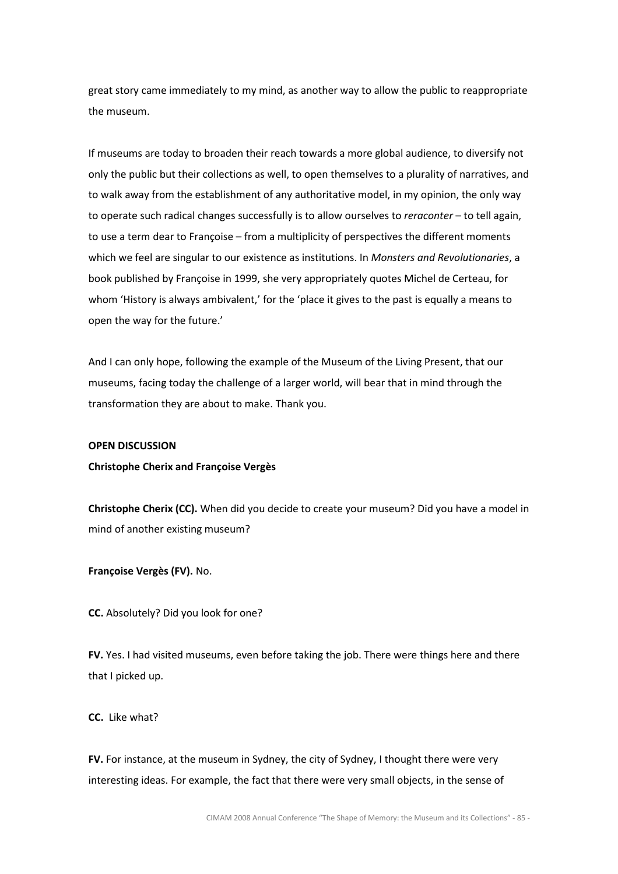great story came immediately to my mind, as another way to allow the public to reappropriate the museum.

If museums are today to broaden their reach towards a more global audience, to diversify not only the public but their collections as well, to open themselves to a plurality of narratives, and to walk away from the establishment of any authoritative model, in my opinion, the only way to operate such radical changes successfully is to allow ourselves to reraconter - to tell again, to use a term dear to Françoise – from a multiplicity of perspectives the different moments which we feel are singular to our existence as institutions. In Monsters and Revolutionaries, a book published by Françoise in 1999, she very appropriately quotes Michel de Certeau, for whom 'History is always ambivalent,' for the 'place it gives to the past is equally a means to open the way for the future.'

And I can only hope, following the example of the Museum of the Living Present, that our museums, facing today the challenge of a larger world, will bear that in mind through the transformation they are about to make. Thank you.

#### OPEN DISCUSSION

### Christophe Cherix and Françoise Vergès

Christophe Cherix (CC). When did you decide to create your museum? Did you have a model in mind of another existing museum?

Françoise Vergès (FV). No.

CC. Absolutely? Did you look for one?

FV. Yes. I had visited museums, even before taking the job. There were things here and there that I picked up.

CC. Like what?

FV. For instance, at the museum in Sydney, the city of Sydney, I thought there were very interesting ideas. For example, the fact that there were very small objects, in the sense of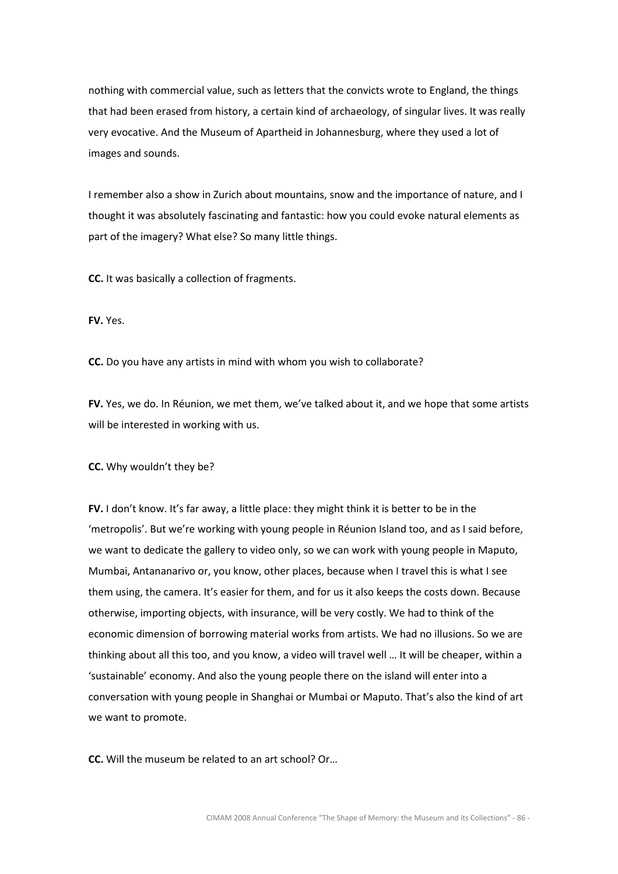nothing with commercial value, such as letters that the convicts wrote to England, the things that had been erased from history, a certain kind of archaeology, of singular lives. It was really very evocative. And the Museum of Apartheid in Johannesburg, where they used a lot of images and sounds.

I remember also a show in Zurich about mountains, snow and the importance of nature, and I thought it was absolutely fascinating and fantastic: how you could evoke natural elements as part of the imagery? What else? So many little things.

CC. It was basically a collection of fragments.

FV. Yes.

CC. Do you have any artists in mind with whom you wish to collaborate?

FV. Yes, we do. In Réunion, we met them, we've talked about it, and we hope that some artists will be interested in working with us.

CC. Why wouldn't they be?

FV. I don't know. It's far away, a little place: they might think it is better to be in the 'metropolis'. But we're working with young people in Réunion Island too, and as I said before, we want to dedicate the gallery to video only, so we can work with young people in Maputo, Mumbai, Antananarivo or, you know, other places, because when I travel this is what I see them using, the camera. It's easier for them, and for us it also keeps the costs down. Because otherwise, importing objects, with insurance, will be very costly. We had to think of the economic dimension of borrowing material works from artists. We had no illusions. So we are thinking about all this too, and you know, a video will travel well … It will be cheaper, within a 'sustainable' economy. And also the young people there on the island will enter into a conversation with young people in Shanghai or Mumbai or Maputo. That's also the kind of art we want to promote.

CC. Will the museum be related to an art school? Or…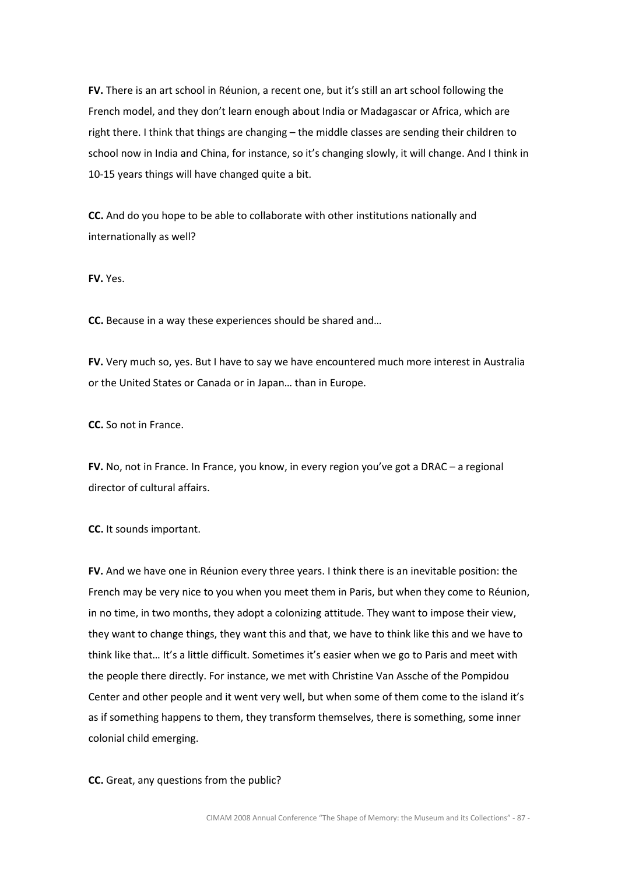FV. There is an art school in Réunion, a recent one, but it's still an art school following the French model, and they don't learn enough about India or Madagascar or Africa, which are right there. I think that things are changing – the middle classes are sending their children to school now in India and China, for instance, so it's changing slowly, it will change. And I think in 10-15 years things will have changed quite a bit.

CC. And do you hope to be able to collaborate with other institutions nationally and internationally as well?

FV. Yes.

CC. Because in a way these experiences should be shared and…

FV. Very much so, yes. But I have to say we have encountered much more interest in Australia or the United States or Canada or in Japan… than in Europe.

CC. So not in France.

FV. No, not in France. In France, you know, in every region you've got a DRAC – a regional director of cultural affairs.

CC. It sounds important.

FV. And we have one in Réunion every three years. I think there is an inevitable position: the French may be very nice to you when you meet them in Paris, but when they come to Réunion, in no time, in two months, they adopt a colonizing attitude. They want to impose their view, they want to change things, they want this and that, we have to think like this and we have to think like that… It's a little difficult. Sometimes it's easier when we go to Paris and meet with the people there directly. For instance, we met with Christine Van Assche of the Pompidou Center and other people and it went very well, but when some of them come to the island it's as if something happens to them, they transform themselves, there is something, some inner colonial child emerging.

CC. Great, any questions from the public?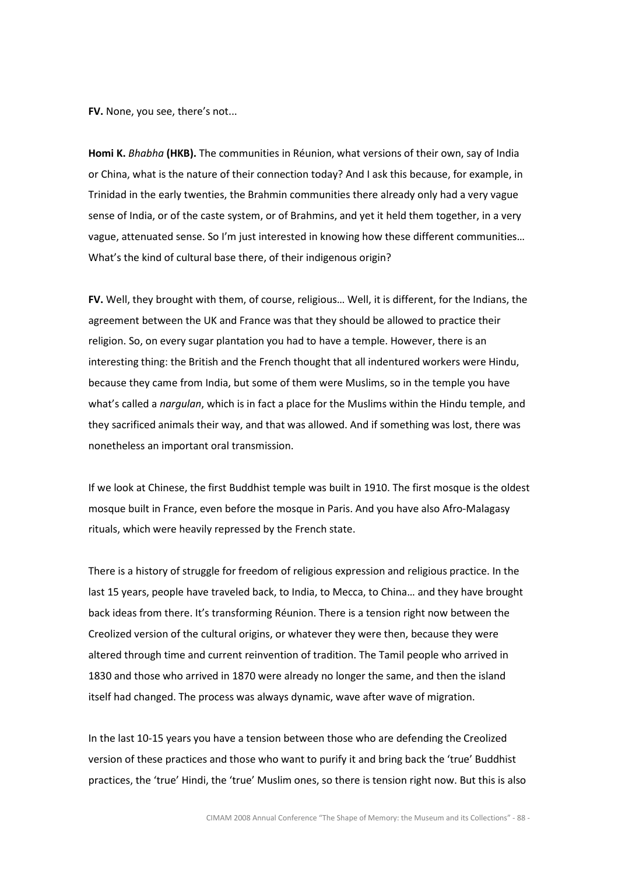FV. None, you see, there's not...

Homi K. Bhabha (HKB). The communities in Réunion, what versions of their own, say of India or China, what is the nature of their connection today? And I ask this because, for example, in Trinidad in the early twenties, the Brahmin communities there already only had a very vague sense of India, or of the caste system, or of Brahmins, and yet it held them together, in a very vague, attenuated sense. So I'm just interested in knowing how these different communities… What's the kind of cultural base there, of their indigenous origin?

FV. Well, they brought with them, of course, religious... Well, it is different, for the Indians, the agreement between the UK and France was that they should be allowed to practice their religion. So, on every sugar plantation you had to have a temple. However, there is an interesting thing: the British and the French thought that all indentured workers were Hindu, because they came from India, but some of them were Muslims, so in the temple you have what's called a *nargulan*, which is in fact a place for the Muslims within the Hindu temple, and they sacrificed animals their way, and that was allowed. And if something was lost, there was nonetheless an important oral transmission.

If we look at Chinese, the first Buddhist temple was built in 1910. The first mosque is the oldest mosque built in France, even before the mosque in Paris. And you have also Afro-Malagasy rituals, which were heavily repressed by the French state.

There is a history of struggle for freedom of religious expression and religious practice. In the last 15 years, people have traveled back, to India, to Mecca, to China… and they have brought back ideas from there. It's transforming Réunion. There is a tension right now between the Creolized version of the cultural origins, or whatever they were then, because they were altered through time and current reinvention of tradition. The Tamil people who arrived in 1830 and those who arrived in 1870 were already no longer the same, and then the island itself had changed. The process was always dynamic, wave after wave of migration.

In the last 10-15 years you have a tension between those who are defending the Creolized version of these practices and those who want to purify it and bring back the 'true' Buddhist practices, the 'true' Hindi, the 'true' Muslim ones, so there is tension right now. But this is also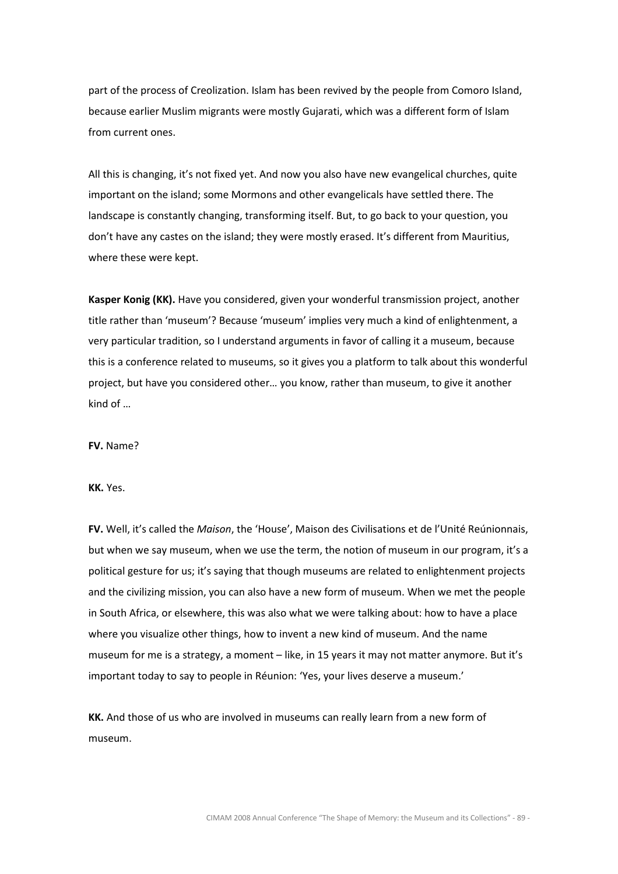part of the process of Creolization. Islam has been revived by the people from Comoro Island, because earlier Muslim migrants were mostly Gujarati, which was a different form of Islam from current ones.

All this is changing, it's not fixed yet. And now you also have new evangelical churches, quite important on the island; some Mormons and other evangelicals have settled there. The landscape is constantly changing, transforming itself. But, to go back to your question, you don't have any castes on the island; they were mostly erased. It's different from Mauritius, where these were kept.

Kasper Konig (KK). Have you considered, given your wonderful transmission project, another title rather than 'museum'? Because 'museum' implies very much a kind of enlightenment, a very particular tradition, so I understand arguments in favor of calling it a museum, because this is a conference related to museums, so it gives you a platform to talk about this wonderful project, but have you considered other… you know, rather than museum, to give it another kind of …

FV. Name?

KK. Yes.

FV. Well, it's called the Maison, the 'House', Maison des Civilisations et de l'Unité Reúnionnais, but when we say museum, when we use the term, the notion of museum in our program, it's a political gesture for us; it's saying that though museums are related to enlightenment projects and the civilizing mission, you can also have a new form of museum. When we met the people in South Africa, or elsewhere, this was also what we were talking about: how to have a place where you visualize other things, how to invent a new kind of museum. And the name museum for me is a strategy, a moment – like, in 15 years it may not matter anymore. But it's important today to say to people in Réunion: 'Yes, your lives deserve a museum.'

KK. And those of us who are involved in museums can really learn from a new form of museum.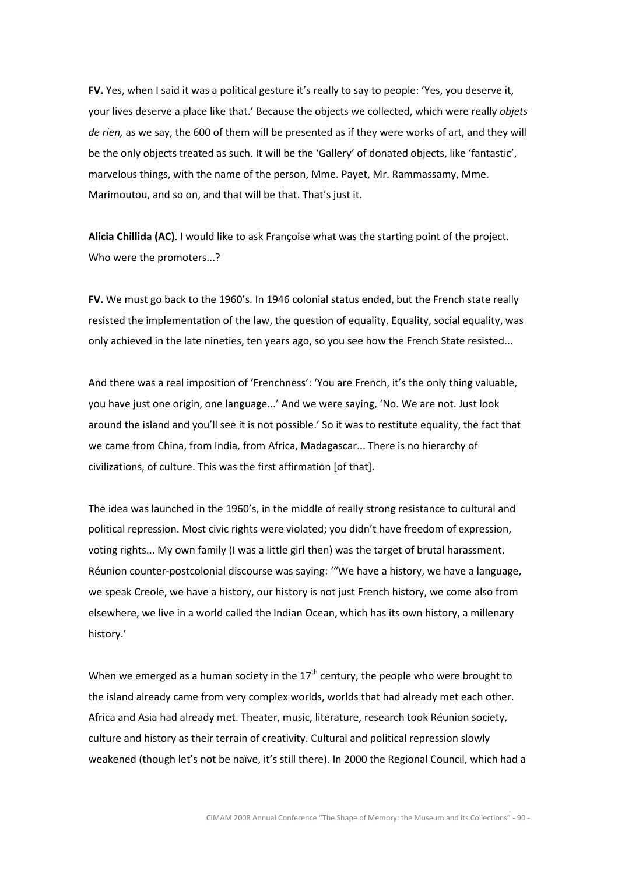FV. Yes, when I said it was a political gesture it's really to say to people: 'Yes, you deserve it, your lives deserve a place like that.' Because the objects we collected, which were really objets de rien, as we say, the 600 of them will be presented as if they were works of art, and they will be the only objects treated as such. It will be the 'Gallery' of donated objects, like 'fantastic', marvelous things, with the name of the person, Mme. Payet, Mr. Rammassamy, Mme. Marimoutou, and so on, and that will be that. That's just it.

Alicia Chillida (AC). I would like to ask Françoise what was the starting point of the project. Who were the promoters...?

FV. We must go back to the 1960's. In 1946 colonial status ended, but the French state really resisted the implementation of the law, the question of equality. Equality, social equality, was only achieved in the late nineties, ten years ago, so you see how the French State resisted...

And there was a real imposition of 'Frenchness': 'You are French, it's the only thing valuable, you have just one origin, one language...' And we were saying, 'No. We are not. Just look around the island and you'll see it is not possible.' So it was to restitute equality, the fact that we came from China, from India, from Africa, Madagascar... There is no hierarchy of civilizations, of culture. This was the first affirmation [of that].

The idea was launched in the 1960's, in the middle of really strong resistance to cultural and political repression. Most civic rights were violated; you didn't have freedom of expression, voting rights... My own family (I was a little girl then) was the target of brutal harassment. Réunion counter-postcolonial discourse was saying: '"We have a history, we have a language, we speak Creole, we have a history, our history is not just French history, we come also from elsewhere, we live in a world called the Indian Ocean, which has its own history, a millenary history.'

When we emerged as a human society in the  $17<sup>th</sup>$  century, the people who were brought to the island already came from very complex worlds, worlds that had already met each other. Africa and Asia had already met. Theater, music, literature, research took Réunion society, culture and history as their terrain of creativity. Cultural and political repression slowly weakened (though let's not be naïve, it's still there). In 2000 the Regional Council, which had a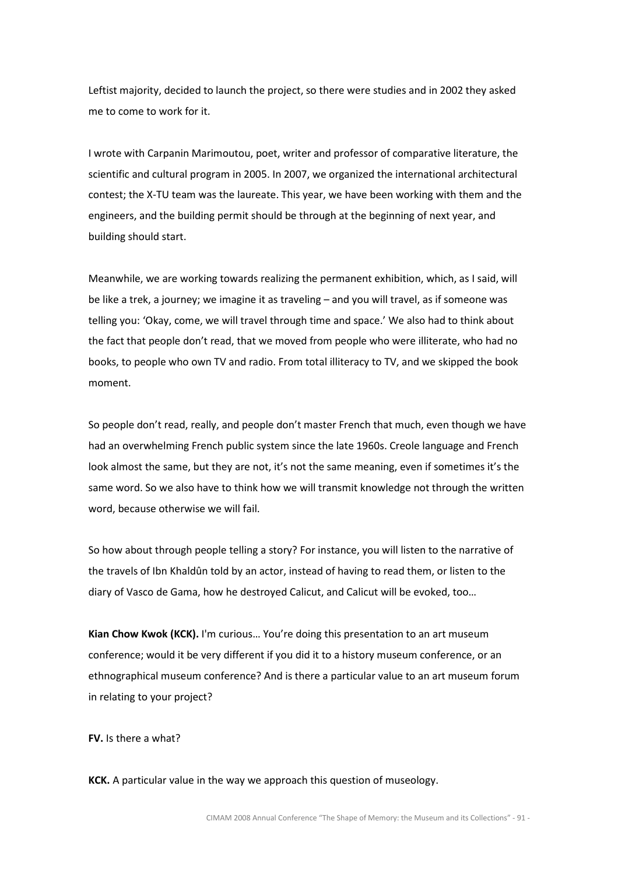Leftist majority, decided to launch the project, so there were studies and in 2002 they asked me to come to work for it.

I wrote with Carpanin Marimoutou, poet, writer and professor of comparative literature, the scientific and cultural program in 2005. In 2007, we organized the international architectural contest; the X-TU team was the laureate. This year, we have been working with them and the engineers, and the building permit should be through at the beginning of next year, and building should start.

Meanwhile, we are working towards realizing the permanent exhibition, which, as I said, will be like a trek, a journey; we imagine it as traveling – and you will travel, as if someone was telling you: 'Okay, come, we will travel through time and space.' We also had to think about the fact that people don't read, that we moved from people who were illiterate, who had no books, to people who own TV and radio. From total illiteracy to TV, and we skipped the book moment.

So people don't read, really, and people don't master French that much, even though we have had an overwhelming French public system since the late 1960s. Creole language and French look almost the same, but they are not, it's not the same meaning, even if sometimes it's the same word. So we also have to think how we will transmit knowledge not through the written word, because otherwise we will fail.

So how about through people telling a story? For instance, you will listen to the narrative of the travels of Ibn Khaldûn told by an actor, instead of having to read them, or listen to the diary of Vasco de Gama, how he destroyed Calicut, and Calicut will be evoked, too…

Kian Chow Kwok (KCK). I'm curious... You're doing this presentation to an art museum conference; would it be very different if you did it to a history museum conference, or an ethnographical museum conference? And is there a particular value to an art museum forum in relating to your project?

## FV. Is there a what?

KCK. A particular value in the way we approach this question of museology.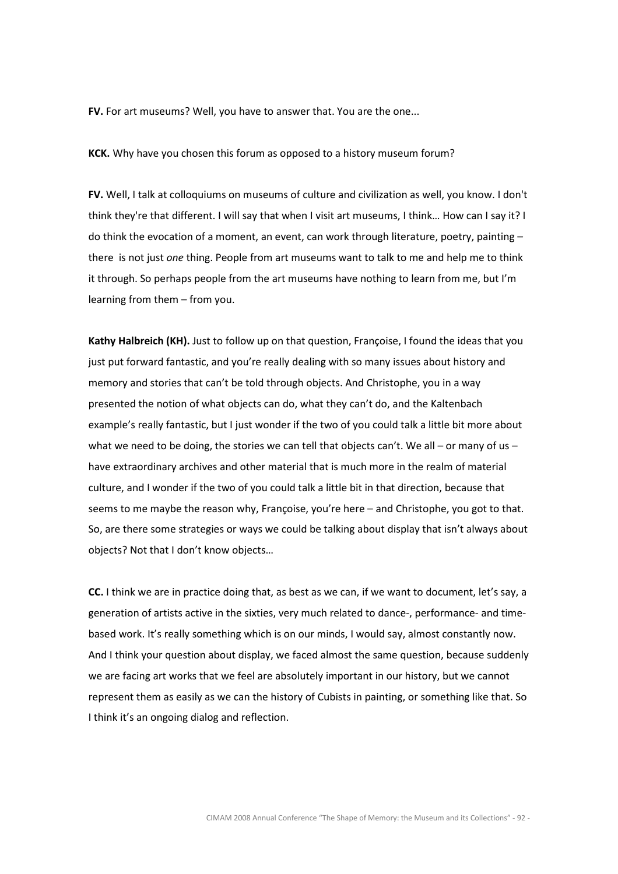FV. For art museums? Well, you have to answer that. You are the one...

KCK. Why have you chosen this forum as opposed to a history museum forum?

FV. Well, I talk at colloquiums on museums of culture and civilization as well, you know. I don't think they're that different. I will say that when I visit art museums, I think… How can I say it? I do think the evocation of a moment, an event, can work through literature, poetry, painting – there is not just one thing. People from art museums want to talk to me and help me to think it through. So perhaps people from the art museums have nothing to learn from me, but I'm learning from them – from you.

Kathy Halbreich (KH). Just to follow up on that question, Francoise, I found the ideas that you just put forward fantastic, and you're really dealing with so many issues about history and memory and stories that can't be told through objects. And Christophe, you in a way presented the notion of what objects can do, what they can't do, and the Kaltenbach example's really fantastic, but I just wonder if the two of you could talk a little bit more about what we need to be doing, the stories we can tell that objects can't. We all – or many of us – have extraordinary archives and other material that is much more in the realm of material culture, and I wonder if the two of you could talk a little bit in that direction, because that seems to me maybe the reason why, Françoise, you're here – and Christophe, you got to that. So, are there some strategies or ways we could be talking about display that isn't always about objects? Not that I don't know objects…

CC. I think we are in practice doing that, as best as we can, if we want to document, let's say, a generation of artists active in the sixties, very much related to dance-, performance- and timebased work. It's really something which is on our minds, I would say, almost constantly now. And I think your question about display, we faced almost the same question, because suddenly we are facing art works that we feel are absolutely important in our history, but we cannot represent them as easily as we can the history of Cubists in painting, or something like that. So I think it's an ongoing dialog and reflection.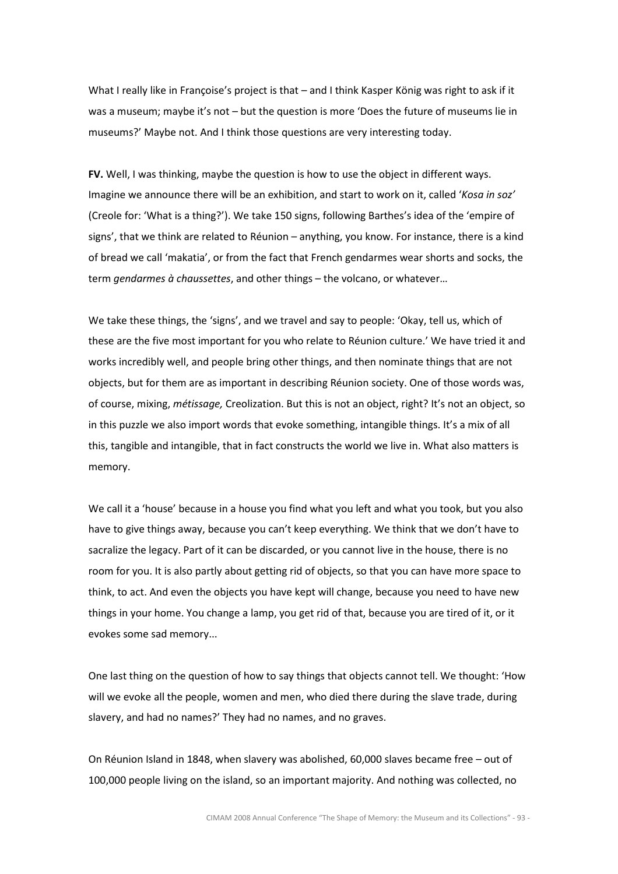What I really like in Françoise's project is that – and I think Kasper König was right to ask if it was a museum; maybe it's not – but the question is more 'Does the future of museums lie in museums?' Maybe not. And I think those questions are very interesting today.

FV. Well, I was thinking, maybe the question is how to use the object in different ways. Imagine we announce there will be an exhibition, and start to work on it, called 'Kosa in soz' (Creole for: 'What is a thing?'). We take 150 signs, following Barthes's idea of the 'empire of signs', that we think are related to Réunion – anything, you know. For instance, there is a kind of bread we call 'makatia', or from the fact that French gendarmes wear shorts and socks, the term gendarmes à chaussettes, and other things – the volcano, or whatever…

We take these things, the 'signs', and we travel and say to people: 'Okay, tell us, which of these are the five most important for you who relate to Réunion culture.' We have tried it and works incredibly well, and people bring other things, and then nominate things that are not objects, but for them are as important in describing Réunion society. One of those words was, of course, mixing, métissage, Creolization. But this is not an object, right? It's not an object, so in this puzzle we also import words that evoke something, intangible things. It's a mix of all this, tangible and intangible, that in fact constructs the world we live in. What also matters is memory.

We call it a 'house' because in a house you find what you left and what you took, but you also have to give things away, because you can't keep everything. We think that we don't have to sacralize the legacy. Part of it can be discarded, or you cannot live in the house, there is no room for you. It is also partly about getting rid of objects, so that you can have more space to think, to act. And even the objects you have kept will change, because you need to have new things in your home. You change a lamp, you get rid of that, because you are tired of it, or it evokes some sad memory...

One last thing on the question of how to say things that objects cannot tell. We thought: 'How will we evoke all the people, women and men, who died there during the slave trade, during slavery, and had no names?' They had no names, and no graves.

On Réunion Island in 1848, when slavery was abolished, 60,000 slaves became free – out of 100,000 people living on the island, so an important majority. And nothing was collected, no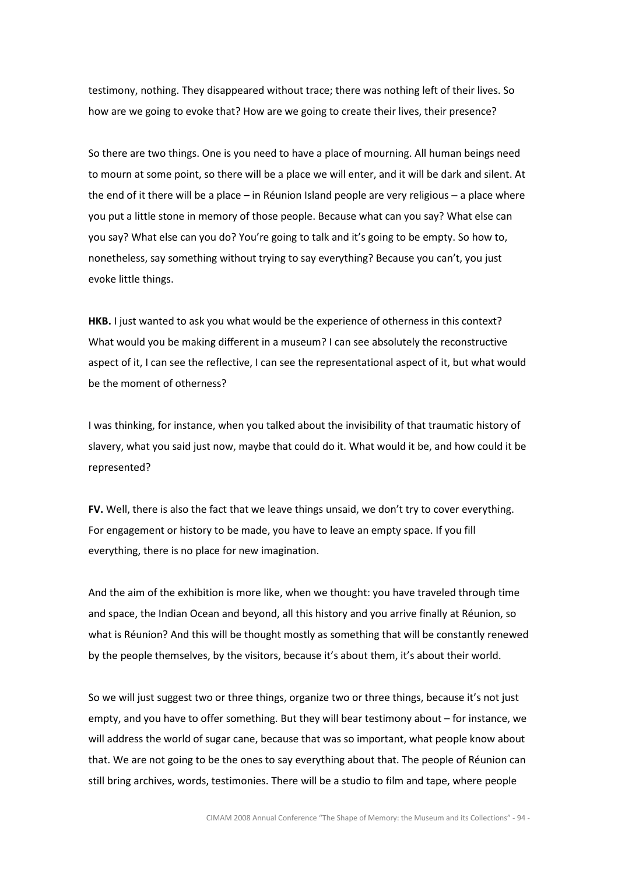testimony, nothing. They disappeared without trace; there was nothing left of their lives. So how are we going to evoke that? How are we going to create their lives, their presence?

So there are two things. One is you need to have a place of mourning. All human beings need to mourn at some point, so there will be a place we will enter, and it will be dark and silent. At the end of it there will be a place – in Réunion Island people are very religious − a place where you put a little stone in memory of those people. Because what can you say? What else can you say? What else can you do? You're going to talk and it's going to be empty. So how to, nonetheless, say something without trying to say everything? Because you can't, you just evoke little things.

HKB. I just wanted to ask you what would be the experience of otherness in this context? What would you be making different in a museum? I can see absolutely the reconstructive aspect of it, I can see the reflective, I can see the representational aspect of it, but what would be the moment of otherness?

I was thinking, for instance, when you talked about the invisibility of that traumatic history of slavery, what you said just now, maybe that could do it. What would it be, and how could it be represented?

FV. Well, there is also the fact that we leave things unsaid, we don't try to cover everything. For engagement or history to be made, you have to leave an empty space. If you fill everything, there is no place for new imagination.

And the aim of the exhibition is more like, when we thought: you have traveled through time and space, the Indian Ocean and beyond, all this history and you arrive finally at Réunion, so what is Réunion? And this will be thought mostly as something that will be constantly renewed by the people themselves, by the visitors, because it's about them, it's about their world.

So we will just suggest two or three things, organize two or three things, because it's not just empty, and you have to offer something. But they will bear testimony about – for instance, we will address the world of sugar cane, because that was so important, what people know about that. We are not going to be the ones to say everything about that. The people of Réunion can still bring archives, words, testimonies. There will be a studio to film and tape, where people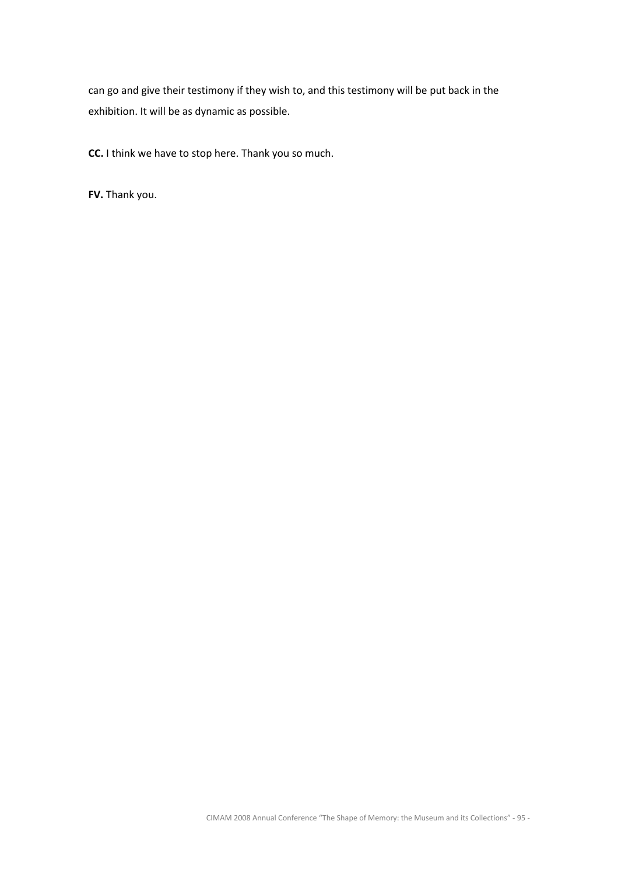can go and give their testimony if they wish to, and this testimony will be put back in the exhibition. It will be as dynamic as possible.

CC. I think we have to stop here. Thank you so much.

FV. Thank you.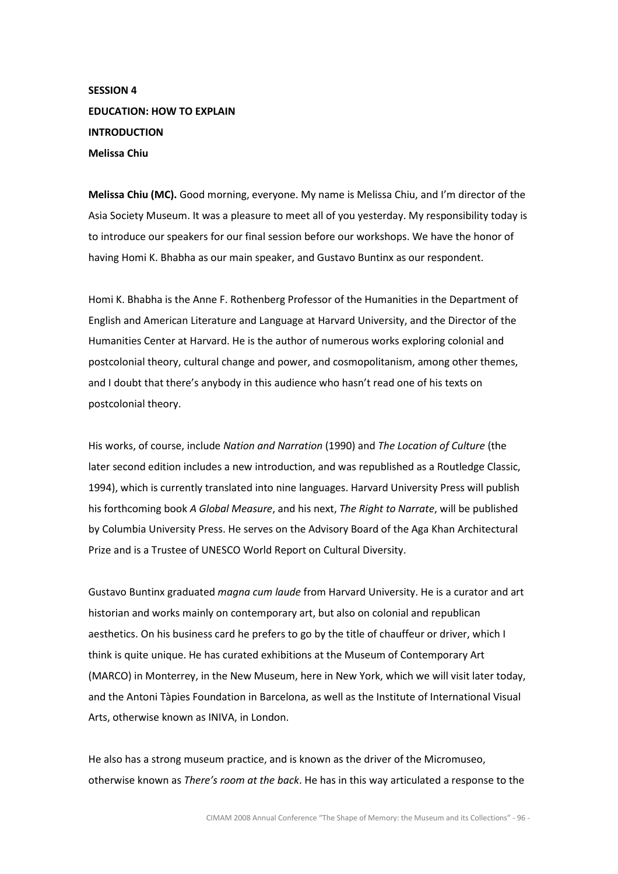SESSION 4 EDUCATION: HOW TO EXPLAIN **INTRODUCTION** Melissa Chiu

Melissa Chiu (MC). Good morning, everyone. My name is Melissa Chiu, and I'm director of the Asia Society Museum. It was a pleasure to meet all of you yesterday. My responsibility today is to introduce our speakers for our final session before our workshops. We have the honor of having Homi K. Bhabha as our main speaker, and Gustavo Buntinx as our respondent.

Homi K. Bhabha is the Anne F. Rothenberg Professor of the Humanities in the Department of English and American Literature and Language at Harvard University, and the Director of the Humanities Center at Harvard. He is the author of numerous works exploring colonial and postcolonial theory, cultural change and power, and cosmopolitanism, among other themes, and I doubt that there's anybody in this audience who hasn't read one of his texts on postcolonial theory.

His works, of course, include Nation and Narration (1990) and The Location of Culture (the later second edition includes a new introduction, and was republished as a Routledge Classic, 1994), which is currently translated into nine languages. Harvard University Press will publish his forthcoming book A Global Measure, and his next, The Right to Narrate, will be published by Columbia University Press. He serves on the Advisory Board of the Aga Khan Architectural Prize and is a Trustee of UNESCO World Report on Cultural Diversity.

Gustavo Buntinx graduated magna cum laude from Harvard University. He is a curator and art historian and works mainly on contemporary art, but also on colonial and republican aesthetics. On his business card he prefers to go by the title of chauffeur or driver, which I think is quite unique. He has curated exhibitions at the Museum of Contemporary Art (MARCO) in Monterrey, in the New Museum, here in New York, which we will visit later today, and the Antoni Tàpies Foundation in Barcelona, as well as the Institute of International Visual Arts, otherwise known as INIVA, in London.

He also has a strong museum practice, and is known as the driver of the Micromuseo, otherwise known as *There's room at the back*. He has in this way articulated a response to the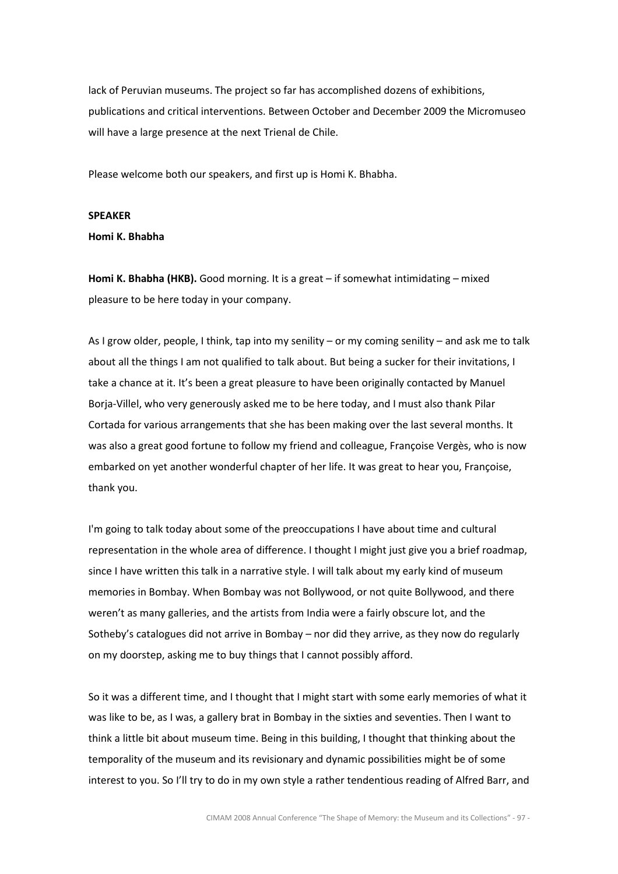lack of Peruvian museums. The project so far has accomplished dozens of exhibitions, publications and critical interventions. Between October and December 2009 the Micromuseo will have a large presence at the next Trienal de Chile.

Please welcome both our speakers, and first up is Homi K. Bhabha.

#### SPEAKER

Homi K. Bhabha

Homi K. Bhabha (HKB). Good morning. It is a great – if somewhat intimidating – mixed pleasure to be here today in your company.

As I grow older, people, I think, tap into my senility – or my coming senility – and ask me to talk about all the things I am not qualified to talk about. But being a sucker for their invitations, I take a chance at it. It's been a great pleasure to have been originally contacted by Manuel Borja-Villel, who very generously asked me to be here today, and I must also thank Pilar Cortada for various arrangements that she has been making over the last several months. It was also a great good fortune to follow my friend and colleague, Françoise Vergès, who is now embarked on yet another wonderful chapter of her life. It was great to hear you, Françoise, thank you.

I'm going to talk today about some of the preoccupations I have about time and cultural representation in the whole area of difference. I thought I might just give you a brief roadmap, since I have written this talk in a narrative style. I will talk about my early kind of museum memories in Bombay. When Bombay was not Bollywood, or not quite Bollywood, and there weren't as many galleries, and the artists from India were a fairly obscure lot, and the Sotheby's catalogues did not arrive in Bombay – nor did they arrive, as they now do regularly on my doorstep, asking me to buy things that I cannot possibly afford.

So it was a different time, and I thought that I might start with some early memories of what it was like to be, as I was, a gallery brat in Bombay in the sixties and seventies. Then I want to think a little bit about museum time. Being in this building, I thought that thinking about the temporality of the museum and its revisionary and dynamic possibilities might be of some interest to you. So I'll try to do in my own style a rather tendentious reading of Alfred Barr, and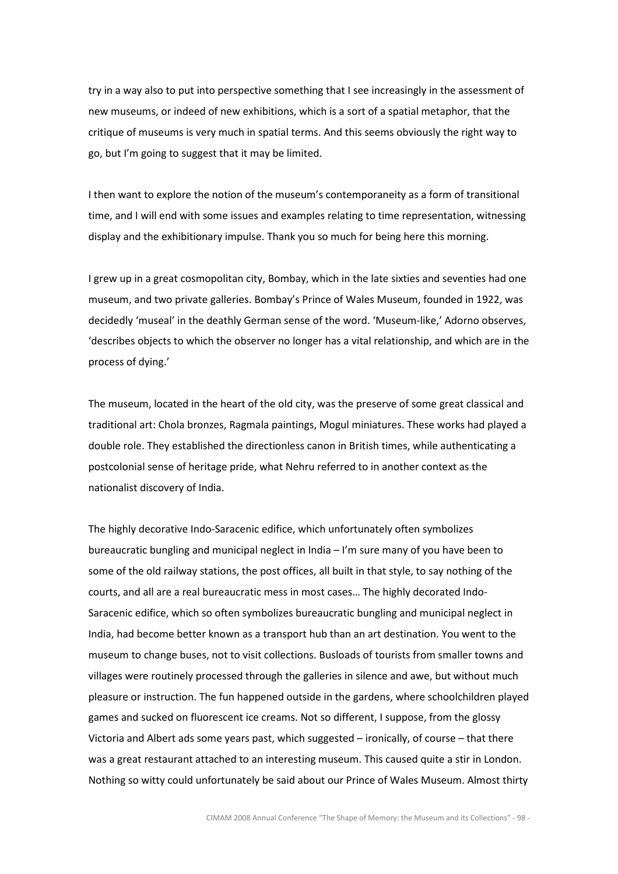try in a way also to put into perspective something that I see increasingly in the assessment of new museums, or indeed of new exhibitions, which is a sort of a spatial metaphor, that the critique of museums is very much in spatial terms. And this seems obviously the right way to go, but I'm going to suggest that it may be limited.

I then want to explore the notion of the museum's contemporaneity as a form of transitional time, and I will end with some issues and examples relating to time representation, witnessing display and the exhibitionary impulse. Thank you so much for being here this morning.

I grew up in a great cosmopolitan city, Bombay, which in the late sixties and seventies had one museum, and two private galleries. Bombay's Prince of Wales Museum, founded in 1922, was decidedly 'museal' in the deathly German sense of the word. 'Museum-like,' Adorno observes, 'describes objects to which the observer no longer has a vital relationship, and which are in the process of dying.'

The museum, located in the heart of the old city, was the preserve of some great classical and traditional art: Chola bronzes, Ragmala paintings, Mogul miniatures. These works had played a double role. They established the directionless canon in British times, while authenticating a postcolonial sense of heritage pride, what Nehru referred to in another context as the nationalist discovery of India.

The highly decorative Indo-Saracenic edifice, which unfortunately often symbolizes bureaucratic bungling and municipal neglect in India – I'm sure many of you have been to some of the old railway stations, the post offices, all built in that style, to say nothing of the courts, and all are a real bureaucratic mess in most cases… The highly decorated Indo-Saracenic edifice, which so often symbolizes bureaucratic bungling and municipal neglect in India, had become better known as a transport hub than an art destination. You went to the museum to change buses, not to visit collections. Busloads of tourists from smaller towns and villages were routinely processed through the galleries in silence and awe, but without much pleasure or instruction. The fun happened outside in the gardens, where schoolchildren played games and sucked on fluorescent ice creams. Not so different, I suppose, from the glossy Victoria and Albert ads some years past, which suggested – ironically, of course – that there was a great restaurant attached to an interesting museum. This caused quite a stir in London. Nothing so witty could unfortunately be said about our Prince of Wales Museum. Almost thirty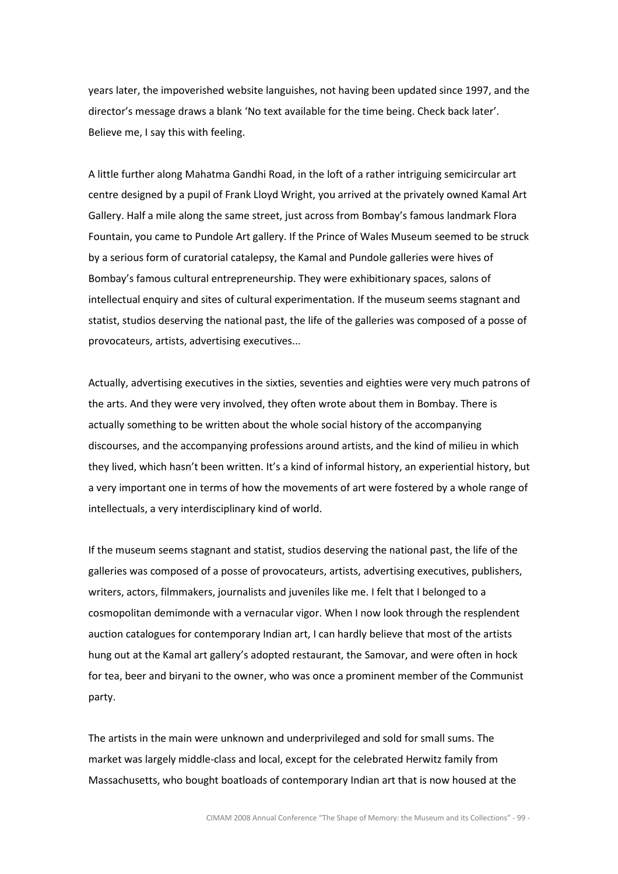years later, the impoverished website languishes, not having been updated since 1997, and the director's message draws a blank 'No text available for the time being. Check back later'. Believe me, I say this with feeling.

A little further along Mahatma Gandhi Road, in the loft of a rather intriguing semicircular art centre designed by a pupil of Frank Lloyd Wright, you arrived at the privately owned Kamal Art Gallery. Half a mile along the same street, just across from Bombay's famous landmark Flora Fountain, you came to Pundole Art gallery. If the Prince of Wales Museum seemed to be struck by a serious form of curatorial catalepsy, the Kamal and Pundole galleries were hives of Bombay's famous cultural entrepreneurship. They were exhibitionary spaces, salons of intellectual enquiry and sites of cultural experimentation. If the museum seems stagnant and statist, studios deserving the national past, the life of the galleries was composed of a posse of provocateurs, artists, advertising executives...

Actually, advertising executives in the sixties, seventies and eighties were very much patrons of the arts. And they were very involved, they often wrote about them in Bombay. There is actually something to be written about the whole social history of the accompanying discourses, and the accompanying professions around artists, and the kind of milieu in which they lived, which hasn't been written. It's a kind of informal history, an experiential history, but a very important one in terms of how the movements of art were fostered by a whole range of intellectuals, a very interdisciplinary kind of world.

If the museum seems stagnant and statist, studios deserving the national past, the life of the galleries was composed of a posse of provocateurs, artists, advertising executives, publishers, writers, actors, filmmakers, journalists and juveniles like me. I felt that I belonged to a cosmopolitan demimonde with a vernacular vigor. When I now look through the resplendent auction catalogues for contemporary Indian art, I can hardly believe that most of the artists hung out at the Kamal art gallery's adopted restaurant, the Samovar, and were often in hock for tea, beer and biryani to the owner, who was once a prominent member of the Communist party.

The artists in the main were unknown and underprivileged and sold for small sums. The market was largely middle-class and local, except for the celebrated Herwitz family from Massachusetts, who bought boatloads of contemporary Indian art that is now housed at the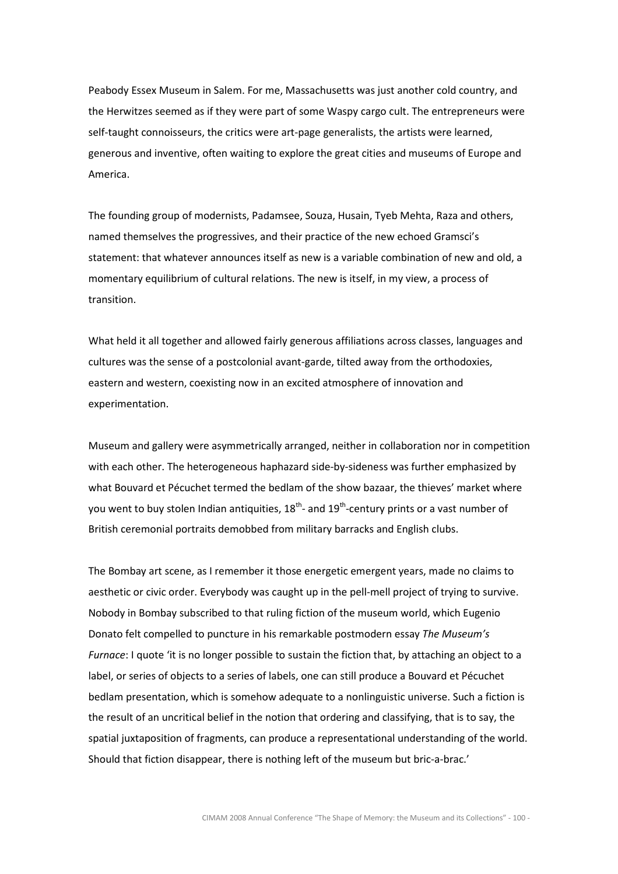Peabody Essex Museum in Salem. For me, Massachusetts was just another cold country, and the Herwitzes seemed as if they were part of some Waspy cargo cult. The entrepreneurs were self-taught connoisseurs, the critics were art-page generalists, the artists were learned, generous and inventive, often waiting to explore the great cities and museums of Europe and America.

The founding group of modernists, Padamsee, Souza, Husain, Tyeb Mehta, Raza and others, named themselves the progressives, and their practice of the new echoed Gramsci's statement: that whatever announces itself as new is a variable combination of new and old, a momentary equilibrium of cultural relations. The new is itself, in my view, a process of transition.

What held it all together and allowed fairly generous affiliations across classes, languages and cultures was the sense of a postcolonial avant-garde, tilted away from the orthodoxies, eastern and western, coexisting now in an excited atmosphere of innovation and experimentation.

Museum and gallery were asymmetrically arranged, neither in collaboration nor in competition with each other. The heterogeneous haphazard side-by-sideness was further emphasized by what Bouvard et Pécuchet termed the bedlam of the show bazaar, the thieves' market where you went to buy stolen Indian antiquities,  $18^{th}$ - and  $19^{th}$ -century prints or a vast number of British ceremonial portraits demobbed from military barracks and English clubs.

The Bombay art scene, as I remember it those energetic emergent years, made no claims to aesthetic or civic order. Everybody was caught up in the pell-mell project of trying to survive. Nobody in Bombay subscribed to that ruling fiction of the museum world, which Eugenio Donato felt compelled to puncture in his remarkable postmodern essay The Museum's Furnace: I quote 'it is no longer possible to sustain the fiction that, by attaching an object to a label, or series of objects to a series of labels, one can still produce a Bouvard et Pécuchet bedlam presentation, which is somehow adequate to a nonlinguistic universe. Such a fiction is the result of an uncritical belief in the notion that ordering and classifying, that is to say, the spatial juxtaposition of fragments, can produce a representational understanding of the world. Should that fiction disappear, there is nothing left of the museum but bric-a-brac.'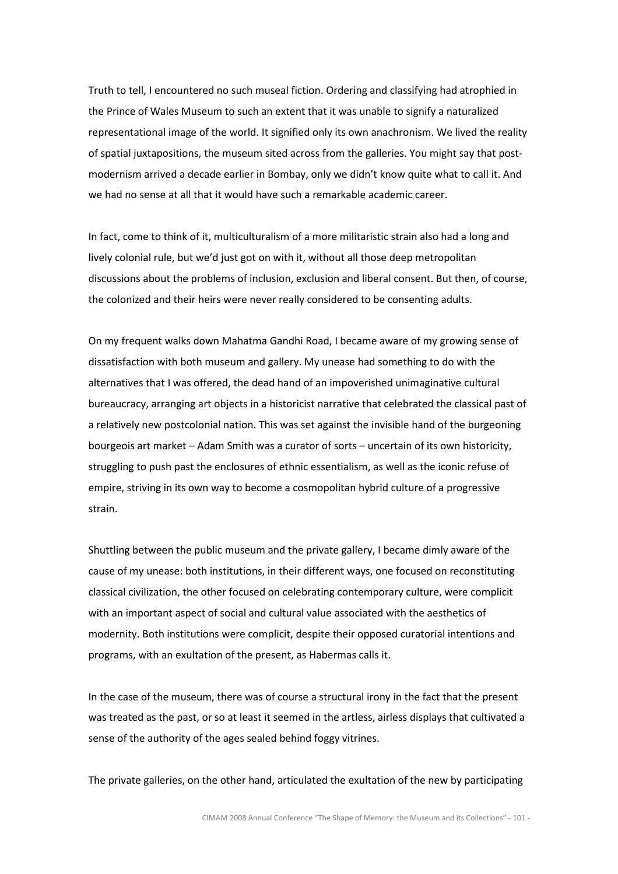Truth to tell, I encountered no such museal fiction. Ordering and classifying had atrophied in the Prince of Wales Museum to such an extent that it was unable to signify a naturalized representational image of the world. It signified only its own anachronism. We lived the reality of spatial juxtapositions, the museum sited across from the galleries. You might say that postmodernism arrived a decade earlier in Bombay, only we didn't know quite what to call it. And we had no sense at all that it would have such a remarkable academic career.

In fact, come to think of it, multiculturalism of a more militaristic strain also had a long and lively colonial rule, but we'd just got on with it, without all those deep metropolitan discussions about the problems of inclusion, exclusion and liberal consent. But then, of course, the colonized and their heirs were never really considered to be consenting adults.

On my frequent walks down Mahatma Gandhi Road, I became aware of my growing sense of dissatisfaction with both museum and gallery. My unease had something to do with the alternatives that I was offered, the dead hand of an impoverished unimaginative cultural bureaucracy, arranging art objects in a historicist narrative that celebrated the classical past of a relatively new postcolonial nation. This was set against the invisible hand of the burgeoning bourgeois art market – Adam Smith was a curator of sorts – uncertain of its own historicity, struggling to push past the enclosures of ethnic essentialism, as well as the iconic refuse of empire, striving in its own way to become a cosmopolitan hybrid culture of a progressive strain.

Shuttling between the public museum and the private gallery, I became dimly aware of the cause of my unease: both institutions, in their different ways, one focused on reconstituting classical civilization, the other focused on celebrating contemporary culture, were complicit with an important aspect of social and cultural value associated with the aesthetics of modernity. Both institutions were complicit, despite their opposed curatorial intentions and programs, with an exultation of the present, as Habermas calls it.

In the case of the museum, there was of course a structural irony in the fact that the present was treated as the past, or so at least it seemed in the artless, airless displays that cultivated a sense of the authority of the ages sealed behind foggy vitrines.

The private galleries, on the other hand, articulated the exultation of the new by participating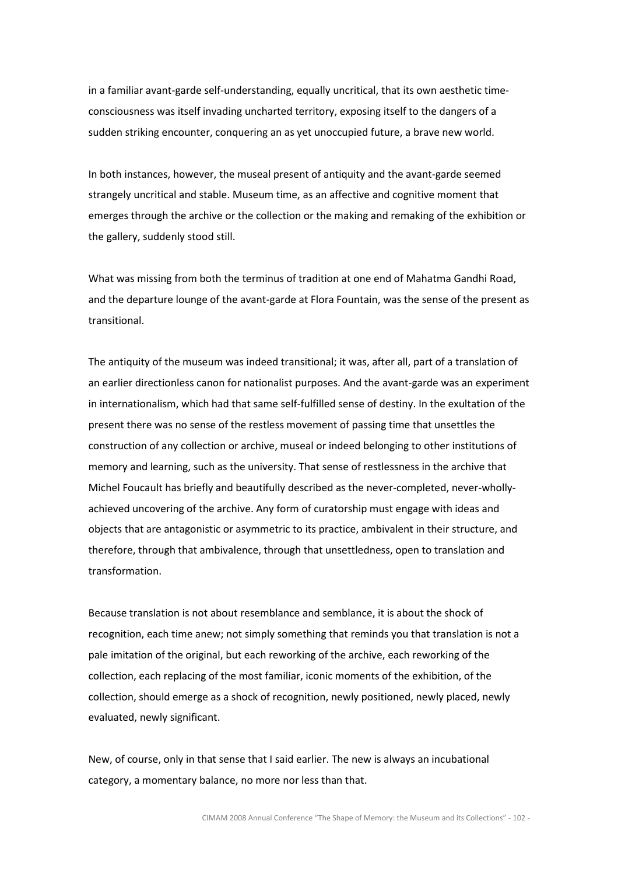in a familiar avant-garde self-understanding, equally uncritical, that its own aesthetic timeconsciousness was itself invading uncharted territory, exposing itself to the dangers of a sudden striking encounter, conquering an as yet unoccupied future, a brave new world.

In both instances, however, the museal present of antiquity and the avant-garde seemed strangely uncritical and stable. Museum time, as an affective and cognitive moment that emerges through the archive or the collection or the making and remaking of the exhibition or the gallery, suddenly stood still.

What was missing from both the terminus of tradition at one end of Mahatma Gandhi Road, and the departure lounge of the avant-garde at Flora Fountain, was the sense of the present as transitional.

The antiquity of the museum was indeed transitional; it was, after all, part of a translation of an earlier directionless canon for nationalist purposes. And the avant-garde was an experiment in internationalism, which had that same self-fulfilled sense of destiny. In the exultation of the present there was no sense of the restless movement of passing time that unsettles the construction of any collection or archive, museal or indeed belonging to other institutions of memory and learning, such as the university. That sense of restlessness in the archive that Michel Foucault has briefly and beautifully described as the never-completed, never-whollyachieved uncovering of the archive. Any form of curatorship must engage with ideas and objects that are antagonistic or asymmetric to its practice, ambivalent in their structure, and therefore, through that ambivalence, through that unsettledness, open to translation and transformation.

Because translation is not about resemblance and semblance, it is about the shock of recognition, each time anew; not simply something that reminds you that translation is not a pale imitation of the original, but each reworking of the archive, each reworking of the collection, each replacing of the most familiar, iconic moments of the exhibition, of the collection, should emerge as a shock of recognition, newly positioned, newly placed, newly evaluated, newly significant.

New, of course, only in that sense that I said earlier. The new is always an incubational category, a momentary balance, no more nor less than that.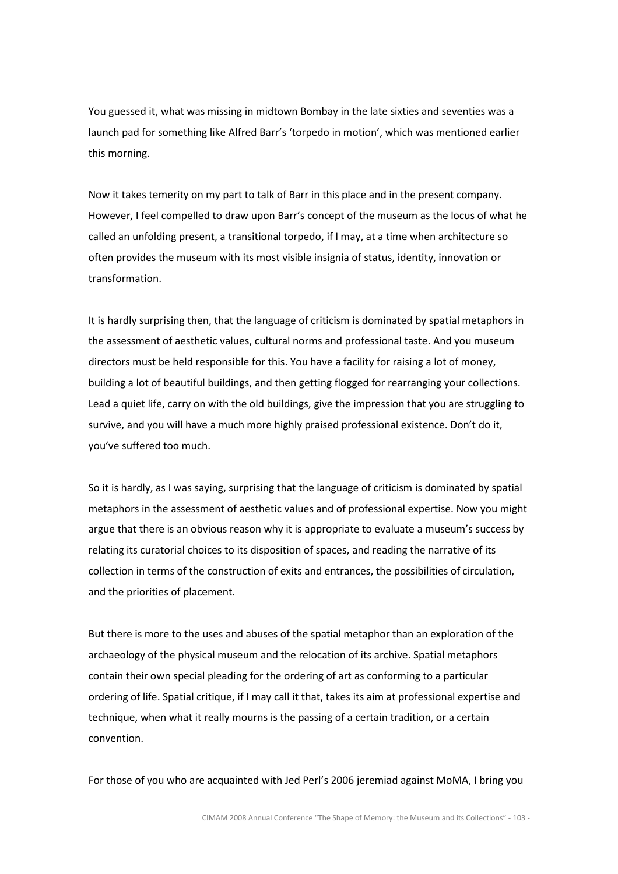You guessed it, what was missing in midtown Bombay in the late sixties and seventies was a launch pad for something like Alfred Barr's 'torpedo in motion', which was mentioned earlier this morning.

Now it takes temerity on my part to talk of Barr in this place and in the present company. However, I feel compelled to draw upon Barr's concept of the museum as the locus of what he called an unfolding present, a transitional torpedo, if I may, at a time when architecture so often provides the museum with its most visible insignia of status, identity, innovation or transformation.

It is hardly surprising then, that the language of criticism is dominated by spatial metaphors in the assessment of aesthetic values, cultural norms and professional taste. And you museum directors must be held responsible for this. You have a facility for raising a lot of money, building a lot of beautiful buildings, and then getting flogged for rearranging your collections. Lead a quiet life, carry on with the old buildings, give the impression that you are struggling to survive, and you will have a much more highly praised professional existence. Don't do it, you've suffered too much.

So it is hardly, as I was saying, surprising that the language of criticism is dominated by spatial metaphors in the assessment of aesthetic values and of professional expertise. Now you might argue that there is an obvious reason why it is appropriate to evaluate a museum's success by relating its curatorial choices to its disposition of spaces, and reading the narrative of its collection in terms of the construction of exits and entrances, the possibilities of circulation, and the priorities of placement.

But there is more to the uses and abuses of the spatial metaphor than an exploration of the archaeology of the physical museum and the relocation of its archive. Spatial metaphors contain their own special pleading for the ordering of art as conforming to a particular ordering of life. Spatial critique, if I may call it that, takes its aim at professional expertise and technique, when what it really mourns is the passing of a certain tradition, or a certain convention.

For those of you who are acquainted with Jed Perl's 2006 jeremiad against MoMA, I bring you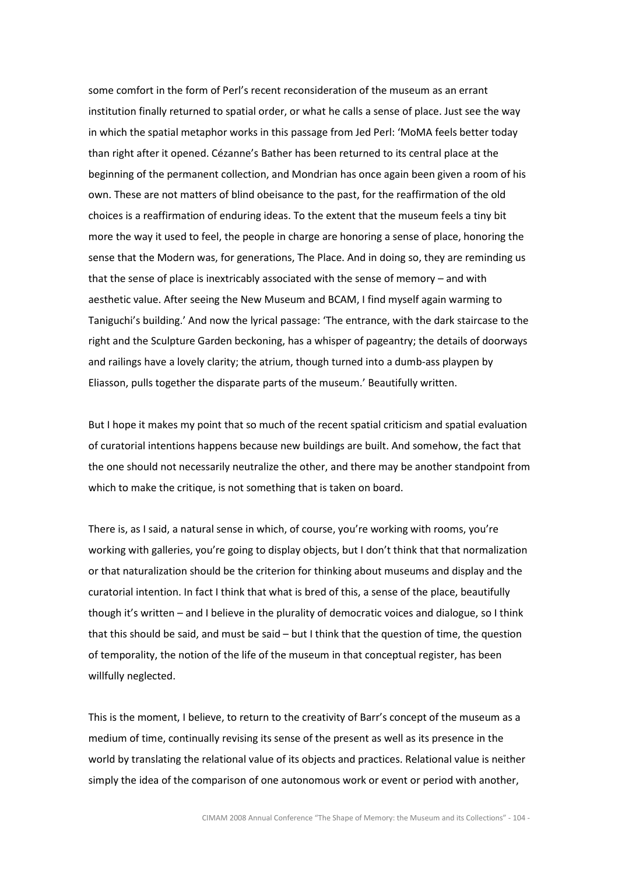some comfort in the form of Perl's recent reconsideration of the museum as an errant institution finally returned to spatial order, or what he calls a sense of place. Just see the way in which the spatial metaphor works in this passage from Jed Perl: 'MoMA feels better today than right after it opened. Cézanne's Bather has been returned to its central place at the beginning of the permanent collection, and Mondrian has once again been given a room of his own. These are not matters of blind obeisance to the past, for the reaffirmation of the old choices is a reaffirmation of enduring ideas. To the extent that the museum feels a tiny bit more the way it used to feel, the people in charge are honoring a sense of place, honoring the sense that the Modern was, for generations, The Place. And in doing so, they are reminding us that the sense of place is inextricably associated with the sense of memory – and with aesthetic value. After seeing the New Museum and BCAM, I find myself again warming to Taniguchi's building.' And now the lyrical passage: 'The entrance, with the dark staircase to the right and the Sculpture Garden beckoning, has a whisper of pageantry; the details of doorways and railings have a lovely clarity; the atrium, though turned into a dumb-ass playpen by Eliasson, pulls together the disparate parts of the museum.' Beautifully written.

But I hope it makes my point that so much of the recent spatial criticism and spatial evaluation of curatorial intentions happens because new buildings are built. And somehow, the fact that the one should not necessarily neutralize the other, and there may be another standpoint from which to make the critique, is not something that is taken on board.

There is, as I said, a natural sense in which, of course, you're working with rooms, you're working with galleries, you're going to display objects, but I don't think that that normalization or that naturalization should be the criterion for thinking about museums and display and the curatorial intention. In fact I think that what is bred of this, a sense of the place, beautifully though it's written – and I believe in the plurality of democratic voices and dialogue, so I think that this should be said, and must be said – but I think that the question of time, the question of temporality, the notion of the life of the museum in that conceptual register, has been willfully neglected.

This is the moment, I believe, to return to the creativity of Barr's concept of the museum as a medium of time, continually revising its sense of the present as well as its presence in the world by translating the relational value of its objects and practices. Relational value is neither simply the idea of the comparison of one autonomous work or event or period with another,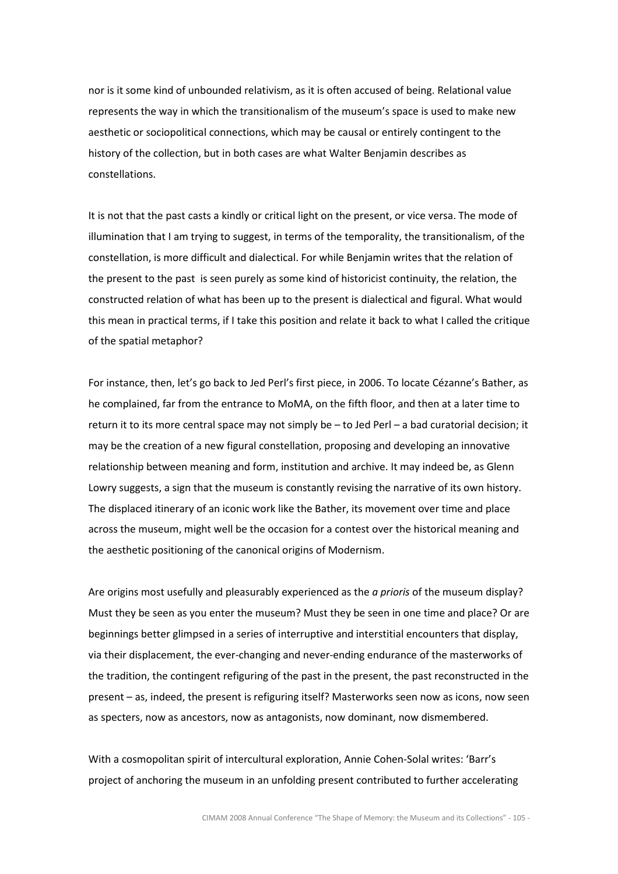nor is it some kind of unbounded relativism, as it is often accused of being. Relational value represents the way in which the transitionalism of the museum's space is used to make new aesthetic or sociopolitical connections, which may be causal or entirely contingent to the history of the collection, but in both cases are what Walter Benjamin describes as constellations.

It is not that the past casts a kindly or critical light on the present, or vice versa. The mode of illumination that I am trying to suggest, in terms of the temporality, the transitionalism, of the constellation, is more difficult and dialectical. For while Benjamin writes that the relation of the present to the past is seen purely as some kind of historicist continuity, the relation, the constructed relation of what has been up to the present is dialectical and figural. What would this mean in practical terms, if I take this position and relate it back to what I called the critique of the spatial metaphor?

For instance, then, let's go back to Jed Perl's first piece, in 2006. To locate Cézanne's Bather, as he complained, far from the entrance to MoMA, on the fifth floor, and then at a later time to return it to its more central space may not simply be – to Jed Perl – a bad curatorial decision; it may be the creation of a new figural constellation, proposing and developing an innovative relationship between meaning and form, institution and archive. It may indeed be, as Glenn Lowry suggests, a sign that the museum is constantly revising the narrative of its own history. The displaced itinerary of an iconic work like the Bather, its movement over time and place across the museum, might well be the occasion for a contest over the historical meaning and the aesthetic positioning of the canonical origins of Modernism.

Are origins most usefully and pleasurably experienced as the *a prioris* of the museum display? Must they be seen as you enter the museum? Must they be seen in one time and place? Or are beginnings better glimpsed in a series of interruptive and interstitial encounters that display, via their displacement, the ever-changing and never-ending endurance of the masterworks of the tradition, the contingent refiguring of the past in the present, the past reconstructed in the present – as, indeed, the present is refiguring itself? Masterworks seen now as icons, now seen as specters, now as ancestors, now as antagonists, now dominant, now dismembered.

With a cosmopolitan spirit of intercultural exploration, Annie Cohen-Solal writes: 'Barr's project of anchoring the museum in an unfolding present contributed to further accelerating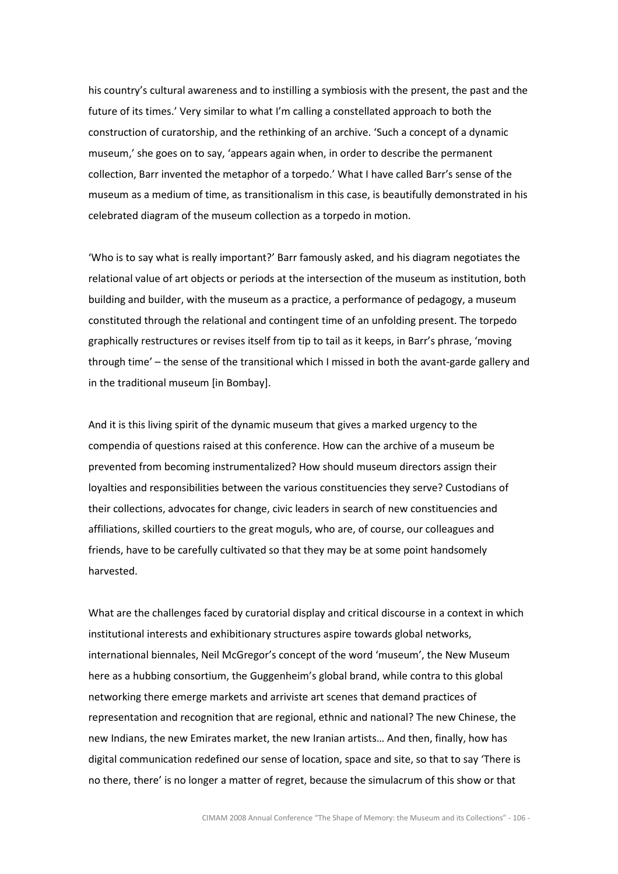his country's cultural awareness and to instilling a symbiosis with the present, the past and the future of its times.' Very similar to what I'm calling a constellated approach to both the construction of curatorship, and the rethinking of an archive. 'Such a concept of a dynamic museum,' she goes on to say, 'appears again when, in order to describe the permanent collection, Barr invented the metaphor of a torpedo.' What I have called Barr's sense of the museum as a medium of time, as transitionalism in this case, is beautifully demonstrated in his celebrated diagram of the museum collection as a torpedo in motion.

'Who is to say what is really important?' Barr famously asked, and his diagram negotiates the relational value of art objects or periods at the intersection of the museum as institution, both building and builder, with the museum as a practice, a performance of pedagogy, a museum constituted through the relational and contingent time of an unfolding present. The torpedo graphically restructures or revises itself from tip to tail as it keeps, in Barr's phrase, 'moving through time' – the sense of the transitional which I missed in both the avant-garde gallery and in the traditional museum [in Bombay].

And it is this living spirit of the dynamic museum that gives a marked urgency to the compendia of questions raised at this conference. How can the archive of a museum be prevented from becoming instrumentalized? How should museum directors assign their loyalties and responsibilities between the various constituencies they serve? Custodians of their collections, advocates for change, civic leaders in search of new constituencies and affiliations, skilled courtiers to the great moguls, who are, of course, our colleagues and friends, have to be carefully cultivated so that they may be at some point handsomely harvested.

What are the challenges faced by curatorial display and critical discourse in a context in which institutional interests and exhibitionary structures aspire towards global networks, international biennales, Neil McGregor's concept of the word 'museum', the New Museum here as a hubbing consortium, the Guggenheim's global brand, while contra to this global networking there emerge markets and arriviste art scenes that demand practices of representation and recognition that are regional, ethnic and national? The new Chinese, the new Indians, the new Emirates market, the new Iranian artists… And then, finally, how has digital communication redefined our sense of location, space and site, so that to say 'There is no there, there' is no longer a matter of regret, because the simulacrum of this show or that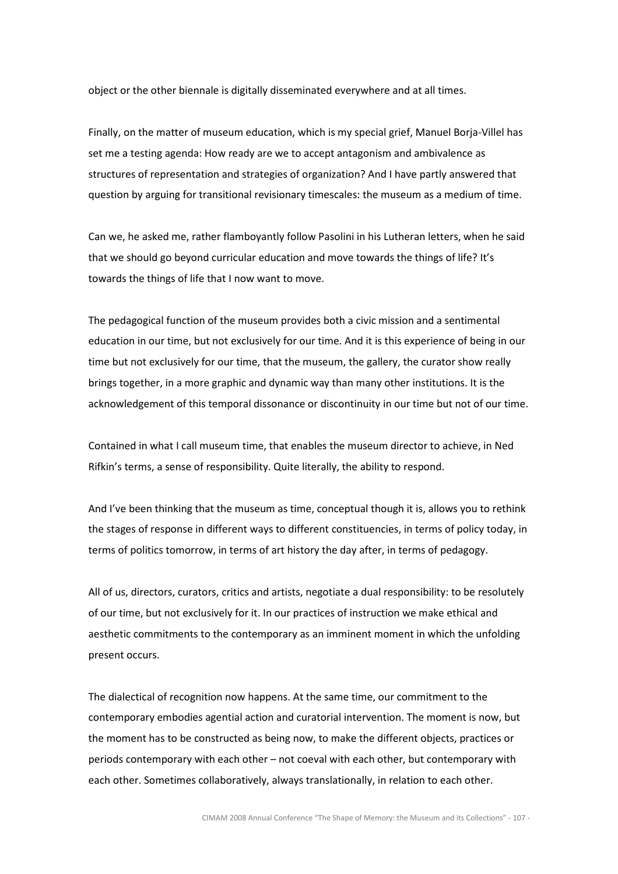object or the other biennale is digitally disseminated everywhere and at all times.

Finally, on the matter of museum education, which is my special grief, Manuel Borja-Villel has set me a testing agenda: How ready are we to accept antagonism and ambivalence as structures of representation and strategies of organization? And I have partly answered that question by arguing for transitional revisionary timescales: the museum as a medium of time.

Can we, he asked me, rather flamboyantly follow Pasolini in his Lutheran letters, when he said that we should go beyond curricular education and move towards the things of life? It's towards the things of life that I now want to move.

The pedagogical function of the museum provides both a civic mission and a sentimental education in our time, but not exclusively for our time. And it is this experience of being in our time but not exclusively for our time, that the museum, the gallery, the curator show really brings together, in a more graphic and dynamic way than many other institutions. It is the acknowledgement of this temporal dissonance or discontinuity in our time but not of our time.

Contained in what I call museum time, that enables the museum director to achieve, in Ned Rifkin's terms, a sense of responsibility. Quite literally, the ability to respond.

And I've been thinking that the museum as time, conceptual though it is, allows you to rethink the stages of response in different ways to different constituencies, in terms of policy today, in terms of politics tomorrow, in terms of art history the day after, in terms of pedagogy.

All of us, directors, curators, critics and artists, negotiate a dual responsibility: to be resolutely of our time, but not exclusively for it. In our practices of instruction we make ethical and aesthetic commitments to the contemporary as an imminent moment in which the unfolding present occurs.

The dialectical of recognition now happens. At the same time, our commitment to the contemporary embodies agential action and curatorial intervention. The moment is now, but the moment has to be constructed as being now, to make the different objects, practices or periods contemporary with each other – not coeval with each other, but contemporary with each other. Sometimes collaboratively, always translationally, in relation to each other.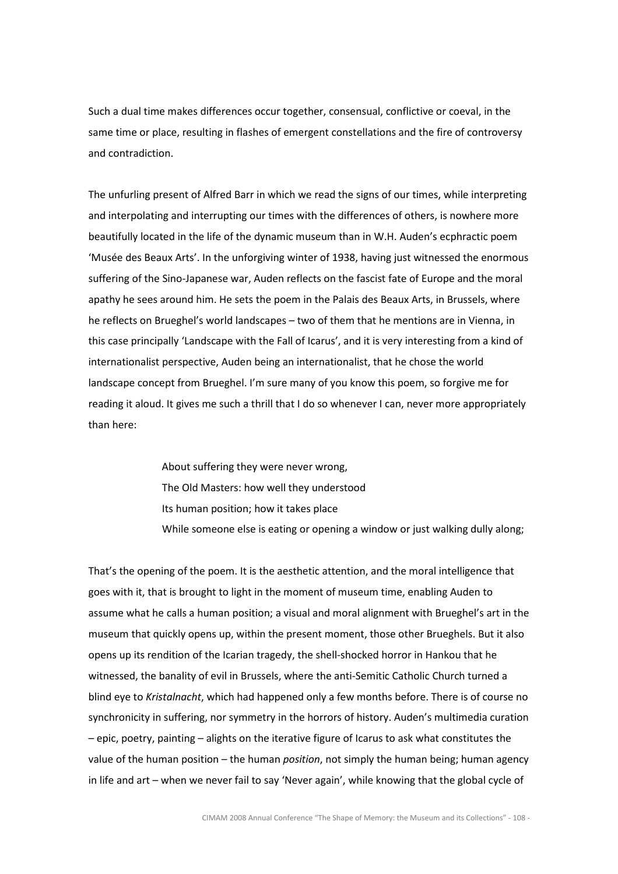Such a dual time makes differences occur together, consensual, conflictive or coeval, in the same time or place, resulting in flashes of emergent constellations and the fire of controversy and contradiction.

The unfurling present of Alfred Barr in which we read the signs of our times, while interpreting and interpolating and interrupting our times with the differences of others, is nowhere more beautifully located in the life of the dynamic museum than in W.H. Auden's ecphractic poem 'Musée des Beaux Arts'. In the unforgiving winter of 1938, having just witnessed the enormous suffering of the Sino-Japanese war, Auden reflects on the fascist fate of Europe and the moral apathy he sees around him. He sets the poem in the Palais des Beaux Arts, in Brussels, where he reflects on Brueghel's world landscapes – two of them that he mentions are in Vienna, in this case principally 'Landscape with the Fall of Icarus', and it is very interesting from a kind of internationalist perspective, Auden being an internationalist, that he chose the world landscape concept from Brueghel. I'm sure many of you know this poem, so forgive me for reading it aloud. It gives me such a thrill that I do so whenever I can, never more appropriately than here:

> About suffering they were never wrong, The Old Masters: how well they understood Its human position; how it takes place While someone else is eating or opening a window or just walking dully along;

That's the opening of the poem. It is the aesthetic attention, and the moral intelligence that goes with it, that is brought to light in the moment of museum time, enabling Auden to assume what he calls a human position; a visual and moral alignment with Brueghel's art in the museum that quickly opens up, within the present moment, those other Brueghels. But it also opens up its rendition of the Icarian tragedy, the shell-shocked horror in Hankou that he witnessed, the banality of evil in Brussels, where the anti-Semitic Catholic Church turned a blind eye to Kristalnacht, which had happened only a few months before. There is of course no synchronicity in suffering, nor symmetry in the horrors of history. Auden's multimedia curation – epic, poetry, painting – alights on the iterative figure of Icarus to ask what constitutes the value of the human position – the human *position*, not simply the human being; human agency in life and art – when we never fail to say 'Never again', while knowing that the global cycle of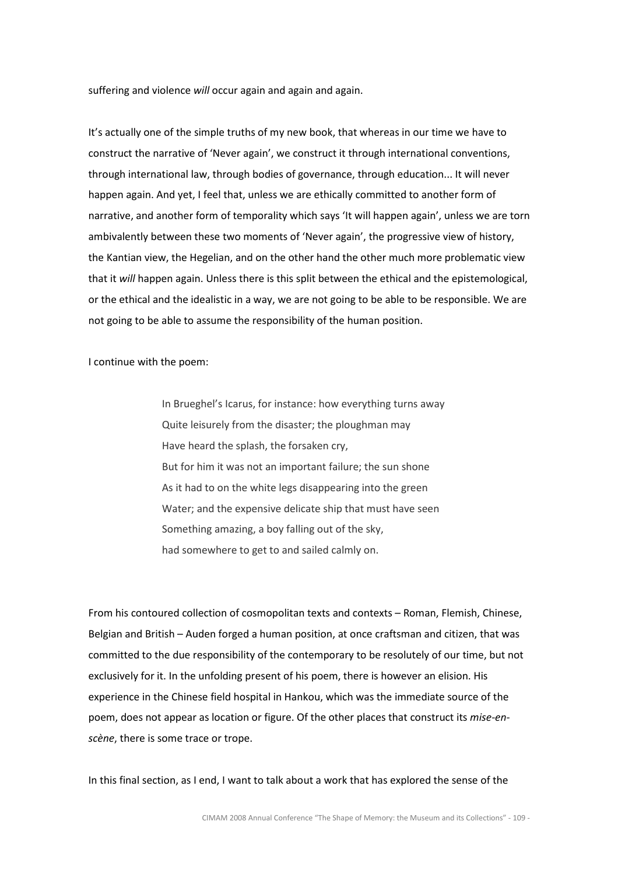suffering and violence will occur again and again and again.

It's actually one of the simple truths of my new book, that whereas in our time we have to construct the narrative of 'Never again', we construct it through international conventions, through international law, through bodies of governance, through education... It will never happen again. And yet, I feel that, unless we are ethically committed to another form of narrative, and another form of temporality which says 'It will happen again', unless we are torn ambivalently between these two moments of 'Never again', the progressive view of history, the Kantian view, the Hegelian, and on the other hand the other much more problematic view that it will happen again. Unless there is this split between the ethical and the epistemological, or the ethical and the idealistic in a way, we are not going to be able to be responsible. We are not going to be able to assume the responsibility of the human position.

I continue with the poem:

In Brueghel's Icarus, for instance: how everything turns away Quite leisurely from the disaster; the ploughman may Have heard the splash, the forsaken cry, But for him it was not an important failure; the sun shone As it had to on the white legs disappearing into the green Water; and the expensive delicate ship that must have seen Something amazing, a boy falling out of the sky, had somewhere to get to and sailed calmly on.

From his contoured collection of cosmopolitan texts and contexts – Roman, Flemish, Chinese, Belgian and British – Auden forged a human position, at once craftsman and citizen, that was committed to the due responsibility of the contemporary to be resolutely of our time, but not exclusively for it. In the unfolding present of his poem, there is however an elision. His experience in the Chinese field hospital in Hankou, which was the immediate source of the poem, does not appear as location or figure. Of the other places that construct its mise-enscène, there is some trace or trope.

In this final section, as I end, I want to talk about a work that has explored the sense of the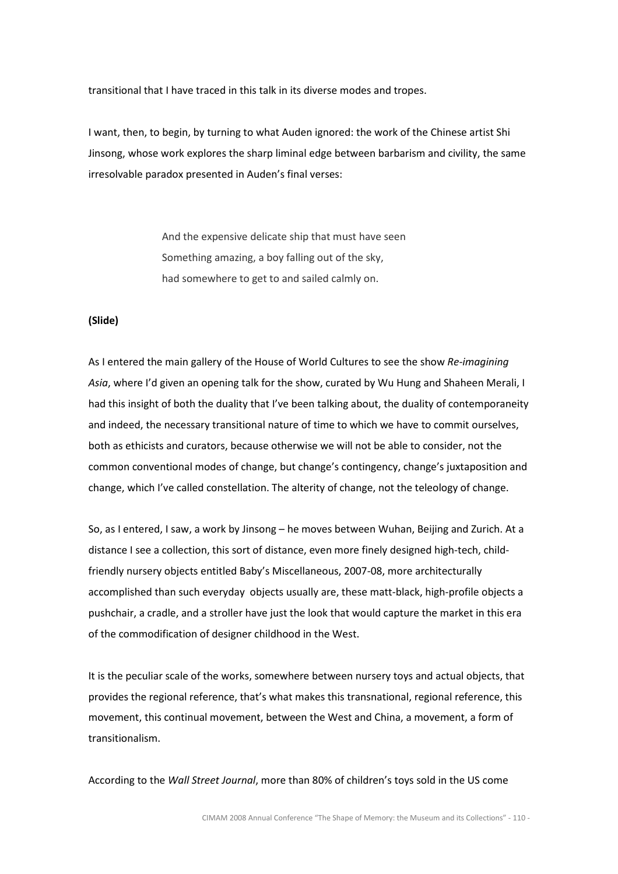transitional that I have traced in this talk in its diverse modes and tropes.

I want, then, to begin, by turning to what Auden ignored: the work of the Chinese artist Shi Jinsong, whose work explores the sharp liminal edge between barbarism and civility, the same irresolvable paradox presented in Auden's final verses:

> And the expensive delicate ship that must have seen Something amazing, a boy falling out of the sky, had somewhere to get to and sailed calmly on.

# (Slide)

As I entered the main gallery of the House of World Cultures to see the show Re-imagining Asia, where I'd given an opening talk for the show, curated by Wu Hung and Shaheen Merali, I had this insight of both the duality that I've been talking about, the duality of contemporaneity and indeed, the necessary transitional nature of time to which we have to commit ourselves, both as ethicists and curators, because otherwise we will not be able to consider, not the common conventional modes of change, but change's contingency, change's juxtaposition and change, which I've called constellation. The alterity of change, not the teleology of change.

So, as I entered, I saw, a work by Jinsong – he moves between Wuhan, Beijing and Zurich. At a distance I see a collection, this sort of distance, even more finely designed high-tech, childfriendly nursery objects entitled Baby's Miscellaneous, 2007-08, more architecturally accomplished than such everyday objects usually are, these matt-black, high-profile objects a pushchair, a cradle, and a stroller have just the look that would capture the market in this era of the commodification of designer childhood in the West.

It is the peculiar scale of the works, somewhere between nursery toys and actual objects, that provides the regional reference, that's what makes this transnational, regional reference, this movement, this continual movement, between the West and China, a movement, a form of transitionalism.

According to the Wall Street Journal, more than 80% of children's toys sold in the US come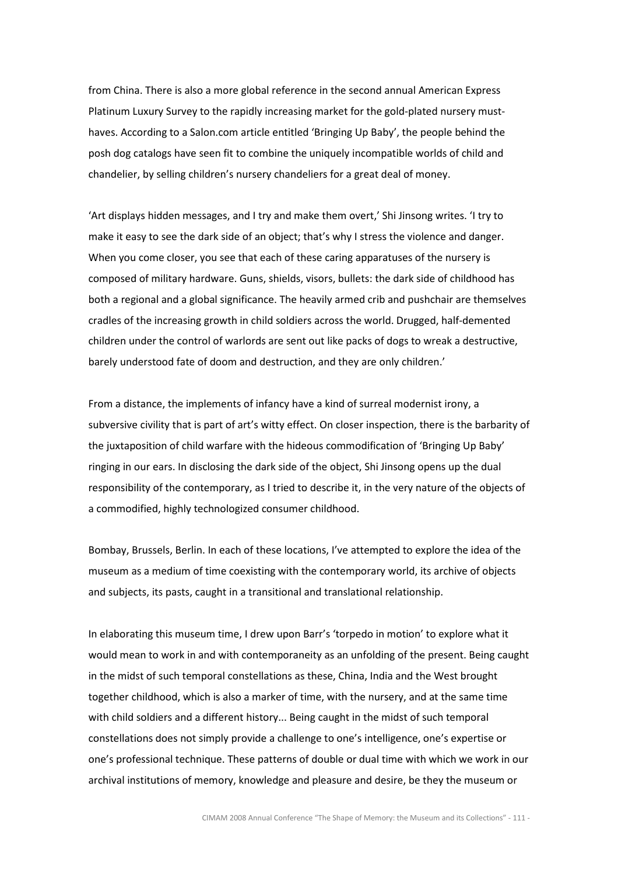from China. There is also a more global reference in the second annual American Express Platinum Luxury Survey to the rapidly increasing market for the gold-plated nursery musthaves. According to a Salon.com article entitled 'Bringing Up Baby', the people behind the posh dog catalogs have seen fit to combine the uniquely incompatible worlds of child and chandelier, by selling children's nursery chandeliers for a great deal of money.

'Art displays hidden messages, and I try and make them overt,' Shi Jinsong writes. 'I try to make it easy to see the dark side of an object; that's why I stress the violence and danger. When you come closer, you see that each of these caring apparatuses of the nursery is composed of military hardware. Guns, shields, visors, bullets: the dark side of childhood has both a regional and a global significance. The heavily armed crib and pushchair are themselves cradles of the increasing growth in child soldiers across the world. Drugged, half-demented children under the control of warlords are sent out like packs of dogs to wreak a destructive, barely understood fate of doom and destruction, and they are only children.'

From a distance, the implements of infancy have a kind of surreal modernist irony, a subversive civility that is part of art's witty effect. On closer inspection, there is the barbarity of the juxtaposition of child warfare with the hideous commodification of 'Bringing Up Baby' ringing in our ears. In disclosing the dark side of the object, Shi Jinsong opens up the dual responsibility of the contemporary, as I tried to describe it, in the very nature of the objects of a commodified, highly technologized consumer childhood.

Bombay, Brussels, Berlin. In each of these locations, I've attempted to explore the idea of the museum as a medium of time coexisting with the contemporary world, its archive of objects and subjects, its pasts, caught in a transitional and translational relationship.

In elaborating this museum time, I drew upon Barr's 'torpedo in motion' to explore what it would mean to work in and with contemporaneity as an unfolding of the present. Being caught in the midst of such temporal constellations as these, China, India and the West brought together childhood, which is also a marker of time, with the nursery, and at the same time with child soldiers and a different history... Being caught in the midst of such temporal constellations does not simply provide a challenge to one's intelligence, one's expertise or one's professional technique. These patterns of double or dual time with which we work in our archival institutions of memory, knowledge and pleasure and desire, be they the museum or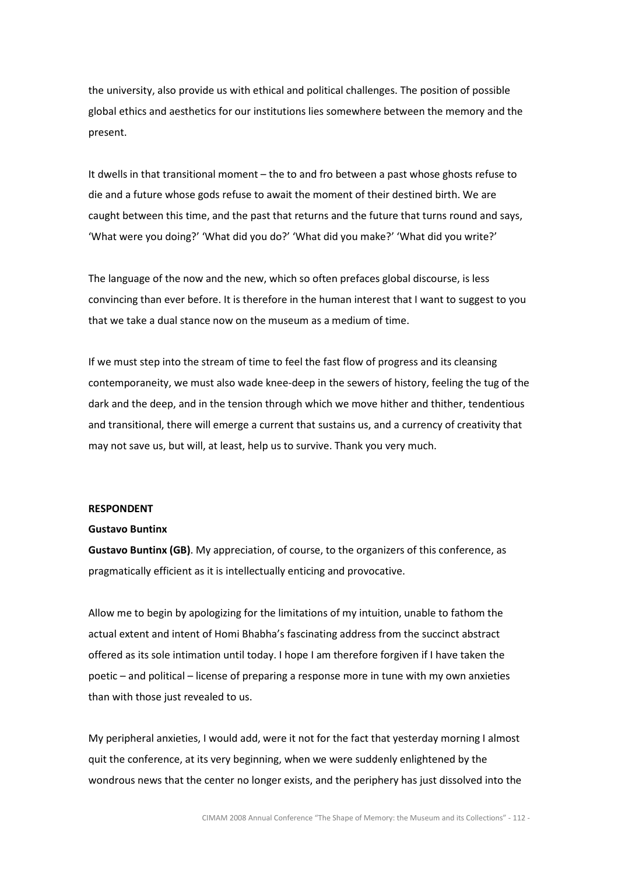the university, also provide us with ethical and political challenges. The position of possible global ethics and aesthetics for our institutions lies somewhere between the memory and the present.

It dwells in that transitional moment – the to and fro between a past whose ghosts refuse to die and a future whose gods refuse to await the moment of their destined birth. We are caught between this time, and the past that returns and the future that turns round and says, 'What were you doing?' 'What did you do?' 'What did you make?' 'What did you write?'

The language of the now and the new, which so often prefaces global discourse, is less convincing than ever before. It is therefore in the human interest that I want to suggest to you that we take a dual stance now on the museum as a medium of time.

If we must step into the stream of time to feel the fast flow of progress and its cleansing contemporaneity, we must also wade knee-deep in the sewers of history, feeling the tug of the dark and the deep, and in the tension through which we move hither and thither, tendentious and transitional, there will emerge a current that sustains us, and a currency of creativity that may not save us, but will, at least, help us to survive. Thank you very much.

## RESPONDENT

#### Gustavo Buntinx

Gustavo Buntinx (GB). My appreciation, of course, to the organizers of this conference, as pragmatically efficient as it is intellectually enticing and provocative.

Allow me to begin by apologizing for the limitations of my intuition, unable to fathom the actual extent and intent of Homi Bhabha's fascinating address from the succinct abstract offered as its sole intimation until today. I hope I am therefore forgiven if I have taken the poetic – and political – license of preparing a response more in tune with my own anxieties than with those just revealed to us.

My peripheral anxieties, I would add, were it not for the fact that yesterday morning I almost quit the conference, at its very beginning, when we were suddenly enlightened by the wondrous news that the center no longer exists, and the periphery has just dissolved into the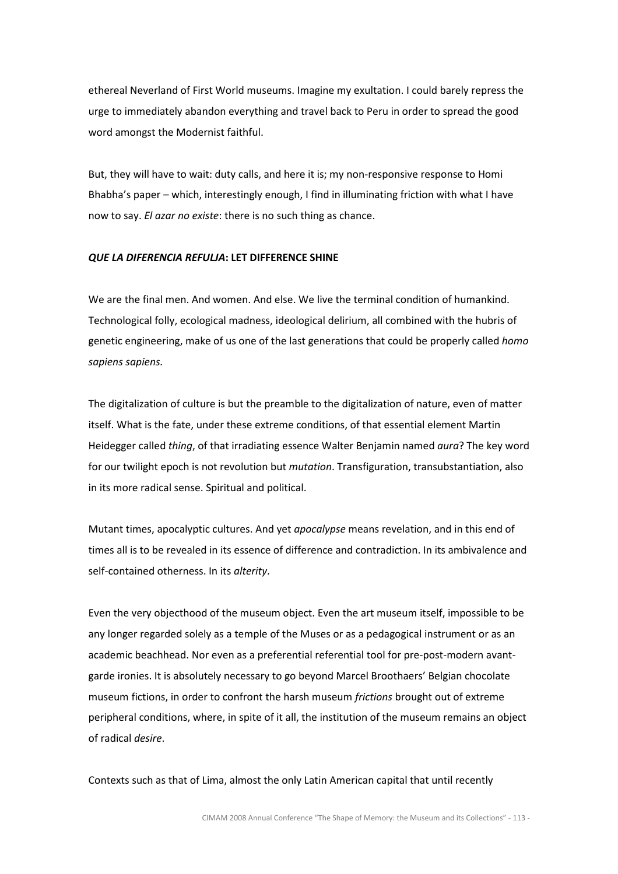ethereal Neverland of First World museums. Imagine my exultation. I could barely repress the urge to immediately abandon everything and travel back to Peru in order to spread the good word amongst the Modernist faithful.

But, they will have to wait: duty calls, and here it is; my non-responsive response to Homi Bhabha's paper – which, interestingly enough, I find in illuminating friction with what I have now to say. El azar no existe: there is no such thing as chance.

# QUE LA DIFERENCIA REFULJA: LET DIFFERENCE SHINE

We are the final men. And women. And else. We live the terminal condition of humankind. Technological folly, ecological madness, ideological delirium, all combined with the hubris of genetic engineering, make of us one of the last generations that could be properly called homo sapiens sapiens.

The digitalization of culture is but the preamble to the digitalization of nature, even of matter itself. What is the fate, under these extreme conditions, of that essential element Martin Heidegger called thing, of that irradiating essence Walter Benjamin named aura? The key word for our twilight epoch is not revolution but *mutation*. Transfiguration, transubstantiation, also in its more radical sense. Spiritual and political.

Mutant times, apocalyptic cultures. And yet *apocalypse* means revelation, and in this end of times all is to be revealed in its essence of difference and contradiction. In its ambivalence and self-contained otherness. In its alterity.

Even the very objecthood of the museum object. Even the art museum itself, impossible to be any longer regarded solely as a temple of the Muses or as a pedagogical instrument or as an academic beachhead. Nor even as a preferential referential tool for pre-post-modern avantgarde ironies. It is absolutely necessary to go beyond Marcel Broothaers' Belgian chocolate museum fictions, in order to confront the harsh museum frictions brought out of extreme peripheral conditions, where, in spite of it all, the institution of the museum remains an object of radical desire.

Contexts such as that of Lima, almost the only Latin American capital that until recently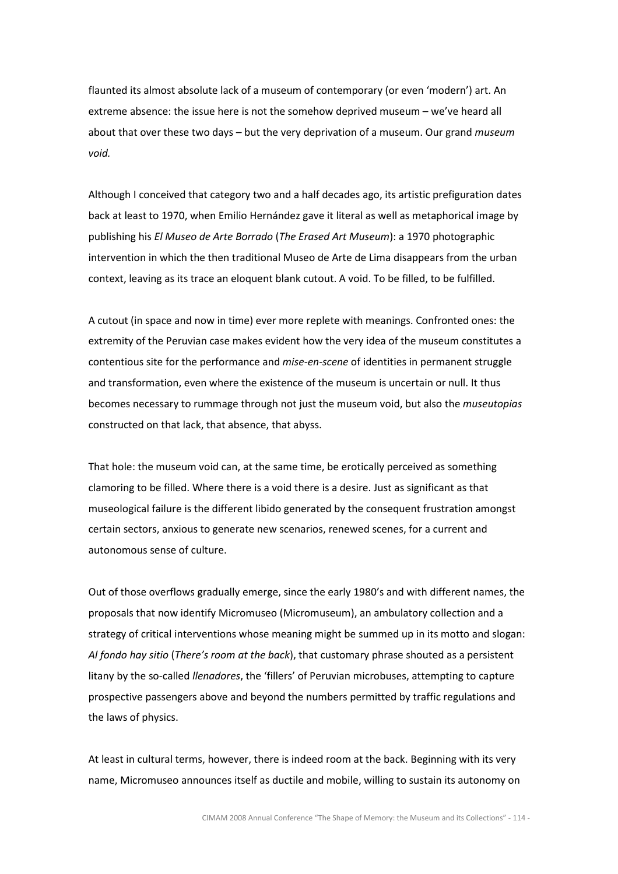flaunted its almost absolute lack of a museum of contemporary (or even 'modern') art. An extreme absence: the issue here is not the somehow deprived museum – we've heard all about that over these two days  $-$  but the very deprivation of a museum. Our grand museum void.

Although I conceived that category two and a half decades ago, its artistic prefiguration dates back at least to 1970, when Emilio Hernández gave it literal as well as metaphorical image by publishing his El Museo de Arte Borrado (The Erased Art Museum): a 1970 photographic intervention in which the then traditional Museo de Arte de Lima disappears from the urban context, leaving as its trace an eloquent blank cutout. A void. To be filled, to be fulfilled.

A cutout (in space and now in time) ever more replete with meanings. Confronted ones: the extremity of the Peruvian case makes evident how the very idea of the museum constitutes a contentious site for the performance and *mise-en-scene* of identities in permanent struggle and transformation, even where the existence of the museum is uncertain or null. It thus becomes necessary to rummage through not just the museum void, but also the *museutopias* constructed on that lack, that absence, that abyss.

That hole: the museum void can, at the same time, be erotically perceived as something clamoring to be filled. Where there is a void there is a desire. Just as significant as that museological failure is the different libido generated by the consequent frustration amongst certain sectors, anxious to generate new scenarios, renewed scenes, for a current and autonomous sense of culture.

Out of those overflows gradually emerge, since the early 1980's and with different names, the proposals that now identify Micromuseo (Micromuseum), an ambulatory collection and a strategy of critical interventions whose meaning might be summed up in its motto and slogan: Al fondo hay sitio (There's room at the back), that customary phrase shouted as a persistent litany by the so-called *llenadores*, the 'fillers' of Peruvian microbuses, attempting to capture prospective passengers above and beyond the numbers permitted by traffic regulations and the laws of physics.

At least in cultural terms, however, there is indeed room at the back. Beginning with its very name, Micromuseo announces itself as ductile and mobile, willing to sustain its autonomy on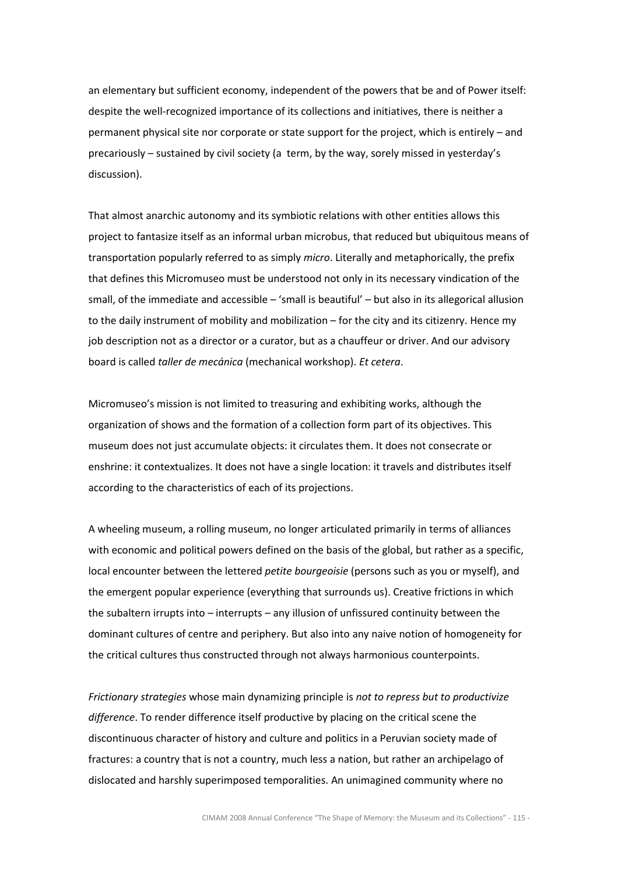an elementary but sufficient economy, independent of the powers that be and of Power itself: despite the well-recognized importance of its collections and initiatives, there is neither a permanent physical site nor corporate or state support for the project, which is entirely – and precariously – sustained by civil society (a term, by the way, sorely missed in yesterday's discussion).

That almost anarchic autonomy and its symbiotic relations with other entities allows this project to fantasize itself as an informal urban microbus, that reduced but ubiquitous means of transportation popularly referred to as simply micro. Literally and metaphorically, the prefix that defines this Micromuseo must be understood not only in its necessary vindication of the small, of the immediate and accessible – 'small is beautiful' – but also in its allegorical allusion to the daily instrument of mobility and mobilization – for the city and its citizenry. Hence my job description not as a director or a curator, but as a chauffeur or driver. And our advisory board is called taller de mecánica (mechanical workshop). Et cetera.

Micromuseo's mission is not limited to treasuring and exhibiting works, although the organization of shows and the formation of a collection form part of its objectives. This museum does not just accumulate objects: it circulates them. It does not consecrate or enshrine: it contextualizes. It does not have a single location: it travels and distributes itself according to the characteristics of each of its projections.

A wheeling museum, a rolling museum, no longer articulated primarily in terms of alliances with economic and political powers defined on the basis of the global, but rather as a specific, local encounter between the lettered petite bourgeoisie (persons such as you or myself), and the emergent popular experience (everything that surrounds us). Creative frictions in which the subaltern irrupts into – interrupts – any illusion of unfissured continuity between the dominant cultures of centre and periphery. But also into any naive notion of homogeneity for the critical cultures thus constructed through not always harmonious counterpoints.

Frictionary strategies whose main dynamizing principle is not to repress but to productivize difference. To render difference itself productive by placing on the critical scene the discontinuous character of history and culture and politics in a Peruvian society made of fractures: a country that is not a country, much less a nation, but rather an archipelago of dislocated and harshly superimposed temporalities. An unimagined community where no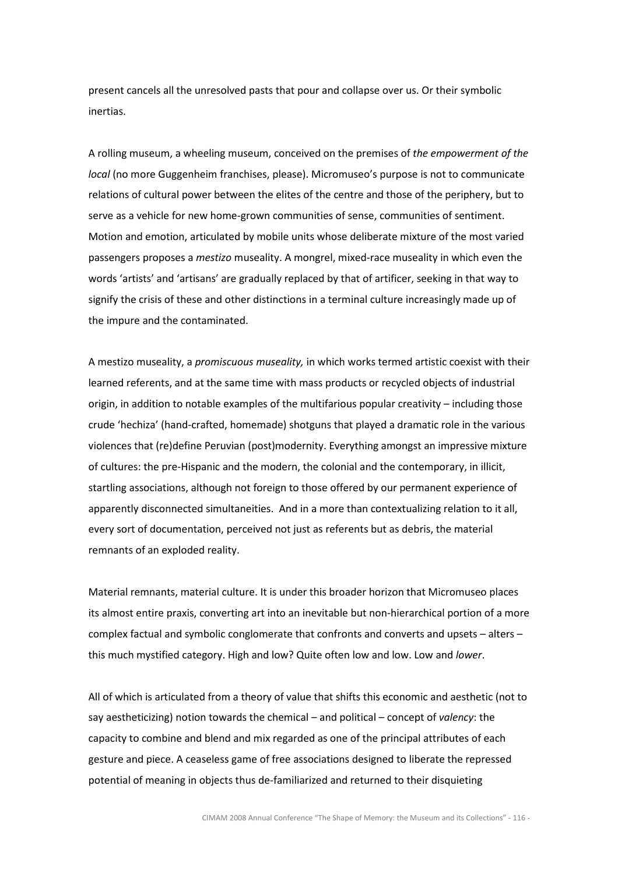present cancels all the unresolved pasts that pour and collapse over us. Or their symbolic inertias.

A rolling museum, a wheeling museum, conceived on the premises of the empowerment of the local (no more Guggenheim franchises, please). Micromuseo's purpose is not to communicate relations of cultural power between the elites of the centre and those of the periphery, but to serve as a vehicle for new home-grown communities of sense, communities of sentiment. Motion and emotion, articulated by mobile units whose deliberate mixture of the most varied passengers proposes a *mestizo* museality. A mongrel, mixed-race museality in which even the words 'artists' and 'artisans' are gradually replaced by that of artificer, seeking in that way to signify the crisis of these and other distinctions in a terminal culture increasingly made up of the impure and the contaminated.

A mestizo museality, a promiscuous museality, in which works termed artistic coexist with their learned referents, and at the same time with mass products or recycled objects of industrial origin, in addition to notable examples of the multifarious popular creativity – including those crude 'hechiza' (hand-crafted, homemade) shotguns that played a dramatic role in the various violences that (re)define Peruvian (post)modernity. Everything amongst an impressive mixture of cultures: the pre-Hispanic and the modern, the colonial and the contemporary, in illicit, startling associations, although not foreign to those offered by our permanent experience of apparently disconnected simultaneities. And in a more than contextualizing relation to it all, every sort of documentation, perceived not just as referents but as debris, the material remnants of an exploded reality.

Material remnants, material culture. It is under this broader horizon that Micromuseo places its almost entire praxis, converting art into an inevitable but non-hierarchical portion of a more complex factual and symbolic conglomerate that confronts and converts and upsets – alters – this much mystified category. High and low? Quite often low and low. Low and lower.

All of which is articulated from a theory of value that shifts this economic and aesthetic (not to say aestheticizing) notion towards the chemical – and political – concept of valency: the capacity to combine and blend and mix regarded as one of the principal attributes of each gesture and piece. A ceaseless game of free associations designed to liberate the repressed potential of meaning in objects thus de-familiarized and returned to their disquieting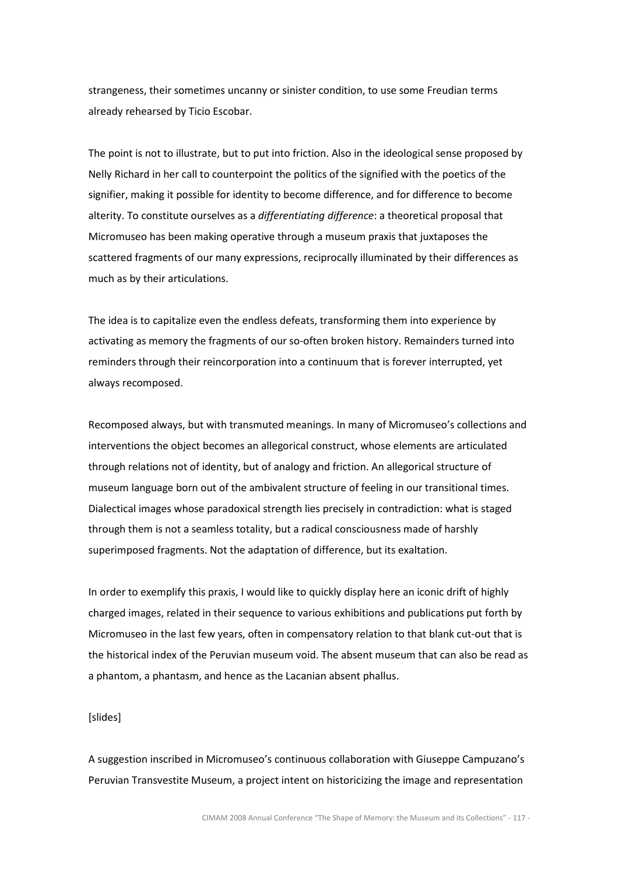strangeness, their sometimes uncanny or sinister condition, to use some Freudian terms already rehearsed by Ticio Escobar.

The point is not to illustrate, but to put into friction. Also in the ideological sense proposed by Nelly Richard in her call to counterpoint the politics of the signified with the poetics of the signifier, making it possible for identity to become difference, and for difference to become alterity. To constitute ourselves as a differentiating difference: a theoretical proposal that Micromuseo has been making operative through a museum praxis that juxtaposes the scattered fragments of our many expressions, reciprocally illuminated by their differences as much as by their articulations.

The idea is to capitalize even the endless defeats, transforming them into experience by activating as memory the fragments of our so-often broken history. Remainders turned into reminders through their reincorporation into a continuum that is forever interrupted, yet always recomposed.

Recomposed always, but with transmuted meanings. In many of Micromuseo's collections and interventions the object becomes an allegorical construct, whose elements are articulated through relations not of identity, but of analogy and friction. An allegorical structure of museum language born out of the ambivalent structure of feeling in our transitional times. Dialectical images whose paradoxical strength lies precisely in contradiction: what is staged through them is not a seamless totality, but a radical consciousness made of harshly superimposed fragments. Not the adaptation of difference, but its exaltation.

In order to exemplify this praxis, I would like to quickly display here an iconic drift of highly charged images, related in their sequence to various exhibitions and publications put forth by Micromuseo in the last few years, often in compensatory relation to that blank cut-out that is the historical index of the Peruvian museum void. The absent museum that can also be read as a phantom, a phantasm, and hence as the Lacanian absent phallus.

#### [slides]

A suggestion inscribed in Micromuseo's continuous collaboration with Giuseppe Campuzano's Peruvian Transvestite Museum, a project intent on historicizing the image and representation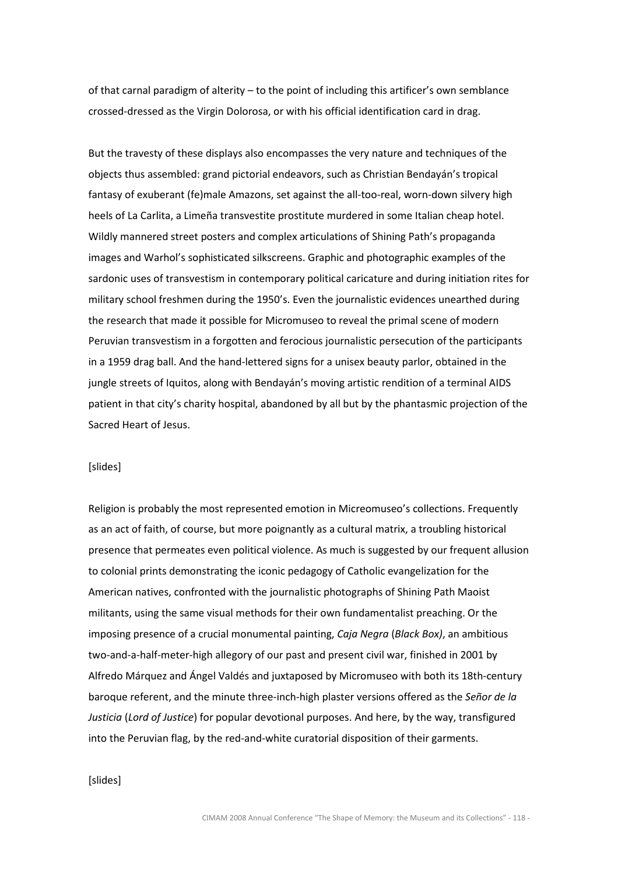of that carnal paradigm of alterity – to the point of including this artificer's own semblance crossed-dressed as the Virgin Dolorosa, or with his official identification card in drag.

But the travesty of these displays also encompasses the very nature and techniques of the objects thus assembled: grand pictorial endeavors, such as Christian Bendayán's tropical fantasy of exuberant (fe)male Amazons, set against the all-too-real, worn-down silvery high heels of La Carlita, a Limeña transvestite prostitute murdered in some Italian cheap hotel. Wildly mannered street posters and complex articulations of Shining Path's propaganda images and Warhol's sophisticated silkscreens. Graphic and photographic examples of the sardonic uses of transvestism in contemporary political caricature and during initiation rites for military school freshmen during the 1950's. Even the journalistic evidences unearthed during the research that made it possible for Micromuseo to reveal the primal scene of modern Peruvian transvestism in a forgotten and ferocious journalistic persecution of the participants in a 1959 drag ball. And the hand-lettered signs for a unisex beauty parlor, obtained in the jungle streets of Iquitos, along with Bendayán's moving artistic rendition of a terminal AIDS patient in that city's charity hospital, abandoned by all but by the phantasmic projection of the Sacred Heart of Jesus.

#### [slides]

Religion is probably the most represented emotion in Micreomuseo's collections. Frequently as an act of faith, of course, but more poignantly as a cultural matrix, a troubling historical presence that permeates even political violence. As much is suggested by our frequent allusion to colonial prints demonstrating the iconic pedagogy of Catholic evangelization for the American natives, confronted with the journalistic photographs of Shining Path Maoist militants, using the same visual methods for their own fundamentalist preaching. Or the imposing presence of a crucial monumental painting, Caja Negra (Black Box), an ambitious two-and-a-half-meter-high allegory of our past and present civil war, finished in 2001 by Alfredo Márquez and Ángel Valdés and juxtaposed by Micromuseo with both its 18th-century baroque referent, and the minute three-inch-high plaster versions offered as the Señor de la Justicia (Lord of Justice) for popular devotional purposes. And here, by the way, transfigured into the Peruvian flag, by the red-and-white curatorial disposition of their garments.

# [slides]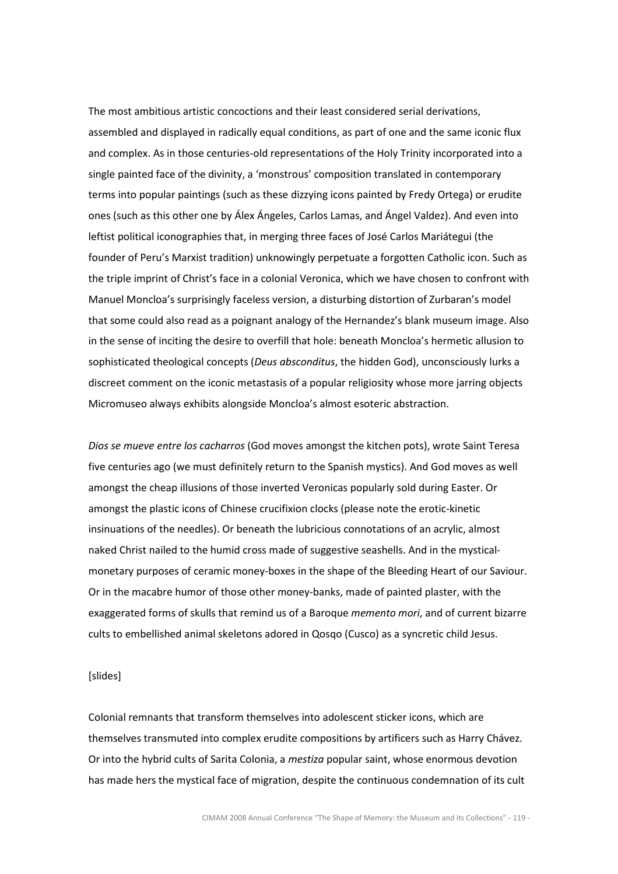The most ambitious artistic concoctions and their least considered serial derivations, assembled and displayed in radically equal conditions, as part of one and the same iconic flux and complex. As in those centuries-old representations of the Holy Trinity incorporated into a single painted face of the divinity, a 'monstrous' composition translated in contemporary terms into popular paintings (such as these dizzying icons painted by Fredy Ortega) or erudite ones (such as this other one by Álex Ángeles, Carlos Lamas, and Ángel Valdez). And even into leftist political iconographies that, in merging three faces of José Carlos Mariátegui (the founder of Peru's Marxist tradition) unknowingly perpetuate a forgotten Catholic icon. Such as the triple imprint of Christ's face in a colonial Veronica, which we have chosen to confront with Manuel Moncloa's surprisingly faceless version, a disturbing distortion of Zurbaran's model that some could also read as a poignant analogy of the Hernandez's blank museum image. Also in the sense of inciting the desire to overfill that hole: beneath Moncloa's hermetic allusion to sophisticated theological concepts (Deus absconditus, the hidden God), unconsciously lurks a discreet comment on the iconic metastasis of a popular religiosity whose more jarring objects Micromuseo always exhibits alongside Moncloa's almost esoteric abstraction.

Dios se mueve entre los cacharros (God moves amongst the kitchen pots), wrote Saint Teresa five centuries ago (we must definitely return to the Spanish mystics). And God moves as well amongst the cheap illusions of those inverted Veronicas popularly sold during Easter. Or amongst the plastic icons of Chinese crucifixion clocks (please note the erotic-kinetic insinuations of the needles). Or beneath the lubricious connotations of an acrylic, almost naked Christ nailed to the humid cross made of suggestive seashells. And in the mysticalmonetary purposes of ceramic money-boxes in the shape of the Bleeding Heart of our Saviour. Or in the macabre humor of those other money-banks, made of painted plaster, with the exaggerated forms of skulls that remind us of a Baroque memento mori, and of current bizarre cults to embellished animal skeletons adored in Qosqo (Cusco) as a syncretic child Jesus.

## [slides]

Colonial remnants that transform themselves into adolescent sticker icons, which are themselves transmuted into complex erudite compositions by artificers such as Harry Chávez. Or into the hybrid cults of Sarita Colonia, a mestiza popular saint, whose enormous devotion has made hers the mystical face of migration, despite the continuous condemnation of its cult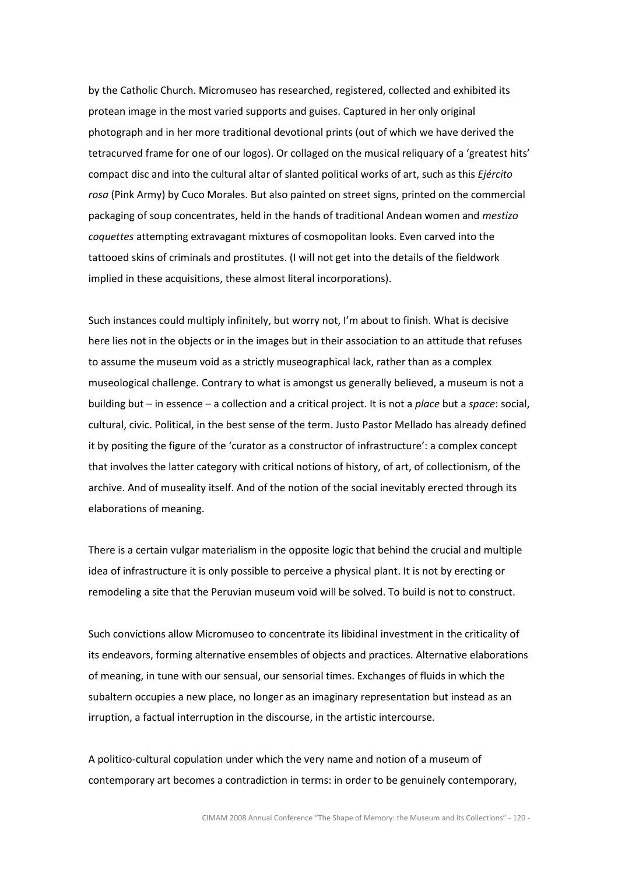by the Catholic Church. Micromuseo has researched, registered, collected and exhibited its protean image in the most varied supports and guises. Captured in her only original photograph and in her more traditional devotional prints (out of which we have derived the tetracurved frame for one of our logos). Or collaged on the musical reliquary of a 'greatest hits' compact disc and into the cultural altar of slanted political works of art, such as this Ejército rosa (Pink Army) by Cuco Morales. But also painted on street signs, printed on the commercial packaging of soup concentrates, held in the hands of traditional Andean women and mestizo coquettes attempting extravagant mixtures of cosmopolitan looks. Even carved into the tattooed skins of criminals and prostitutes. (I will not get into the details of the fieldwork implied in these acquisitions, these almost literal incorporations).

Such instances could multiply infinitely, but worry not, I'm about to finish. What is decisive here lies not in the objects or in the images but in their association to an attitude that refuses to assume the museum void as a strictly museographical lack, rather than as a complex museological challenge. Contrary to what is amongst us generally believed, a museum is not a building but – in essence – a collection and a critical project. It is not a *place* but a *space*: social, cultural, civic. Political, in the best sense of the term. Justo Pastor Mellado has already defined it by positing the figure of the 'curator as a constructor of infrastructure': a complex concept that involves the latter category with critical notions of history, of art, of collectionism, of the archive. And of museality itself. And of the notion of the social inevitably erected through its elaborations of meaning.

There is a certain vulgar materialism in the opposite logic that behind the crucial and multiple idea of infrastructure it is only possible to perceive a physical plant. It is not by erecting or remodeling a site that the Peruvian museum void will be solved. To build is not to construct.

Such convictions allow Micromuseo to concentrate its libidinal investment in the criticality of its endeavors, forming alternative ensembles of objects and practices. Alternative elaborations of meaning, in tune with our sensual, our sensorial times. Exchanges of fluids in which the subaltern occupies a new place, no longer as an imaginary representation but instead as an irruption, a factual interruption in the discourse, in the artistic intercourse.

A politico-cultural copulation under which the very name and notion of a museum of contemporary art becomes a contradiction in terms: in order to be genuinely contemporary,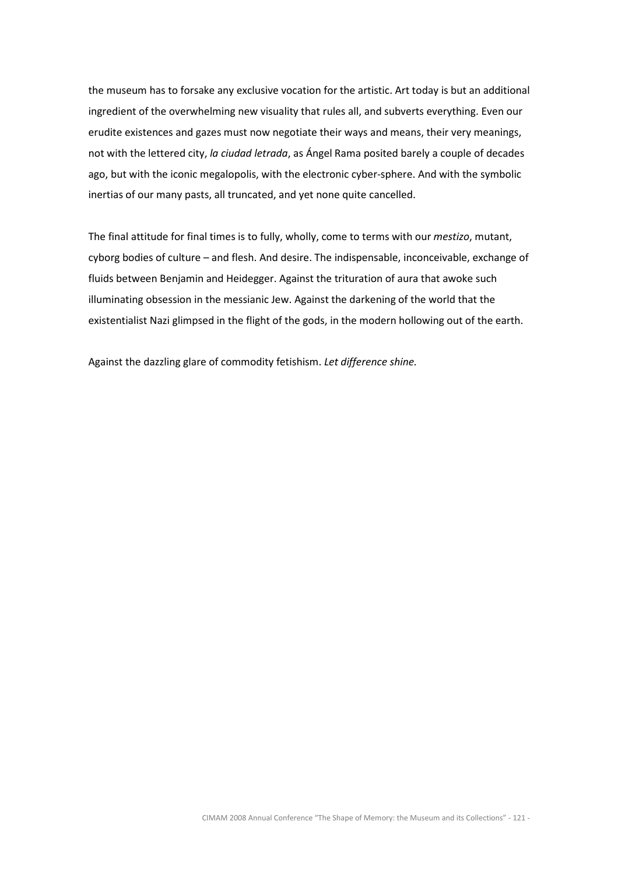the museum has to forsake any exclusive vocation for the artistic. Art today is but an additional ingredient of the overwhelming new visuality that rules all, and subverts everything. Even our erudite existences and gazes must now negotiate their ways and means, their very meanings, not with the lettered city, la ciudad letrada, as Ángel Rama posited barely a couple of decades ago, but with the iconic megalopolis, with the electronic cyber-sphere. And with the symbolic inertias of our many pasts, all truncated, and yet none quite cancelled.

The final attitude for final times is to fully, wholly, come to terms with our mestizo, mutant, cyborg bodies of culture – and flesh. And desire. The indispensable, inconceivable, exchange of fluids between Benjamin and Heidegger. Against the trituration of aura that awoke such illuminating obsession in the messianic Jew. Against the darkening of the world that the existentialist Nazi glimpsed in the flight of the gods, in the modern hollowing out of the earth.

Against the dazzling glare of commodity fetishism. Let difference shine.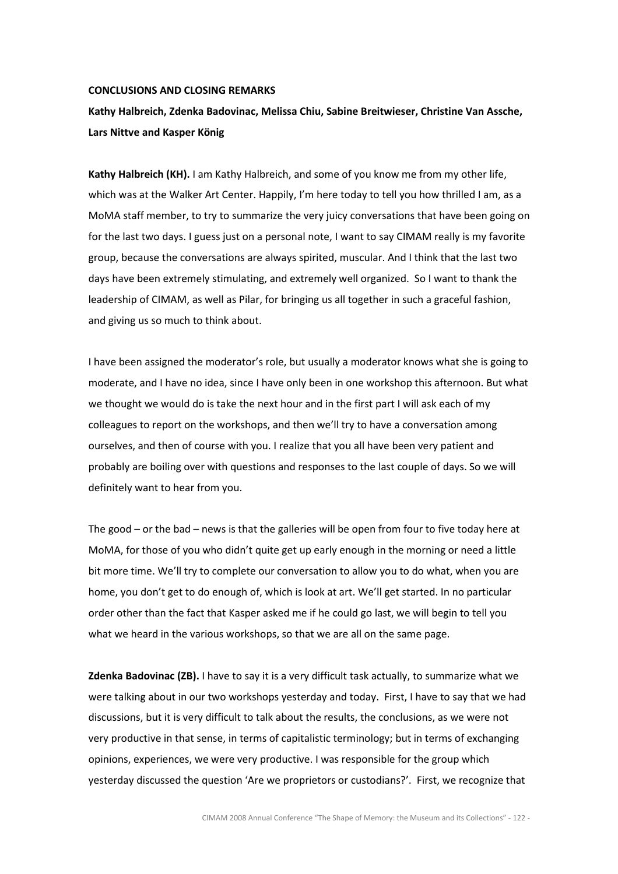### CONCLUSIONS AND CLOSING REMARKS

# Kathy Halbreich, Zdenka Badovinac, Melissa Chiu, Sabine Breitwieser, Christine Van Assche, Lars Nittve and Kasper König

Kathy Halbreich (KH). I am Kathy Halbreich, and some of you know me from my other life, which was at the Walker Art Center. Happily, I'm here today to tell you how thrilled I am, as a MoMA staff member, to try to summarize the very juicy conversations that have been going on for the last two days. I guess just on a personal note, I want to say CIMAM really is my favorite group, because the conversations are always spirited, muscular. And I think that the last two days have been extremely stimulating, and extremely well organized. So I want to thank the leadership of CIMAM, as well as Pilar, for bringing us all together in such a graceful fashion, and giving us so much to think about.

I have been assigned the moderator's role, but usually a moderator knows what she is going to moderate, and I have no idea, since I have only been in one workshop this afternoon. But what we thought we would do is take the next hour and in the first part I will ask each of my colleagues to report on the workshops, and then we'll try to have a conversation among ourselves, and then of course with you. I realize that you all have been very patient and probably are boiling over with questions and responses to the last couple of days. So we will definitely want to hear from you.

The good – or the bad – news is that the galleries will be open from four to five today here at MoMA, for those of you who didn't quite get up early enough in the morning or need a little bit more time. We'll try to complete our conversation to allow you to do what, when you are home, you don't get to do enough of, which is look at art. We'll get started. In no particular order other than the fact that Kasper asked me if he could go last, we will begin to tell you what we heard in the various workshops, so that we are all on the same page.

Zdenka Badovinac (ZB). I have to say it is a very difficult task actually, to summarize what we were talking about in our two workshops yesterday and today. First, I have to say that we had discussions, but it is very difficult to talk about the results, the conclusions, as we were not very productive in that sense, in terms of capitalistic terminology; but in terms of exchanging opinions, experiences, we were very productive. I was responsible for the group which yesterday discussed the question 'Are we proprietors or custodians?'. First, we recognize that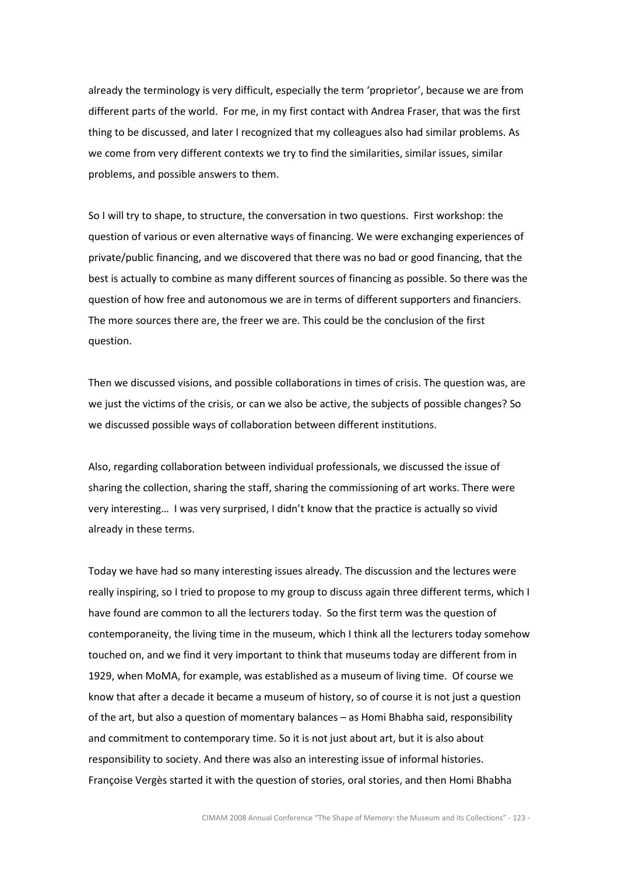already the terminology is very difficult, especially the term 'proprietor', because we are from different parts of the world. For me, in my first contact with Andrea Fraser, that was the first thing to be discussed, and later I recognized that my colleagues also had similar problems. As we come from very different contexts we try to find the similarities, similar issues, similar problems, and possible answers to them.

So I will try to shape, to structure, the conversation in two questions. First workshop: the question of various or even alternative ways of financing. We were exchanging experiences of private/public financing, and we discovered that there was no bad or good financing, that the best is actually to combine as many different sources of financing as possible. So there was the question of how free and autonomous we are in terms of different supporters and financiers. The more sources there are, the freer we are. This could be the conclusion of the first question.

Then we discussed visions, and possible collaborations in times of crisis. The question was, are we just the victims of the crisis, or can we also be active, the subjects of possible changes? So we discussed possible ways of collaboration between different institutions.

Also, regarding collaboration between individual professionals, we discussed the issue of sharing the collection, sharing the staff, sharing the commissioning of art works. There were very interesting… I was very surprised, I didn't know that the practice is actually so vivid already in these terms.

Today we have had so many interesting issues already. The discussion and the lectures were really inspiring, so I tried to propose to my group to discuss again three different terms, which I have found are common to all the lecturers today. So the first term was the question of contemporaneity, the living time in the museum, which I think all the lecturers today somehow touched on, and we find it very important to think that museums today are different from in 1929, when MoMA, for example, was established as a museum of living time. Of course we know that after a decade it became a museum of history, so of course it is not just a question of the art, but also a question of momentary balances – as Homi Bhabha said, responsibility and commitment to contemporary time. So it is not just about art, but it is also about responsibility to society. And there was also an interesting issue of informal histories. Françoise Vergès started it with the question of stories, oral stories, and then Homi Bhabha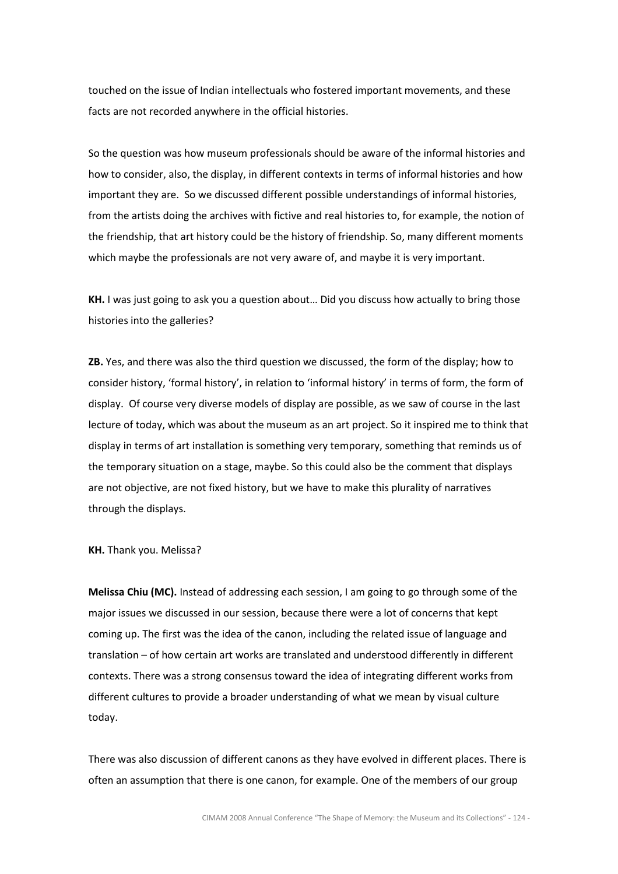touched on the issue of Indian intellectuals who fostered important movements, and these facts are not recorded anywhere in the official histories.

So the question was how museum professionals should be aware of the informal histories and how to consider, also, the display, in different contexts in terms of informal histories and how important they are. So we discussed different possible understandings of informal histories, from the artists doing the archives with fictive and real histories to, for example, the notion of the friendship, that art history could be the history of friendship. So, many different moments which maybe the professionals are not very aware of, and maybe it is very important.

KH. I was just going to ask you a question about... Did you discuss how actually to bring those histories into the galleries?

ZB. Yes, and there was also the third question we discussed, the form of the display; how to consider history, 'formal history', in relation to 'informal history' in terms of form, the form of display. Of course very diverse models of display are possible, as we saw of course in the last lecture of today, which was about the museum as an art project. So it inspired me to think that display in terms of art installation is something very temporary, something that reminds us of the temporary situation on a stage, maybe. So this could also be the comment that displays are not objective, are not fixed history, but we have to make this plurality of narratives through the displays.

KH. Thank you. Melissa?

Melissa Chiu (MC). Instead of addressing each session, I am going to go through some of the major issues we discussed in our session, because there were a lot of concerns that kept coming up. The first was the idea of the canon, including the related issue of language and translation – of how certain art works are translated and understood differently in different contexts. There was a strong consensus toward the idea of integrating different works from different cultures to provide a broader understanding of what we mean by visual culture today.

There was also discussion of different canons as they have evolved in different places. There is often an assumption that there is one canon, for example. One of the members of our group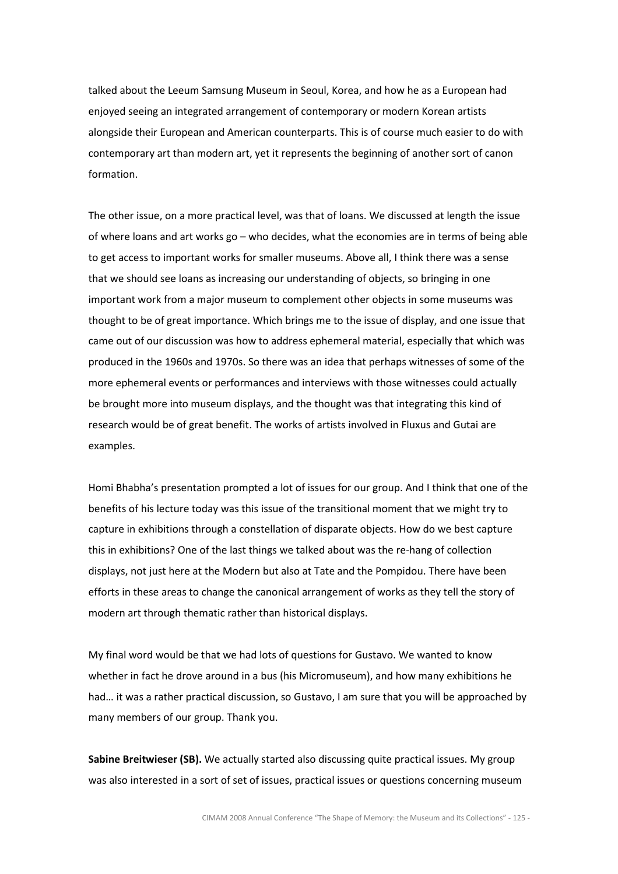talked about the Leeum Samsung Museum in Seoul, Korea, and how he as a European had enjoyed seeing an integrated arrangement of contemporary or modern Korean artists alongside their European and American counterparts. This is of course much easier to do with contemporary art than modern art, yet it represents the beginning of another sort of canon formation.

The other issue, on a more practical level, was that of loans. We discussed at length the issue of where loans and art works go – who decides, what the economies are in terms of being able to get access to important works for smaller museums. Above all, I think there was a sense that we should see loans as increasing our understanding of objects, so bringing in one important work from a major museum to complement other objects in some museums was thought to be of great importance. Which brings me to the issue of display, and one issue that came out of our discussion was how to address ephemeral material, especially that which was produced in the 1960s and 1970s. So there was an idea that perhaps witnesses of some of the more ephemeral events or performances and interviews with those witnesses could actually be brought more into museum displays, and the thought was that integrating this kind of research would be of great benefit. The works of artists involved in Fluxus and Gutai are examples.

Homi Bhabha's presentation prompted a lot of issues for our group. And I think that one of the benefits of his lecture today was this issue of the transitional moment that we might try to capture in exhibitions through a constellation of disparate objects. How do we best capture this in exhibitions? One of the last things we talked about was the re-hang of collection displays, not just here at the Modern but also at Tate and the Pompidou. There have been efforts in these areas to change the canonical arrangement of works as they tell the story of modern art through thematic rather than historical displays.

My final word would be that we had lots of questions for Gustavo. We wanted to know whether in fact he drove around in a bus (his Micromuseum), and how many exhibitions he had… it was a rather practical discussion, so Gustavo, I am sure that you will be approached by many members of our group. Thank you.

Sabine Breitwieser (SB). We actually started also discussing quite practical issues. My group was also interested in a sort of set of issues, practical issues or questions concerning museum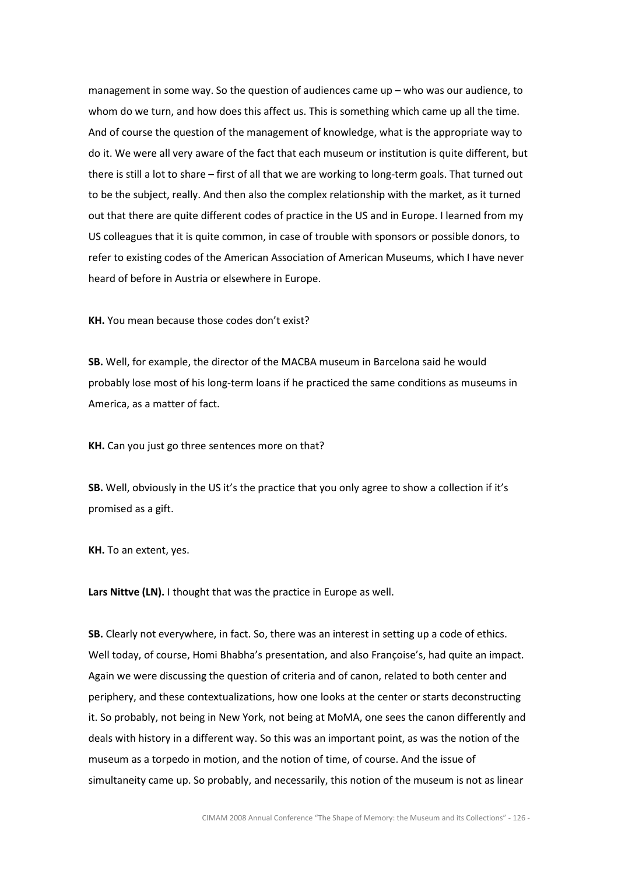management in some way. So the question of audiences came up – who was our audience, to whom do we turn, and how does this affect us. This is something which came up all the time. And of course the question of the management of knowledge, what is the appropriate way to do it. We were all very aware of the fact that each museum or institution is quite different, but there is still a lot to share – first of all that we are working to long-term goals. That turned out to be the subject, really. And then also the complex relationship with the market, as it turned out that there are quite different codes of practice in the US and in Europe. I learned from my US colleagues that it is quite common, in case of trouble with sponsors or possible donors, to refer to existing codes of the American Association of American Museums, which I have never heard of before in Austria or elsewhere in Europe.

KH. You mean because those codes don't exist?

SB. Well, for example, the director of the MACBA museum in Barcelona said he would probably lose most of his long-term loans if he practiced the same conditions as museums in America, as a matter of fact.

KH. Can you just go three sentences more on that?

SB. Well, obviously in the US it's the practice that you only agree to show a collection if it's promised as a gift.

KH. To an extent, yes.

Lars Nittve (LN). I thought that was the practice in Europe as well.

SB. Clearly not everywhere, in fact. So, there was an interest in setting up a code of ethics. Well today, of course, Homi Bhabha's presentation, and also Françoise's, had quite an impact. Again we were discussing the question of criteria and of canon, related to both center and periphery, and these contextualizations, how one looks at the center or starts deconstructing it. So probably, not being in New York, not being at MoMA, one sees the canon differently and deals with history in a different way. So this was an important point, as was the notion of the museum as a torpedo in motion, and the notion of time, of course. And the issue of simultaneity came up. So probably, and necessarily, this notion of the museum is not as linear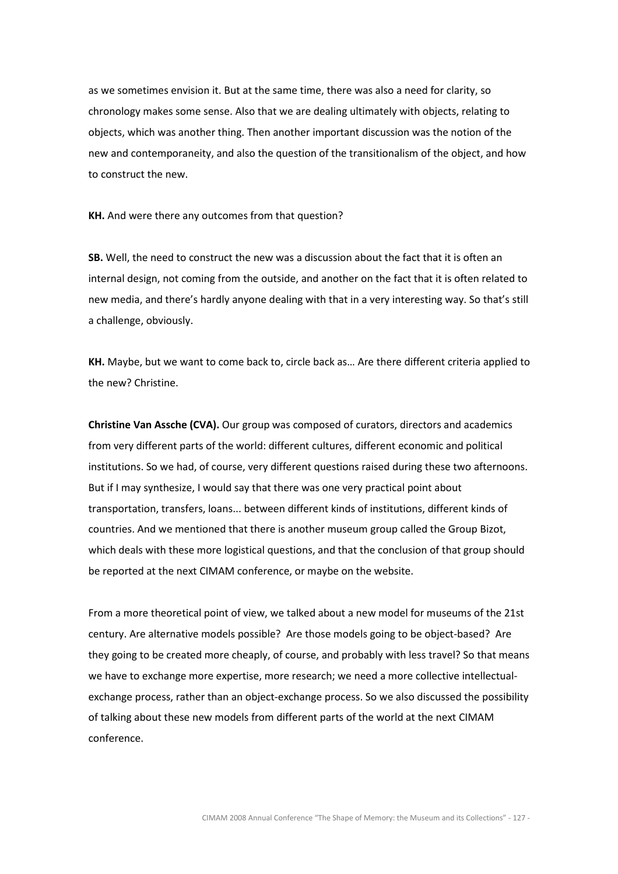as we sometimes envision it. But at the same time, there was also a need for clarity, so chronology makes some sense. Also that we are dealing ultimately with objects, relating to objects, which was another thing. Then another important discussion was the notion of the new and contemporaneity, and also the question of the transitionalism of the object, and how to construct the new.

KH. And were there any outcomes from that question?

SB. Well, the need to construct the new was a discussion about the fact that it is often an internal design, not coming from the outside, and another on the fact that it is often related to new media, and there's hardly anyone dealing with that in a very interesting way. So that's still a challenge, obviously.

KH. Maybe, but we want to come back to, circle back as… Are there different criteria applied to the new? Christine.

Christine Van Assche (CVA). Our group was composed of curators, directors and academics from very different parts of the world: different cultures, different economic and political institutions. So we had, of course, very different questions raised during these two afternoons. But if I may synthesize, I would say that there was one very practical point about transportation, transfers, loans... between different kinds of institutions, different kinds of countries. And we mentioned that there is another museum group called the Group Bizot, which deals with these more logistical questions, and that the conclusion of that group should be reported at the next CIMAM conference, or maybe on the website.

From a more theoretical point of view, we talked about a new model for museums of the 21st century. Are alternative models possible? Are those models going to be object-based? Are they going to be created more cheaply, of course, and probably with less travel? So that means we have to exchange more expertise, more research; we need a more collective intellectualexchange process, rather than an object-exchange process. So we also discussed the possibility of talking about these new models from different parts of the world at the next CIMAM conference.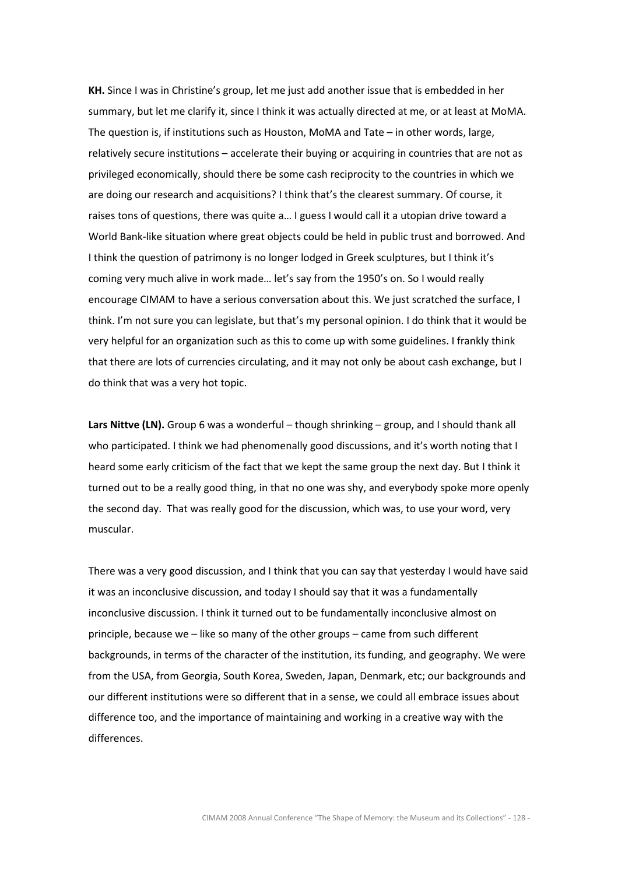KH. Since I was in Christine's group, let me just add another issue that is embedded in her summary, but let me clarify it, since I think it was actually directed at me, or at least at MoMA. The question is, if institutions such as Houston, MoMA and Tate – in other words, large, relatively secure institutions – accelerate their buying or acquiring in countries that are not as privileged economically, should there be some cash reciprocity to the countries in which we are doing our research and acquisitions? I think that's the clearest summary. Of course, it raises tons of questions, there was quite a… I guess I would call it a utopian drive toward a World Bank-like situation where great objects could be held in public trust and borrowed. And I think the question of patrimony is no longer lodged in Greek sculptures, but I think it's coming very much alive in work made… let's say from the 1950's on. So I would really encourage CIMAM to have a serious conversation about this. We just scratched the surface, I think. I'm not sure you can legislate, but that's my personal opinion. I do think that it would be very helpful for an organization such as this to come up with some guidelines. I frankly think that there are lots of currencies circulating, and it may not only be about cash exchange, but I do think that was a very hot topic.

Lars Nittve (LN). Group 6 was a wonderful - though shrinking - group, and I should thank all who participated. I think we had phenomenally good discussions, and it's worth noting that I heard some early criticism of the fact that we kept the same group the next day. But I think it turned out to be a really good thing, in that no one was shy, and everybody spoke more openly the second day. That was really good for the discussion, which was, to use your word, very muscular.

There was a very good discussion, and I think that you can say that yesterday I would have said it was an inconclusive discussion, and today I should say that it was a fundamentally inconclusive discussion. I think it turned out to be fundamentally inconclusive almost on principle, because we – like so many of the other groups – came from such different backgrounds, in terms of the character of the institution, its funding, and geography. We were from the USA, from Georgia, South Korea, Sweden, Japan, Denmark, etc; our backgrounds and our different institutions were so different that in a sense, we could all embrace issues about difference too, and the importance of maintaining and working in a creative way with the differences.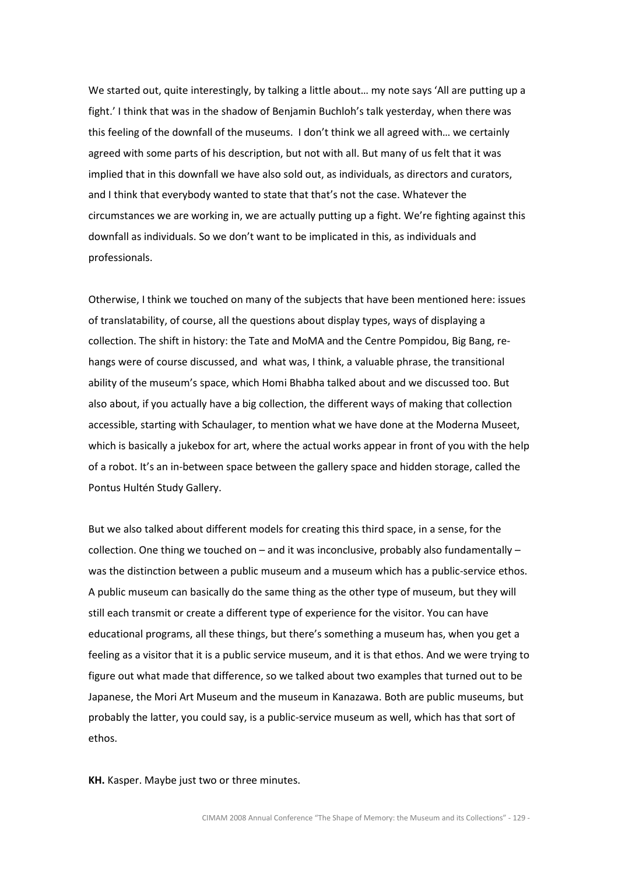We started out, quite interestingly, by talking a little about... my note says 'All are putting up a fight.' I think that was in the shadow of Benjamin Buchloh's talk yesterday, when there was this feeling of the downfall of the museums. I don't think we all agreed with… we certainly agreed with some parts of his description, but not with all. But many of us felt that it was implied that in this downfall we have also sold out, as individuals, as directors and curators, and I think that everybody wanted to state that that's not the case. Whatever the circumstances we are working in, we are actually putting up a fight. We're fighting against this downfall as individuals. So we don't want to be implicated in this, as individuals and professionals.

Otherwise, I think we touched on many of the subjects that have been mentioned here: issues of translatability, of course, all the questions about display types, ways of displaying a collection. The shift in history: the Tate and MoMA and the Centre Pompidou, Big Bang, rehangs were of course discussed, and what was, I think, a valuable phrase, the transitional ability of the museum's space, which Homi Bhabha talked about and we discussed too. But also about, if you actually have a big collection, the different ways of making that collection accessible, starting with Schaulager, to mention what we have done at the Moderna Museet, which is basically a jukebox for art, where the actual works appear in front of you with the help of a robot. It's an in-between space between the gallery space and hidden storage, called the Pontus Hultén Study Gallery.

But we also talked about different models for creating this third space, in a sense, for the collection. One thing we touched on – and it was inconclusive, probably also fundamentally – was the distinction between a public museum and a museum which has a public-service ethos. A public museum can basically do the same thing as the other type of museum, but they will still each transmit or create a different type of experience for the visitor. You can have educational programs, all these things, but there's something a museum has, when you get a feeling as a visitor that it is a public service museum, and it is that ethos. And we were trying to figure out what made that difference, so we talked about two examples that turned out to be Japanese, the Mori Art Museum and the museum in Kanazawa. Both are public museums, but probably the latter, you could say, is a public-service museum as well, which has that sort of ethos.

KH. Kasper. Maybe just two or three minutes.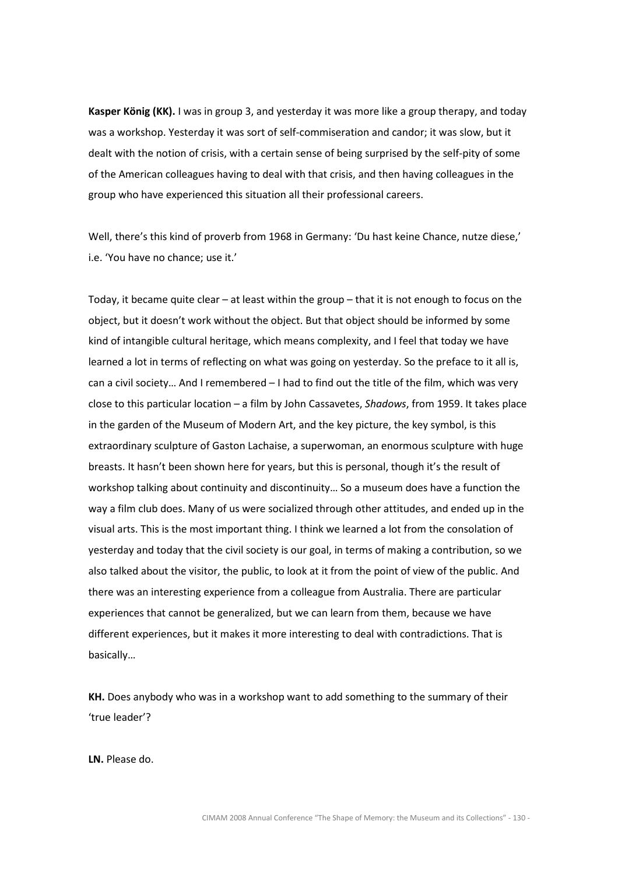Kasper König (KK). I was in group 3, and yesterday it was more like a group therapy, and today was a workshop. Yesterday it was sort of self-commiseration and candor; it was slow, but it dealt with the notion of crisis, with a certain sense of being surprised by the self-pity of some of the American colleagues having to deal with that crisis, and then having colleagues in the group who have experienced this situation all their professional careers.

Well, there's this kind of proverb from 1968 in Germany: 'Du hast keine Chance, nutze diese,' i.e. 'You have no chance; use it.'

Today, it became quite clear – at least within the group – that it is not enough to focus on the object, but it doesn't work without the object. But that object should be informed by some kind of intangible cultural heritage, which means complexity, and I feel that today we have learned a lot in terms of reflecting on what was going on yesterday. So the preface to it all is, can a civil society… And I remembered – I had to find out the title of the film, which was very close to this particular location – a film by John Cassavetes, Shadows, from 1959. It takes place in the garden of the Museum of Modern Art, and the key picture, the key symbol, is this extraordinary sculpture of Gaston Lachaise, a superwoman, an enormous sculpture with huge breasts. It hasn't been shown here for years, but this is personal, though it's the result of workshop talking about continuity and discontinuity… So a museum does have a function the way a film club does. Many of us were socialized through other attitudes, and ended up in the visual arts. This is the most important thing. I think we learned a lot from the consolation of yesterday and today that the civil society is our goal, in terms of making a contribution, so we also talked about the visitor, the public, to look at it from the point of view of the public. And there was an interesting experience from a colleague from Australia. There are particular experiences that cannot be generalized, but we can learn from them, because we have different experiences, but it makes it more interesting to deal with contradictions. That is basically…

KH. Does anybody who was in a workshop want to add something to the summary of their 'true leader'?

LN. Please do.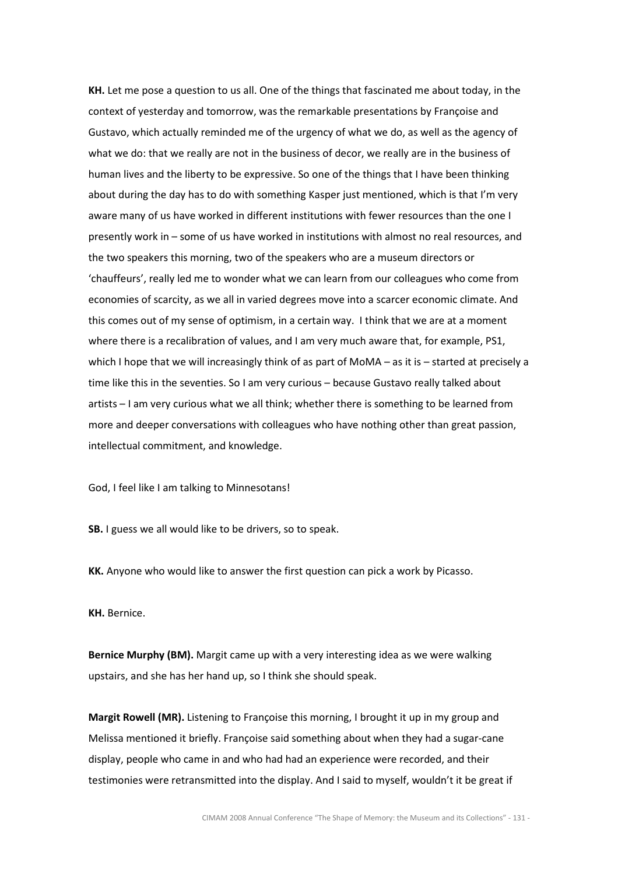KH. Let me pose a question to us all. One of the things that fascinated me about today, in the context of yesterday and tomorrow, was the remarkable presentations by Françoise and Gustavo, which actually reminded me of the urgency of what we do, as well as the agency of what we do: that we really are not in the business of decor, we really are in the business of human lives and the liberty to be expressive. So one of the things that I have been thinking about during the day has to do with something Kasper just mentioned, which is that I'm very aware many of us have worked in different institutions with fewer resources than the one I presently work in – some of us have worked in institutions with almost no real resources, and the two speakers this morning, two of the speakers who are a museum directors or 'chauffeurs', really led me to wonder what we can learn from our colleagues who come from economies of scarcity, as we all in varied degrees move into a scarcer economic climate. And this comes out of my sense of optimism, in a certain way. I think that we are at a moment where there is a recalibration of values, and I am very much aware that, for example, PS1, which I hope that we will increasingly think of as part of MoMA – as it is – started at precisely a time like this in the seventies. So I am very curious – because Gustavo really talked about artists – I am very curious what we all think; whether there is something to be learned from more and deeper conversations with colleagues who have nothing other than great passion, intellectual commitment, and knowledge.

God, I feel like I am talking to Minnesotans!

SB. I guess we all would like to be drivers, so to speak.

KK. Anyone who would like to answer the first question can pick a work by Picasso.

KH. Bernice.

Bernice Murphy (BM). Margit came up with a very interesting idea as we were walking upstairs, and she has her hand up, so I think she should speak.

Margit Rowell (MR). Listening to Françoise this morning, I brought it up in my group and Melissa mentioned it briefly. Françoise said something about when they had a sugar-cane display, people who came in and who had had an experience were recorded, and their testimonies were retransmitted into the display. And I said to myself, wouldn't it be great if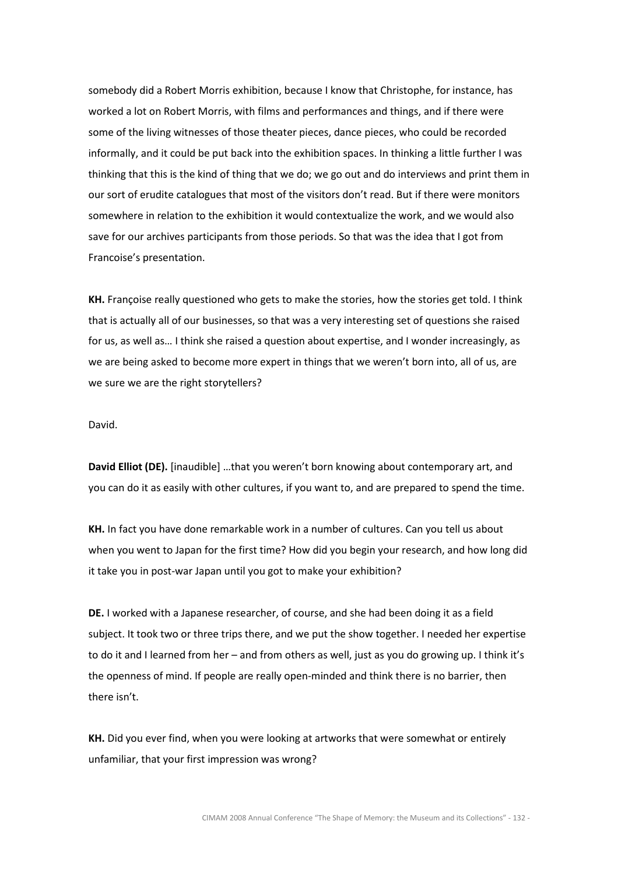somebody did a Robert Morris exhibition, because I know that Christophe, for instance, has worked a lot on Robert Morris, with films and performances and things, and if there were some of the living witnesses of those theater pieces, dance pieces, who could be recorded informally, and it could be put back into the exhibition spaces. In thinking a little further I was thinking that this is the kind of thing that we do; we go out and do interviews and print them in our sort of erudite catalogues that most of the visitors don't read. But if there were monitors somewhere in relation to the exhibition it would contextualize the work, and we would also save for our archives participants from those periods. So that was the idea that I got from Francoise's presentation.

KH. Françoise really questioned who gets to make the stories, how the stories get told. I think that is actually all of our businesses, so that was a very interesting set of questions she raised for us, as well as… I think she raised a question about expertise, and I wonder increasingly, as we are being asked to become more expert in things that we weren't born into, all of us, are we sure we are the right storytellers?

David.

David Elliot (DE). [inaudible] …that you weren't born knowing about contemporary art, and you can do it as easily with other cultures, if you want to, and are prepared to spend the time.

KH. In fact you have done remarkable work in a number of cultures. Can you tell us about when you went to Japan for the first time? How did you begin your research, and how long did it take you in post-war Japan until you got to make your exhibition?

DE. I worked with a Japanese researcher, of course, and she had been doing it as a field subject. It took two or three trips there, and we put the show together. I needed her expertise to do it and I learned from her – and from others as well, just as you do growing up. I think it's the openness of mind. If people are really open-minded and think there is no barrier, then there isn't.

KH. Did you ever find, when you were looking at artworks that were somewhat or entirely unfamiliar, that your first impression was wrong?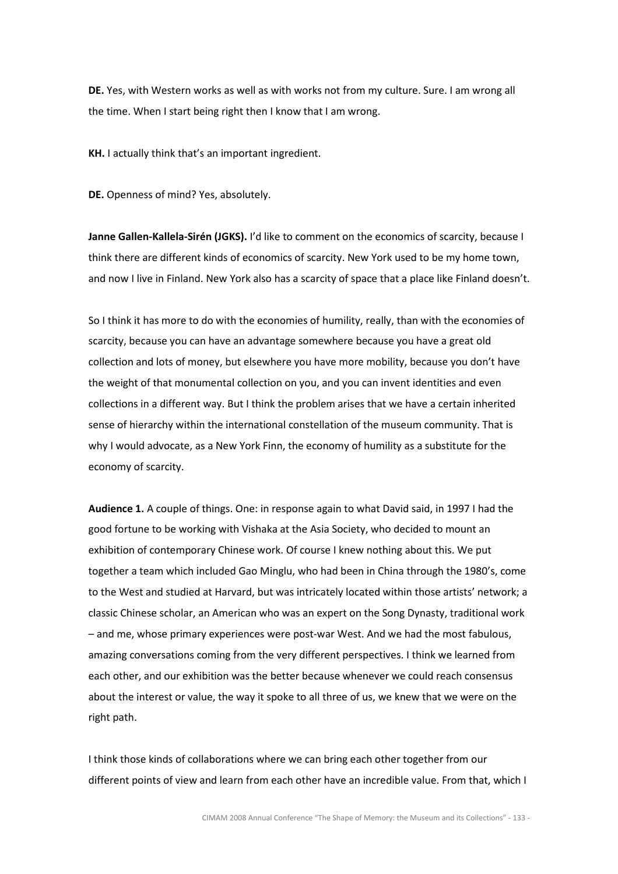DE. Yes, with Western works as well as with works not from my culture. Sure. I am wrong all the time. When I start being right then I know that I am wrong.

KH. I actually think that's an important ingredient.

DE. Openness of mind? Yes, absolutely.

Janne Gallen-Kallela-Sirén (JGKS). I'd like to comment on the economics of scarcity, because I think there are different kinds of economics of scarcity. New York used to be my home town, and now I live in Finland. New York also has a scarcity of space that a place like Finland doesn't.

So I think it has more to do with the economies of humility, really, than with the economies of scarcity, because you can have an advantage somewhere because you have a great old collection and lots of money, but elsewhere you have more mobility, because you don't have the weight of that monumental collection on you, and you can invent identities and even collections in a different way. But I think the problem arises that we have a certain inherited sense of hierarchy within the international constellation of the museum community. That is why I would advocate, as a New York Finn, the economy of humility as a substitute for the economy of scarcity.

Audience 1. A couple of things. One: in response again to what David said, in 1997 I had the good fortune to be working with Vishaka at the Asia Society, who decided to mount an exhibition of contemporary Chinese work. Of course I knew nothing about this. We put together a team which included Gao Minglu, who had been in China through the 1980's, come to the West and studied at Harvard, but was intricately located within those artists' network; a classic Chinese scholar, an American who was an expert on the Song Dynasty, traditional work – and me, whose primary experiences were post-war West. And we had the most fabulous, amazing conversations coming from the very different perspectives. I think we learned from each other, and our exhibition was the better because whenever we could reach consensus about the interest or value, the way it spoke to all three of us, we knew that we were on the right path.

I think those kinds of collaborations where we can bring each other together from our different points of view and learn from each other have an incredible value. From that, which I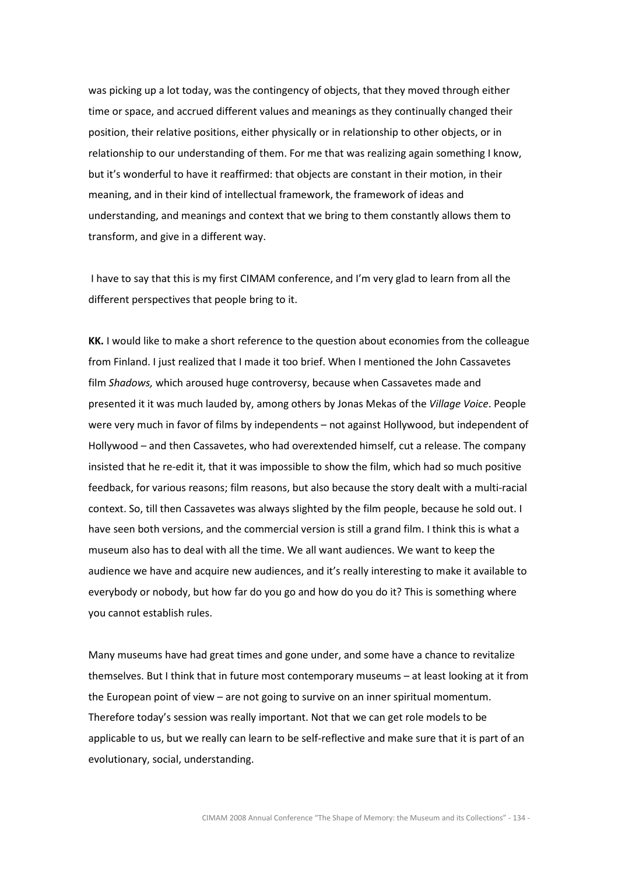was picking up a lot today, was the contingency of objects, that they moved through either time or space, and accrued different values and meanings as they continually changed their position, their relative positions, either physically or in relationship to other objects, or in relationship to our understanding of them. For me that was realizing again something I know, but it's wonderful to have it reaffirmed: that objects are constant in their motion, in their meaning, and in their kind of intellectual framework, the framework of ideas and understanding, and meanings and context that we bring to them constantly allows them to transform, and give in a different way.

 I have to say that this is my first CIMAM conference, and I'm very glad to learn from all the different perspectives that people bring to it.

KK. I would like to make a short reference to the question about economies from the colleague from Finland. I just realized that I made it too brief. When I mentioned the John Cassavetes film Shadows, which aroused huge controversy, because when Cassavetes made and presented it it was much lauded by, among others by Jonas Mekas of the Village Voice. People were very much in favor of films by independents – not against Hollywood, but independent of Hollywood – and then Cassavetes, who had overextended himself, cut a release. The company insisted that he re-edit it, that it was impossible to show the film, which had so much positive feedback, for various reasons; film reasons, but also because the story dealt with a multi-racial context. So, till then Cassavetes was always slighted by the film people, because he sold out. I have seen both versions, and the commercial version is still a grand film. I think this is what a museum also has to deal with all the time. We all want audiences. We want to keep the audience we have and acquire new audiences, and it's really interesting to make it available to everybody or nobody, but how far do you go and how do you do it? This is something where you cannot establish rules.

Many museums have had great times and gone under, and some have a chance to revitalize themselves. But I think that in future most contemporary museums – at least looking at it from the European point of view – are not going to survive on an inner spiritual momentum. Therefore today's session was really important. Not that we can get role models to be applicable to us, but we really can learn to be self-reflective and make sure that it is part of an evolutionary, social, understanding.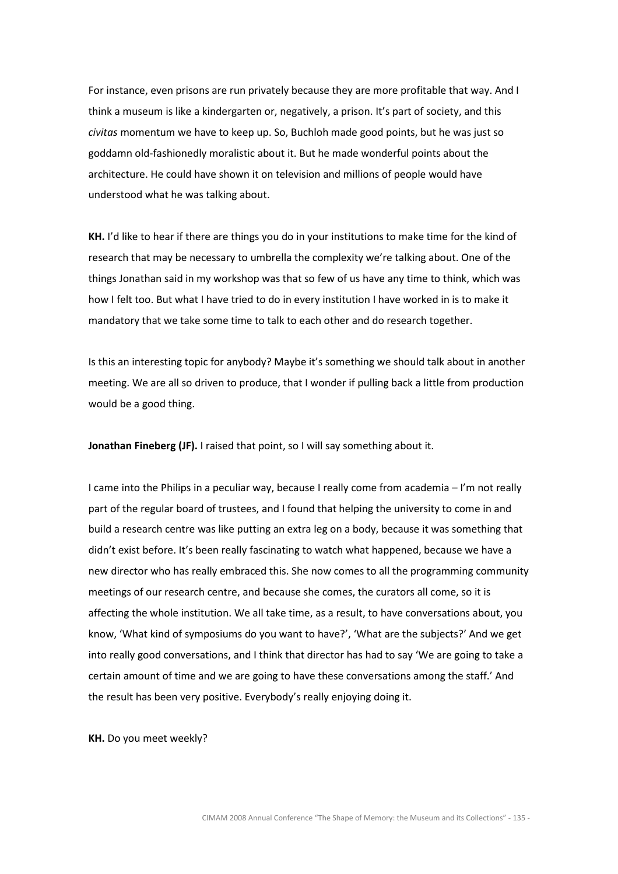For instance, even prisons are run privately because they are more profitable that way. And I think a museum is like a kindergarten or, negatively, a prison. It's part of society, and this civitas momentum we have to keep up. So, Buchloh made good points, but he was just so goddamn old-fashionedly moralistic about it. But he made wonderful points about the architecture. He could have shown it on television and millions of people would have understood what he was talking about.

KH. I'd like to hear if there are things you do in your institutions to make time for the kind of research that may be necessary to umbrella the complexity we're talking about. One of the things Jonathan said in my workshop was that so few of us have any time to think, which was how I felt too. But what I have tried to do in every institution I have worked in is to make it mandatory that we take some time to talk to each other and do research together.

Is this an interesting topic for anybody? Maybe it's something we should talk about in another meeting. We are all so driven to produce, that I wonder if pulling back a little from production would be a good thing.

Jonathan Fineberg (JF). I raised that point, so I will say something about it.

I came into the Philips in a peculiar way, because I really come from academia – I'm not really part of the regular board of trustees, and I found that helping the university to come in and build a research centre was like putting an extra leg on a body, because it was something that didn't exist before. It's been really fascinating to watch what happened, because we have a new director who has really embraced this. She now comes to all the programming community meetings of our research centre, and because she comes, the curators all come, so it is affecting the whole institution. We all take time, as a result, to have conversations about, you know, 'What kind of symposiums do you want to have?', 'What are the subjects?' And we get into really good conversations, and I think that director has had to say 'We are going to take a certain amount of time and we are going to have these conversations among the staff.' And the result has been very positive. Everybody's really enjoying doing it.

KH. Do you meet weekly?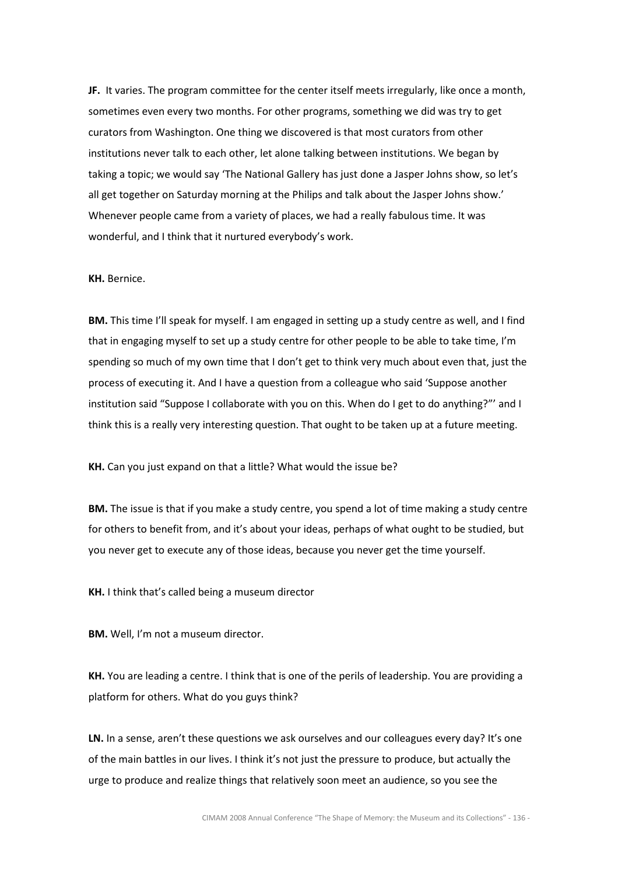JF. It varies. The program committee for the center itself meets irregularly, like once a month, sometimes even every two months. For other programs, something we did was try to get curators from Washington. One thing we discovered is that most curators from other institutions never talk to each other, let alone talking between institutions. We began by taking a topic; we would say 'The National Gallery has just done a Jasper Johns show, so let's all get together on Saturday morning at the Philips and talk about the Jasper Johns show.' Whenever people came from a variety of places, we had a really fabulous time. It was wonderful, and I think that it nurtured everybody's work.

#### KH. Bernice.

BM. This time I'll speak for myself. I am engaged in setting up a study centre as well, and I find that in engaging myself to set up a study centre for other people to be able to take time, I'm spending so much of my own time that I don't get to think very much about even that, just the process of executing it. And I have a question from a colleague who said 'Suppose another institution said "Suppose I collaborate with you on this. When do I get to do anything?"' and I think this is a really very interesting question. That ought to be taken up at a future meeting.

KH. Can you just expand on that a little? What would the issue be?

BM. The issue is that if you make a study centre, you spend a lot of time making a study centre for others to benefit from, and it's about your ideas, perhaps of what ought to be studied, but you never get to execute any of those ideas, because you never get the time yourself.

KH. I think that's called being a museum director

**BM.** Well, I'm not a museum director.

KH. You are leading a centre. I think that is one of the perils of leadership. You are providing a platform for others. What do you guys think?

LN. In a sense, aren't these questions we ask ourselves and our colleagues every day? It's one of the main battles in our lives. I think it's not just the pressure to produce, but actually the urge to produce and realize things that relatively soon meet an audience, so you see the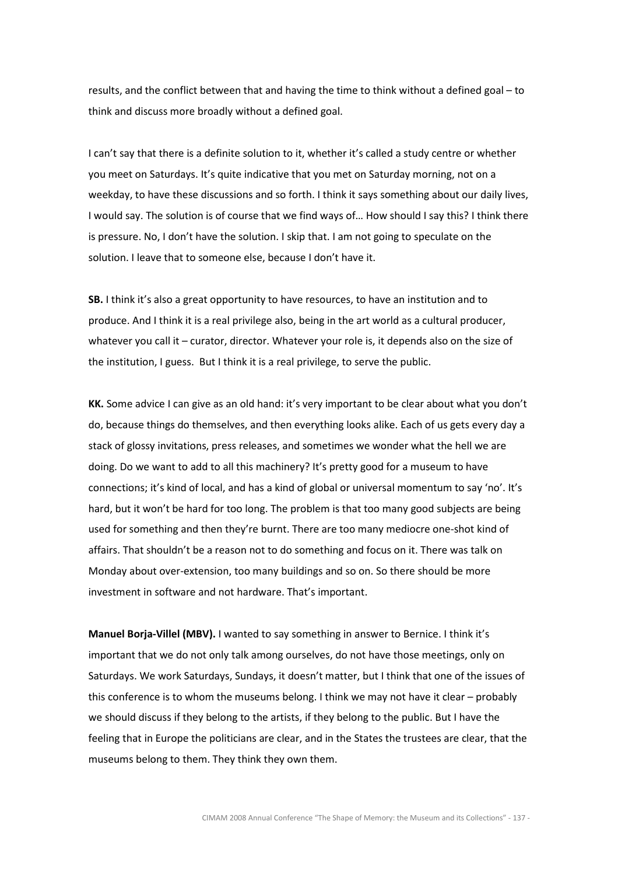results, and the conflict between that and having the time to think without a defined goal – to think and discuss more broadly without a defined goal.

I can't say that there is a definite solution to it, whether it's called a study centre or whether you meet on Saturdays. It's quite indicative that you met on Saturday morning, not on a weekday, to have these discussions and so forth. I think it says something about our daily lives, I would say. The solution is of course that we find ways of… How should I say this? I think there is pressure. No, I don't have the solution. I skip that. I am not going to speculate on the solution. I leave that to someone else, because I don't have it.

SB. I think it's also a great opportunity to have resources, to have an institution and to produce. And I think it is a real privilege also, being in the art world as a cultural producer, whatever you call it – curator, director. Whatever your role is, it depends also on the size of the institution, I guess. But I think it is a real privilege, to serve the public.

KK. Some advice I can give as an old hand: it's very important to be clear about what you don't do, because things do themselves, and then everything looks alike. Each of us gets every day a stack of glossy invitations, press releases, and sometimes we wonder what the hell we are doing. Do we want to add to all this machinery? It's pretty good for a museum to have connections; it's kind of local, and has a kind of global or universal momentum to say 'no'. It's hard, but it won't be hard for too long. The problem is that too many good subjects are being used for something and then they're burnt. There are too many mediocre one-shot kind of affairs. That shouldn't be a reason not to do something and focus on it. There was talk on Monday about over-extension, too many buildings and so on. So there should be more investment in software and not hardware. That's important.

Manuel Borja-Villel (MBV). I wanted to say something in answer to Bernice. I think it's important that we do not only talk among ourselves, do not have those meetings, only on Saturdays. We work Saturdays, Sundays, it doesn't matter, but I think that one of the issues of this conference is to whom the museums belong. I think we may not have it clear – probably we should discuss if they belong to the artists, if they belong to the public. But I have the feeling that in Europe the politicians are clear, and in the States the trustees are clear, that the museums belong to them. They think they own them.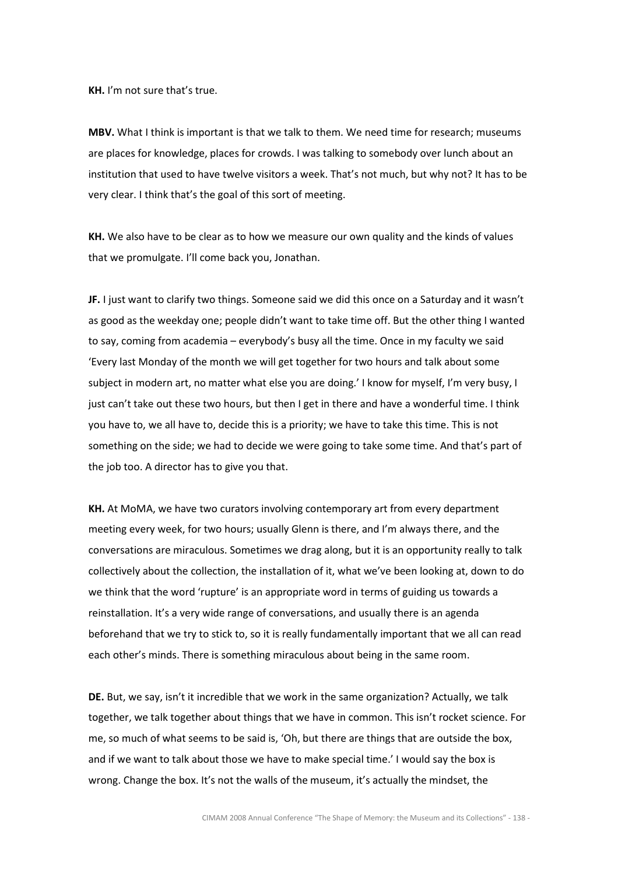KH. I'm not sure that's true.

MBV. What I think is important is that we talk to them. We need time for research; museums are places for knowledge, places for crowds. I was talking to somebody over lunch about an institution that used to have twelve visitors a week. That's not much, but why not? It has to be very clear. I think that's the goal of this sort of meeting.

KH. We also have to be clear as to how we measure our own quality and the kinds of values that we promulgate. I'll come back you, Jonathan.

JF. I just want to clarify two things. Someone said we did this once on a Saturday and it wasn't as good as the weekday one; people didn't want to take time off. But the other thing I wanted to say, coming from academia – everybody's busy all the time. Once in my faculty we said 'Every last Monday of the month we will get together for two hours and talk about some subject in modern art, no matter what else you are doing.' I know for myself, I'm very busy, I just can't take out these two hours, but then I get in there and have a wonderful time. I think you have to, we all have to, decide this is a priority; we have to take this time. This is not something on the side; we had to decide we were going to take some time. And that's part of the job too. A director has to give you that.

KH. At MoMA, we have two curators involving contemporary art from every department meeting every week, for two hours; usually Glenn is there, and I'm always there, and the conversations are miraculous. Sometimes we drag along, but it is an opportunity really to talk collectively about the collection, the installation of it, what we've been looking at, down to do we think that the word 'rupture' is an appropriate word in terms of guiding us towards a reinstallation. It's a very wide range of conversations, and usually there is an agenda beforehand that we try to stick to, so it is really fundamentally important that we all can read each other's minds. There is something miraculous about being in the same room.

DE. But, we say, isn't it incredible that we work in the same organization? Actually, we talk together, we talk together about things that we have in common. This isn't rocket science. For me, so much of what seems to be said is, 'Oh, but there are things that are outside the box, and if we want to talk about those we have to make special time.' I would say the box is wrong. Change the box. It's not the walls of the museum, it's actually the mindset, the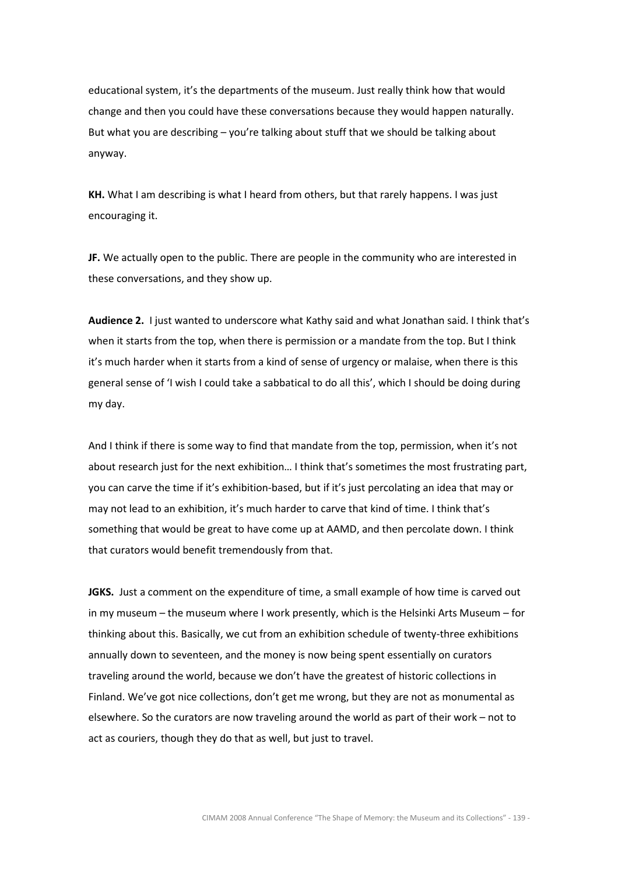educational system, it's the departments of the museum. Just really think how that would change and then you could have these conversations because they would happen naturally. But what you are describing – you're talking about stuff that we should be talking about anyway.

KH. What I am describing is what I heard from others, but that rarely happens. I was just encouraging it.

JF. We actually open to the public. There are people in the community who are interested in these conversations, and they show up.

Audience 2. I just wanted to underscore what Kathy said and what Jonathan said. I think that's when it starts from the top, when there is permission or a mandate from the top. But I think it's much harder when it starts from a kind of sense of urgency or malaise, when there is this general sense of 'I wish I could take a sabbatical to do all this', which I should be doing during my day.

And I think if there is some way to find that mandate from the top, permission, when it's not about research just for the next exhibition… I think that's sometimes the most frustrating part, you can carve the time if it's exhibition-based, but if it's just percolating an idea that may or may not lead to an exhibition, it's much harder to carve that kind of time. I think that's something that would be great to have come up at AAMD, and then percolate down. I think that curators would benefit tremendously from that.

JGKS. Just a comment on the expenditure of time, a small example of how time is carved out in my museum – the museum where I work presently, which is the Helsinki Arts Museum – for thinking about this. Basically, we cut from an exhibition schedule of twenty-three exhibitions annually down to seventeen, and the money is now being spent essentially on curators traveling around the world, because we don't have the greatest of historic collections in Finland. We've got nice collections, don't get me wrong, but they are not as monumental as elsewhere. So the curators are now traveling around the world as part of their work – not to act as couriers, though they do that as well, but just to travel.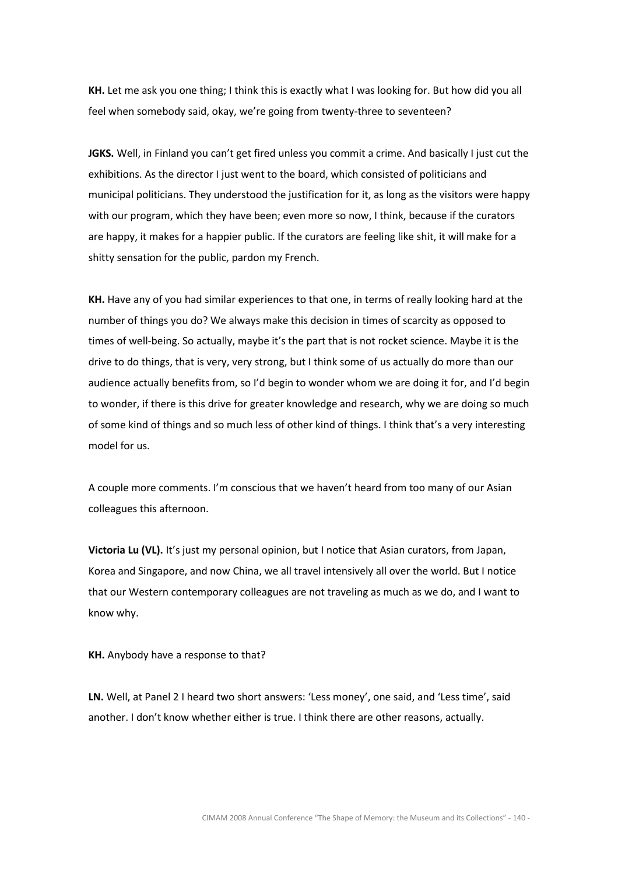KH. Let me ask you one thing; I think this is exactly what I was looking for. But how did you all feel when somebody said, okay, we're going from twenty-three to seventeen?

JGKS. Well, in Finland you can't get fired unless you commit a crime. And basically I just cut the exhibitions. As the director I just went to the board, which consisted of politicians and municipal politicians. They understood the justification for it, as long as the visitors were happy with our program, which they have been; even more so now, I think, because if the curators are happy, it makes for a happier public. If the curators are feeling like shit, it will make for a shitty sensation for the public, pardon my French.

KH. Have any of you had similar experiences to that one, in terms of really looking hard at the number of things you do? We always make this decision in times of scarcity as opposed to times of well-being. So actually, maybe it's the part that is not rocket science. Maybe it is the drive to do things, that is very, very strong, but I think some of us actually do more than our audience actually benefits from, so I'd begin to wonder whom we are doing it for, and I'd begin to wonder, if there is this drive for greater knowledge and research, why we are doing so much of some kind of things and so much less of other kind of things. I think that's a very interesting model for us.

A couple more comments. I'm conscious that we haven't heard from too many of our Asian colleagues this afternoon.

Victoria Lu (VL). It's just my personal opinion, but I notice that Asian curators, from Japan, Korea and Singapore, and now China, we all travel intensively all over the world. But I notice that our Western contemporary colleagues are not traveling as much as we do, and I want to know why.

KH. Anybody have a response to that?

LN. Well, at Panel 2 I heard two short answers: 'Less money', one said, and 'Less time', said another. I don't know whether either is true. I think there are other reasons, actually.